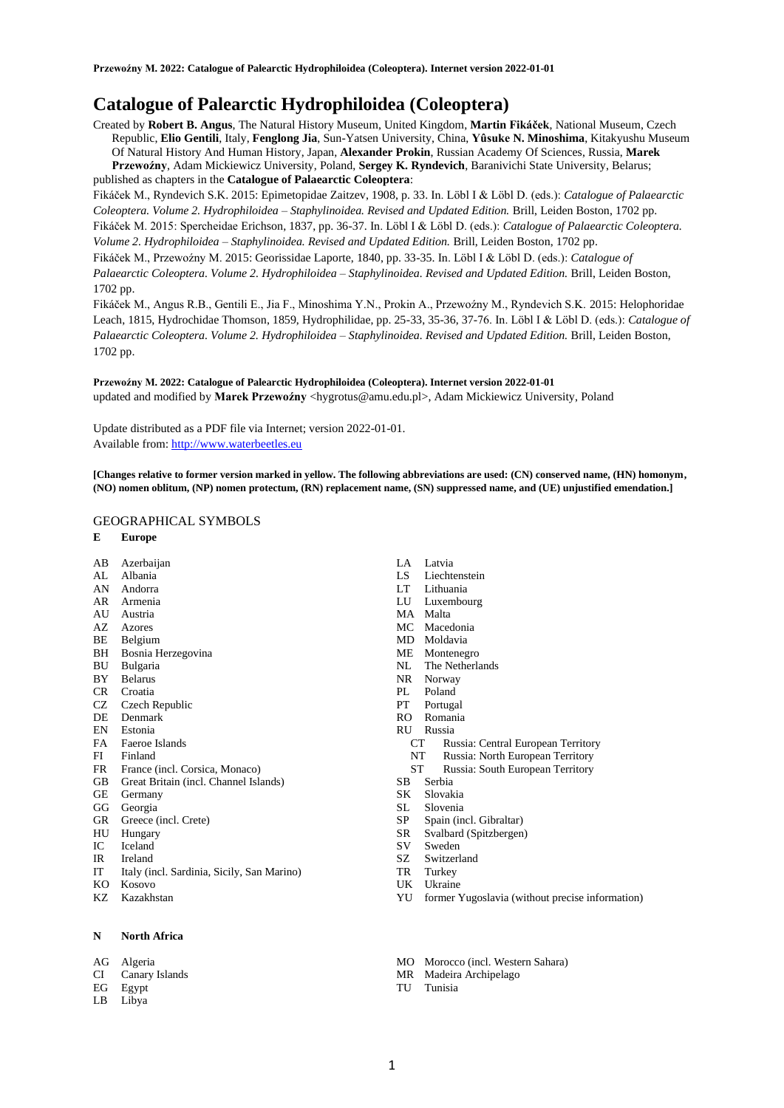# **Catalogue of Palearctic Hydrophiloidea (Coleoptera)**

Created by **Robert B. Angus**, The Natural History Museum, United Kingdom, **Martin Fikáček**, National Museum, Czech Republic, **Elio Gentili**, Italy, **Fenglong Jia**, Sun-Yatsen University, China, **Yûsuke N. Minoshima**, Kitakyushu Museum Of Natural History And Human History, Japan, **Alexander Prokin**, Russian Academy Of Sciences, Russia, **Marek Przewoźny**, Adam Mickiewicz University, Poland, **Sergey K. Ryndevich**, Baranivichi State University, Belarus; published as chapters in the **Catalogue of Palaearctic Coleoptera**:

Fikáček M., Ryndevich S.K. 2015: Epimetopidae Zaitzev, 1908, p. 33. In. Löbl I & Löbl D. (eds.): *Catalogue of Palaearctic Coleoptera. Volume 2. Hydrophiloidea – Staphylinoidea. Revised and Updated Edition.* Brill, Leiden Boston, 1702 pp. Fikáček M. 2015: Spercheidae Erichson, 1837, pp. 36-37. In. Löbl I & Löbl D. (eds.): *Catalogue of Palaearctic Coleoptera. Volume 2. Hydrophiloidea – Staphylinoidea. Revised and Updated Edition.* Brill, Leiden Boston, 1702 pp.

Fikáček M., Przewoźny M. 2015: Georissidae Laporte, 1840, pp. 33-35. In. Löbl I & Löbl D. (eds.): *Catalogue of Palaearctic Coleoptera. Volume 2. Hydrophiloidea – Staphylinoidea. Revised and Updated Edition.* Brill, Leiden Boston, 1702 pp.

Fikáček M., Angus R.B., Gentili E., Jia F., Minoshima Y.N., Prokin A., Przewoźny M., Ryndevich S.K. 2015: Helophoridae Leach, 1815, Hydrochidae Thomson, 1859, Hydrophilidae, pp. 25-33, 35-36, 37-76. In. Löbl I & Löbl D. (eds.): *Catalogue of Palaearctic Coleoptera. Volume 2. Hydrophiloidea – Staphylinoidea. Revised and Updated Edition.* Brill, Leiden Boston, 1702 pp.

**Przewoźny M. 2022: Catalogue of Palearctic Hydrophiloidea (Coleoptera). Internet version 2022-01-01** updated and modified by Marek Przewoźny <hygrotus@amu.edu.pl>, Adam Mickiewicz University, Poland

Update distributed as a PDF file via Internet; version 2022-01-01. Available from[: http://www.waterbeetles.eu](http://www.waterbeetles.eu/)

**[Changes relative to former version marked in yellow. The following abbreviations are used: (CN) conserved name, (HN) homonym, (NO) nomen oblitum, (NP) nomen protectum, (RN) replacement name, (SN) suppressed name, and (UE) unjustified emendation.]** 

# GEOGRAPHICAL SYMBOLS

- **E Europe**
- AB Azerbaijan
- AL Albania AN Andorra
- AR Armenia
- AU Austria
- AZ Azores
- BE Belgium
- BH Bosnia Herzegovina
- BU Bulgaria
- BY Belarus
- CR Croatia
- CZ Czech Republic<br>DE Denmark
- Denmark
- EN Estonia
- FA Faeroe Islands
- FI Finland<br>FR France
- France (incl. Corsica, Monaco)
- GB Great Britain (incl. Channel Islands)
- GE Germany
- 
- GR Greece (incl. Crete)
- HU Hungary
- IC Iceland
- IR Ireland
- IT Italy (incl. Sardinia, Sicily, San Marino) KO Kosovo
- 
- KZ Kazakhstan

### **N North Africa**

- AG Algeria
- CI Canary Islands
- EG Egypt
- LB Libya
- LA Latvia
- LS Liechtenstein
- LT Lithuania
- LU Luxembourg
- MA Malta
- MC Macedonia
- MD Moldavia
- ME Montenegro
- NL The Netherlands
- NR Norway
- PL Poland
- PT Portugal
- RO Romania
- RU Russia
	- Russia: Central European Territory
	- NT Russia: North European Territory<br>ST Russia: South European Territory
	- Russia: South European Territory
- SB Serbia
- SK Slovakia
- SL Slovenia
- SP Spain (incl. Gibraltar)
- SR Svalbard (Spitzbergen)
- SV Sweden
- SZ Switzerland
- TR Turkey
- UK Ukraine
- YU former Yugoslavia (without precise information)
- MO Morocco (incl. Western Sahara)
- MR Madeira Archipelago
- TU Tunisia
- 
- GG Georgia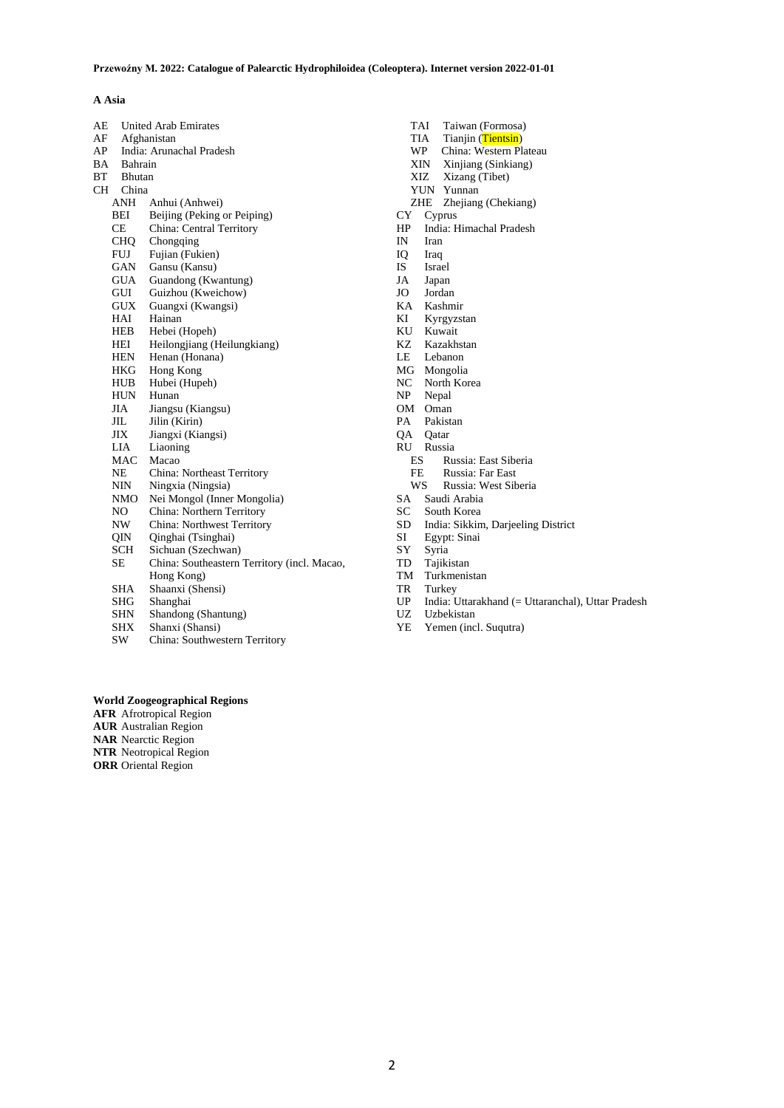# **A Asia**

| AE |            | <b>United Arab Emirates</b>                 |  |
|----|------------|---------------------------------------------|--|
| AF |            | Afghanistan                                 |  |
| AP |            | India: Arunachal Pradesh                    |  |
| BA |            | Bahrain                                     |  |
| ВT |            | <b>Bhutan</b>                               |  |
| CН |            | China                                       |  |
|    | <b>ANH</b> | Anhui (Anhwei)                              |  |
|    | BЕI        | Beijing (Peking or Peiping)                 |  |
|    | CE         | China: Central Territory                    |  |
|    | CHO.       | Chongqing                                   |  |
|    | <b>FUJ</b> | Fujian (Fukien)                             |  |
|    | GAN        | Gansu (Kansu)                               |  |
|    | <b>GUA</b> | Guandong (Kwantung)                         |  |
|    | GUI        | Guizhou (Kweichow)                          |  |
|    | GUX        | Guangxi (Kwangsi)                           |  |
|    | HAI        | Hainan                                      |  |
|    | HEB        | Hebei (Hopeh)                               |  |
|    | HEI        | Heilongjiang (Heilungkiang)                 |  |
|    | <b>HEN</b> | Henan (Honana)                              |  |
|    | HKG        | Hong Kong                                   |  |
|    | <b>HUB</b> | Hubei (Hupeh)                               |  |
|    | <b>HUN</b> | Hunan                                       |  |
|    | JIA        | Jiangsu (Kiangsu)                           |  |
|    | JH.        | Jilin (Kirin)                               |  |
|    | JIX        | Jiangxi (Kiangsi)                           |  |
|    | LIA        | Liaoning                                    |  |
|    | MAC        | Macao                                       |  |
|    | NE         | China: Northeast Territory                  |  |
|    | NIN        | Ningxia (Ningsia)                           |  |
|    | NMO        | Nei Mongol (Inner Mongolia)                 |  |
|    | NO         | China: Northern Territory                   |  |
|    | NW.        | China: Northwest Territory                  |  |
|    | OIN.       | Qinghai (Tsinghai)                          |  |
|    | SCH        | Sichuan (Szechwan)                          |  |
|    | <b>SE</b>  | China: Southeastern Territory (incl. Macao, |  |
|    |            | Hong Kong)                                  |  |
|    | SHA        | Shaanxi (Shensi)                            |  |
|    | SHG        | Shanghai                                    |  |
|    | <b>SHN</b> | Shandong (Shantung)                         |  |
|    | <b>SHX</b> | Shanxi (Shansi)                             |  |

SW China: Southwestern Territory

TAI Taiwan (Formosa)<br>TIA Tianjin (Tientsin)

- TIA Tianjin (Tientsin)<br>WP China: Western Pl
- WP China: Western Plateau<br>XIN Xinjiang (Sinkiang)<br>XIZ Xizang (Tibet)
- Xinjiang (Sinkiang)
- Xizang (Tibet)
- YUN Yunnan
- ZHE Zhejiang (Chekiang) CY Cyprus
- 
- HP India: Himachal Pradesh<br>IN Iran Iran
- 
- IQ Iraq IS Israel
- JA Japan
- JO Jordan
- 
- KA Kashmir Kyrgyzstan
- 
- KU Kuwait<br>KZ Kazakh Kazakhstan
- LE Lebanon
- 
- MG Mongolia<br>NC North Kor
- NC North Korea<br>NP Nepal Nepal
- 
- OM Oman<br>PA Pakist Pakistan
- 
- QA Qatar
- RU Russia
	- ES Russia: East Siberia<br>FE Russia: Far East
	- FE Russia: Far East<br>WS Russia: West Sib Russia: West Siberia
	-
- SA Saudi Arabia<br>SC South Korea
- SC South Korea<br>SD India: Sikkin SD India: Sikkim, Darjeeling District
- Egypt: Sinai
- SY Syria
- TD Tajikistan
- TM Turkmenistan
- TR Turkey
- UP India: Uttarakhand (= Uttaranchal), Uttar Pradesh
- UZ Uzbekistan
- YE Yemen (incl. Suqutra)

# **World Zoogeographical Regions**

**AFR** Afrotropical Region **AUR** Australian Region

**NAR** Nearctic Region

**NTR** Neotropical Region

**ORR** Oriental Region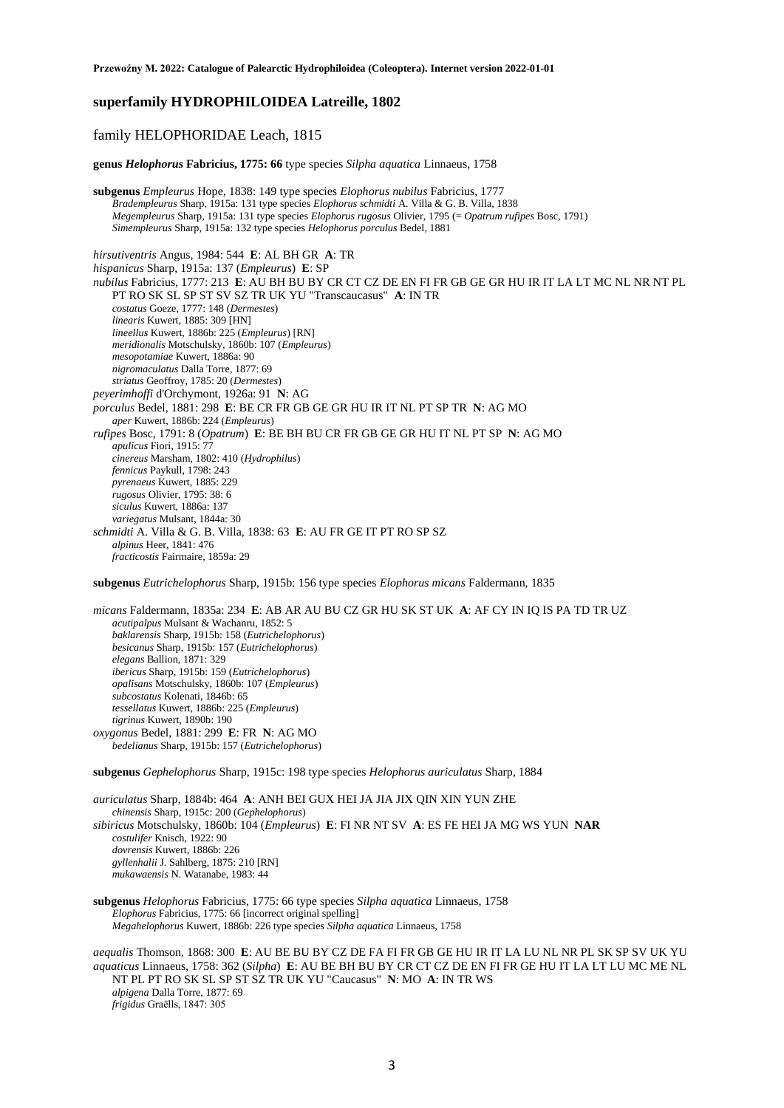# **superfamily HYDROPHILOIDEA Latreille, 1802**

# family HELOPHORIDAE Leach, 1815

**genus** *Helophorus* **Fabricius, 1775: 66** type species *Silpha aquatica* Linnaeus, 1758

**subgenus** *Empleurus* Hope, 1838: 149 type species *Elophorus nubilus* Fabricius, 1777 *Bradempleurus* Sharp, 1915a: 131 type species *Elophorus schmidti* A. Villa & G. B. Villa, 1838 *Megempleurus* Sharp, 1915a: 131 type species *Elophorus rugosus* Olivier, 1795 (= *Opatrum rufipes* Bosc, 1791) *Simempleurus* Sharp, 1915a: 132 type species *Helophorus porculus* Bedel, 1881

*hirsutiventris* Angus, 1984: 544 **E**: AL BH GR **A**: TR *hispanicus* Sharp, 1915a: 137 (*Empleurus*) **E**: SP *nubilus* Fabricius, 1777: 213 **E**: AU BH BU BY CR CT CZ DE EN FI FR GB GE GR HU IR IT LA LT MC NL NR NT PL PT RO SK SL SP ST SV SZ TR UK YU "Transcaucasus" **A**: IN TR *costatus* Goeze, 1777: 148 (*Dermestes*) *linearis* Kuwert, 1885: 309 [HN] *lineellus* Kuwert, 1886b: 225 (*Empleurus*) [RN] *meridionalis* Motschulsky, 1860b: 107 (*Empleurus*) *mesopotamiae* Kuwert, 1886a: 90 *nigromaculatus* Dalla Torre, 1877: 69 *striatus* Geoffroy, 1785: 20 (*Dermestes*) *peyerimhoffi* d'Orchymont, 1926a: 91 **N**: AG *porculus* Bedel, 1881: 298 **E**: BE CR FR GB GE GR HU IR IT NL PT SP TR **N**: AG MO *aper* Kuwert, 1886b: 224 (*Empleurus*) *rufipes* Bosc, 1791: 8 (*Opatrum*) **E**: BE BH BU CR FR GB GE GR HU IT NL PT SP **N**: AG MO *apulicus* Fiori, 1915: 77 *cinereus* Marsham, 1802: 410 (*Hydrophilus*) *fennicus* Paykull, 1798: 243 *pyrenaeus* Kuwert, 1885: 229 *rugosus* Olivier, 1795: 38: 6 *siculus* Kuwert, 1886a: 137 *variegatus* Mulsant, 1844a: 30 *schmidti* A. Villa & G. B. Villa, 1838: 63 **E**: AU FR GE IT PT RO SP SZ *alpinus* Heer, 1841: 476 *fracticostis* Fairmaire, 1859a: 29

**subgenus** *Eutrichelophorus* Sharp, 1915b: 156 type species *Elophorus micans* Faldermann, 1835

*micans* Faldermann, 1835a: 234 **E**: AB AR AU BU CZ GR HU SK ST UK **A**: AF CY IN IQ IS PA TD TR UZ *acutipalpus* Mulsant & Wachanru, 1852: 5 *baklarensis* Sharp, 1915b: 158 (*Eutrichelophorus*) *besicanus* Sharp, 1915b: 157 (*Eutrichelophorus*) *elegans* Ballion, 1871: 329 *ibericus* Sharp, 1915b: 159 (*Eutrichelophorus*) *opalisans* Motschulsky, 1860b: 107 (*Empleurus*) *subcostatus* Kolenati, 1846b: 65 *tessellatus* Kuwert, 1886b: 225 (*Empleurus*) *tigrinus* Kuwert, 1890b: 190 *oxygonus* Bedel, 1881: 299 **E**: FR **N**: AG MO *bedelianus* Sharp, 1915b: 157 (*Eutrichelophorus*)

**subgenus** *Gephelophorus* Sharp, 1915c: 198 type species *Helophorus auriculatus* Sharp, 1884

*auriculatus* Sharp, 1884b: 464 **A**: ANH BEI GUX HEI JA JIA JIX QIN XIN YUN ZHE *chinensis* Sharp, 1915c: 200 (*Gephelophorus*) *sibiricus* Motschulsky, 1860b: 104 (*Empleurus*) **E**: FI NR NT SV **A**: ES FE HEI JA MG WS YUN **NAR** *costulifer* Knisch, 1922: 90 *dovrensis* Kuwert, 1886b: 226 *gyllenhalii* J. Sahlberg, 1875: 210 [RN] *mukawaensis* N. Watanabe, 1983: 44

**subgenus** *Helophorus* Fabricius, 1775: 66 type species *Silpha aquatica* Linnaeus, 1758 *Elophorus* Fabricius, 1775: 66 [incorrect original spelling] *Megahelophorus* Kuwert, 1886b: 226 type species *Silpha aquatica* Linnaeus, 1758

*aequalis* Thomson, 1868: 300 **E**: AU BE BU BY CZ DE FA FI FR GB GE HU IR IT LA LU NL NR PL SK SP SV UK YU *aquaticus* Linnaeus, 1758: 362 (*Silpha*) **E**: AU BE BH BU BY CR CT CZ DE EN FI FR GE HU IT LA LT LU MC ME NL NT PL PT RO SK SL SP ST SZ TR UK YU "Caucasus" **N**: MO **A**: IN TR WS *alpigena* Dalla Torre, 1877: 69 *frigidus* Graëlls, 1847: 305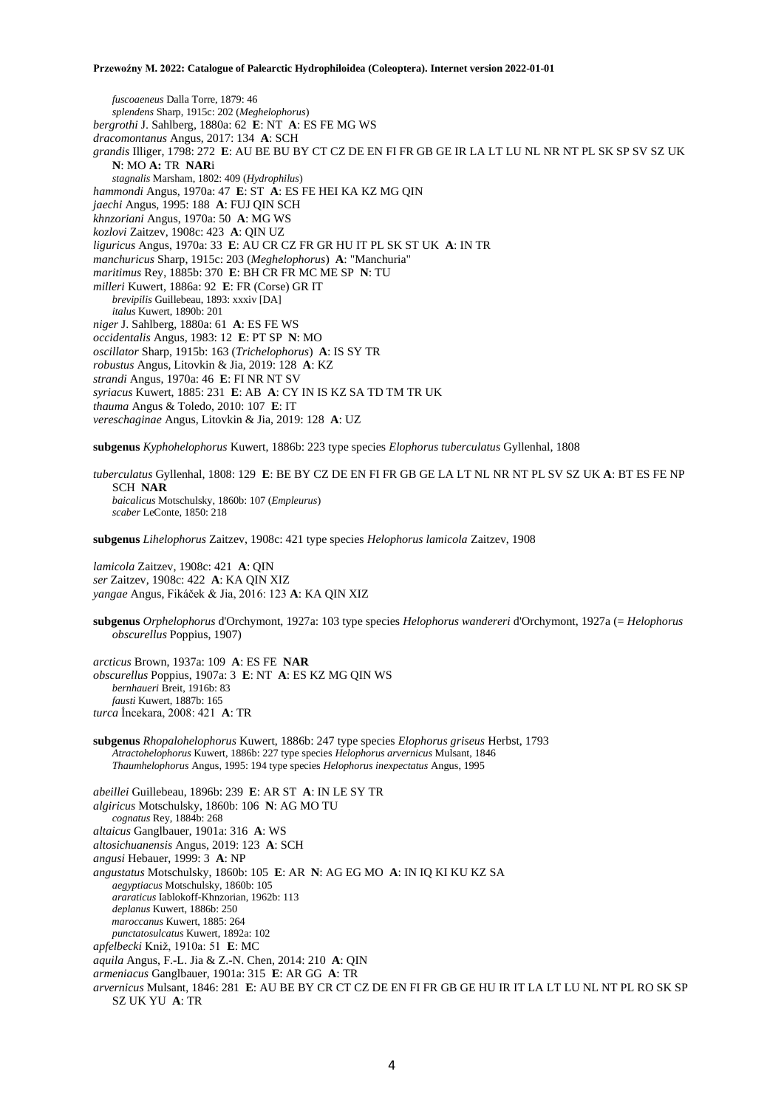*fuscoaeneus* Dalla Torre, 1879: 46 *splendens* Sharp, 1915c: 202 (*Meghelophorus*) *bergrothi* J. Sahlberg, 1880a: 62 **E**: NT **A**: ES FE MG WS *dracomontanus* Angus, 2017: 134 **A**: SCH *grandis* Illiger, 1798: 272 **E**: AU BE BU BY CT CZ DE EN FI FR GB GE IR LA LT LU NL NR NT PL SK SP SV SZ UK **N**: MO **A:** TR **NAR**i *stagnalis* Marsham, 1802: 409 (*Hydrophilus*) *hammondi* Angus, 1970a: 47 **E**: ST **A**: ES FE HEI KA KZ MG QIN *jaechi* Angus, 1995: 188 **A**: FUJ QIN SCH *khnzoriani* Angus, 1970a: 50 **A**: MG WS *kozlovi* Zaitzev, 1908c: 423 **A**: QIN UZ *liguricus* Angus, 1970a: 33 **E**: AU CR CZ FR GR HU IT PL SK ST UK **A**: IN TR *manchuricus* Sharp, 1915c: 203 (*Meghelophorus*) **A**: "Manchuria" *maritimus* Rey, 1885b: 370 **E**: BH CR FR MC ME SP **N**: TU *milleri* Kuwert, 1886a: 92 **E**: FR (Corse) GR IT *brevipilis* Guillebeau, 1893: xxxiv [DA] *italus* Kuwert, 1890b: 201 *niger* J. Sahlberg, 1880a: 61 **A**: ES FE WS *occidentalis* Angus, 1983: 12 **E**: PT SP **N**: MO *oscillator* Sharp, 1915b: 163 (*Trichelophorus*) **A**: IS SY TR *robustus* Angus, Litovkin & Jia, 2019: 128 **A**: KZ *strandi* Angus, 1970a: 46 **E**: FI NR NT SV *syriacus* Kuwert, 1885: 231 **E**: AB **A**: CY IN IS KZ SA TD TM TR UK *thauma* Angus & Toledo, 2010: 107 **E**: IT *vereschaginae* Angus, Litovkin & Jia, 2019: 128 **A**: UZ

**subgenus** *Kyphohelophorus* Kuwert, 1886b: 223 type species *Elophorus tuberculatus* Gyllenhal, 1808

*tuberculatus* Gyllenhal, 1808: 129 **E**: BE BY CZ DE EN FI FR GB GE LA LT NL NR NT PL SV SZ UK **A**: BT ES FE NP SCH **NAR** *baicalicus* Motschulsky, 1860b: 107 (*Empleurus*) *scaber* LeConte, 1850: 218

**subgenus** *Lihelophorus* Zaitzev, 1908c: 421 type species *Helophorus lamicola* Zaitzev, 1908

*lamicola* Zaitzev, 1908c: 421 **A**: QIN *ser* Zaitzev, 1908c: 422 **A**: KA QIN XIZ *yangae* Angus, Fikáček & Jia, 2016: 123 **A**: KA QIN XIZ

**subgenus** *Orphelophorus* d'Orchymont, 1927a: 103 type species *Helophorus wandereri* d'Orchymont, 1927a (= *Helophorus obscurellus* Poppius, 1907)

*arcticus* Brown, 1937a: 109 **A**: ES FE **NAR** *obscurellus* Poppius, 1907a: 3 **E**: NT **A**: ES KZ MG QIN WS *bernhaueri* Breit, 1916b: 83 *fausti* Kuwert, 1887b: 165 *turca* İncekara, 2008: 421 **A**: TR

**subgenus** *Rhopalohelophorus* Kuwert, 1886b: 247 type species *Elophorus griseus* Herbst, 1793 *Atractohelophorus* Kuwert, 1886b: 227 type species *Helophorus arvernicus* Mulsant, 1846 *Thaumhelophorus* Angus, 1995: 194 type species *Helophorus inexpectatus* Angus, 1995

*abeillei* Guillebeau, 1896b: 239 **E**: AR ST **A**: IN LE SY TR *algiricus* Motschulsky, 1860b: 106 **N**: AG MO TU *cognatus* Rey, 1884b: 268 *altaicus* Ganglbauer, 1901a: 316 **A**: WS *altosichuanensis* Angus, 2019: 123 **A**: SCH *angusi* Hebauer, 1999: 3 **A**: NP *angustatus* Motschulsky, 1860b: 105 **E**: AR **N**: AG EG MO **A**: IN IQ KI KU KZ SA *aegyptiacus* Motschulsky, 1860b: 105 *araraticus* Iablokoff-Khnzorian, 1962b: 113 *deplanus* Kuwert, 1886b: 250 *maroccanus* Kuwert, 1885: 264 *punctatosulcatus* Kuwert, 1892a: 102 *apfelbecki* Kniž, 1910a: 51 **E**: MC *aquila* Angus, F.-L. Jia & Z.-N. Chen, 2014: 210 **A**: QIN *armeniacus* Ganglbauer, 1901a: 315 **E**: AR GG **A**: TR *arvernicus* Mulsant, 1846: 281 **E**: AU BE BY CR CT CZ DE EN FI FR GB GE HU IR IT LA LT LU NL NT PL RO SK SP SZ UK YU **A**: TR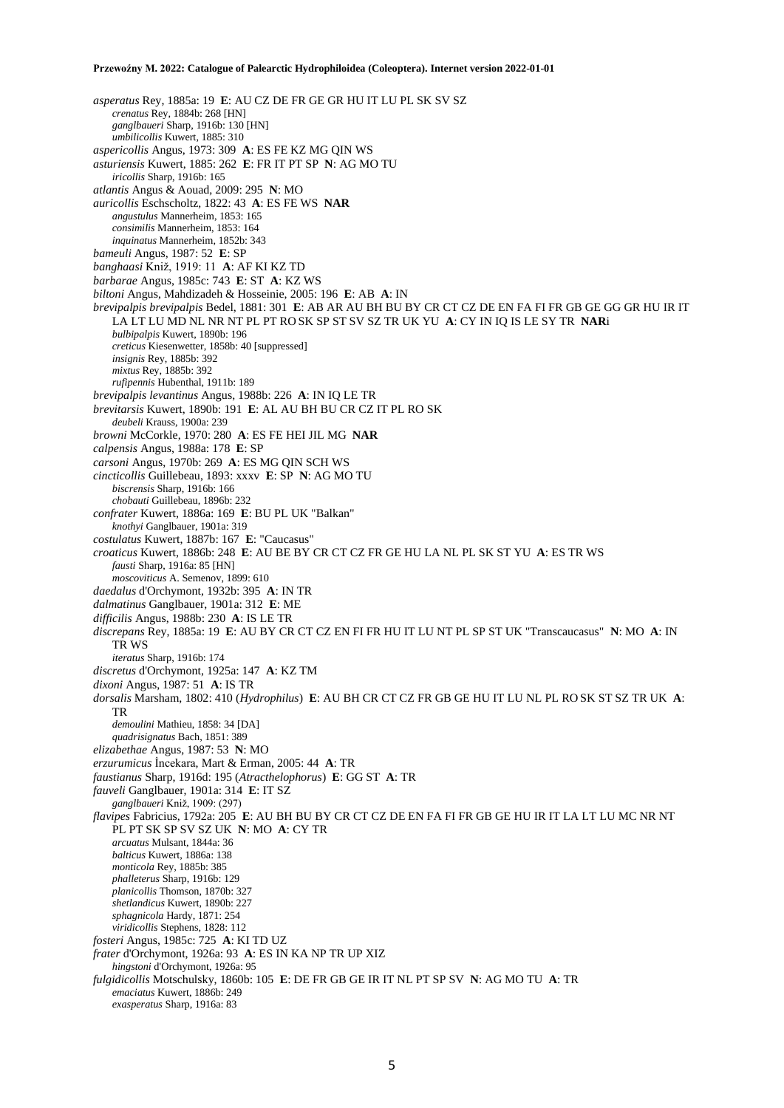*asperatus* Rey, 1885a: 19 **E**: AU CZ DE FR GE GR HU IT LU PL SK SV SZ *crenatus* Rey, 1884b: 268 [HN] *ganglbaueri* Sharp, 1916b: 130 [HN] *umbilicollis* Kuwert, 1885: 310 *aspericollis* Angus, 1973: 309 **A**: ES FE KZ MG QIN WS *asturiensis* Kuwert, 1885: 262 **E**: FR IT PT SP **N**: AG MO TU *iricollis* Sharp, 1916b: 165 *atlantis* Angus & Aouad, 2009: 295 **N**: MO *auricollis* Eschscholtz, 1822: 43 **A**: ES FE WS **NAR** *angustulus* Mannerheim, 1853: 165 *consimilis* Mannerheim, 1853: 164 *inquinatus* Mannerheim, 1852b: 343 *bameuli* Angus, 1987: 52 **E**: SP *banghaasi* Kniž, 1919: 11 **A**: AF KI KZ TD *barbarae* Angus, 1985c: 743 **E**: ST **A**: KZ WS *biltoni* Angus, Mahdizadeh & Hosseinie, 2005: 196 **E**: AB **A**: IN *brevipalpis brevipalpis* Bedel, 1881: 301 **E**: AB AR AU BH BU BY CR CT CZ DE EN FA FI FR GB GE GG GR HU IR IT LA LT LU MD NL NR NT PL PT RO SK SP ST SV SZ TR UK YU **A**: CY IN IQ IS LE SY TR **NAR**i *bulbipalpis* Kuwert, 1890b: 196 *creticus* Kiesenwetter, 1858b: 40 [suppressed] *insignis* Rey, 1885b: 392 *mixtus* Rey, 1885b: 392 *rufipennis* Hubenthal, 1911b: 189 *brevipalpis levantinus* Angus, 1988b: 226 **A**: IN IQ LE TR *brevitarsis* Kuwert, 1890b: 191 **E**: AL AU BH BU CR CZ IT PL RO SK *deubeli* Krauss, 1900a: 239 *browni* McCorkle, 1970: 280 **A**: ES FE HEI JIL MG **NAR** *calpensis* Angus, 1988a: 178 **E**: SP *carsoni* Angus, 1970b: 269 **A**: ES MG QIN SCH WS *cincticollis* Guillebeau, 1893: xxxv **E**: SP **N**: AG MO TU *biscrensis* Sharp, 1916b: 166 *chobauti* Guillebeau, 1896b: 232 *confrater* Kuwert, 1886a: 169 **E**: BU PL UK "Balkan" *knothyi* Ganglbauer, 1901a: 319 *costulatus* Kuwert, 1887b: 167 **E**: "Caucasus" *croaticus* Kuwert, 1886b: 248 **E**: AU BE BY CR CT CZ FR GE HU LA NL PL SK ST YU **A**: ES TR WS *fausti* Sharp, 1916a: 85 [HN] *moscoviticus* A. Semenov, 1899: 610 *daedalus* d'Orchymont, 1932b: 395 **A**: IN TR *dalmatinus* Ganglbauer, 1901a: 312 **E**: ME *difficilis* Angus, 1988b: 230 **A**: IS LE TR *discrepans* Rey, 1885a: 19 **E**: AU BY CR CT CZ EN FI FR HU IT LU NT PL SP ST UK "Transcaucasus" **N**: MO **A**: IN TR WS *iteratus* Sharp, 1916b: 174 *discretus* d'Orchymont, 1925a: 147 **A**: KZ TM *dixoni* Angus, 1987: 51 **A**: IS TR *dorsalis* Marsham, 1802: 410 (*Hydrophilus*) **E**: AU BH CR CT CZ FR GB GE HU IT LU NL PL RO SK ST SZ TR UK **A**: TR *demoulini* Mathieu, 1858: 34 [DA] *quadrisignatus* Bach, 1851: 389 *elizabethae* Angus, 1987: 53 **N**: MO *erzurumicus* İncekara, Mart & Erman, 2005: 44 **A**: TR *faustianus* Sharp, 1916d: 195 (*Atracthelophorus*) **E**: GG ST **A**: TR *fauveli* Ganglbauer, 1901a: 314 **E**: IT SZ *ganglbaueri* Kniž, 1909: (297) *flavipes* Fabricius, 1792a: 205 **E**: AU BH BU BY CR CT CZ DE EN FA FI FR GB GE HU IR IT LA LT LU MC NR NT PL PT SK SP SV SZ UK **N**: MO **A**: CY TR *arcuatus* Mulsant, 1844a: 36 *balticus* Kuwert, 1886a: 138 *monticola* Rey, 1885b: 385 *phalleterus* Sharp, 1916b: 129 *planicollis* Thomson, 1870b: 327 *shetlandicus* Kuwert, 1890b: 227 *sphagnicola* Hardy, 1871: 254 *viridicollis* Stephens, 1828: 112 *fosteri* Angus, 1985c: 725 **A**: KI TD UZ *frater* d'Orchymont, 1926a: 93 **A**: ES IN KA NP TR UP XIZ *hingstoni* d'Orchymont, 1926a: 95 *fulgidicollis* Motschulsky, 1860b: 105 **E**: DE FR GB GE IR IT NL PT SP SV **N**: AG MO TU **A**: TR *emaciatus* Kuwert, 1886b: 249 *exasperatus* Sharp, 1916a: 83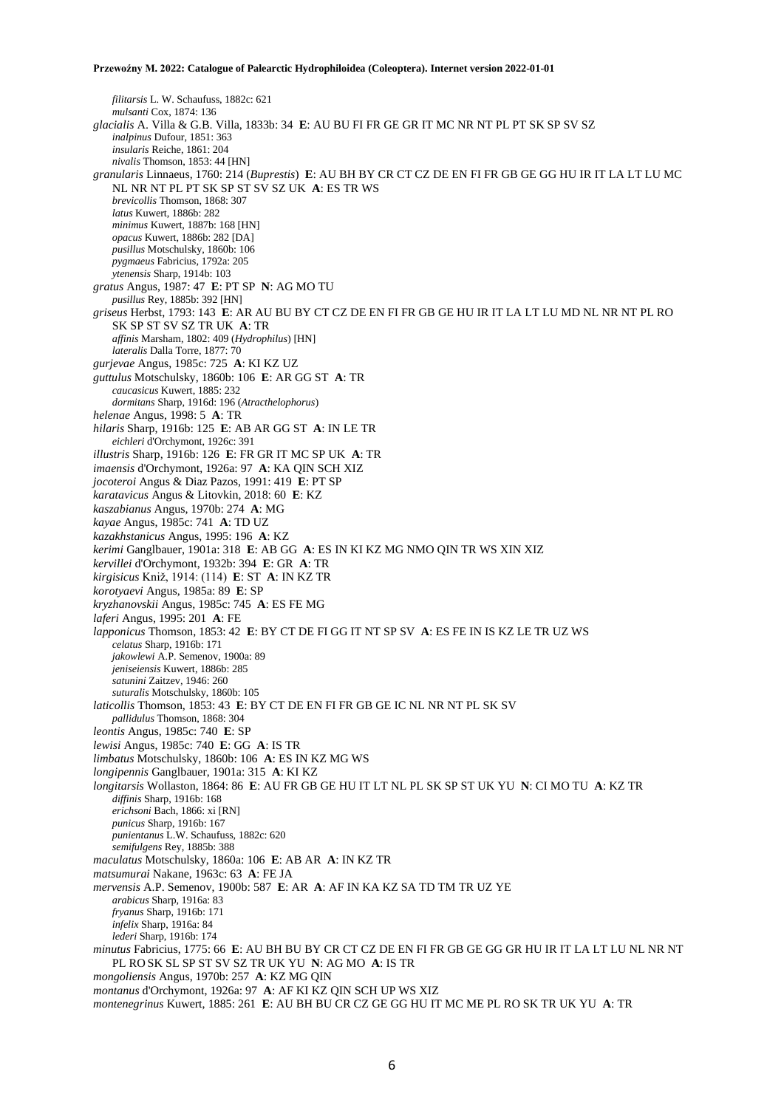*filitarsis* L. W. Schaufuss, 1882c: 621 *mulsanti* Cox, 1874: 136 *glacialis* A. Villa & G.B. Villa, 1833b: 34 **E**: AU BU FI FR GE GR IT MC NR NT PL PT SK SP SV SZ *inalpinus* Dufour, 1851: 363 *insularis* Reiche, 1861: 204 *nivalis* Thomson, 1853: 44 [HN] *granularis* Linnaeus, 1760: 214 (*Buprestis*) **E**: AU BH BY CR CT CZ DE EN FI FR GB GE GG HU IR IT LA LT LU MC NL NR NT PL PT SK SP ST SV SZ UK **A**: ES TR WS *brevicollis* Thomson, 1868: 307 *latus* Kuwert, 1886b: 282 *minimus* Kuwert, 1887b: 168 [HN] *opacus* Kuwert, 1886b: 282 [DA] *pusillus* Motschulsky, 1860b: 106 *pygmaeus* Fabricius, 1792a: 205 *ytenensis* Sharp, 1914b: 103 *gratus* Angus, 1987: 47 **E**: PT SP **N**: AG MO TU *pusillus* Rey, 1885b: 392 [HN] *griseus* Herbst, 1793: 143 **E**: AR AU BU BY CT CZ DE EN FI FR GB GE HU IR IT LA LT LU MD NL NR NT PL RO SK SP ST SV SZ TR UK **A**: TR *affinis* Marsham, 1802: 409 (*Hydrophilus*) [HN] *lateralis* Dalla Torre, 1877: 70 *gurjevae* Angus, 1985c: 725 **A**: KI KZ UZ *guttulus* Motschulsky, 1860b: 106 **E**: AR GG ST **A**: TR *caucasicus* Kuwert, 1885: 232 *dormitans* Sharp, 1916d: 196 (*Atracthelophorus*) *helenae* Angus, 1998: 5 **A**: TR *hilaris* Sharp, 1916b: 125 **E**: AB AR GG ST **A**: IN LE TR *eichleri* d'Orchymont, 1926c: 391 *illustris* Sharp, 1916b: 126 **E**: FR GR IT MC SP UK **A**: TR *imaensis* d'Orchymont, 1926a: 97 **A**: KA QIN SCH XIZ *jocoteroi* Angus & Diaz Pazos, 1991: 419 **E**: PT SP *karatavicus* Angus & Litovkin, 2018: 60 **E**: KZ *kaszabianus* Angus, 1970b: 274 **A**: MG *kayae* Angus, 1985c: 741 **A**: TD UZ *kazakhstanicus* Angus, 1995: 196 **A**: KZ *kerimi* Ganglbauer, 1901a: 318 **E**: AB GG **A**: ES IN KI KZ MG NMO QIN TR WS XIN XIZ *kervillei* d'Orchymont, 1932b: 394 **E**: GR **A**: TR *kirgisicus* Kniž, 1914: (114) **E**: ST **A**: IN KZ TR *korotyaevi* Angus, 1985a: 89 **E**: SP *kryzhanovskii* Angus, 1985c: 745 **A**: ES FE MG *laferi* Angus, 1995: 201 **A**: FE *lapponicus* Thomson, 1853: 42 **E**: BY CT DE FI GG IT NT SP SV **A**: ES FE IN IS KZ LE TR UZ WS *celatus* Sharp, 1916b: 171 *jakowlewi* A.P. Semenov, 1900a: 89 *jeniseiensis* Kuwert, 1886b: 285 *satunini* Zaitzev, 1946: 260 *suturalis* Motschulsky, 1860b: 105 *laticollis* Thomson, 1853: 43 **E**: BY CT DE EN FI FR GB GE IC NL NR NT PL SK SV *pallidulus* Thomson, 1868: 304 *leontis* Angus, 1985c: 740 **E**: SP *lewisi* Angus, 1985c: 740 **E**: GG **A**: IS TR *limbatus* Motschulsky, 1860b: 106 **A**: ES IN KZ MG WS *longipennis* Ganglbauer, 1901a: 315 **A**: KI KZ *longitarsis* Wollaston, 1864: 86 **E**: AU FR GB GE HU IT LT NL PL SK SP ST UK YU **N**: CI MO TU **A**: KZ TR *diffinis* Sharp, 1916b: 168 *erichsoni* Bach, 1866: xi [RN] *punicus* Sharp, 1916b: 167 *punientanus* L.W. Schaufuss, 1882c: 620 *semifulgens* Rey, 1885b: 388 *maculatus* Motschulsky, 1860a: 106 **E**: AB AR **A**: IN KZ TR *matsumurai* Nakane, 1963c: 63 **A**: FE JA *mervensis* A.P. Semenov, 1900b: 587 **E**: AR **A**: AF IN KA KZ SA TD TM TR UZ YE *arabicus* Sharp, 1916a: 83 *fryanus* Sharp, 1916b: 171 *infelix* Sharp, 1916a: 84 *lederi* Sharp, 1916b: 174 *minutus* Fabricius, 1775: 66 **E**: AU BH BU BY CR CT CZ DE EN FI FR GB GE GG GR HU IR IT LA LT LU NL NR NT PL RO SK SL SP ST SV SZ TR UK YU **N**: AG MO **A**: IS TR *mongoliensis* Angus, 1970b: 257 **A**: KZ MG QIN *montanus* d'Orchymont, 1926a: 97 **A**: AF KI KZ QIN SCH UP WS XIZ *montenegrinus* Kuwert, 1885: 261 **E**: AU BH BU CR CZ GE GG HU IT MC ME PL RO SK TR UK YU **A**: TR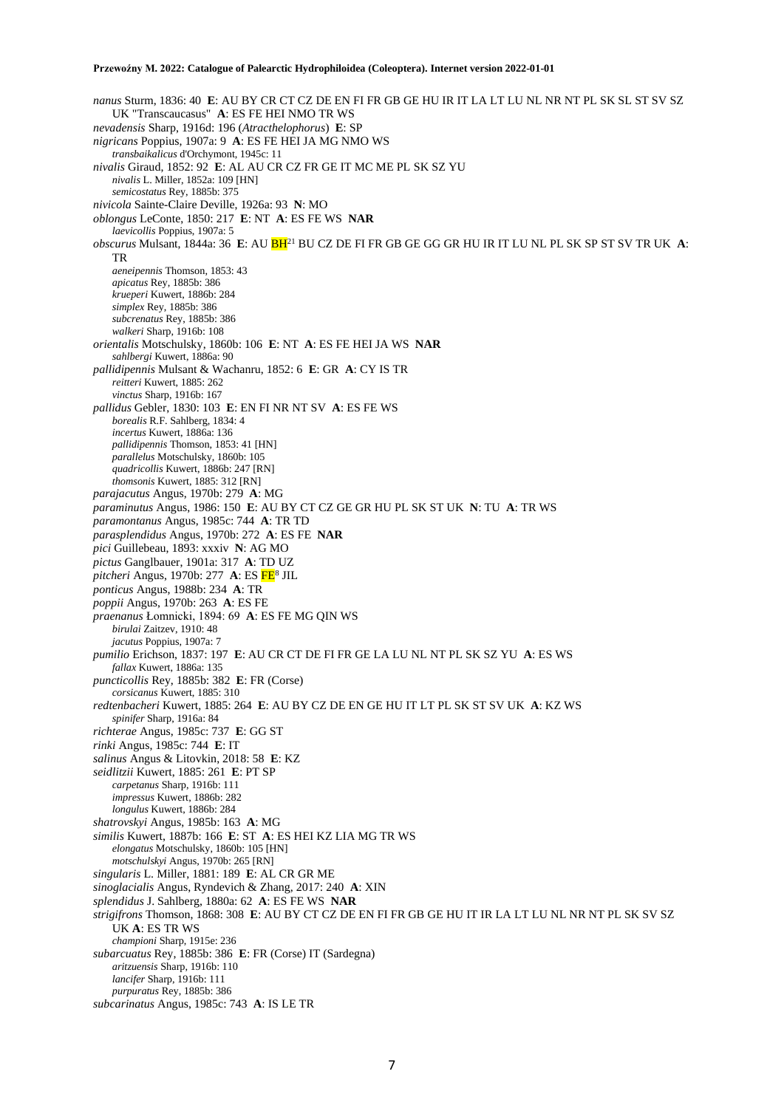*nanus* Sturm, 1836: 40 **E**: AU BY CR CT CZ DE EN FI FR GB GE HU IR IT LA LT LU NL NR NT PL SK SL ST SV SZ UK "Transcaucasus" **A**: ES FE HEI NMO TR WS *nevadensis* Sharp, 1916d: 196 (*Atracthelophorus*) **E**: SP *nigricans* Poppius, 1907a: 9 **A**: ES FE HEI JA MG NMO WS *transbaikalicus* d'Orchymont, 1945c: 11 *nivalis* Giraud, 1852: 92 **E**: AL AU CR CZ FR GE IT MC ME PL SK SZ YU *nivalis* L. Miller, 1852a: 109 [HN] *semicostatus* Rey, 1885b: 375 *nivicola* Sainte-Claire Deville, 1926a: 93 **N**: MO *oblongus* LeConte, 1850: 217 **E**: NT **A**: ES FE WS **NAR** *laevicollis* Poppius, 1907a: 5 *obscurus* Mulsant, 1844a: 36 **E**: AU BH<sup>21</sup> BU CZ DE FI FR GB GE GG GR HU IR IT LU NL PL SK SP ST SV TR UK **A**: TR *aeneipennis* Thomson, 1853: 43 *apicatus* Rey, 1885b: 386 *krueperi* Kuwert, 1886b: 284 *simplex* Rey, 1885b: 386 *subcrenatus* Rey, 1885b: 386 *walkeri* Sharp, 1916b: 108 *orientalis* Motschulsky, 1860b: 106 **E**: NT **A**: ES FE HEI JA WS **NAR** *sahlbergi* Kuwert, 1886a: 90 *pallidipennis* Mulsant & Wachanru, 1852: 6 **E**: GR **A**: CY IS TR *reitteri* Kuwert, 1885: 262 *vinctus* Sharp, 1916b: 167 *pallidus* Gebler, 1830: 103 **E**: EN FI NR NT SV **A**: ES FE WS *borealis* R.F. Sahlberg, 1834: 4 *incertus* Kuwert, 1886a: 136 *pallidipennis* Thomson, 1853: 41 [HN] *parallelus* Motschulsky, 1860b: 105 *quadricollis* Kuwert, 1886b: 247 [RN] *thomsonis* Kuwert, 1885: 312 [RN] *parajacutus* Angus, 1970b: 279 **A**: MG *paraminutus* Angus, 1986: 150 **E**: AU BY CT CZ GE GR HU PL SK ST UK **N**: TU **A**: TR WS *paramontanus* Angus, 1985c: 744 **A**: TR TD *parasplendidus* Angus, 1970b: 272 **A**: ES FE **NAR** *pici* Guillebeau, 1893: xxxiv **N**: AG MO *pictus* Ganglbauer, 1901a: 317 **A**: TD UZ *pitcheri* Angus, 1970b: 277 **A**: ES FE<sup>8</sup> JIL *ponticus* Angus, 1988b: 234 **A**: TR *poppii* Angus, 1970b: 263 **A**: ES FE *praenanus* Łomnicki, 1894: 69 **A**: ES FE MG QIN WS *birulai* Zaitzev, 1910: 48 *jacutus* Poppius, 1907a: 7 *pumilio* Erichson, 1837: 197 **E**: AU CR CT DE FI FR GE LA LU NL NT PL SK SZ YU **A**: ES WS *fallax* Kuwert, 1886a: 135 *puncticollis* Rey, 1885b: 382 **E**: FR (Corse) *corsicanus* Kuwert, 1885: 310 *redtenbacheri* Kuwert, 1885: 264 **E**: AU BY CZ DE EN GE HU IT LT PL SK ST SV UK **A**: KZ WS *spinifer* Sharp, 1916a: 84 *richterae* Angus, 1985c: 737 **E**: GG ST *rinki* Angus, 1985c: 744 **E**: IT *salinus* Angus & Litovkin, 2018: 58 **E**: KZ *seidlitzii* Kuwert, 1885: 261 **E**: PT SP *carpetanus* Sharp, 1916b: 111 *impressus* Kuwert, 1886b: 282 *longulus* Kuwert, 1886b: 284 *shatrovskyi* Angus, 1985b: 163 **A**: MG *similis* Kuwert, 1887b: 166 **E**: ST **A**: ES HEI KZ LIA MG TR WS *elongatus* Motschulsky, 1860b: 105 [HN] *motschulskyi* Angus, 1970b: 265 [RN] *singularis* L. Miller, 1881: 189 **E**: AL CR GR ME *sinoglacialis* Angus, Ryndevich & Zhang, 2017: 240 **A**: XIN *splendidus* J. Sahlberg, 1880a: 62 **A**: ES FE WS **NAR** *strigifrons* Thomson, 1868: 308 **E**: AU BY CT CZ DE EN FI FR GB GE HU IT IR LA LT LU NL NR NT PL SK SV SZ UK **A**: ES TR WS *championi* Sharp, 1915e: 236 *subarcuatus* Rey, 1885b: 386 **E**: FR (Corse) IT (Sardegna) *aritzuensis* Sharp, 1916b: 110 *lancifer* Sharp, 1916b: 111 *purpuratus* Rey, 1885b: 386 *subcarinatus* Angus, 1985c: 743 **A**: IS LE TR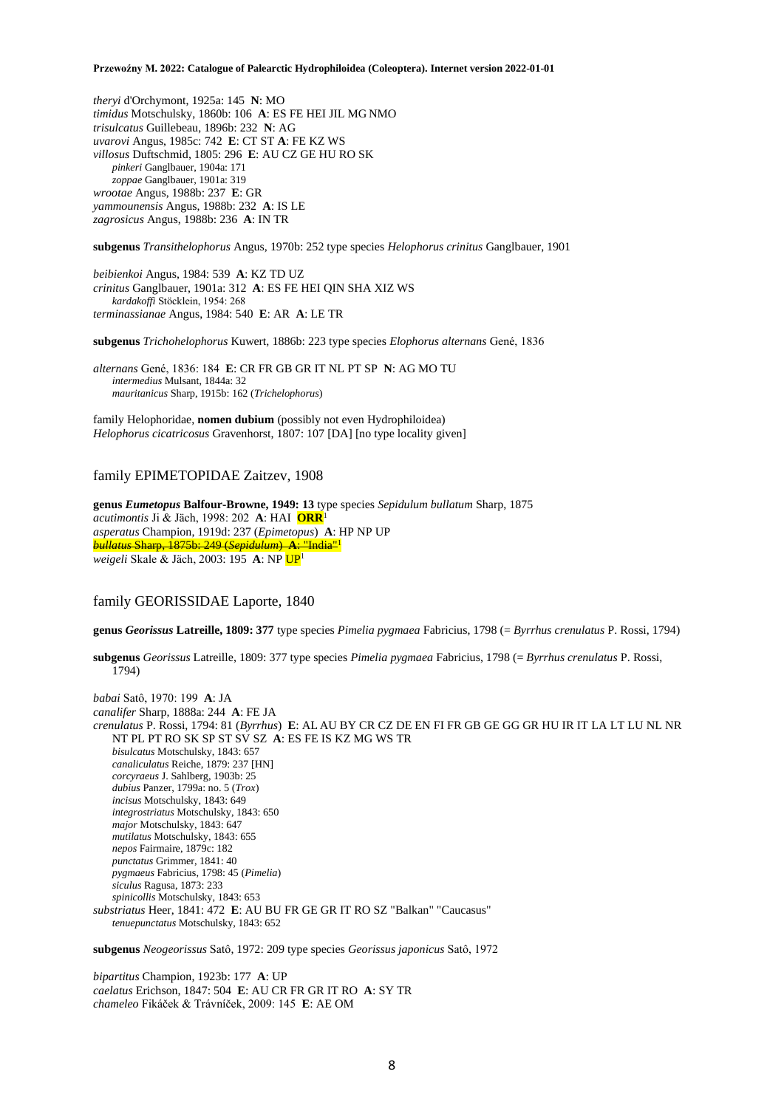*theryi* d'Orchymont, 1925a: 145 **N**: MO *timidus* Motschulsky, 1860b: 106 **A**: ES FE HEI JIL MG NMO *trisulcatus* Guillebeau, 1896b: 232 **N**: AG *uvarovi* Angus, 1985c: 742 **E**: CT ST **A**: FE KZ WS *villosus* Duftschmid, 1805: 296 **E**: AU CZ GE HU RO SK *pinkeri* Ganglbauer, 1904a: 171 *zoppae* Ganglbauer, 1901a: 319 *wrootae* Angus, 1988b: 237 **E**: GR *yammounensis* Angus, 1988b: 232 **A**: IS LE *zagrosicus* Angus, 1988b: 236 **A**: IN TR

**subgenus** *Transithelophorus* Angus, 1970b: 252 type species *Helophorus crinitus* Ganglbauer, 1901

*beibienkoi* Angus, 1984: 539 **A**: KZ TD UZ *crinitus* Ganglbauer, 1901a: 312 **A**: ES FE HEI QIN SHA XIZ WS *kardakoffi* Stöcklein, 1954: 268 *terminassianae* Angus, 1984: 540 **E**: AR **A**: LE TR

**subgenus** *Trichohelophorus* Kuwert, 1886b: 223 type species *Elophorus alternans* Gené, 1836

*alternans* Gené, 1836: 184 **E**: CR FR GB GR IT NL PT SP **N**: AG MO TU *intermedius* Mulsant, 1844a: 32 *mauritanicus* Sharp, 1915b: 162 (*Trichelophorus*)

family Helophoridae, **nomen dubium** (possibly not even Hydrophiloidea) *Helophorus cicatricosus* Gravenhorst, 1807: 107 [DA] [no type locality given]

### family EPIMETOPIDAE Zaitzev, 1908

**genus** *Eumetopus* **Balfour-Browne, 1949: 13** type species *Sepidulum bullatum* Sharp, 1875 *acutimontis* Ji & Jäch, 1998: 202 **A**: HAI **ORR**<sup>1</sup> *asperatus* Champion, 1919d: 237 (*Epimetopus*) **A**: HP NP UP *bullatus* Sharp, 1875b: 249 (*Sepidulum*) **A**: "India"<sup>1</sup> *weigeli* Skale & Jäch, 2003: 195 **A**: NP UP<sup>1</sup>

# family GEORISSIDAE Laporte, 1840

**genus** *Georissus* **Latreille, 1809: 377** type species *Pimelia pygmaea* Fabricius, 1798 (= *Byrrhus crenulatus* P. Rossi, 1794)

**subgenus** *Georissus* Latreille, 1809: 377 type species *Pimelia pygmaea* Fabricius, 1798 (= *Byrrhus crenulatus* P. Rossi, 1794)

*babai* Satô, 1970: 199 **A**: JA *canalifer* Sharp, 1888a: 244 **A**: FE JA *crenulatus* P. Rossi, 1794: 81 (*Byrrhus*) **E**: AL AU BY CR CZ DE EN FI FR GB GE GG GR HU IR IT LA LT LU NL NR NT PL PT RO SK SP ST SV SZ **A**: ES FE IS KZ MG WS TR *bisulcatus* Motschulsky, 1843: 657 *canaliculatus* Reiche, 1879: 237 [HN] *corcyraeus* J. Sahlberg, 1903b: 25 *dubius* Panzer, 1799a: no. 5 (*Trox*) *incisus* Motschulsky, 1843: 649 *integrostriatus* Motschulsky, 1843: 650 *major* Motschulsky, 1843: 647 *mutilatus* Motschulsky, 1843: 655 *nepos* Fairmaire, 1879c: 182 *punctatus* Grimmer, 1841: 40 *pygmaeus* Fabricius, 1798: 45 (*Pimelia*) *siculus* Ragusa, 1873: 233 *spinicollis* Motschulsky, 1843: 653 *substriatus* Heer, 1841: 472 **E**: AU BU FR GE GR IT RO SZ "Balkan" "Caucasus" *tenuepunctatus* Motschulsky, 1843: 652

**subgenus** *Neogeorissus* Satô, 1972: 209 type species *Georissus japonicus* Satô, 1972

*bipartitus* Champion, 1923b: 177 **A**: UP *caelatus* Erichson, 1847: 504 **E**: AU CR FR GR IT RO **A**: SY TR *chameleo* Fikáček & Trávníček, 2009: 145 **E**: AE OM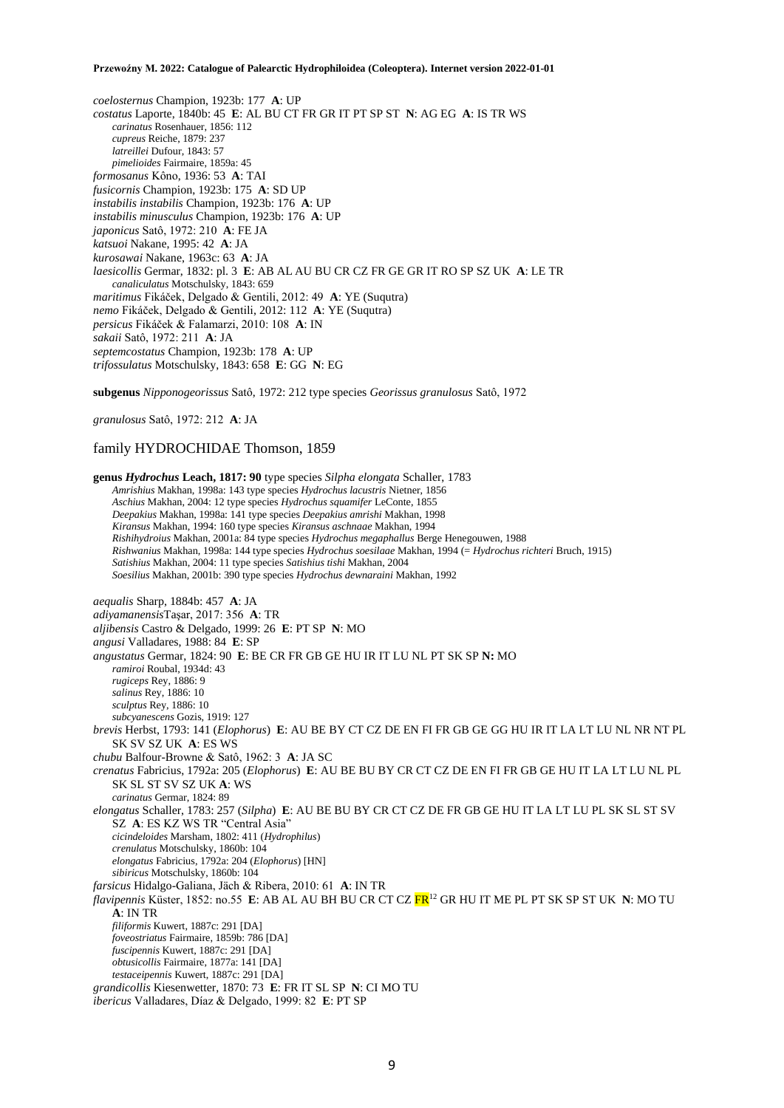*coelosternus* Champion, 1923b: 177 **A**: UP *costatus* Laporte, 1840b: 45 **E**: AL BU CT FR GR IT PT SP ST **N**: AG EG **A**: IS TR WS *carinatus* Rosenhauer, 1856: 112 *cupreus* Reiche, 1879: 237 *latreillei* Dufour, 1843: 57 *pimelioides* Fairmaire, 1859a: 45 *formosanus* Kôno, 1936: 53 **A**: TAI *fusicornis* Champion, 1923b: 175 **A**: SD UP *instabilis instabilis* Champion, 1923b: 176 **A**: UP *instabilis minusculus* Champion, 1923b: 176 **A**: UP *japonicus* Satô, 1972: 210 **A**: FE JA *katsuoi* Nakane, 1995: 42 **A**: JA *kurosawai* Nakane, 1963c: 63 **A**: JA *laesicollis* Germar, 1832: pl. 3 **E**: AB AL AU BU CR CZ FR GE GR IT RO SP SZ UK **A**: LE TR *canaliculatus* Motschulsky, 1843: 659 *maritimus* Fikáček, Delgado & Gentili, 2012: 49 **A**: YE (Suqutra) *nemo* Fikáček, Delgado & Gentili, 2012: 112 **A**: YE (Suqutra) *persicus* Fikáček & Falamarzi, 2010: 108 **A**: IN *sakaii* Satô, 1972: 211 **A**: JA *septemcostatus* Champion, 1923b: 178 **A**: UP *trifossulatus* Motschulsky, 1843: 658 **E**: GG **N**: EG

**subgenus** *Nipponogeorissus* Satô, 1972: 212 type species *Georissus granulosus* Satô, 1972

*granulosus* Satô, 1972: 212 **A**: JA

# family HYDROCHIDAE Thomson, 1859

**genus** *Hydrochus* **Leach, 1817: 90** type species *Silpha elongata* Schaller, 1783 *Amrishius* Makhan, 1998a: 143 type species *Hydrochus lacustris* Nietner, 1856 *Aschius* Makhan, 2004: 12 type species *Hydrochus squamifer* LeConte, 1855 *Deepakius* Makhan, 1998a: 141 type species *Deepakius amrishi* Makhan, 1998 *Kiransus* Makhan, 1994: 160 type species *Kiransus aschnaae* Makhan, 1994 *Rishihydroius* Makhan, 2001a: 84 type species *Hydrochus megaphallus* Berge Henegouwen, 1988 *Rishwanius* Makhan, 1998a: 144 type species *Hydrochus soesilaae* Makhan, 1994 (= *Hydrochus richteri* Bruch, 1915) *Satishius* Makhan, 2004: 11 type species *Satishius tishi* Makhan, 2004 *Soesilius* Makhan, 2001b: 390 type species *Hydrochus dewnaraini* Makhan, 1992 *aequalis* Sharp, 1884b: 457 **A**: JA *adiyamanensis*Taşar, 2017: 356 **A**: TR *aljibensis* Castro & Delgado, 1999: 26 **E**: PT SP **N**: MO *angusi* Valladares, 1988: 84 **E**: SP *angustatus* Germar, 1824: 90 **E**: BE CR FR GB GE HU IR IT LU NL PT SK SP **N:** MO *ramiroi* Roubal, 1934d: 43 *rugiceps* Rey, 1886: 9 *salinus* Rey, 1886: 10 *sculptus* Rey, 1886: 10 *subcyanescens* Gozis, 1919: 127 *brevis* Herbst, 1793: 141 (*Elophorus*) **E**: AU BE BY CT CZ DE EN FI FR GB GE GG HU IR IT LA LT LU NL NR NT PL SK SV SZ UK **A**: ES WS *chubu* Balfour-Browne & Satô, 1962: 3 **A**: JA SC *crenatus* Fabricius, 1792a: 205 (*Elophorus*) **E**: AU BE BU BY CR CT CZ DE EN FI FR GB GE HU IT LA LT LU NL PL SK SL ST SV SZ UK **A**: WS *carinatus* Germar, 1824: 89 *elongatus* Schaller, 1783: 257 (*Silpha*) **E**: AU BE BU BY CR CT CZ DE FR GB GE HU IT LA LT LU PL SK SL ST SV SZ **A**: ES KZ WS TR "Central Asia" *cicindeloides* Marsham, 1802: 411 (*Hydrophilus*) *crenulatus* Motschulsky, 1860b: 104 *elongatus* Fabricius, 1792a: 204 (*Elophorus*) [HN] *sibiricus* Motschulsky, 1860b: 104 *farsicus* Hidalgo-Galiana, Jäch & Ribera, 2010: 61 **A**: IN TR *flavipennis* Küster, 1852: no.55 **E**: AB AL AU BH BU CR CT CZ FR<sup>12</sup> GR HU IT ME PL PT SK SP ST UK **N**: MO TU **A**: IN TR *filiformis* Kuwert, 1887c: 291 [DA] *foveostriatus* Fairmaire, 1859b: 786 [DA] *fuscipennis* Kuwert, 1887c: 291 [DA] *obtusicollis* Fairmaire, 1877a: 141 [DA] *testaceipennis* Kuwert, 1887c: 291 [DA] *grandicollis* Kiesenwetter, 1870: 73 **E**: FR IT SL SP **N**: CI MO TU *ibericus* Valladares, Díaz & Delgado, 1999: 82 **E**: PT SP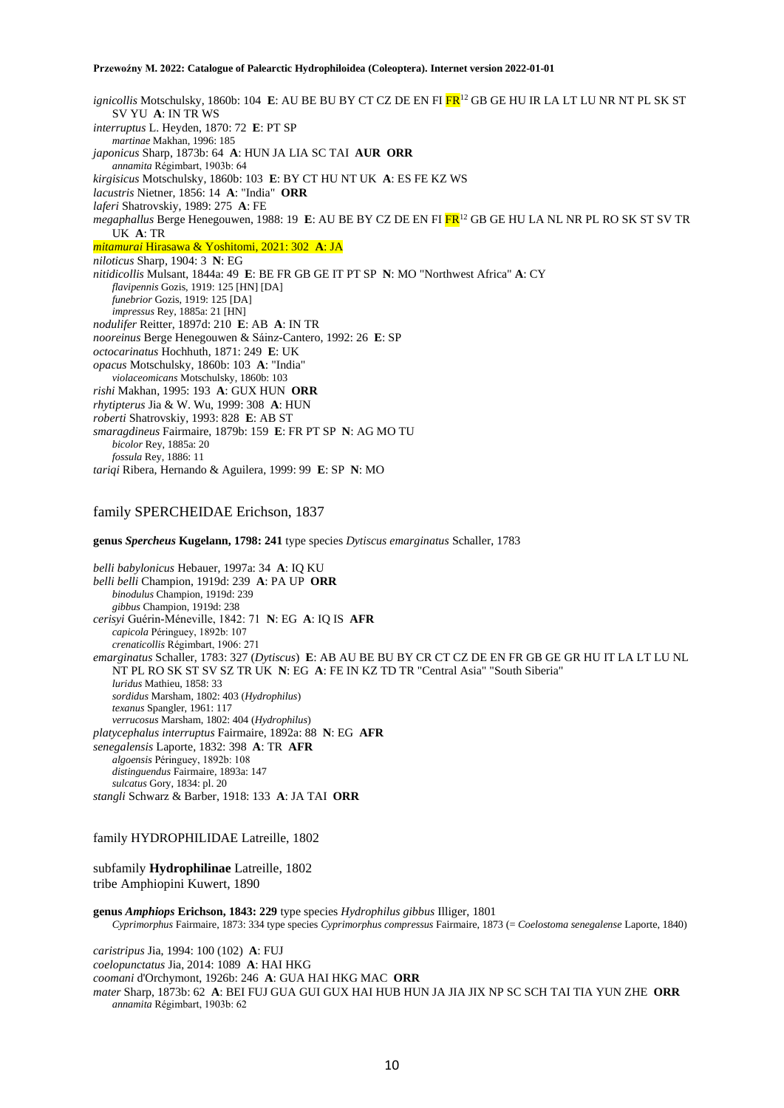*ignicollis* Motschulsky, 1860b: 104 **E**: AU BE BU BY CT CZ DE EN FI FR<sup>12</sup> GB GE HU IR LA LT LU NR NT PL SK ST SV YU **A**: IN TR WS *interruptus* L. Heyden, 1870: 72 **E**: PT SP *martinae* Makhan, 1996: 185 *japonicus* Sharp, 1873b: 64 **A**: HUN JA LIA SC TAI **AUR ORR** *annamita* Régimbart, 1903b: 64 *kirgisicus* Motschulsky, 1860b: 103 **E**: BY CT HU NT UK **A**: ES FE KZ WS *lacustris* Nietner, 1856: 14 **A**: "India" **ORR** *laferi* Shatrovskiy, 1989: 275 **A**: FE *megaphallus* Berge Henegouwen, 1988: 19 **E**: AU BE BY CZ DE EN FI FR<sup>12</sup> GB GE HU LA NL NR PL RO SK ST SV TR UK **A**: TR *mitamurai* Hirasawa & Yoshitomi, 2021: 302 **A**: JA *niloticus* Sharp, 1904: 3 **N**: EG *nitidicollis* Mulsant, 1844a: 49 **E**: BE FR GB GE IT PT SP **N**: MO "Northwest Africa" **A**: CY *flavipennis* Gozis, 1919: 125 [HN] [DA] *funebrior* Gozis, 1919: 125 [DA] *impressus* Rey, 1885a: 21 [HN] *nodulifer* Reitter, 1897d: 210 **E**: AB **A**: IN TR *nooreinus* Berge Henegouwen & Sáinz-Cantero, 1992: 26 **E**: SP *octocarinatus* Hochhuth, 1871: 249 **E**: UK *opacus* Motschulsky, 1860b: 103 **A**: "India" *violaceomicans* Motschulsky, 1860b: 103 *rishi* Makhan, 1995: 193 **A**: GUX HUN **ORR** *rhytipterus* Jia & W. Wu, 1999: 308 **A**: HUN *roberti* Shatrovskiy, 1993: 828 **E**: AB ST *smaragdineus* Fairmaire, 1879b: 159 **E**: FR PT SP **N**: AG MO TU *bicolor* Rey, 1885a: 20 *fossula* Rey, 1886: 11 *tariqi* Ribera, Hernando & Aguilera, 1999: 99 **E**: SP **N**: MO

# family SPERCHEIDAE Erichson, 1837

**genus** *Spercheus* **Kugelann, 1798: 241** type species *Dytiscus emarginatus* Schaller, 1783

*belli babylonicus* Hebauer, 1997a: 34 **A**: IQ KU *belli belli* Champion, 1919d: 239 **A**: PA UP **ORR** *binodulus* Champion, 1919d: 239 *gibbus* Champion, 1919d: 238 *cerisyi* Guérin-Méneville, 1842: 71 **N**: EG **A**: IQ IS **AFR** *capicola* Péringuey, 1892b: 107 *crenaticollis* Régimbart, 1906: 271 *emarginatus* Schaller, 1783: 327 (*Dytiscus*) **E**: AB AU BE BU BY CR CT CZ DE EN FR GB GE GR HU IT LA LT LU NL NT PL RO SK ST SV SZ TR UK **N**: EG **A**: FE IN KZ TD TR "Central Asia" "South Siberia" *luridus* Mathieu, 1858: 33 *sordidus* Marsham, 1802: 403 (*Hydrophilus*) *texanus* Spangler, 1961: 117 *verrucosus* Marsham, 1802: 404 (*Hydrophilus*) *platycephalus interruptus* Fairmaire, 1892a: 88 **N**: EG **AFR** *senegalensis* Laporte, 1832: 398 **A**: TR **AFR** *algoensis* Péringuey, 1892b: 108 *distinguendus* Fairmaire, 1893a: 147 *sulcatus* Gory, 1834: pl. 20 *stangli* Schwarz & Barber, 1918: 133 **A**: JA TAI **ORR**

### family HYDROPHILIDAE Latreille, 1802

subfamily **Hydrophilinae** Latreille, 1802 tribe Amphiopini Kuwert, 1890

**genus** *Amphiops* **Erichson, 1843: 229** type species *Hydrophilus gibbus* Illiger, 1801 *Cyprimorphus* Fairmaire, 1873: 334 type species *Cyprimorphus compressus* Fairmaire, 1873 (= *Coelostoma senegalense* Laporte, 1840)

*caristripus* Jia, 1994: 100 (102) **A**: FUJ *coelopunctatus* Jia, 2014: 1089 **A**: HAI HKG *coomani* d'Orchymont, 1926b: 246 **A**: GUA HAI HKG MAC **ORR** *mater* Sharp, 1873b: 62 **A**: BEI FUJ GUA GUI GUX HAI HUB HUN JA JIA JIX NP SC SCH TAI TIA YUN ZHE **ORR** *annamita* Régimbart, 1903b: 62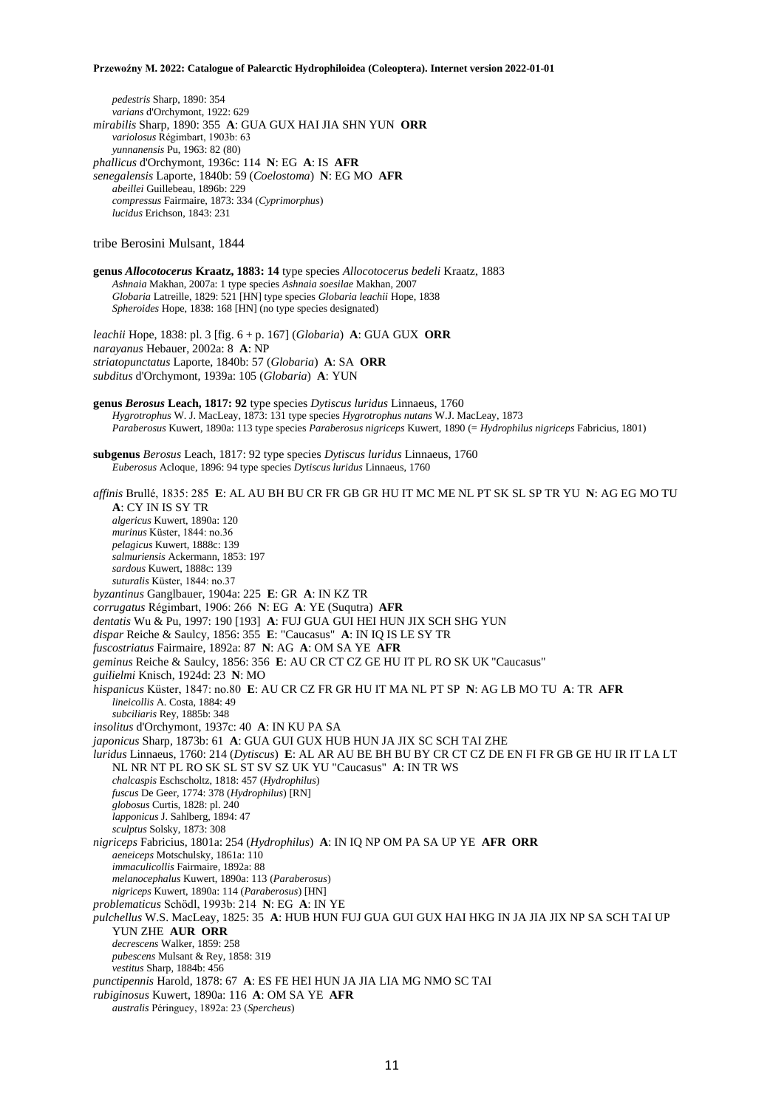*pedestris* Sharp, 1890: 354 *varians* d'Orchymont, 1922: 629

*mirabilis* Sharp, 1890: 355 **A**: GUA GUX HAI JIA SHN YUN **ORR** *variolosus* Régimbart, 1903b: 63 *yunnanensis* Pu, 1963: 82 (80) *phallicus* d'Orchymont, 1936c: 114 **N**: EG **A**: IS **AFR** *senegalensis* Laporte, 1840b: 59 (*Coelostoma*) **N**: EG MO **AFR** *abeillei* Guillebeau, 1896b: 229 *compressus* Fairmaire, 1873: 334 (*Cyprimorphus*) *lucidus* Erichson, 1843: 231 tribe Berosini Mulsant, 1844 **genus** *Allocotocerus* **Kraatz, 1883: 14** type species *Allocotocerus bedeli* Kraatz, 1883 *Ashnaia* Makhan, 2007a: 1 type species *Ashnaia soesilae* Makhan, 2007 *Globaria* Latreille, 1829: 521 [HN] type species *Globaria leachii* Hope, 1838 *Spheroides* Hope, 1838: 168 [HN] (no type species designated) *leachii* Hope, 1838: pl. 3 [fig. 6 + p. 167] (*Globaria*) **A**: GUA GUX **ORR** *narayanus* Hebauer, 2002a: 8 **A**: NP *striatopunctatus* Laporte, 1840b: 57 (*Globaria*) **A**: SA **ORR** *subditus* d'Orchymont, 1939a: 105 (*Globaria*) **A**: YUN **genus** *Berosus* **Leach, 1817: 92** type species *Dytiscus luridus* Linnaeus, 1760 *Hygrotrophus* W. J. MacLeay, 1873: 131 type species *Hygrotrophus nutans* W.J. MacLeay, 1873 *Paraberosus* Kuwert, 1890a: 113 type species *Paraberosus nigriceps* Kuwert, 1890 (= *Hydrophilus nigriceps* Fabricius, 1801) **subgenus** *Berosus* Leach, 1817: 92 type species *Dytiscus luridus* Linnaeus, 1760 *Euberosus* Acloque, 1896: 94 type species *Dytiscus luridus* Linnaeus, 1760 *affinis* Brullé, 1835: 285 **E**: AL AU BH BU CR FR GB GR HU IT MC ME NL PT SK SL SP TR YU **N**: AG EG MO TU **A**: CY IN IS SY TR *algericus* Kuwert, 1890a: 120 *murinus* Küster, 1844: no.36 *pelagicus* Kuwert, 1888c: 139 *salmuriensis* Ackermann, 1853: 197 *sardous* Kuwert, 1888c: 139 *suturalis* Küster, 1844: no.37 *byzantinus* Ganglbauer, 1904a: 225 **E**: GR **A**: IN KZ TR *corrugatus* Régimbart, 1906: 266 **N**: EG **A**: YE (Suqutra) **AFR** *dentatis* Wu & Pu, 1997: 190 [193] **A**: FUJ GUA GUI HEI HUN JIX SCH SHG YUN *dispar* Reiche & Saulcy, 1856: 355 **E**: "Caucasus" **A**: IN IQ IS LE SY TR *fuscostriatus* Fairmaire, 1892a: 87 **N**: AG **A**: OM SA YE **AFR** *geminus* Reiche & Saulcy, 1856: 356 **E**: AU CR CT CZ GE HU IT PL RO SK UK "Caucasus" *guilielmi* Knisch, 1924d: 23 **N**: MO *hispanicus* Küster, 1847: no.80 **E**: AU CR CZ FR GR HU IT MA NL PT SP **N**: AG LB MO TU **A**: TR **AFR** *lineicollis* A. Costa, 1884: 49 *subciliaris* Rey, 1885b: 348 *insolitus* d'Orchymont, 1937c: 40 **A**: IN KU PA SA *japonicus* Sharp, 1873b: 61 **A**: GUA GUI GUX HUB HUN JA JIX SC SCH TAI ZHE *luridus* Linnaeus, 1760: 214 (*Dytiscus*) **E**: AL AR AU BE BH BU BY CR CT CZ DE EN FI FR GB GE HU IR IT LA LT NL NR NT PL RO SK SL ST SV SZ UK YU "Caucasus" **A**: IN TR WS *chalcaspis* Eschscholtz, 1818: 457 (*Hydrophilus*) *fuscus* De Geer, 1774: 378 (*Hydrophilus*) [RN] *globosus* Curtis, 1828: pl. 240 *lapponicus* J. Sahlberg, 1894: 47 *sculptus* Solsky, 1873: 308 *nigriceps* Fabricius, 1801a: 254 (*Hydrophilus*) **A**: IN IQ NP OM PA SA UP YE **AFR ORR** *aeneiceps* Motschulsky, 1861a: 110 *immaculicollis* Fairmaire, 1892a: 88 *melanocephalus* Kuwert, 1890a: 113 (*Paraberosus*) *nigriceps* Kuwert, 1890a: 114 (*Paraberosus*) [HN] *problematicus* Schödl, 1993b: 214 **N**: EG **A**: IN YE *pulchellus* W.S. MacLeay, 1825: 35 **A**: HUB HUN FUJ GUA GUI GUX HAI HKG IN JA JIA JIX NP SA SCH TAI UP YUN ZHE **AUR ORR** *decrescens* Walker, 1859: 258 *pubescens* Mulsant & Rey, 1858: 319 *vestitus* Sharp, 1884b: 456 *punctipennis* Harold, 1878: 67 **A**: ES FE HEI HUN JA JIA LIA MG NMO SC TAI *rubiginosus* Kuwert, 1890a: 116 **A**: OM SA YE **AFR** *australis* Péringuey, 1892a: 23 (*Spercheus*)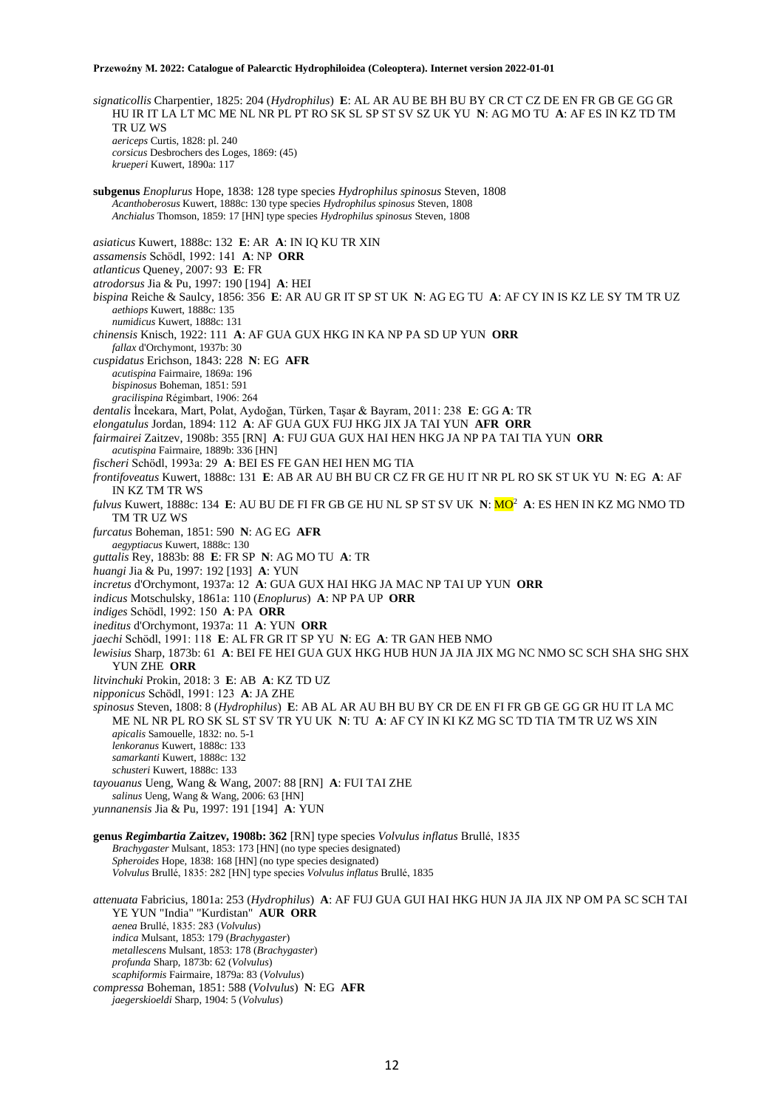*signaticollis* Charpentier, 1825: 204 (*Hydrophilus*) **E**: AL AR AU BE BH BU BY CR CT CZ DE EN FR GB GE GG GR HU IR IT LA LT MC ME NL NR PL PT RO SK SL SP ST SV SZ UK YU **N**: AG MO TU **A**: AF ES IN KZ TD TM TR UZ WS *aericeps* Curtis, 1828: pl. 240 *corsicus* Desbrochers des Loges, 1869: (45) *krueperi* Kuwert, 1890a: 117 **subgenus** *Enoplurus* Hope, 1838: 128 type species *Hydrophilus spinosus* Steven, 1808 *Acanthoberosus* Kuwert, 1888c: 130 type species *Hydrophilus spinosus* Steven, 1808 *Anchialus* Thomson, 1859: 17 [HN] type species *Hydrophilus spinosus* Steven, 1808 *asiaticus* Kuwert, 1888c: 132 **E**: AR **A**: IN IQ KU TR XIN *assamensis* Schödl, 1992: 141 **A**: NP **ORR** *atlanticus* Queney, 2007: 93 **E**: FR *atrodorsus* Jia & Pu, 1997: 190 [194] **A**: HEI *bispina* Reiche & Saulcy, 1856: 356 **E**: AR AU GR IT SP ST UK **N**: AG EG TU **A**: AF CY IN IS KZ LE SY TM TR UZ *aethiops* Kuwert, 1888c: 135 *numidicus* Kuwert, 1888c: 131 *chinensis* Knisch, 1922: 111 **A**: AF GUA GUX HKG IN KA NP PA SD UP YUN **ORR** *fallax* d'Orchymont, 1937b: 30 *cuspidatus* Erichson, 1843: 228 **N**: EG **AFR** *acutispina* Fairmaire, 1869a: 196 *bispinosus* Boheman, 1851: 591 *gracilispina* Régimbart, 1906: 264 *dentalis* İncekara, Mart, Polat, Aydoğan, Türken, Taşar & Bayram, 2011: 238 **E**: GG **A**: TR *elongatulus* Jordan, 1894: 112 **A**: AF GUA GUX FUJ HKG JIX JA TAI YUN **AFR ORR** *fairmairei* Zaitzev, 1908b: 355 [RN] **A**: FUJ GUA GUX HAI HEN HKG JA NP PA TAI TIA YUN **ORR** *acutispina* Fairmaire, 1889b: 336 [HN] *fischeri* Schödl, 1993a: 29 **A**: BEI ES FE GAN HEI HEN MG TIA *frontifoveatus* Kuwert, 1888c: 131 **E**: AB AR AU BH BU CR CZ FR GE HU IT NR PL RO SK ST UK YU **N**: EG **A**: AF IN KZ TM TR WS *fulvus* Kuwert, 1888c: 134 **E**: AU BU DE FI FR GB GE HU NL SP ST SV UK **N**: MO<sup>2</sup> **A**: ES HEN IN KZ MG NMO TD TM TR UZ WS *furcatus* Boheman, 1851: 590 **N**: AG EG **AFR** *aegyptiacus* Kuwert, 1888c: 130 *guttalis* Rey, 1883b: 88 **E**: FR SP **N**: AG MO TU **A**: TR *huangi* Jia & Pu, 1997: 192 [193] **A**: YUN *incretus* d'Orchymont, 1937a: 12 **A**: GUA GUX HAI HKG JA MAC NP TAI UP YUN **ORR** *indicus* Motschulsky, 1861a: 110 (*Enoplurus*) **A**: NP PA UP **ORR** *indiges* Schödl, 1992: 150 **A**: PA **ORR** *ineditus* d'Orchymont, 1937a: 11 **A**: YUN **ORR** *jaechi* Schödl, 1991: 118 **E**: AL FR GR IT SP YU **N**: EG **A**: TR GAN HEB NMO *lewisius* Sharp, 1873b: 61 **A**: BEI FE HEI GUA GUX HKG HUB HUN JA JIA JIX MG NC NMO SC SCH SHA SHG SHX YUN ZHE **ORR** *litvinchuki* Prokin, 2018: 3 **E**: AB **A**: KZ TD UZ *nipponicus* Schödl, 1991: 123 **A**: JA ZHE *spinosus* Steven, 1808: 8 (*Hydrophilus*) **E**: AB AL AR AU BH BU BY CR DE EN FI FR GB GE GG GR HU IT LA MC ME NL NR PL RO SK SL ST SV TR YU UK **N**: TU **A**: AF CY IN KI KZ MG SC TD TIA TM TR UZ WS XIN *apicalis* Samouelle, 1832: no. 5-1 *lenkoranus* Kuwert, 1888c: 133 *samarkanti* Kuwert, 1888c: 132 *schusteri* Kuwert, 1888c: 133 *tayouanus* Ueng, Wang & Wang, 2007: 88 [RN] **A**: FUI TAI ZHE *salinus* Ueng, Wang & Wang, 2006: 63 [HN] *yunnanensis* Jia & Pu, 1997: 191 [194] **A**: YUN **genus** *Regimbartia* **Zaitzev, 1908b: 362** [RN] type species *Volvulus inflatus* Brullé, 1835 *Brachygaster* Mulsant, 1853: 173 [HN] (no type species designated) *Spheroides* Hope, 1838: 168 [HN] (no type species designated) *Volvulus* Brullé, 1835: 282 [HN] type species *Volvulus inflatus* Brullé, 1835 *attenuata* Fabricius, 1801a: 253 (*Hydrophilus*) **A**: AF FUJ GUA GUI HAI HKG HUN JA JIA JIX NP OM PA SC SCH TAI YE YUN "India" "Kurdistan" **AUR ORR** *aenea* Brullé, 1835: 283 (*Volvulus*) *indica* Mulsant, 1853: 179 (*Brachygaster*) *metallescens* Mulsant, 1853: 178 (*Brachygaster*) *profunda* Sharp, 1873b: 62 (*Volvulus*) *scaphiformis* Fairmaire, 1879a: 83 (*Volvulus*) *compressa* Boheman, 1851: 588 (*Volvulus*) **N**: EG **AFR** *jaegerskioeldi* Sharp, 1904: 5 (*Volvulus*)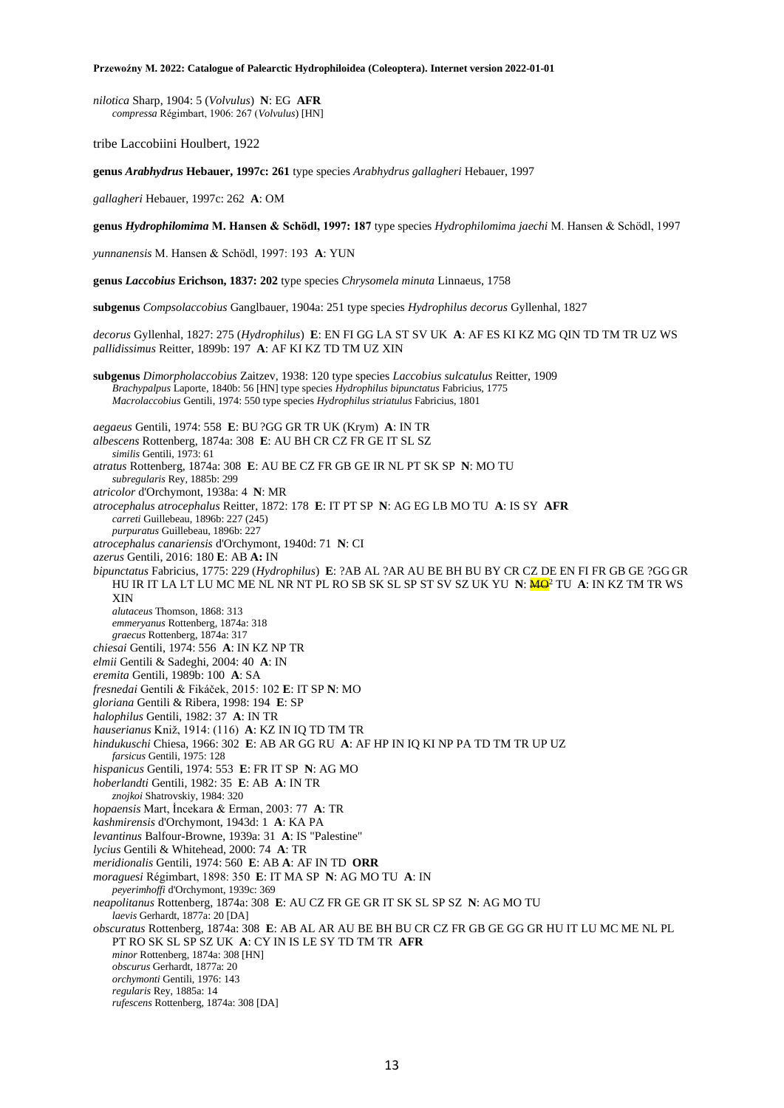*nilotica* Sharp, 1904: 5 (*Volvulus*) **N**: EG **AFR** *compressa* Régimbart, 1906: 267 (*Volvulus*) [HN]

tribe Laccobiini Houlbert, 1922

**genus** *Arabhydrus* **Hebauer, 1997c: 261** type species *Arabhydrus gallagheri* Hebauer, 1997

*gallagheri* Hebauer, 1997c: 262 **A**: OM

**genus** *Hydrophilomima* **M. Hansen & Schödl, 1997: 187** type species *Hydrophilomima jaechi* M. Hansen & Schödl, 1997

*yunnanensis* M. Hansen & Schödl, 1997: 193 **A**: YUN

**genus** *Laccobius* **Erichson, 1837: 202** type species *Chrysomela minuta* Linnaeus, 1758

**subgenus** *Compsolaccobius* Ganglbauer, 1904a: 251 type species *Hydrophilus decorus* Gyllenhal, 1827

*decorus* Gyllenhal, 1827: 275 (*Hydrophilus*) **E**: EN FI GG LA ST SV UK **A**: AF ES KI KZ MG QIN TD TM TR UZ WS *pallidissimus* Reitter, 1899b: 197 **A**: AF KI KZ TD TM UZ XIN

**subgenus** *Dimorpholaccobius* Zaitzev, 1938: 120 type species *Laccobius sulcatulus* Reitter, 1909 *Brachypalpus* Laporte, 1840b: 56 [HN] type species *Hydrophilus bipunctatus* Fabricius, 1775 *Macrolaccobius* Gentili, 1974: 550 type species *Hydrophilus striatulus* Fabricius, 1801

*aegaeus* Gentili, 1974: 558 **E**: BU ?GG GR TR UK (Krym) **A**: IN TR

*albescens* Rottenberg, 1874a: 308 **E**: AU BH CR CZ FR GE IT SL SZ

*similis* Gentili, 1973: 61

*atratus* Rottenberg, 1874a: 308 **E**: AU BE CZ FR GB GE IR NL PT SK SP **N**: MO TU *subregularis* Rey, 1885b: 299

*atricolor* d'Orchymont, 1938a: 4 **N**: MR

*atrocephalus atrocephalus* Reitter, 1872: 178 **E**: IT PT SP **N**: AG EG LB MO TU **A**: IS SY **AFR**

*carreti* Guillebeau, 1896b: 227 (245)

*purpuratus* Guillebeau, 1896b: 227 *atrocephalus canariensis* d'Orchymont, 1940d: 71 **N**: CI

*azerus* Gentili, 2016: 180 **E**: AB **A:** IN

*bipunctatus* Fabricius, 1775: 229 (*Hydrophilus*) **E**: ?AB AL ?AR AU BE BH BU BY CR CZ DE EN FI FR GB GE ?GG GR HU IR IT LA LT LU MC ME NL NR NT PL RO SB SK SL SP ST SV SZ UK YU  $N:$   $\frac{MQ^2}{WQ^2}$  TU  $A:$  IN KZ TM TR WS XIN

*alutaceus* Thomson, 1868: 313

*emmeryanus* Rottenberg, 1874a: 318

*graecus* Rottenberg, 1874a: 317

*chiesai* Gentili, 1974: 556 **A**: IN KZ NP TR *elmii* Gentili & Sadeghi, 2004: 40 **A**: IN

*eremita* Gentili, 1989b: 100 **A**: SA

*fresnedai* Gentili & Fikáček, 2015: 102 **E**: IT SP **N**: MO

*gloriana* Gentili & Ribera, 1998: 194 **E**: SP

*halophilus* Gentili, 1982: 37 **A**: IN TR

*hauserianus* Kniž, 1914: (116) **A**: KZ IN IQ TD TM TR

*hindukuschi* Chiesa, 1966: 302 **E**: AB AR GG RU **A**: AF HP IN IQ KI NP PA TD TM TR UP UZ *farsicus* Gentili, 1975: 128

*hispanicus* Gentili, 1974: 553 **E**: FR IT SP **N**: AG MO

*hoberlandti* Gentili, 1982: 35 **E**: AB **A**: IN TR

*znojkoi* Shatrovskiy, 1984: 320

*hopaensis* Mart, İncekara & Erman, 2003: 77 **A**: TR

*kashmirensis* d'Orchymont, 1943d: 1 **A**: KA PA

*levantinus* Balfour-Browne, 1939a: 31 **A**: IS "Palestine"

*lycius* Gentili & Whitehead, 2000: 74 **A**: TR

*meridionalis* Gentili, 1974: 560 **E**: AB **A**: AF IN TD **ORR**

*moraguesi* Régimbart, 1898: 350 **E**: IT MA SP **N**: AG MO TU **A**: IN

*peyerimhoffi* d'Orchymont, 1939c: 369

*neapolitanus* Rottenberg, 1874a: 308 **E**: AU CZ FR GE GR IT SK SL SP SZ **N**: AG MO TU *laevis* Gerhardt, 1877a: 20 [DA]

*obscuratus* Rottenberg, 1874a: 308 **E**: AB AL AR AU BE BH BU CR CZ FR GB GE GG GR HU IT LU MC ME NL PL PT RO SK SL SP SZ UK **A**: CY IN IS LE SY TD TM TR **AFR**

*minor* Rottenberg, 1874a: 308 [HN]

*obscurus* Gerhardt, 1877a: 20

*orchymonti* Gentili, 1976: 143

*regularis* Rey, 1885a: 14

*rufescens* Rottenberg, 1874a: 308 [DA]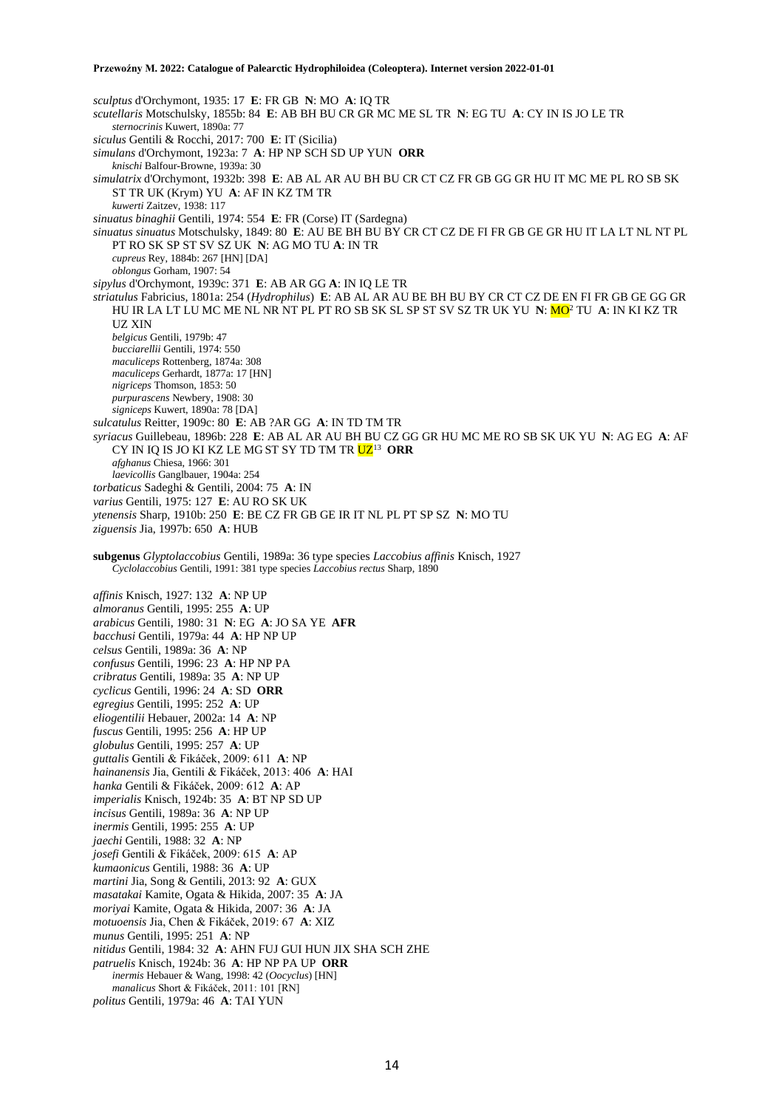*sculptus* d'Orchymont, 1935: 17 **E**: FR GB **N**: MO **A**: IQ TR *scutellaris* Motschulsky, 1855b: 84 **E**: AB BH BU CR GR MC ME SL TR **N**: EG TU **A**: CY IN IS JO LE TR *sternocrinis* Kuwert, 1890a: 77 *siculus* Gentili & Rocchi, 2017: 700 **E**: IT (Sicilia) *simulans* d'Orchymont, 1923a: 7 **A**: HP NP SCH SD UP YUN **ORR** *knischi* Balfour-Browne, 1939a: 30 *simulatrix* d'Orchymont, 1932b: 398 **E**: AB AL AR AU BH BU CR CT CZ FR GB GG GR HU IT MC ME PL RO SB SK ST TR UK (Krym) YU **A**: AF IN KZ TM TR *kuwerti* Zaitzev, 1938: 117 *sinuatus binaghii* Gentili, 1974: 554 **E**: FR (Corse) IT (Sardegna) *sinuatus sinuatus* Motschulsky, 1849: 80 **E**: AU BE BH BU BY CR CT CZ DE FI FR GB GE GR HU IT LA LT NL NT PL PT RO SK SP ST SV SZ UK **N**: AG MO TU **A**: IN TR *cupreus* Rey, 1884b: 267 [HN] [DA] *oblongus* Gorham, 1907: 54 *sipylus* d'Orchymont, 1939c: 371 **E**: AB AR GG **A**: IN IQ LE TR *striatulus* Fabricius, 1801a: 254 (*Hydrophilus*) **E**: AB AL AR AU BE BH BU BY CR CT CZ DE EN FI FR GB GE GG GR HU IR LA LT LU MC ME NL NR NT PL PT RO SB SK SL SP ST SV SZ TR UK YU **N**: MO<sup>2</sup> TU **A**: IN KI KZ TR UZ XIN *belgicus* Gentili, 1979b: 47 *bucciarellii* Gentili, 1974: 550 *maculiceps* Rottenberg, 1874a: 308 *maculiceps* Gerhardt, 1877a: 17 [HN] *nigriceps* Thomson, 1853: 50 *purpurascens* Newbery, 1908: 30 *signiceps* Kuwert, 1890a: 78 [DA] *sulcatulus* Reitter, 1909c: 80 **E**: AB ?AR GG **A**: IN TD TM TR *syriacus* Guillebeau, 1896b: 228 **E**: AB AL AR AU BH BU CZ GG GR HU MC ME RO SB SK UK YU **N**: AG EG **A**: AF CY IN IQ IS JO KI KZ LE MG ST SY TD TM TR <mark>UZ</mark><sup>13</sup> **ORR** *afghanus* Chiesa, 1966: 301 *laevicollis* Ganglbauer, 1904a: 254 *torbaticus* Sadeghi & Gentili, 2004: 75 **A**: IN *varius* Gentili, 1975: 127 **E**: AU RO SK UK *ytenensis* Sharp, 1910b: 250 **E**: BE CZ FR GB GE IR IT NL PL PT SP SZ **N**: MO TU *ziguensis* Jia, 1997b: 650 **A**: HUB **subgenus** *Glyptolaccobius* Gentili, 1989a: 36 type species *Laccobius affinis* Knisch, 1927 *Cyclolaccobius* Gentili, 1991: 381 type species *Laccobius rectus* Sharp, 1890 *affinis* Knisch, 1927: 132 **A**: NP UP *almoranus* Gentili, 1995: 255 **A**: UP *arabicus* Gentili, 1980: 31 **N**: EG **A**: JO SA YE **AFR** *bacchusi* Gentili, 1979a: 44 **A**: HP NP UP *celsus* Gentili, 1989a: 36 **A**: NP *confusus* Gentili, 1996: 23 **A**: HP NP PA *cribratus* Gentili, 1989a: 35 **A**: NP UP *cyclicus* Gentili, 1996: 24 **A**: SD **ORR** *egregius* Gentili, 1995: 252 **A**: UP *eliogentilii* Hebauer, 2002a: 14 **A**: NP *fuscus* Gentili, 1995: 256 **A**: HP UP *globulus* Gentili, 1995: 257 **A**: UP *guttalis* Gentili & Fikáček, 2009: 611 **A**: NP *hainanensis* Jia, Gentili & Fikáček, 2013: 406 **A**: HAI *hanka* Gentili & Fikáček, 2009: 612 **A**: AP *imperialis* Knisch, 1924b: 35 **A**: BT NP SD UP *incisus* Gentili, 1989a: 36 **A**: NP UP *inermis* Gentili, 1995: 255 **A**: UP *jaechi* Gentili, 1988: 32 **A**: NP *josefi* Gentili & Fikáček, 2009: 615 **A**: AP *kumaonicus* Gentili, 1988: 36 **A**: UP *martini* Jia, Song & Gentili, 2013: 92 **A**: GUX *masatakai* Kamite, Ogata & Hikida, 2007: 35 **A**: JA

- 
- *moriyai* Kamite, Ogata & Hikida, 2007: 36 **A**: JA *motuoensis* Jia, Chen & Fikáček, 2019: 67 **A**: XIZ
- *munus* Gentili, 1995: 251 **A**: NP
- *nitidus* Gentili, 1984: 32 **A**: AHN FUJ GUI HUN JIX SHA SCH ZHE
- *patruelis* Knisch, 1924b: 36 **A**: HP NP PA UP **ORR**
- *inermis* Hebauer & Wang, 1998: 42 (*Oocyclus*) [HN]
- *manalicus* Short & Fikáček, 2011: 101 [RN] *politus* Gentili, 1979a: 46 **A**: TAI YUN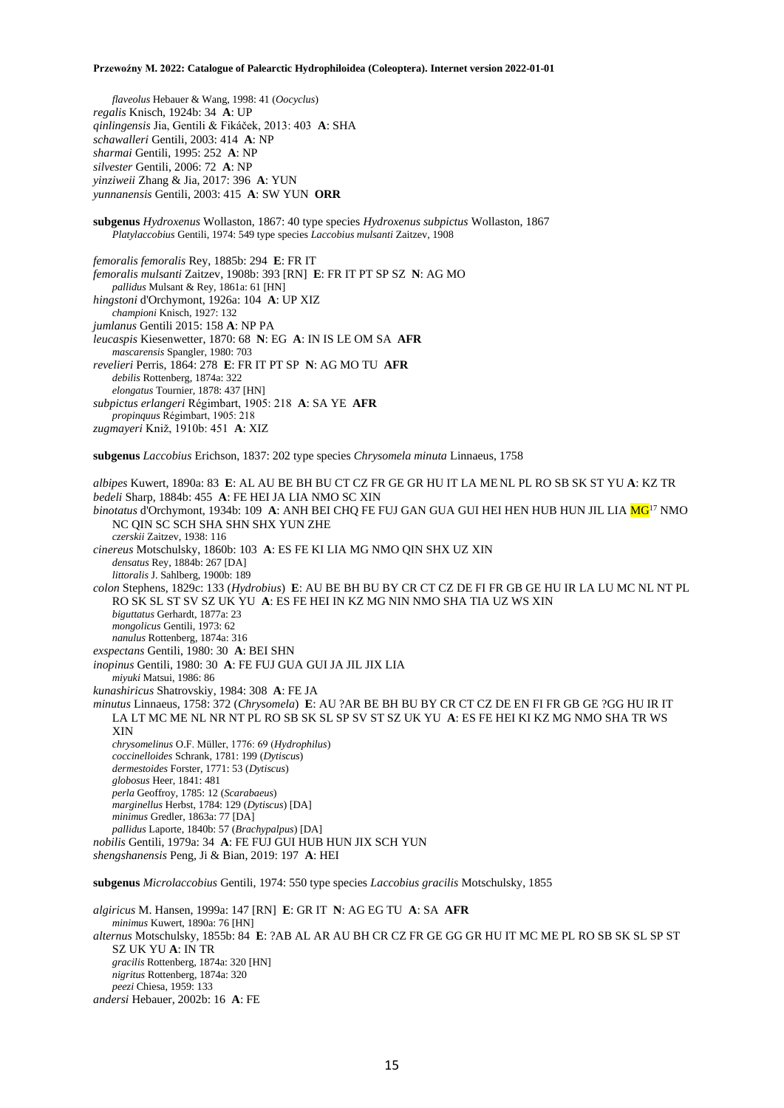*flaveolus* Hebauer & Wang, 1998: 41 (*Oocyclus*) *regalis* Knisch, 1924b: 34 **A**: UP *qinlingensis* Jia, Gentili & Fikáček, 2013: 403 **A**: SHA *schawalleri* Gentili, 2003: 414 **A**: NP *sharmai* Gentili, 1995: 252 **A**: NP *silvester* Gentili, 2006: 72 **A**: NP *yinziweii* Zhang & Jia, 2017: 396 **A**: YUN *yunnanensis* Gentili, 2003: 415 **A**: SW YUN **ORR subgenus** *Hydroxenus* Wollaston, 1867: 40 type species *Hydroxenus subpictus* Wollaston, 1867 *Platylaccobius* Gentili, 1974: 549 type species *Laccobius mulsanti* Zaitzev, 1908 *femoralis femoralis* Rey, 1885b: 294 **E**: FR IT *femoralis mulsanti* Zaitzev, 1908b: 393 [RN] **E**: FR IT PT SP SZ **N**: AG MO *pallidus* Mulsant & Rey, 1861a: 61 [HN] *hingstoni* d'Orchymont, 1926a: 104 **A**: UP XIZ *championi* Knisch, 1927: 132 *jumlanus* Gentili 2015: 158 **A**: NP PA *leucaspis* Kiesenwetter, 1870: 68 **N**: EG **A**: IN IS LE OM SA **AFR** *mascarensis* Spangler, 1980: 703 *revelieri* Perris, 1864: 278 **E**: FR IT PT SP **N**: AG MO TU **AFR** *debilis* Rottenberg, 1874a: 322 *elongatus* Tournier, 1878: 437 [HN] *subpictus erlangeri* Régimbart, 1905: 218 **A**: SA YE **AFR** *propinquus* Régimbart, 1905: 218 *zugmayeri* Kniž, 1910b: 451 **A**: XIZ **subgenus** *Laccobius* Erichson, 1837: 202 type species *Chrysomela minuta* Linnaeus, 1758 *albipes* Kuwert, 1890a: 83 **E**: AL AU BE BH BU CT CZ FR GE GR HU IT LA ME NL PL RO SB SK ST YU **A**: KZ TR *bedeli* Sharp, 1884b: 455 **A**: FE HEI JA LIA NMO SC XIN *binotatus* d'Orchymont, 1934b: 109 A: ANH BEI CHQ FE FUJ GAN GUA GUI HEI HEN HUB HUN JIL LIA MG<sup>17</sup> NMO NC QIN SC SCH SHA SHN SHX YUN ZHE *czerskii* Zaitzev, 1938: 116 *cinereus* Motschulsky, 1860b: 103 **A**: ES FE KI LIA MG NMO QIN SHX UZ XIN *densatus* Rey, 1884b: 267 [DA] *littoralis* J. Sahlberg, 1900b: 189 *colon* Stephens, 1829c: 133 (*Hydrobius*) **E**: AU BE BH BU BY CR CT CZ DE FI FR GB GE HU IR LA LU MC NL NT PL RO SK SL ST SV SZ UK YU **A**: ES FE HEI IN KZ MG NIN NMO SHA TIA UZ WS XIN *biguttatus* Gerhardt, 1877a: 23 *mongolicus* Gentili, 1973: 62 *nanulus* Rottenberg, 1874a: 316 *exspectans* Gentili, 1980: 30 **A**: BEI SHN *inopinus* Gentili, 1980: 30 **A**: FE FUJ GUA GUI JA JIL JIX LIA *miyuki* Matsui, 1986: 86 *kunashiricus* Shatrovskiy, 1984: 308 **A**: FE JA *minutus* Linnaeus, 1758: 372 (*Chrysomela*) **E**: AU ?AR BE BH BU BY CR CT CZ DE EN FI FR GB GE ?GG HU IR IT LA LT MC ME NL NR NT PL RO SB SK SL SP SV ST SZ UK YU **A**: ES FE HEI KI KZ MG NMO SHA TR WS XIN *chrysomelinus* O.F. Müller, 1776: 69 (*Hydrophilus*) *coccinelloides* Schrank, 1781: 199 (*Dytiscus*) *dermestoides* Forster, 1771: 53 (*Dytiscus*) *globosus* Heer, 1841: 481 *perla* Geoffroy, 1785: 12 (*Scarabaeus*) *marginellus* Herbst, 1784: 129 (*Dytiscus*) [DA] *minimus* Gredler, 1863a: 77 [DA] *pallidus* Laporte, 1840b: 57 (*Brachypalpus*) [DA] *nobilis* Gentili, 1979a: 34 **A**: FE FUJ GUI HUB HUN JIX SCH YUN *shengshanensis* Peng, Ji & Bian, 2019: 197 **A**: HEI **subgenus** *Microlaccobius* Gentili, 1974: 550 type species *Laccobius gracilis* Motschulsky, 1855 *algiricus* M. Hansen, 1999a: 147 [RN] **E**: GR IT **N**: AG EG TU **A**: SA **AFR** *minimus* Kuwert, 1890a: 76 [HN] *alternus* Motschulsky, 1855b: 84 **E**: ?AB AL AR AU BH CR CZ FR GE GG GR HU IT MC ME PL RO SB SK SL SP ST SZ UK YU **A**: IN TR

*gracilis* Rottenberg, 1874a: 320 [HN] *nigritus* Rottenberg, 1874a: 320

*peezi* Chiesa, 1959: 133

*andersi* Hebauer, 2002b: 16 **A**: FE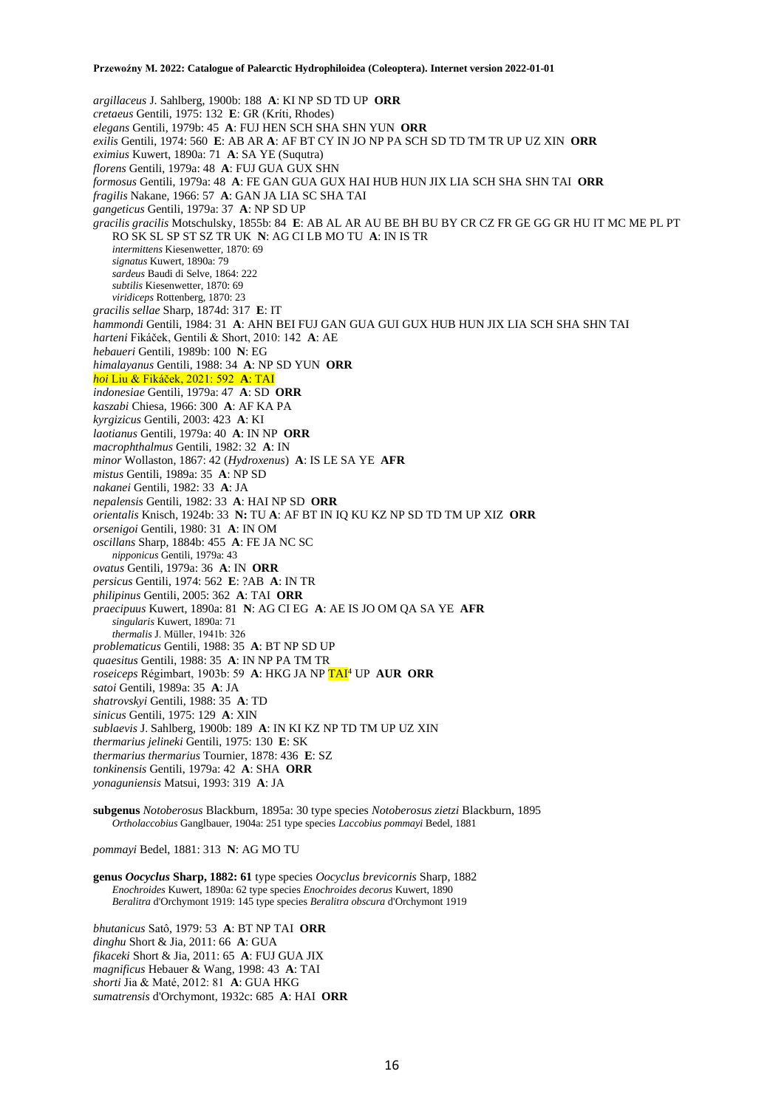*argillaceus* J. Sahlberg, 1900b: 188 **A**: KI NP SD TD UP **ORR** *cretaeus* Gentili, 1975: 132 **E**: GR (Kríti, Rhodes) *elegans* Gentili, 1979b: 45 **A**: FUJ HEN SCH SHA SHN YUN **ORR** *exilis* Gentili, 1974: 560 **E**: AB AR **A**: AF BT CY IN JO NP PA SCH SD TD TM TR UP UZ XIN **ORR** *eximius* Kuwert, 1890a: 71 **A**: SA YE (Suqutra) *florens* Gentili, 1979a: 48 **A**: FUJ GUA GUX SHN *formosus* Gentili, 1979a: 48 **A**: FE GAN GUA GUX HAI HUB HUN JIX LIA SCH SHA SHN TAI **ORR** *fragilis* Nakane, 1966: 57 **A**: GAN JA LIA SC SHA TAI *gangeticus* Gentili, 1979a: 37 **A**: NP SD UP *gracilis gracilis* Motschulsky, 1855b: 84 **E**: AB AL AR AU BE BH BU BY CR CZ FR GE GG GR HU IT MC ME PL PT RO SK SL SP ST SZ TR UK **N**: AG CI LB MO TU **A**: IN IS TR *intermittens* Kiesenwetter, 1870: 69 *signatus* Kuwert, 1890a: 79 *sardeus* Baudi di Selve, 1864: 222 *subtilis* Kiesenwetter, 1870: 69 *viridiceps* Rottenberg, 1870: 23 *gracilis sellae* Sharp, 1874d: 317 **E**: IT *hammondi* Gentili, 1984: 31 **A**: AHN BEI FUJ GAN GUA GUI GUX HUB HUN JIX LIA SCH SHA SHN TAI *harteni* Fikáček, Gentili & Short, 2010: 142 **A**: AE *hebaueri* Gentili, 1989b: 100 **N**: EG *himalayanus* Gentili, 1988: 34 **A**: NP SD YUN **ORR** *hoi* Liu & Fikáček, 2021: 592 **A**: TAI *indonesiae* Gentili, 1979a: 47 **A**: SD **ORR** *kaszabi* Chiesa, 1966: 300 **A**: AF KA PA *kyrgizicus* Gentili, 2003: 423 **A**: KI *laotianus* Gentili, 1979a: 40 **A**: IN NP **ORR** *macrophthalmus* Gentili, 1982: 32 **A**: IN *minor* Wollaston, 1867: 42 (*Hydroxenus*) **A**: IS LE SA YE **AFR** *mistus* Gentili, 1989a: 35 **A**: NP SD *nakanei* Gentili, 1982: 33 **A**: JA *nepalensis* Gentili, 1982: 33 **A**: HAI NP SD **ORR** *orientalis* Knisch, 1924b: 33 **N:** TU **A**: AF BT IN IQ KU KZ NP SD TD TM UP XIZ **ORR** *orsenigoi* Gentili, 1980: 31 **A**: IN OM *oscillans* Sharp, 1884b: 455 **A**: FE JA NC SC *nipponicus* Gentili, 1979a: 43 *ovatus* Gentili, 1979a: 36 **A**: IN **ORR** *persicus* Gentili, 1974: 562 **E**: ?AB **A**: IN TR *philipinus* Gentili, 2005: 362 **A**: TAI **ORR** *praecipuus* Kuwert, 1890a: 81 **N**: AG CI EG **A**: AE IS JO OM QA SA YE **AFR** *singularis* Kuwert, 1890a: 71 *thermalis* J. Müller, 1941b: 326 *problematicus* Gentili, 1988: 35 **A**: BT NP SD UP *quaesitus* Gentili, 1988: 35 **A**: IN NP PA TM TR *roseiceps* Régimbart, 1903b: 59 **A**: HKG JA NP TAI<sup>4</sup> UP **AUR ORR** *satoi* Gentili, 1989a: 35 **A**: JA *shatrovskyi* Gentili, 1988: 35 **A**: TD *sinicus* Gentili, 1975: 129 **A**: XIN *sublaevis* J. Sahlberg, 1900b: 189 **A**: IN KI KZ NP TD TM UP UZ XIN *thermarius jelineki* Gentili, 1975: 130 **E**: SK *thermarius thermarius* Tournier, 1878: 436 **E**: SZ *tonkinensis* Gentili, 1979a: 42 **A**: SHA **ORR** *yonaguniensis* Matsui, 1993: 319 **A**: JA

**subgenus** *Notoberosus* Blackburn, 1895a: 30 type species *Notoberosus zietzi* Blackburn, 1895 *Ortholaccobius* Ganglbauer, 1904a: 251 type species *Laccobius pommayi* Bedel, 1881

*pommayi* Bedel, 1881: 313 **N**: AG MO TU

**genus** *Oocyclus* **Sharp, 1882: 61** type species *Oocyclus brevicornis* Sharp, 1882 *Enochroides* Kuwert, 1890a: 62 type species *Enochroides decorus* Kuwert, 1890 *Beralitra* d'Orchymont 1919: 145 type species *Beralitra obscura* d'Orchymont 1919

*bhutanicus* Satô, 1979: 53 **A**: BT NP TAI **ORR** *dinghu* Short & Jia, 2011: 66 **A**: GUA *fikaceki* Short & Jia, 2011: 65 **A**: FUJ GUA JIX *magnificus* Hebauer & Wang, 1998: 43 **A**: TAI *shorti* Jia & Maté, 2012: 81 **A**: GUA HKG *sumatrensis* d'Orchymont, 1932c: 685 **A**: HAI **ORR**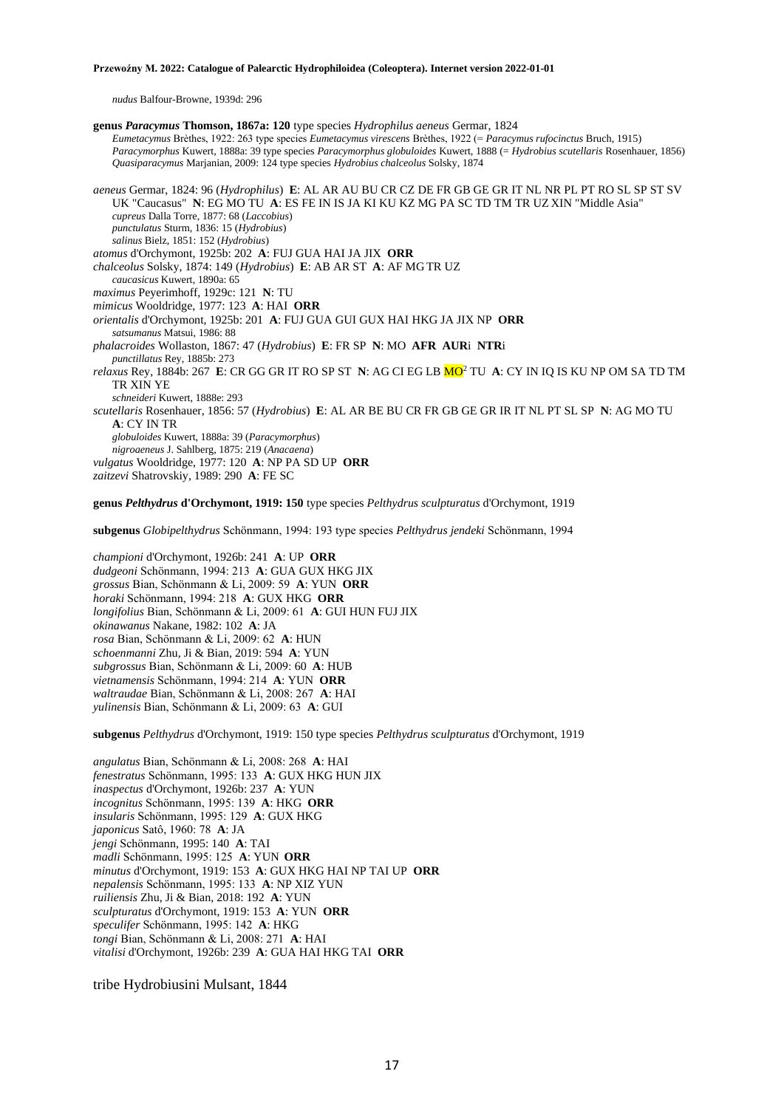*nudus* Balfour-Browne, 1939d: 296

**genus** *Paracymus* **Thomson, 1867a: 120** type species *Hydrophilus aeneus* Germar, 1824 *Eumetacymus* Brèthes, 1922: 263 type species *Eumetacymus virescens* Brèthes, 1922 (= *Paracymus rufocinctus* Bruch, 1915) *Paracymorphus* Kuwert, 1888a: 39 type species *Paracymorphus globuloides* Kuwert, 1888 (= *Hydrobius scutellaris* Rosenhauer, 1856) *Quasiparacymus* Marjanian, 2009: 124 type species *Hydrobius chalceolus* Solsky, 1874 *aeneus* Germar, 1824: 96 (*Hydrophilus*) **E**: AL AR AU BU CR CZ DE FR GB GE GR IT NL NR PL PT RO SL SP ST SV UK "Caucasus" **N**: EG MO TU **A**: ES FE IN IS JA KI KU KZ MG PA SC TD TM TR UZ XIN "Middle Asia" *cupreus* Dalla Torre, 1877: 68 (*Laccobius*) *punctulatus* Sturm, 1836: 15 (*Hydrobius*) *salinus* Bielz, 1851: 152 (*Hydrobius*) *atomus* d'Orchymont, 1925b: 202 **A**: FUJ GUA HAI JA JIX **ORR** *chalceolus* Solsky, 1874: 149 (*Hydrobius*) **E**: AB AR ST **A**: AF MG TR UZ *caucasicus* Kuwert, 1890a: 65 *maximus* Peyerimhoff, 1929c: 121 **N**: TU *mimicus* Wooldridge, 1977: 123 **A**: HAI **ORR** *orientalis* d'Orchymont, 1925b: 201 **A**: FUJ GUA GUI GUX HAI HKG JA JIX NP **ORR** *satsumanus* Matsui, 1986: 88 *phalacroides* Wollaston, 1867: 47 (*Hydrobius*) **E**: FR SP **N**: MO **AFR AUR**i **NTR**i *punctillatus* Rey, 1885b: 273 *relaxus* Rey, 1884b: 267 **E**: CR GG GR IT RO SP ST **N**: AG CI EG LB MO<sup>2</sup> TU **A**: CY IN IQ IS KU NP OM SA TD TM TR XIN YE *schneideri* Kuwert, 1888e: 293 *scutellaris* Rosenhauer, 1856: 57 (*Hydrobius*) **E**: AL AR BE BU CR FR GB GE GR IR IT NL PT SL SP **N**: AG MO TU **A**: CY IN TR *globuloides* Kuwert, 1888a: 39 (*Paracymorphus*) *nigroaeneus* J. Sahlberg, 1875: 219 (*Anacaena*) *vulgatus* Wooldridge, 1977: 120 **A**: NP PA SD UP **ORR** *zaitzevi* Shatrovskiy, 1989: 290 **A**: FE SC **genus** *Pelthydrus* **d'Orchymont, 1919: 150** type species *Pelthydrus sculpturatus* d'Orchymont, 1919 **subgenus** *Globipelthydrus* Schönmann, 1994: 193 type species *Pelthydrus jendeki* Schönmann, 1994

*championi* d'Orchymont, 1926b: 241 **A**: UP **ORR** *dudgeoni* Schönmann, 1994: 213 **A**: GUA GUX HKG JIX *grossus* Bian, Schönmann & Li, 2009: 59 **A**: YUN **ORR** *horaki* Schönmann, 1994: 218 **A**: GUX HKG **ORR** *longifolius* Bian, Schönmann & Li, 2009: 61 **A**: GUI HUN FUJ JIX *okinawanus* Nakane, 1982: 102 **A**: JA *rosa* Bian, Schönmann & Li, 2009: 62 **A**: HUN *schoenmanni* Zhu, Ji & Bian, 2019: 594 **A**: YUN *subgrossus* Bian, Schönmann & Li, 2009: 60 **A**: HUB *vietnamensis* Schönmann, 1994: 214 **A**: YUN **ORR** *waltraudae* Bian, Schönmann & Li, 2008: 267 **A**: HAI *yulinensis* Bian, Schönmann & Li, 2009: 63 **A**: GUI

**subgenus** *Pelthydrus* d'Orchymont, 1919: 150 type species *Pelthydrus sculpturatus* d'Orchymont, 1919

*angulatus* Bian, Schönmann & Li, 2008: 268 **A**: HAI *fenestratus* Schönmann, 1995: 133 **A**: GUX HKG HUN JIX *inaspectus* d'Orchymont, 1926b: 237 **A**: YUN *incognitus* Schönmann, 1995: 139 **A**: HKG **ORR** *insularis* Schönmann, 1995: 129 **A**: GUX HKG *japonicus* Satô, 1960: 78 **A**: JA *jengi* Schönmann, 1995: 140 **A**: TAI *madli* Schönmann, 1995: 125 **A**: YUN **ORR** *minutus* d'Orchymont, 1919: 153 **A**: GUX HKG HAI NP TAI UP **ORR** *nepalensis* Schönmann, 1995: 133 **A**: NP XIZ YUN *ruiliensis* Zhu, Ji & Bian, 2018: 192 **A**: YUN *sculpturatus* d'Orchymont, 1919: 153 **A**: YUN **ORR** *speculifer* Schönmann, 1995: 142 **A**: HKG *tongi* Bian, Schönmann & Li, 2008: 271 **A**: HAI *vitalisi* d'Orchymont, 1926b: 239 **A**: GUA HAI HKG TAI **ORR**

tribe Hydrobiusini Mulsant, 1844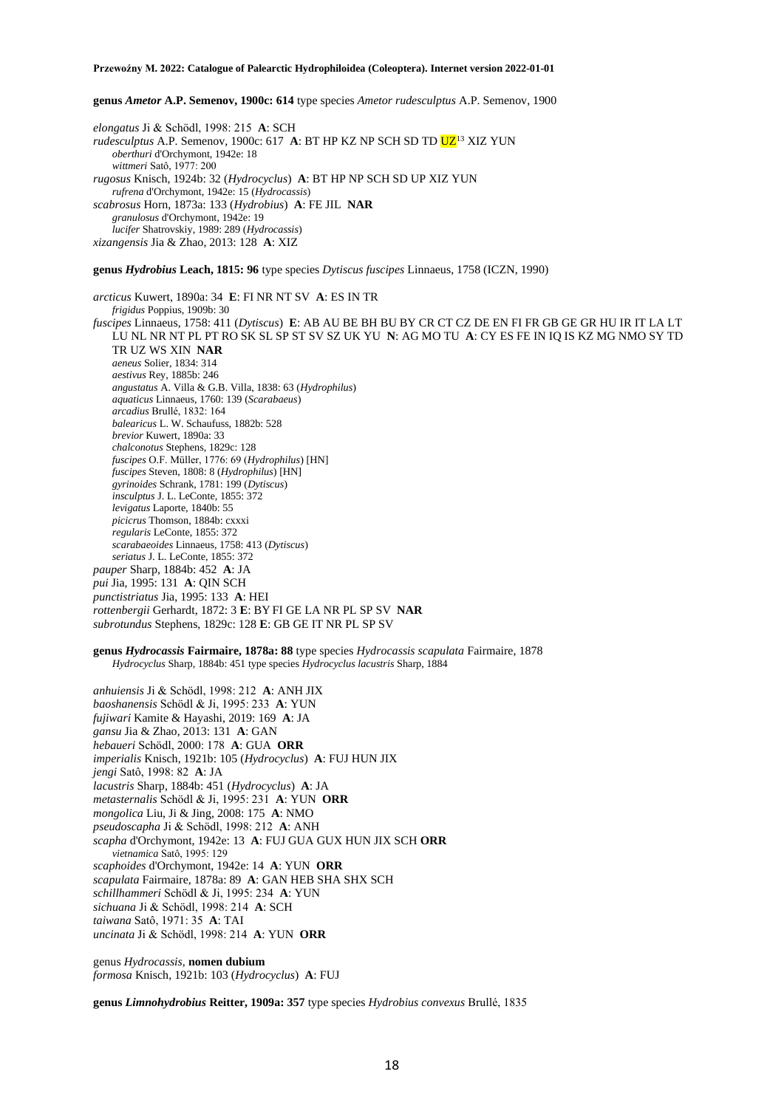**genus** *Ametor* **A.P. Semenov, 1900c: 614** type species *Ametor rudesculptus* A.P. Semenov, 1900

*elongatus* Ji & Schödl, 1998: 215 **A**: SCH *rudesculptus* A.P. Semenov, 1900c: 617 A: BT HP KZ NP SCH SD TD UZ<sup>13</sup> XIZ YUN *oberthuri* d'Orchymont, 1942e: 18 *wittmeri* Satô, 1977: 200 *rugosus* Knisch, 1924b: 32 (*Hydrocyclus*) **A**: BT HP NP SCH SD UP XIZ YUN *rufrena* d'Orchymont, 1942e: 15 (*Hydrocassis*) *scabrosus* Horn, 1873a: 133 (*Hydrobius*) **A**: FE JIL **NAR** *granulosus* d'Orchymont, 1942e: 19 *lucifer* Shatrovskiy, 1989: 289 (*Hydrocassis*) *xizangensis* Jia & Zhao, 2013: 128 **A**: XIZ

**genus** *Hydrobius* **Leach, 1815: 96** type species *Dytiscus fuscipes* Linnaeus, 1758 (ICZN, 1990)

*arcticus* Kuwert, 1890a: 34 **E**: FI NR NT SV **A**: ES IN TR *frigidus* Poppius, 1909b: 30 *fuscipes* Linnaeus, 1758: 411 (*Dytiscus*) **E**: AB AU BE BH BU BY CR CT CZ DE EN FI FR GB GE GR HU IR IT LA LT LU NL NR NT PL PT RO SK SL SP ST SV SZ UK YU **N**: AG MO TU **A**: CY ES FE IN IQ IS KZ MG NMO SY TD TR UZ WS XIN **NAR** *aeneus* Solier, 1834: 314 *aestivus* Rey, 1885b: 246 *angustatus* A. Villa & G.B. Villa, 1838: 63 (*Hydrophilus*) *aquaticus* Linnaeus, 1760: 139 (*Scarabaeus*) *arcadius* Brullé, 1832: 164 *balearicus* L. W. Schaufuss, 1882b: 528 *brevior* Kuwert, 1890a: 33 *chalconotus* Stephens, 1829c: 128 *fuscipes* O.F. Müller, 1776: 69 (*Hydrophilus*) [HN] *fuscipes* Steven, 1808: 8 (*Hydrophilus*) [HN] *gyrinoides* Schrank, 1781: 199 (*Dytiscus*) *insculptus* J. L. LeConte, 1855: 372 *levigatus* Laporte, 1840b: 55 *picicrus* Thomson, 1884b: cxxxi *regularis* LeConte, 1855: 372 *scarabaeoides* Linnaeus, 1758: 413 (*Dytiscus*) *seriatus* J. L. LeConte, 1855: 372 *pauper* Sharp, 1884b: 452 **A**: JA *pui* Jia, 1995: 131 **A**: QIN SCH *punctistriatus* Jia, 1995: 133 **A**: HEI *rottenbergii* Gerhardt, 1872: 3 **E**: BY FI GE LA NR PL SP SV **NAR** *subrotundus* Stephens, 1829c: 128 **E**: GB GE IT NR PL SP SV

**genus** *Hydrocassis* **Fairmaire, 1878a: 88** type species *Hydrocassis scapulata* Fairmaire, 1878 *Hydrocyclus* Sharp, 1884b: 451 type species *Hydrocyclus lacustris* Sharp, 1884

*anhuiensis* Ji & Schödl, 1998: 212 **A**: ANH JIX *baoshanensis* Schödl & Ji, 1995: 233 **A**: YUN *fujiwari* Kamite & Hayashi, 2019: 169 **A**: JA *gansu* Jia & Zhao, 2013: 131 **A**: GAN *hebaueri* Schödl, 2000: 178 **A**: GUA **ORR** *imperialis* Knisch, 1921b: 105 (*Hydrocyclus*) **A**: FUJ HUN JIX *jengi* Satô, 1998: 82 **A**: JA *lacustris* Sharp, 1884b: 451 (*Hydrocyclus*) **A**: JA *metasternalis* Schödl & Ji, 1995: 231 **A**: YUN **ORR** *mongolica* Liu, Ji & Jing, 2008: 175 **A**: NMO *pseudoscapha* Ji & Schödl, 1998: 212 **A**: ANH *scapha* d'Orchymont, 1942e: 13 **A**: FUJ GUA GUX HUN JIX SCH **ORR** *vietnamica* Satô, 1995: 129 *scaphoides* d'Orchymont, 1942e: 14 **A**: YUN **ORR** *scapulata* Fairmaire, 1878a: 89 **A**: GAN HEB SHA SHX SCH *schillhammeri* Schödl & Ji, 1995: 234 **A**: YUN *sichuana* Ji & Schödl, 1998: 214 **A**: SCH *taiwana* Satô, 1971: 35 **A**: TAI *uncinata* Ji & Schödl, 1998: 214 **A**: YUN **ORR**

genus *Hydrocassis,* **nomen dubium** *formosa* Knisch, 1921b: 103 (*Hydrocyclus*) **A**: FUJ

**genus** *Limnohydrobius* **Reitter, 1909a: 357** type species *Hydrobius convexus* Brullé, 1835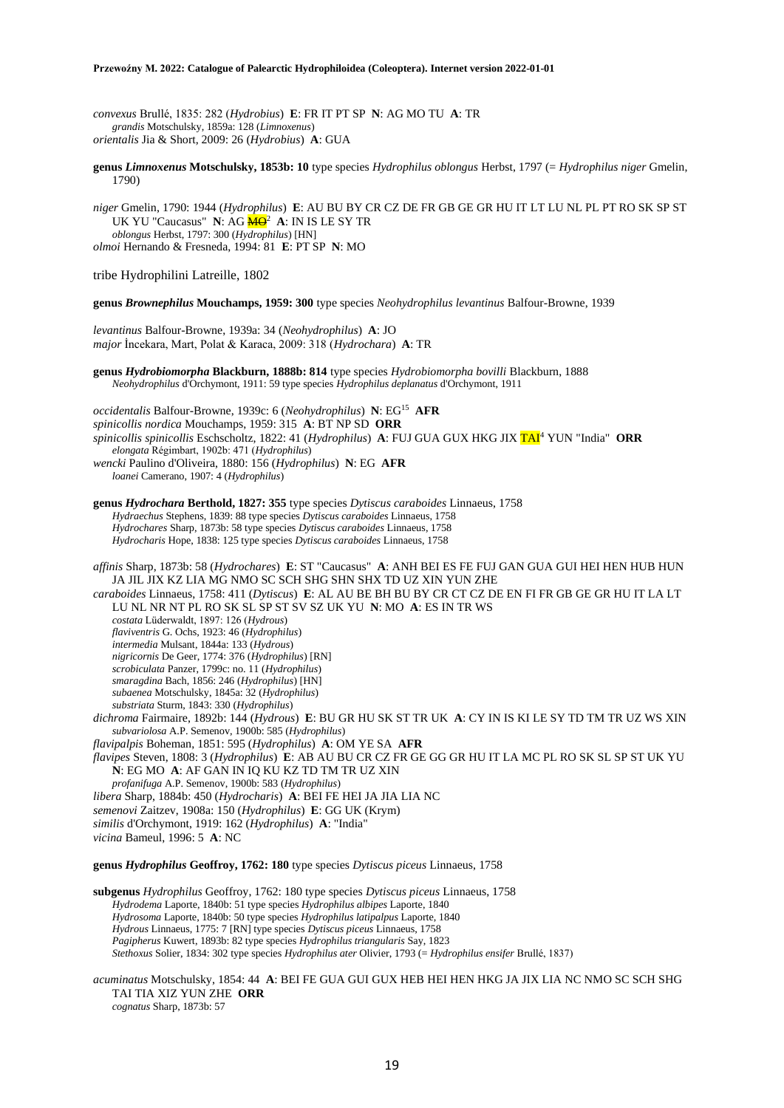*convexus* Brullé, 1835: 282 (*Hydrobius*) **E**: FR IT PT SP **N**: AG MO TU **A**: TR *grandis* Motschulsky, 1859a: 128 (*Limnoxenus*) *orientalis* Jia & Short, 2009: 26 (*Hydrobius*) **A**: GUA

**genus** *Limnoxenus* **Motschulsky, 1853b: 10** type species *Hydrophilus oblongus* Herbst, 1797 (= *Hydrophilus niger* Gmelin, 1790)

*niger* Gmelin, 1790: 1944 (*Hydrophilus*) **E**: AU BU BY CR CZ DE FR GB GE GR HU IT LT LU NL PL PT RO SK SP ST UK YU "Caucasus" N: AG <mark>MO</mark><sup>2</sup> A: IN IS LE SY TR *oblongus* Herbst, 1797: 300 (*Hydrophilus*) [HN] *olmoi* Hernando & Fresneda, 1994: 81 **E**: PT SP **N**: MO

tribe Hydrophilini Latreille, 1802

**genus** *Brownephilus* **Mouchamps, 1959: 300** type species *Neohydrophilus levantinus* Balfour-Browne, 1939

*levantinus* Balfour-Browne, 1939a: 34 (*Neohydrophilus*) **A**: JO *major* İncekara, Mart, Polat & Karaca, 2009: 318 (*Hydrochara*) **A**: TR

**genus** *Hydrobiomorpha* **Blackburn, 1888b: 814** type species *Hydrobiomorpha bovilli* Blackburn, 1888 *Neohydrophilus* d'Orchymont, 1911: 59 type species *Hydrophilus deplanatus* d'Orchymont, 1911

*occidentalis* Balfour-Browne, 1939c: 6 (*Neohydrophilus*) **N**: EG<sup>15</sup> **AFR** *spinicollis nordica* Mouchamps, 1959: 315 **A**: BT NP SD **ORR** *spinicollis spinicollis* Eschscholtz, 1822: 41 (*Hydrophilus*) **A**: FUJ GUA GUX HKG JIX TAI<sup>4</sup> YUN "India" **ORR** *elongata* Régimbart, 1902b: 471 (*Hydrophilus*) *wencki* Paulino d'Oliveira, 1880: 156 (*Hydrophilus*) **N**: EG **AFR** *loanei* Camerano, 1907: 4 (*Hydrophilus*)

**genus** *Hydrochara* **Berthold, 1827: 355** type species *Dytiscus caraboides* Linnaeus, 1758 *Hydraechus* Stephens, 1839: 88 type species *Dytiscus caraboides* Linnaeus, 1758 *Hydrochares* Sharp, 1873b: 58 type species *Dytiscus caraboides* Linnaeus, 1758 *Hydrocharis* Hope, 1838: 125 type species *Dytiscus caraboides* Linnaeus, 1758

*affinis* Sharp, 1873b: 58 (*Hydrochares*) **E**: ST "Caucasus" **A**: ANH BEI ES FE FUJ GAN GUA GUI HEI HEN HUB HUN JA JIL JIX KZ LIA MG NMO SC SCH SHG SHN SHX TD UZ XIN YUN ZHE

*caraboides* Linnaeus, 1758: 411 (*Dytiscus*) **E**: AL AU BE BH BU BY CR CT CZ DE EN FI FR GB GE GR HU IT LA LT LU NL NR NT PL RO SK SL SP ST SV SZ UK YU **N**: MO **A**: ES IN TR WS *costata* Lüderwaldt, 1897: 126 (*Hydrous*)

*flaviventris* G. Ochs, 1923: 46 (*Hydrophilus*)

*intermedia* Mulsant, 1844a: 133 (*Hydrous*)

*nigricornis* De Geer, 1774: 376 (*Hydrophilus*) [RN]

*scrobiculata* Panzer, 1799c: no. 11 (*Hydrophilus*)

*smaragdina* Bach, 1856: 246 (*Hydrophilus*) [HN]

*subaenea* Motschulsky, 1845a: 32 (*Hydrophilus*)

*substriata* Sturm, 1843: 330 (*Hydrophilus*)

*dichroma* Fairmaire, 1892b: 144 (*Hydrous*) **E**: BU GR HU SK ST TR UK **A**: CY IN IS KI LE SY TD TM TR UZ WS XIN *subvariolosa* A.P. Semenov, 1900b: 585 (*Hydrophilus*)

*flavipalpis* Boheman, 1851: 595 (*Hydrophilus*) **A**: OM YE SA **AFR**

*flavipes* Steven, 1808: 3 (*Hydrophilus*) **E**: AB AU BU CR CZ FR GE GG GR HU IT LA MC PL RO SK SL SP ST UK YU **N**: EG MO **A**: AF GAN IN IQ KU KZ TD TM TR UZ XIN

*profanifuga* A.P. Semenov, 1900b: 583 (*Hydrophilus*)

*libera* Sharp, 1884b: 450 (*Hydrocharis*) **A**: BEI FE HEI JA JIA LIA NC

- *semenovi* Zaitzev, 1908a: 150 (*Hydrophilus*) **E**: GG UK (Krym)
- *similis* d'Orchymont, 1919: 162 (*Hydrophilus*) **A**: "India"

*vicina* Bameul, 1996: 5 **A**: NC

**genus** *Hydrophilus* **Geoffroy, 1762: 180** type species *Dytiscus piceus* Linnaeus, 1758

**subgenus** *Hydrophilus* Geoffroy, 1762: 180 type species *Dytiscus piceus* Linnaeus, 1758 *Hydrodema* Laporte, 1840b: 51 type species *Hydrophilus albipes* Laporte, 1840 *Hydrosoma* Laporte, 1840b: 50 type species *Hydrophilus latipalpus* Laporte, 1840 *Hydrous* Linnaeus, 1775: 7 [RN] type species *Dytiscus piceus* Linnaeus, 1758 *Pagipherus* Kuwert, 1893b: 82 type species *Hydrophilus triangularis* Say, 1823 *Stethoxus* Solier, 1834: 302 type species *Hydrophilus ater* Olivier, 1793 (= *Hydrophilus ensifer* Brullé, 1837)

*acuminatus* Motschulsky, 1854: 44 **A**: BEI FE GUA GUI GUX HEB HEI HEN HKG JA JIX LIA NC NMO SC SCH SHG TAI TIA XIZ YUN ZHE **ORR** *cognatus* Sharp, 1873b: 57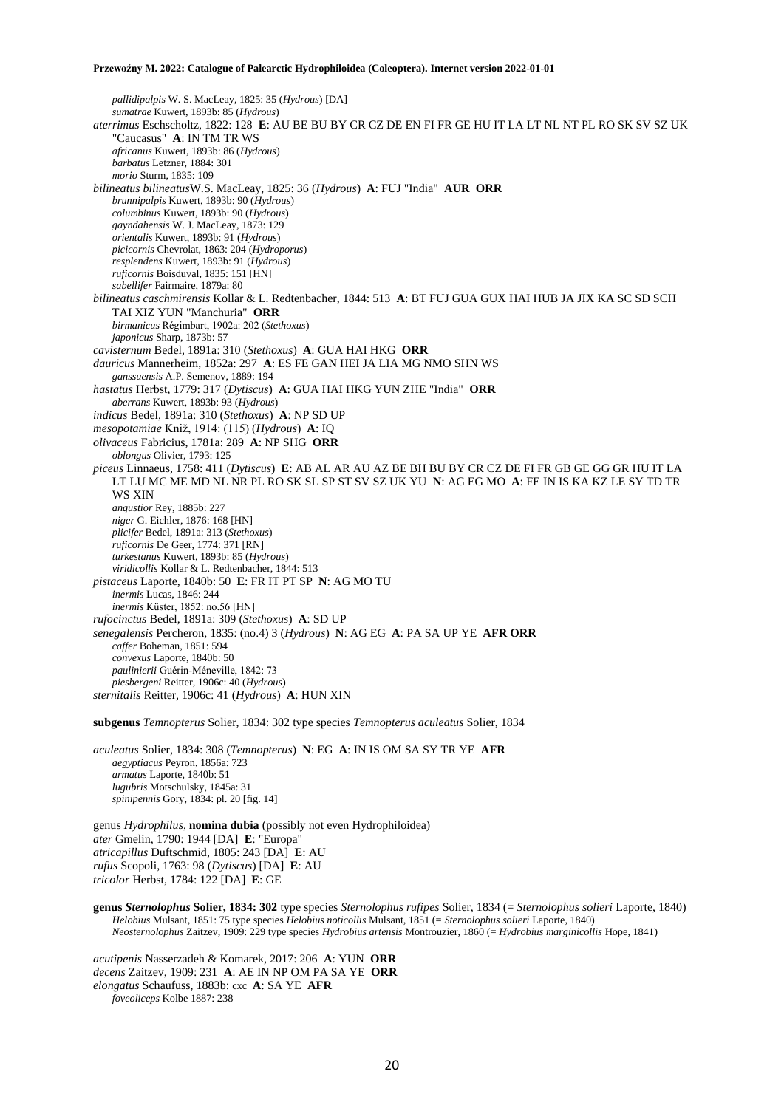*pallidipalpis* W. S. MacLeay, 1825: 35 (*Hydrous*) [DA] *sumatrae* Kuwert, 1893b: 85 (*Hydrous*) *aterrimus* Eschscholtz, 1822: 128 **E**: AU BE BU BY CR CZ DE EN FI FR GE HU IT LA LT NL NT PL RO SK SV SZ UK "Caucasus" **A**: IN TM TR WS *africanus* Kuwert, 1893b: 86 (*Hydrous*) *barbatus* Letzner, 1884: 301 *morio* Sturm, 1835: 109 *bilineatus bilineatus*W.S. MacLeay, 1825: 36 (*Hydrous*) **A**: FUJ "India" **AUR ORR** *brunnipalpis* Kuwert, 1893b: 90 (*Hydrous*) *columbinus* Kuwert, 1893b: 90 (*Hydrous*) *gayndahensis* W. J. MacLeay, 1873: 129 *orientalis* Kuwert, 1893b: 91 (*Hydrous*) *picicornis* Chevrolat, 1863: 204 (*Hydroporus*) *resplendens* Kuwert, 1893b: 91 (*Hydrous*) *ruficornis* Boisduval, 1835: 151 [HN] *sabellifer* Fairmaire, 1879a: 80 *bilineatus caschmirensis* Kollar & L. Redtenbacher, 1844: 513 **A**: BT FUJ GUA GUX HAI HUB JA JIX KA SC SD SCH TAI XIZ YUN "Manchuria" **ORR** *birmanicus* Régimbart, 1902a: 202 (*Stethoxus*) *japonicus* Sharp, 1873b: 57 *cavisternum* Bedel, 1891a: 310 (*Stethoxus*) **A**: GUA HAI HKG **ORR** *dauricus* Mannerheim, 1852a: 297 **A**: ES FE GAN HEI JA LIA MG NMO SHN WS *ganssuensis* A.P. Semenov, 1889: 194 *hastatus* Herbst, 1779: 317 (*Dytiscus*) **A**: GUA HAI HKG YUN ZHE "India" **ORR** *aberrans* Kuwert, 1893b: 93 (*Hydrous*) *indicus* Bedel, 1891a: 310 (*Stethoxus*) **A**: NP SD UP *mesopotamiae* Kniž, 1914: (115) (*Hydrous*) **A**: IQ *olivaceus* Fabricius, 1781a: 289 **A**: NP SHG **ORR** *oblongus* Olivier, 1793: 125 *piceus* Linnaeus, 1758: 411 (*Dytiscus*) **E**: AB AL AR AU AZ BE BH BU BY CR CZ DE FI FR GB GE GG GR HU IT LA LT LU MC ME MD NL NR PL RO SK SL SP ST SV SZ UK YU **N**: AG EG MO **A**: FE IN IS KA KZ LE SY TD TR WS XIN *angustior* Rey, 1885b: 227 *niger* G. Eichler, 1876: 168 [HN] *plicifer* Bedel, 1891a: 313 (*Stethoxus*) *ruficornis* De Geer, 1774: 371 [RN] *turkestanus* Kuwert, 1893b: 85 (*Hydrous*) *viridicollis* Kollar & L. Redtenbacher, 1844: 513 *pistaceus* Laporte, 1840b: 50 **E**: FR IT PT SP **N**: AG MO TU *inermis* Lucas, 1846: 244 *inermis* Küster, 1852: no.56 [HN] *rufocinctus* Bedel, 1891a: 309 (*Stethoxus*) **A**: SD UP *senegalensis* Percheron, 1835: (no.4) 3 (*Hydrous*) **N**: AG EG **A**: PA SA UP YE **AFR ORR** *caffer* Boheman, 1851: 594 *convexus* Laporte, 1840b: 50 *paulinierii* Guérin-Méneville, 1842: 73 *piesbergeni* Reitter, 1906c: 40 (*Hydrous*) *sternitalis* Reitter, 1906c: 41 (*Hydrous*) **A**: HUN XIN

**subgenus** *Temnopterus* Solier, 1834: 302 type species *Temnopterus aculeatus* Solier, 1834

*aculeatus* Solier, 1834: 308 (*Temnopterus*) **N**: EG **A**: IN IS OM SA SY TR YE **AFR** *aegyptiacus* Peyron, 1856a: 723 *armatus* Laporte, 1840b: 51 *lugubris* Motschulsky, 1845a: 31 *spinipennis* Gory, 1834: pl. 20 [fig. 14]

genus *Hydrophilus*, **nomina dubia** (possibly not even Hydrophiloidea) *ater* Gmelin, 1790: 1944 [DA] **E**: "Europa" *atricapillus* Duftschmid, 1805: 243 [DA] **E**: AU *rufus* Scopoli, 1763: 98 (*Dytiscus*) [DA] **E**: AU *tricolor* Herbst, 1784: 122 [DA] **E**: GE

**genus** *Sternolophus* **Solier, 1834: 302** type species *Sternolophus rufipes* Solier, 1834 (= *Sternolophus solieri* Laporte, 1840) *Helobius* Mulsant, 1851: 75 type species *Helobius noticollis* Mulsant, 1851 (= *Sternolophus solieri* Laporte, 1840) *Neosternolophus* Zaitzev, 1909: 229 type species *Hydrobius artensis* Montrouzier, 1860 (= *Hydrobius marginicollis* Hope, 1841)

*acutipenis* Nasserzadeh & Komarek, 2017: 206 **A**: YUN **ORR** *decens* Zaitzev, 1909: 231 **A**: AE IN NP OM PA SA YE **ORR** *elongatus* Schaufuss, 1883b: cxc **A**: SA YE **AFR** *foveoliceps* Kolbe 1887: 238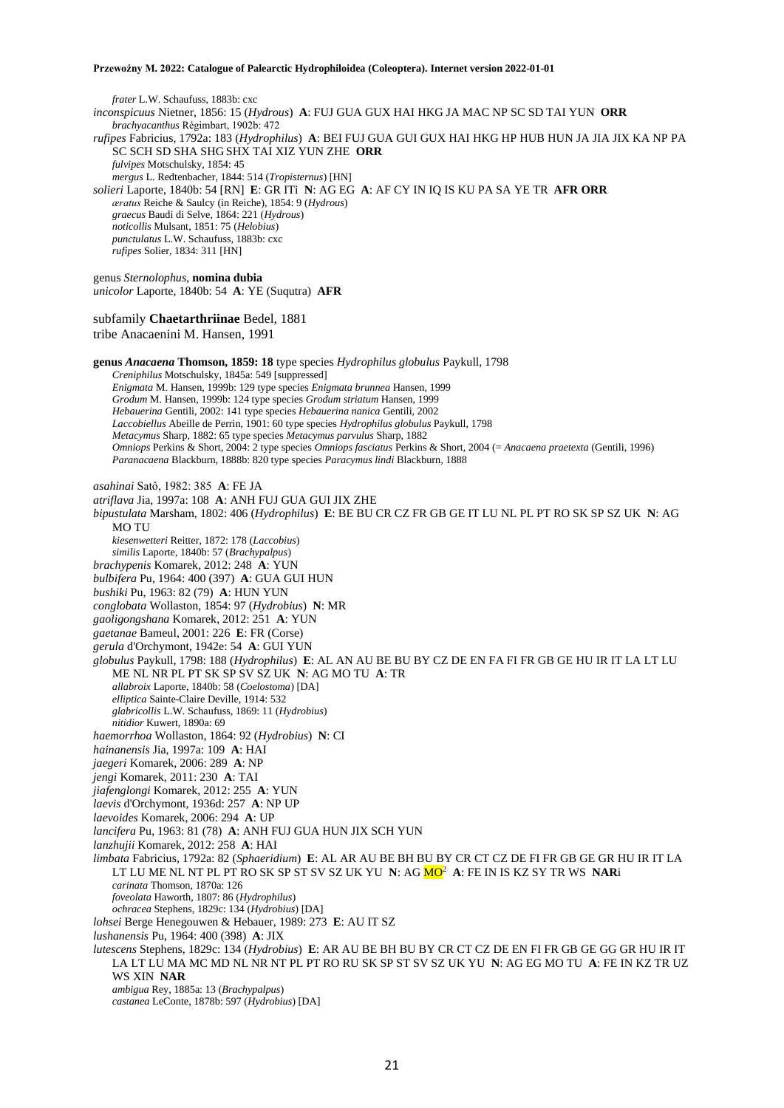*frater* L.W. Schaufuss, 1883b: cxc *inconspicuus* Nietner, 1856: 15 (*Hydrous*) **A**: FUJ GUA GUX HAI HKG JA MAC NP SC SD TAI YUN **ORR** *brachyacanthus* Régimbart, 1902b: 472 *rufipes* Fabricius, 1792a: 183 (*Hydrophilus*) **A**: BEI FUJ GUA GUI GUX HAI HKG HP HUB HUN JA JIA JIX KA NP PA SC SCH SD SHA SHG SHX TAI XIZ YUN ZHE **ORR** *fulvipes* Motschulsky, 1854: 45 *mergus* L. Redtenbacher, 1844: 514 (*Tropisternus*) [HN] *solieri* Laporte, 1840b: 54 [RN] **E**: GR ITi **N**: AG EG **A**: AF CY IN IQ IS KU PA SA YE TR **AFR ORR** *æratus* Reiche & Saulcy (in Reiche), 1854: 9 (*Hydrous*) *graecus* Baudi di Selve, 1864: 221 (*Hydrous*) *noticollis* Mulsant, 1851: 75 (*Helobius*) *punctulatus* L.W. Schaufuss, 1883b: cxc *rufipes* Solier, 1834: 311 [HN] genus *Sternolophus*, **nomina dubia** *unicolor* Laporte, 1840b: 54 **A**: YE (Suqutra) **AFR** subfamily **Chaetarthriinae** Bedel, 1881 tribe Anacaenini M. Hansen, 1991 **genus** *Anacaena* **Thomson, 1859: 18** type species *Hydrophilus globulus* Paykull, 1798 *Creniphilus* Motschulsky, 1845a: 549 [suppressed] *Enigmata* M. Hansen, 1999b: 129 type species *Enigmata brunnea* Hansen, 1999 *Grodum* M. Hansen, 1999b: 124 type species *Grodum striatum* Hansen, 1999 *Hebauerina* Gentili, 2002: 141 type species *Hebauerina nanica* Gentili, 2002 *Laccobiellus* Abeille de Perrin, 1901: 60 type species *Hydrophilus globulus* Paykull, 1798 *Metacymus* Sharp, 1882: 65 type species *Metacymus parvulus* Sharp, 1882 *Omniops* Perkins & Short, 2004: 2 type species *Omniops fasciatus* Perkins & Short, 2004 (= *Anacaena praetexta* (Gentili, 1996) *Paranacaena* Blackburn, 1888b: 820 type species *Paracymus lindi* Blackburn, 1888 *asahinai* Satô, 1982: 385 **A**: FE JA *atriflava* Jia, 1997a: 108 **A**: ANH FUJ GUA GUI JIX ZHE *bipustulata* Marsham, 1802: 406 (*Hydrophilus*) **E**: BE BU CR CZ FR GB GE IT LU NL PL PT RO SK SP SZ UK **N**: AG MO TU *kiesenwetteri* Reitter, 1872: 178 (*Laccobius*) *similis* Laporte, 1840b: 57 (*Brachypalpus*) *brachypenis* Komarek, 2012: 248 **A**: YUN *bulbifera* Pu, 1964: 400 (397) **A**: GUA GUI HUN *bushiki* Pu, 1963: 82 (79) **A**: HUN YUN *conglobata* Wollaston, 1854: 97 (*Hydrobius*) **N**: MR *gaoligongshana* Komarek, 2012: 251 **A**: YUN *gaetanae* Bameul, 2001: 226 **E**: FR (Corse) *gerula* d'Orchymont, 1942e: 54 **A**: GUI YUN *globulus* Paykull, 1798: 188 (*Hydrophilus*) **E**: AL AN AU BE BU BY CZ DE EN FA FI FR GB GE HU IR IT LA LT LU ME NL NR PL PT SK SP SV SZ UK **N**: AG MO TU **A**: TR *allabroix* Laporte, 1840b: 58 (*Coelostoma*) [DA] *elliptica* Sainte-Claire Deville, 1914: 532 *glabricollis* L.W. Schaufuss, 1869: 11 (*Hydrobius*) *nitidior* Kuwert, 1890a: 69 *haemorrhoa* Wollaston, 1864: 92 (*Hydrobius*) **N**: CI *hainanensis* Jia, 1997a: 109 **A**: HAI *jaegeri* Komarek, 2006: 289 **A**: NP *jengi* Komarek, 2011: 230 **A**: TAI *jiafenglongi* Komarek, 2012: 255 **A**: YUN *laevis* d'Orchymont, 1936d: 257 **A**: NP UP *laevoides* Komarek, 2006: 294 **A**: UP *lancifera* Pu, 1963: 81 (78) **A**: ANH FUJ GUA HUN JIX SCH YUN *lanzhujii* Komarek, 2012: 258 **A**: HAI *limbata* Fabricius, 1792a: 82 (*Sphaeridium*) **E**: AL AR AU BE BH BU BY CR CT CZ DE FI FR GB GE GR HU IR IT LA LT LU ME NL NT PL PT RO SK SP ST SV SZ UK YU **N**: AG MO<sup>2</sup> **A**: FE IN IS KZ SY TR WS **NAR**i *carinata* Thomson, 1870a: 126 *foveolata* Haworth, 1807: 86 (*Hydrophilus*) *ochracea* Stephens, 1829c: 134 (*Hydrobius*) [DA] *lohsei* Berge Henegouwen & Hebauer, 1989: 273 **E**: AU IT SZ *lushanensis* Pu, 1964: 400 (398) **A**: JIX *lutescens* Stephens, 1829c: 134 (*Hydrobius*) **E**: AR AU BE BH BU BY CR CT CZ DE EN FI FR GB GE GG GR HU IR IT LA LT LU MA MC MD NL NR NT PL PT RO RU SK SP ST SV SZ UK YU **N**: AG EG MO TU **A**: FE IN KZ TR UZ WS XIN **NAR** *ambigua* Rey, 1885a: 13 (*Brachypalpus*) *castanea* LeConte, 1878b: 597 (*Hydrobius*) [DA]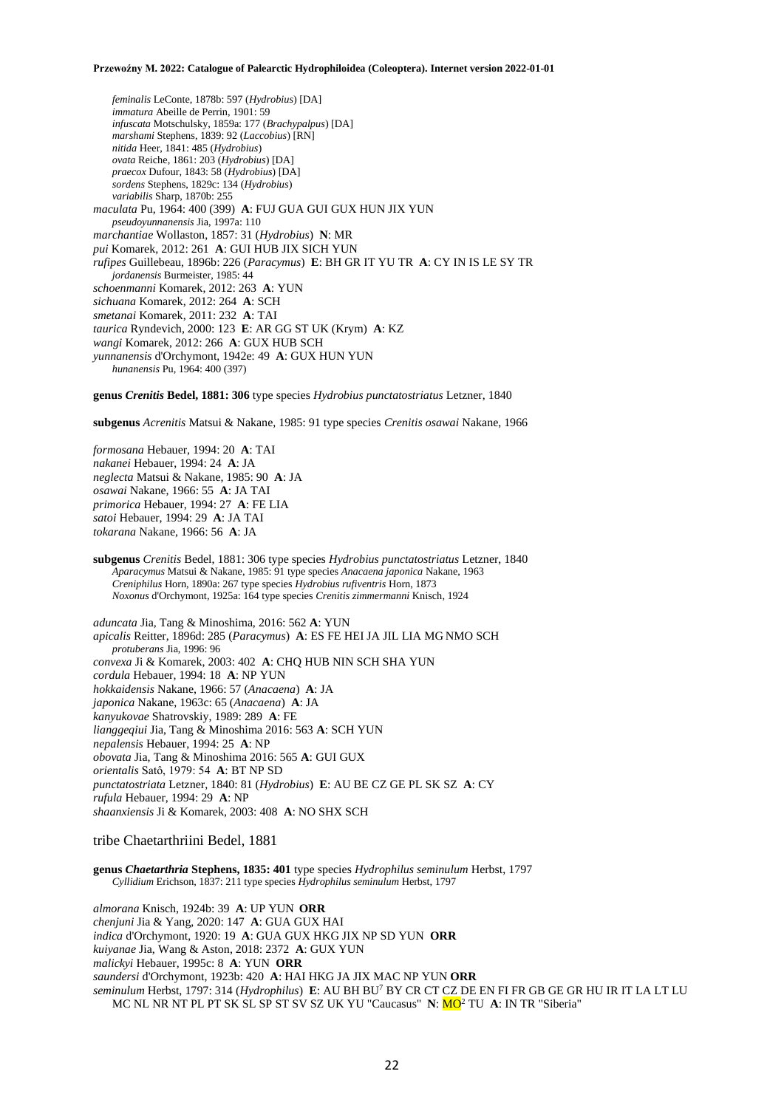*feminalis* LeConte, 1878b: 597 (*Hydrobius*) [DA] *immatura* Abeille de Perrin, 1901: 59 *infuscata* Motschulsky, 1859a: 177 (*Brachypalpus*) [DA] *marshami* Stephens, 1839: 92 (*Laccobius*) [RN] *nitida* Heer, 1841: 485 (*Hydrobius*) *ovata* Reiche, 1861: 203 (*Hydrobius*) [DA] *praecox* Dufour, 1843: 58 (*Hydrobius*) [DA] *sordens* Stephens, 1829c: 134 (*Hydrobius*) *variabilis* Sharp, 1870b: 255 *maculata* Pu, 1964: 400 (399) **A**: FUJ GUA GUI GUX HUN JIX YUN *pseudoyunnanensis* Jia, 1997a: 110 *marchantiae* Wollaston, 1857: 31 (*Hydrobius*) **N**: MR *pui* Komarek, 2012: 261 **A**: GUI HUB JIX SICH YUN *rufipes* Guillebeau, 1896b: 226 (*Paracymus*) **E**: BH GR IT YU TR **A**: CY IN IS LE SY TR *jordanensis* Burmeister, 1985: 44 *schoenmanni* Komarek, 2012: 263 **A**: YUN *sichuana* Komarek, 2012: 264 **A**: SCH *smetanai* Komarek, 2011: 232 **A**: TAI *taurica* Ryndevich, 2000: 123 **E**: AR GG ST UK (Krym) **A**: KZ *wangi* Komarek, 2012: 266 **A**: GUX HUB SCH *yunnanensis* d'Orchymont, 1942e: 49 **A**: GUX HUN YUN *hunanensis* Pu, 1964: 400 (397)

**genus** *Crenitis* **Bedel, 1881: 306** type species *Hydrobius punctatostriatus* Letzner, 1840

**subgenus** *Acrenitis* Matsui & Nakane, 1985: 91 type species *Crenitis osawai* Nakane, 1966

*formosana* Hebauer, 1994: 20 **A**: TAI *nakanei* Hebauer, 1994: 24 **A**: JA *neglecta* Matsui & Nakane, 1985: 90 **A**: JA *osawai* Nakane, 1966: 55 **A**: JA TAI *primorica* Hebauer, 1994: 27 **A**: FE LIA *satoi* Hebauer, 1994: 29 **A**: JA TAI *tokarana* Nakane, 1966: 56 **A**: JA

**subgenus** *Crenitis* Bedel, 1881: 306 type species *Hydrobius punctatostriatus* Letzner, 1840 *Aparacymus* Matsui & Nakane, 1985: 91 type species *Anacaena japonica* Nakane, 1963 *Creniphilus* Horn, 1890a: 267 type species *Hydrobius rufiventris* Horn, 1873 *Noxonus* d'Orchymont, 1925a: 164 type species *Crenitis zimmermanni* Knisch, 1924

*aduncata* Jia, Tang & Minoshima, 2016: 562 **A**: YUN *apicalis* Reitter, 1896d: 285 (*Paracymus*) **A**: ES FE HEI JA JIL LIA MG NMO SCH *protuberans* Jia, 1996: 96 *convexa* Ji & Komarek, 2003: 402 **A**: CHQ HUB NIN SCH SHA YUN *cordula* Hebauer, 1994: 18 **A**: NP YUN *hokkaidensis* Nakane, 1966: 57 (*Anacaena*) **A**: JA *japonica* Nakane, 1963c: 65 (*Anacaena*) **A**: JA *kanyukovae* Shatrovskiy, 1989: 289 **A**: FE *lianggeqiui* Jia, Tang & Minoshima 2016: 563 **A**: SCH YUN *nepalensis* Hebauer, 1994: 25 **A**: NP *obovata* Jia, Tang & Minoshima 2016: 565 **A**: GUI GUX *orientalis* Satô, 1979: 54 **A**: BT NP SD *punctatostriata* Letzner, 1840: 81 (*Hydrobius*) **E**: AU BE CZ GE PL SK SZ **A**: CY *rufula* Hebauer, 1994: 29 **A**: NP *shaanxiensis* Ji & Komarek, 2003: 408 **A**: NO SHX SCH

### tribe Chaetarthriini Bedel, 1881

**genus** *Chaetarthria* **Stephens, 1835: 401** type species *Hydrophilus seminulum* Herbst, 1797 *Cyllidium* Erichson, 1837: 211 type species *Hydrophilus seminulum* Herbst, 1797

*almorana* Knisch, 1924b: 39 **A**: UP YUN **ORR** *chenjuni* Jia & Yang, 2020: 147 **A**: GUA GUX HAI *indica* d'Orchymont, 1920: 19 **A**: GUA GUX HKG JIX NP SD YUN **ORR** *kuiyanae* Jia, Wang & Aston, 2018: 2372 **A**: GUX YUN *malickyi* Hebauer, 1995c: 8 **A**: YUN **ORR** *saundersi* d'Orchymont, 1923b: 420 **A**: HAI HKG JA JIX MAC NP YUN **ORR** *seminulum* Herbst, 1797: 314 (*Hydrophilus*) **E**: AU BH BU<sup>7</sup> BY CR CT CZ DE EN FI FR GB GE GR HU IR IT LA LT LU MC NL NR NT PL PT SK SL SP ST SV SZ UK YU "Caucasus" **N**: MO<sup>2</sup> TU **A**: IN TR "Siberia"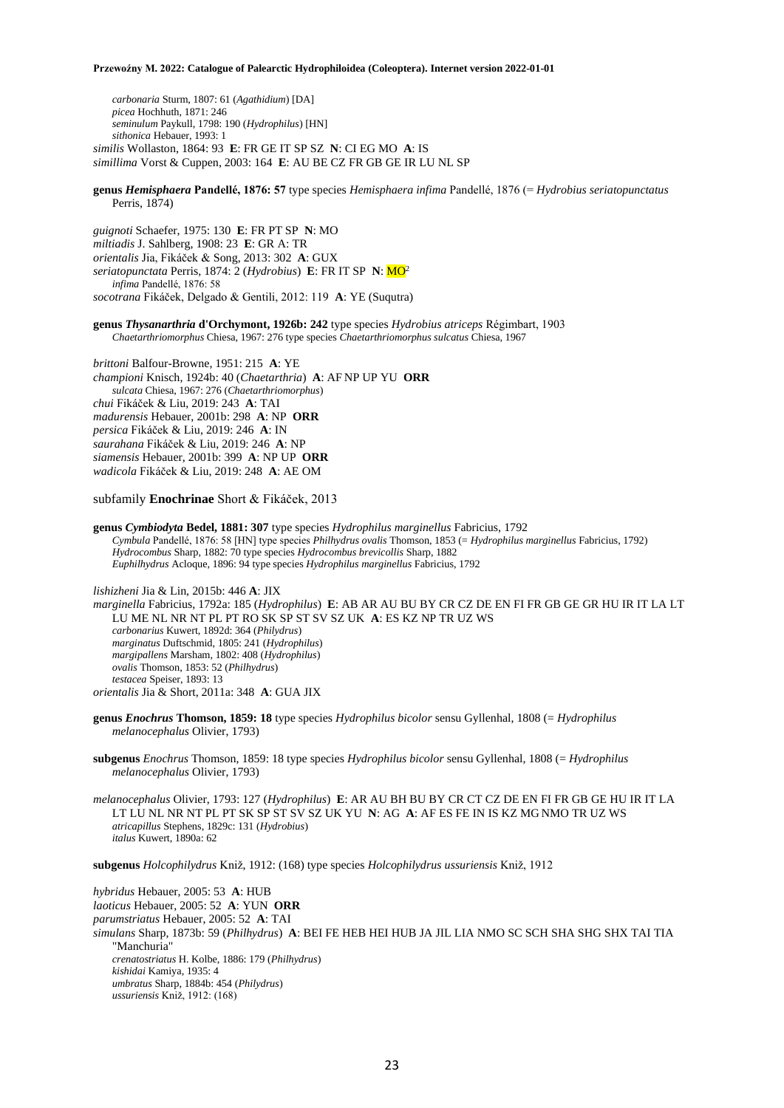*carbonaria* Sturm, 1807: 61 (*Agathidium*) [DA] *picea* Hochhuth, 1871: 246 *seminulum* Paykull, 1798: 190 (*Hydrophilus*) [HN] *sithonica* Hebauer, 1993: 1 *similis* Wollaston, 1864: 93 **E**: FR GE IT SP SZ **N**: CI EG MO **A**: IS *simillima* Vorst & Cuppen, 2003: 164 **E**: AU BE CZ FR GB GE IR LU NL SP

**genus** *Hemisphaera* **Pandellé, 1876: 57** type species *Hemisphaera infima* Pandellé, 1876 (= *Hydrobius seriatopunctatus* Perris, 1874)

*guignoti* Schaefer, 1975: 130 **E**: FR PT SP **N**: MO *miltiadis* J. Sahlberg, 1908: 23 **E**: GR A: TR *orientalis* Jia, Fikáček & Song, 2013: 302 **A**: GUX *seriatopunctata* Perris, 1874: 2 (*Hydrobius*) **E**: FR IT SP **N**: MO<sup>2</sup> *infima* Pandellé, 1876: 58 *socotrana* Fikáček, Delgado & Gentili, 2012: 119 **A**: YE (Suqutra)

**genus** *Thysanarthria* **d'Orchymont, 1926b: 242** type species *Hydrobius atriceps* Régimbart, 1903 *Chaetarthriomorphus* Chiesa, 1967: 276 type species *Chaetarthriomorphus sulcatus* Chiesa, 1967

*brittoni* Balfour-Browne, 1951: 215 **A**: YE *championi* Knisch, 1924b: 40 (*Chaetarthria*) **A**: AF NP UP YU **ORR** *sulcata* Chiesa, 1967: 276 (*Chaetarthriomorphus*) *chui* Fikáček & Liu, 2019: 243 **A**: TAI *madurensis* Hebauer, 2001b: 298 **A**: NP **ORR** *persica* Fikáček & Liu, 2019: 246 **A**: IN *saurahana* Fikáček & Liu, 2019: 246 **A**: NP *siamensis* Hebauer, 2001b: 399 **A**: NP UP **ORR** *wadicola* Fikáček & Liu, 2019: 248 **A**: AE OM

subfamily **Enochrinae** Short & Fikáček, 2013

**genus** *Cymbiodyta* **Bedel, 1881: 307** type species *Hydrophilus marginellus* Fabricius, 1792 *Cymbula* Pandellé, 1876: 58 [HN] type species *Philhydrus ovalis* Thomson, 1853 (= *Hydrophilus marginellus* Fabricius, 1792) *Hydrocombus* Sharp, 1882: 70 type species *Hydrocombus brevicollis* Sharp, 1882 *Euphilhydrus* Acloque, 1896: 94 type species *Hydrophilus marginellus* Fabricius, 1792

*lishizheni* Jia & Lin, 2015b: 446 **A**: JIX

*marginella* Fabricius, 1792a: 185 (*Hydrophilus*) **E**: AB AR AU BU BY CR CZ DE EN FI FR GB GE GR HU IR IT LA LT LU ME NL NR NT PL PT RO SK SP ST SV SZ UK **A**: ES KZ NP TR UZ WS *carbonarius* Kuwert, 1892d: 364 (*Philydrus*) *marginatus* Duftschmid, 1805: 241 (*Hydrophilus*) *margipallens* Marsham, 1802: 408 (*Hydrophilus*) *ovalis* Thomson, 1853: 52 (*Philhydrus*) *testacea* Speiser, 1893: 13 *orientalis* Jia & Short, 2011a: 348 **A**: GUA JIX

**genus** *Enochrus* **Thomson, 1859: 18** type species *Hydrophilus bicolor* sensu Gyllenhal, 1808 (= *Hydrophilus melanocephalus* Olivier, 1793)

**subgenus** *Enochrus* Thomson, 1859: 18 type species *Hydrophilus bicolor* sensu Gyllenhal, 1808 (= *Hydrophilus melanocephalus* Olivier, 1793)

*melanocephalus* Olivier, 1793: 127 (*Hydrophilus*) **E**: AR AU BH BU BY CR CT CZ DE EN FI FR GB GE HU IR IT LA LT LU NL NR NT PL PT SK SP ST SV SZ UK YU **N**: AG **A**: AF ES FE IN IS KZ MG NMO TR UZ WS *atricapillus* Stephens, 1829c: 131 (*Hydrobius*) *italus* Kuwert, 1890a: 62

**subgenus** *Holcophilydrus* Kniž, 1912: (168) type species *Holcophilydrus ussuriensis* Kniž, 1912

*hybridus* Hebauer, 2005: 53 **A**: HUB *laoticus* Hebauer, 2005: 52 **A**: YUN **ORR** *parumstriatus* Hebauer, 2005: 52 **A**: TAI *simulans* Sharp, 1873b: 59 (*Philhydrus*) **A**: BEI FE HEB HEI HUB JA JIL LIA NMO SC SCH SHA SHG SHX TAI TIA "Manchuria" *crenatostriatus* H. Kolbe, 1886: 179 (*Philhydrus*) *kishidai* Kamiya, 1935: 4 *umbratus* Sharp, 1884b: 454 (*Philydrus*) *ussuriensis* Kniž, 1912: (168)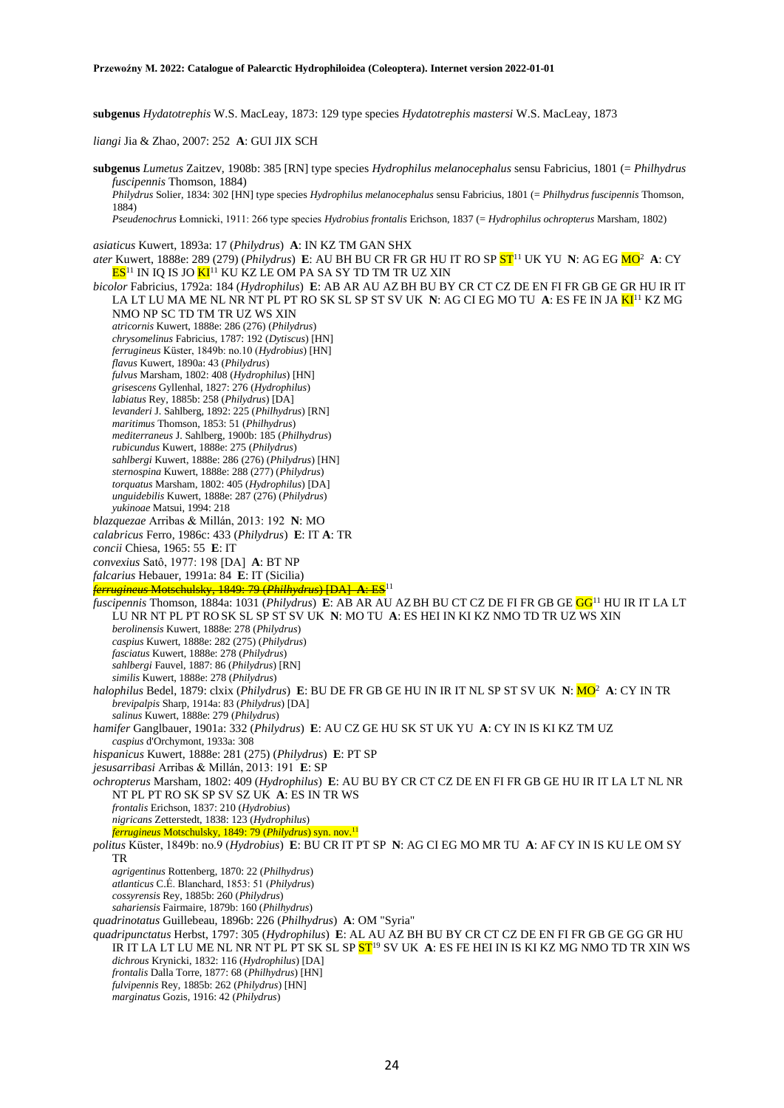**subgenus** *Hydatotrephis* W.S. MacLeay, 1873: 129 type species *Hydatotrephis mastersi* W.S. MacLeay, 1873

*liangi* Jia & Zhao, 2007: 252 **A**: GUI JIX SCH

**subgenus** *Lumetus* Zaitzev, 1908b: 385 [RN] type species *Hydrophilus melanocephalus* sensu Fabricius, 1801 (= *Philhydrus fuscipennis* Thomson, 1884)

*Philydrus* Solier, 1834: 302 [HN] type species *Hydrophilus melanocephalus* sensu Fabricius, 1801 (= *Philhydrus fuscipennis* Thomson, 1884)

*Pseudenochrus* Łomnicki, 1911: 266 type species *Hydrobius frontalis* Erichson, 1837 (= *Hydrophilus ochropterus* Marsham, 1802)

*asiaticus* Kuwert, 1893a: 17 (*Philydrus*) **A**: IN KZ TM GAN SHX

*ater* Kuwert, 1888e: 289 (279) (*Philydrus*) **E**: AU BH BU CR FR GR HU IT RO SP <mark>ST</mark><sup>11</sup> UK YU **N**: AG EG <mark>MO</mark><sup>2</sup> **A**: CY  $\mathbf{ES}^{11}$  IN IQ IS JO  $\mathbf{KI}^{11}$  KU KZ LE OM PA SA SY TD TM TR UZ XIN

*bicolor* Fabricius, 1792a: 184 (*Hydrophilus*) **E**: AB AR AU AZBH BU BY CR CT CZ DE EN FI FR GB GE GR HU IR IT LA LT LU MA ME NL NR NT PL PT RO SK SL SP ST SV UK **N**: AG CI EG MO TU **A**: ES FE IN JA KI<sup>11</sup> KZ MG NMO NP SC TD TM TR UZ WS XIN *atricornis* Kuwert, 1888e: 286 (276) (*Philydrus*) *chrysomelinus* Fabricius, 1787: 192 (*Dytiscus*) [HN] *ferrugineus* Küster, 1849b: no.10 (*Hydrobius*) [HN] *flavus* Kuwert, 1890a: 43 (*Philydrus*) *fulvus* Marsham, 1802: 408 (*Hydrophilus*) [HN] *grisescens* Gyllenhal, 1827: 276 (*Hydrophilus*) *labiatus* Rey, 1885b: 258 (*Philydrus*) [DA] *levanderi* J. Sahlberg, 1892: 225 (*Philhydrus*) [RN] *maritimus* Thomson, 1853: 51 (*Philhydrus*) *mediterraneus* J. Sahlberg, 1900b: 185 (*Philhydrus*) *rubicundus* Kuwert, 1888e: 275 (*Philydrus*) *sahlbergi* Kuwert, 1888e: 286 (276) (*Philydrus*) [HN] *sternospina* Kuwert, 1888e: 288 (277) (*Philydrus*) *torquatus* Marsham, 1802: 405 (*Hydrophilus*) [DA] *unguidebilis* Kuwert, 1888e: 287 (276) (*Philydrus*) *yukinoae* Matsui, 1994: 218 *blazquezae* Arribas & Millán, 2013: 192 **N**: MO *calabricus* Ferro, 1986c: 433 (*Philydrus*) **E**: IT **A**: TR *concii* Chiesa, 1965: 55 **E**: IT *convexius* Satô, 1977: 198 [DA] **A**: BT NP *falcarius* Hebauer, 1991a: 84 **E**: IT (Sicilia) *ferrugineus* Motschulsky, 1849: 79 (*Philhydrus*) [DA] **A**: ES<sup>11</sup> *fuscipennis* Thomson, 1884a: 1031 (*Philydrus*) **E**: AB AR AU AZBH BU CT CZ DE FI FR GB GE GG<sup>11</sup> HU IR IT LA LT LU NR NT PL PT RO SK SL SP ST SV UK **N**: MO TU **A**: ES HEI IN KI KZ NMO TD TR UZ WS XIN *berolinensis* Kuwert, 1888e: 278 (*Philydrus*) *caspius* Kuwert, 1888e: 282 (275) (*Philydrus*) *fasciatus* Kuwert, 1888e: 278 (*Philydrus*) *sahlbergi* Fauvel, 1887: 86 (*Philydrus*) [RN] *similis* Kuwert, 1888e: 278 (*Philydrus*) *halophilus* Bedel, 1879: clxix (*Philydrus*) **E**: BU DE FR GB GE HU IN IR IT NL SP ST SV UK **N**: MO<sup>2</sup> **A**: CY IN TR *brevipalpis* Sharp, 1914a: 83 (*Philydrus*) [DA] *salinus* Kuwert, 1888e: 279 (*Philydrus*) *hamifer* Ganglbauer, 1901a: 332 (*Philydrus*) **E**: AU CZ GE HU SK ST UK YU **A**: CY IN IS KI KZ TM UZ *caspius* d'Orchymont, 1933a: 308 *hispanicus* Kuwert, 1888e: 281 (275) (*Philydrus*) **E**: PT SP *jesusarribasi* Arribas & Millán, 2013: 191 **E**: SP *ochropterus* Marsham, 1802: 409 (*Hydrophilus*) **E**: AU BU BY CR CT CZ DE EN FI FR GB GE HU IR IT LA LT NL NR NT PL PT RO SK SP SV SZ UK **A**: ES IN TR WS *frontalis* Erichson, 1837: 210 (*Hydrobius*) *nigricans* Zetterstedt, 1838: 123 (*Hydrophilus*) *ferrugineus* Motschulsky, 1849: 79 (*Philydrus*) syn. nov.<sup>11</sup> *politus* Küster, 1849b: no.9 (*Hydrobius*) **E**: BU CR IT PT SP **N**: AG CI EG MO MR TU **A**: AF CY IN IS KU LE OM SY TR *agrigentinus* Rottenberg, 1870: 22 (*Philhydrus*) *atlanticus* C.É. Blanchard, 1853: 51 (*Philydrus*) *cossyrensis* Rey, 1885b: 260 (*Philydrus*) *sahariensis* Fairmaire, 1879b: 160 (*Philhydrus*) *quadrinotatus* Guillebeau, 1896b: 226 (*Philhydrus*) **A**: OM "Syria" *quadripunctatus* Herbst, 1797: 305 (*Hydrophilus*) **E**: AL AU AZ BH BU BY CR CT CZ DE EN FI FR GB GE GG GR HU IR IT LA LT LU ME NL NR NT PL PT SK SL SP ST<sup>19</sup> SV UK **A**: ES FE HEI IN IS KI KZ MG NMO TD TR XIN WS *dichrous* Krynicki, 1832: 116 (*Hydrophilus*) [DA] *frontalis* Dalla Torre, 1877: 68 (*Philhydrus*) [HN] *fulvipennis* Rey, 1885b: 262 (*Philydrus*) [HN] *marginatus* Gozis, 1916: 42 (*Philydrus*)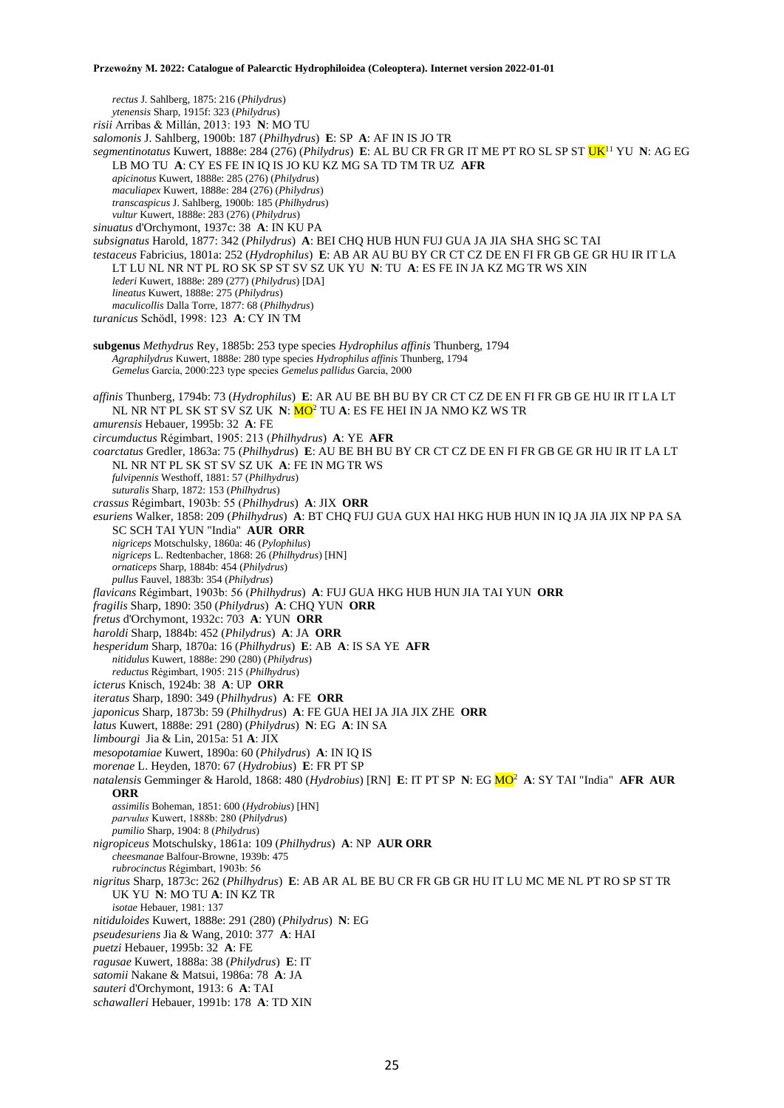*rectus* J. Sahlberg, 1875: 216 (*Philydrus*) *ytenensis* Sharp, 1915f: 323 (*Philydrus*) *risii* Arribas & Millán, 2013: 193 **N**: MO TU *salomonis* J. Sahlberg, 1900b: 187 (*Philhydrus*) **E**: SP **A**: AF IN IS JO TR *segmentinotatus* Kuwert, 1888e: 284 (276) (*Philydrus*) **E**: AL BU CR FR GR IT ME PT RO SL SP ST UK<sup>11</sup> YU **N**: AG EG LB MO TU **A**: CY ES FE IN IQ IS JO KU KZ MG SA TD TM TR UZ **AFR** *apicinotus* Kuwert, 1888e: 285 (276) (*Philydrus*) *maculiapex* Kuwert, 1888e: 284 (276) (*Philydrus*) *transcaspicus* J. Sahlberg, 1900b: 185 (*Philhydrus*) *vultur* Kuwert, 1888e: 283 (276) (*Philydrus*) *sinuatus* d'Orchymont, 1937c: 38 **A**: IN KU PA *subsignatus* Harold, 1877: 342 (*Philydrus*) **A**: BEI CHQ HUB HUN FUJ GUA JA JIA SHA SHG SC TAI *testaceus* Fabricius, 1801a: 252 (*Hydrophilus*) **E**: AB AR AU BU BY CR CT CZ DE EN FI FR GB GE GR HU IR IT LA LT LU NL NR NT PL RO SK SP ST SV SZ UK YU **N**: TU **A**: ES FE IN JA KZ MG TR WS XIN *lederi* Kuwert, 1888e: 289 (277) (*Philydrus*) [DA] *lineatus* Kuwert, 1888e: 275 (*Philydrus*) *maculicollis* Dalla Torre, 1877: 68 (*Philhydrus*) *turanicus* Schödl, 1998: 123 **A**: CY IN TM **subgenus** *Methydrus* Rey, 1885b: 253 type species *Hydrophilus affinis* Thunberg, 1794 *Agraphilydrus* Kuwert, 1888e: 280 type species *Hydrophilus affinis* Thunberg, 1794 *Gemelus* García, 2000:223 type species *Gemelus pallidus* García, 2000 *affinis* Thunberg, 1794b: 73 (*Hydrophilus*) **E**: AR AU BE BH BU BY CR CT CZ DE EN FI FR GB GE HU IR IT LA LT NL NR NT PL SK ST SV SZ UK **N**: MO<sup>2</sup> TU **A**: ES FE HEI IN JA NMO KZ WS TR *amurensis* Hebauer, 1995b: 32 **A**: FE *circumductus* Régimbart, 1905: 213 (*Philhydrus*) **A**: YE **AFR** *coarctatus* Gredler, 1863a: 75 (*Philhydrus*) **E**: AU BE BH BU BY CR CT CZ DE EN FI FR GB GE GR HU IR IT LA LT NL NR NT PL SK ST SV SZ UK **A**: FE IN MG TR WS *fulvipennis* Westhoff, 1881: 57 (*Philhydrus*) *suturalis* Sharp, 1872: 153 (*Philhydrus*) *crassus* Régimbart, 1903b: 55 (*Philhydrus*) **A**: JIX **ORR** *esuriens* Walker, 1858: 209 (*Philhydrus*) **A**: BT CHQ FUJ GUA GUX HAI HKG HUB HUN IN IQ JA JIA JIX NP PA SA SC SCH TAI YUN "India" **AUR ORR** *nigriceps* Motschulsky, 1860a: 46 (*Pylophilus*) *nigriceps* L. Redtenbacher, 1868: 26 (*Philhydrus*) [HN] *ornaticeps* Sharp, 1884b: 454 (*Philydrus*) *pullus* Fauvel, 1883b: 354 (*Philydrus*) *flavicans* Régimbart, 1903b: 56 (*Philhydrus*) **A**: FUJ GUA HKG HUB HUN JIA TAI YUN **ORR** *fragilis* Sharp, 1890: 350 (*Philydrus*) **A**: CHQ YUN **ORR** *fretus* d'Orchymont, 1932c: 703 **A**: YUN **ORR** *haroldi* Sharp, 1884b: 452 (*Philydrus*) **A**: JA **ORR** *hesperidum* Sharp, 1870a: 16 (*Philhydrus*) **E**: AB **A**: IS SA YE **AFR** *nitidulus* Kuwert, 1888e: 290 (280) (*Philydrus*) *reductus* Régimbart, 1905: 215 (*Philhydrus*) *icterus* Knisch, 1924b: 38 **A**: UP **ORR** *iteratus* Sharp, 1890: 349 (*Philhydrus*) **A**: FE **ORR** *japonicus* Sharp, 1873b: 59 (*Philhydrus*) **A**: FE GUA HEI JA JIA JIX ZHE **ORR** *latus* Kuwert, 1888e: 291 (280) (*Philydrus*) **N**: EG **A**: IN SA *limbourgi* Jia & Lin, 2015a: 51 **A**: JIX *mesopotamiae* Kuwert, 1890a: 60 (*Philydrus*) **A**: IN IQ IS *morenae* L. Heyden, 1870: 67 (*Hydrobius*) **E**: FR PT SP *natalensis* Gemminger & Harold, 1868: 480 (*Hydrobius*) [RN] **E**: IT PT SP **N**: EG MO<sup>2</sup> **A**: SY TAI "India" **AFR AUR ORR** *assimilis* Boheman, 1851: 600 (*Hydrobius*) [HN] *parvulus* Kuwert, 1888b: 280 (*Philydrus*) *pumilio* Sharp, 1904: 8 (*Philydrus*) *nigropiceus* Motschulsky, 1861a: 109 (*Philhydrus*) **A**: NP **AUR ORR** *cheesmanae* Balfour-Browne, 1939b: 475 *rubrocinctus* Régimbart, 1903b: 56 *nigritus* Sharp, 1873c: 262 (*Philhydrus*) **E**: AB AR AL BE BU CR FR GB GR HU IT LU MC ME NL PT RO SP ST TR UK YU **N**: MO TU **A**: IN KZ TR *isotae* Hebauer, 1981: 137 *nitiduloides* Kuwert, 1888e: 291 (280) (*Philydrus*) **N**: EG *pseudesuriens* Jia & Wang, 2010: 377 **A**: HAI *puetzi* Hebauer, 1995b: 32 **A**: FE *ragusae* Kuwert, 1888a: 38 (*Philydrus*) **E**: IT *satomii* Nakane & Matsui, 1986a: 78 **A**: JA *sauteri* d'Orchymont, 1913: 6 **A**: TAI *schawalleri* Hebauer, 1991b: 178 **A**: TD XIN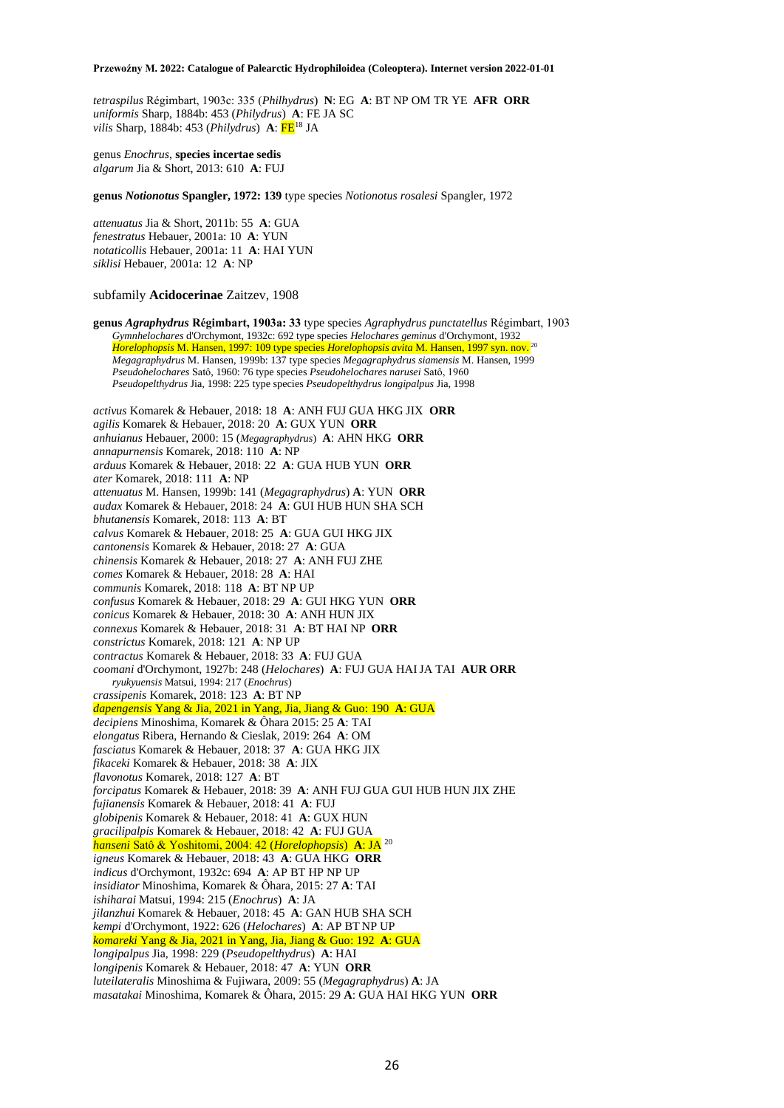*tetraspilus* Régimbart, 1903c: 335 (*Philhydrus*) **N**: EG **A**: BT NP OM TR YE **AFR ORR** *uniformis* Sharp, 1884b: 453 (*Philydrus*) **A**: FE JA SC *vilis* Sharp, 1884b: 453 (*Philydrus*) **A**: FE<sup>18</sup> JA

genus *Enochrus*, **species incertae sedis** *algarum* Jia & Short, 2013: 610 **A**: FUJ

**genus** *Notionotus* **Spangler, 1972: 139** type species *Notionotus rosalesi* Spangler, 1972

*attenuatus* Jia & Short, 2011b: 55 **A**: GUA *fenestratus* Hebauer, 2001a: 10 **A**: YUN *notaticollis* Hebauer, 2001a: 11 **A**: HAI YUN *siklisi* Hebauer, 2001a: 12 **A**: NP

### subfamily **Acidocerinae** Zaitzev, 1908

**genus** *Agraphydrus* **Régimbart, 1903a: 33** type species *Agraphydrus punctatellus* Régimbart, 1903 *Gymnhelochares* d'Orchymont, 1932c: 692 type species *Helochares geminus* d'Orchymont, 1932 *Horelophopsis* M. Hansen, 1997: 109 type species *Horelophopsis avita* M. Hansen, 1997 syn. nov. <sup>20</sup> *Megagraphydrus* M. Hansen, 1999b: 137 type species *Megagraphydrus siamensis* M. Hansen, 1999 *Pseudohelochares* Satô, 1960: 76 type species *Pseudohelochares narusei* Satô, 1960 *Pseudopelthydrus* Jia, 1998: 225 type species *Pseudopelthydrus longipalpus* Jia, 1998 *activus* Komarek & Hebauer, 2018: 18 **A**: ANH FUJ GUA HKG JIX **ORR** *agilis* Komarek & Hebauer, 2018: 20 **A**: GUX YUN **ORR** *anhuianus* Hebauer, 2000: 15 (*Megagraphydrus*) **A**: AHN HKG **ORR** *annapurnensis* Komarek, 2018: 110 **A**: NP *arduus* Komarek & Hebauer, 2018: 22 **A**: GUA HUB YUN **ORR** *ater* Komarek, 2018: 111 **A**: NP *attenuatus* M. Hansen, 1999b: 141 (*Megagraphydrus*) **A**: YUN **ORR** *audax* Komarek & Hebauer, 2018: 24 **A**: GUI HUB HUN SHA SCH *bhutanensis* Komarek, 2018: 113 **A**: BT *calvus* Komarek & Hebauer, 2018: 25 **A**: GUA GUI HKG JIX *cantonensis* Komarek & Hebauer, 2018: 27 **A**: GUA *chinensis* Komarek & Hebauer, 2018: 27 **A**: ANH FUJ ZHE *comes* Komarek & Hebauer, 2018: 28 **A**: HAI *communis* Komarek, 2018: 118 **A**: BT NP UP *confusus* Komarek & Hebauer, 2018: 29 **A**: GUI HKG YUN **ORR** *conicus* Komarek & Hebauer, 2018: 30 **A**: ANH HUN JIX *connexus* Komarek & Hebauer, 2018: 31 **A**: BT HAI NP **ORR** *constrictus* Komarek, 2018: 121 **A**: NP UP *contractus* Komarek & Hebauer, 2018: 33 **A**: FUJ GUA *coomani* d'Orchymont, 1927b: 248 (*Helochares*) **A**: FUJ GUA HAIJA TAI **AUR ORR** *ryukyuensis* Matsui, 1994: 217 (*Enochrus*) *crassipenis* Komarek, 2018: 123 **A**: BT NP *dapengensis* Yang & Jia, 2021 in Yang, Jia, Jiang & Guo: 190 **A**: GUA *decipiens* Minoshima, Komarek & Ôhara 2015: 25 **A**: TAI *elongatus* Ribera, Hernando & Cieslak, 2019: 264 **A**: OM *fasciatus* Komarek & Hebauer, 2018: 37 **A**: GUA HKG JIX *fikaceki* Komarek & Hebauer, 2018: 38 **A**: JIX *flavonotus* Komarek, 2018: 127 **A**: BT *forcipatus* Komarek & Hebauer, 2018: 39 **A**: ANH FUJ GUA GUI HUB HUN JIX ZHE *fujianensis* Komarek & Hebauer, 2018: 41 **A**: FUJ *globipenis* Komarek & Hebauer, 2018: 41 **A**: GUX HUN *gracilipalpis* Komarek & Hebauer, 2018: 42 **A**: FUJ GUA *hanseni* Satô & Yoshitomi, 2004: 42 (*Horelophopsis*) **A**: JA <sup>20</sup> *igneus* Komarek & Hebauer, 2018: 43 **A**: GUA HKG **ORR** *indicus* d'Orchymont, 1932c: 694 **A**: AP BT HP NP UP *insidiator* Minoshima, Komarek & Ôhara, 2015: 27 **A**: TAI *ishiharai* Matsui, 1994: 215 (*Enochrus*) **A**: JA *jilanzhui* Komarek & Hebauer, 2018: 45 **A**: GAN HUB SHA SCH *kempi* d'Orchymont, 1922: 626 (*Helochares*) **A**: AP BT NP UP *komareki* Yang & Jia, 2021 in Yang, Jia, Jiang & Guo: 192 **A**: GUA *longipalpus* Jia, 1998: 229 (*Pseudopelthydrus*) **A**: HAI *longipenis* Komarek & Hebauer, 2018: 47 **A**: YUN **ORR** *luteilateralis* Minoshima & Fujiwara, 2009: 55 (*Megagraphydrus*) **A**: JA *masatakai* Minoshima, Komarek & Ôhara, 2015: 29 **A**: GUA HAI HKG YUN **ORR**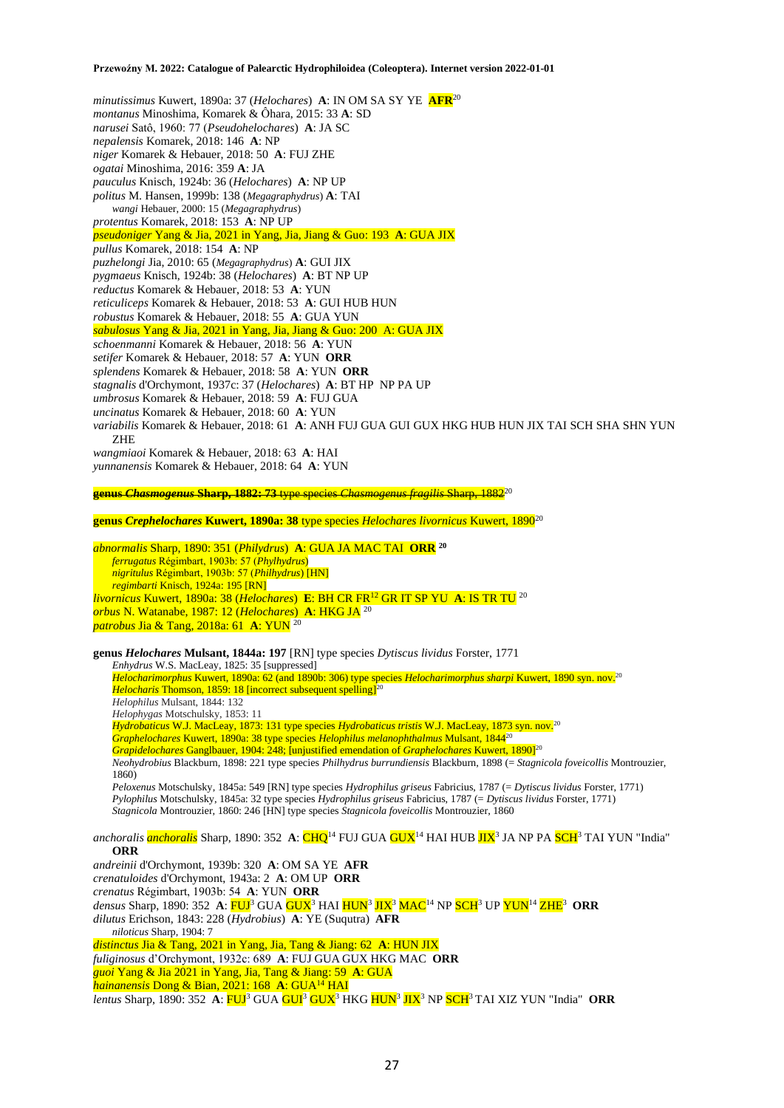*minutissimus* Kuwert, 1890a: 37 (*Helochares*) **A**: IN OM SA SY YE **AFR**<sup>20</sup> *montanus* Minoshima, Komarek & Ôhara, 2015: 33 **A**: SD *narusei* Satô, 1960: 77 (*Pseudohelochares*) **A**: JA SC *nepalensis* Komarek, 2018: 146 **A**: NP *niger* Komarek & Hebauer, 2018: 50 **A**: FUJ ZHE *ogatai* Minoshima, 2016: 359 **A**: JA *pauculus* Knisch, 1924b: 36 (*Helochares*) **A**: NP UP *politus* M. Hansen, 1999b: 138 (*Megagraphydrus*) **A**: TAI *wangi* Hebauer, 2000: 15 (*Megagraphydrus*) *protentus* Komarek, 2018: 153 **A**: NP UP *pseudoniger* Yang & Jia, 2021 in Yang, Jia, Jiang & Guo: 193 **A**: GUA JIX *pullus* Komarek, 2018: 154 **A**: NP *puzhelongi* Jia, 2010: 65 (*Megagraphydrus*) **A**: GUI JIX *pygmaeus* Knisch, 1924b: 38 (*Helochares*) **A**: BT NP UP *reductus* Komarek & Hebauer, 2018: 53 **A**: YUN *reticuliceps* Komarek & Hebauer, 2018: 53 **A**: GUI HUB HUN *robustus* Komarek & Hebauer, 2018: 55 **A**: GUA YUN *sabulosus* Yang & Jia, 2021 in Yang, Jia, Jiang & Guo: 200 A: GUA JIX *schoenmanni* Komarek & Hebauer, 2018: 56 **A**: YUN *setifer* Komarek & Hebauer, 2018: 57 **A**: YUN **ORR** *splendens* Komarek & Hebauer, 2018: 58 **A**: YUN **ORR** *stagnalis* d'Orchymont, 1937c: 37 (*Helochares*) **A**: BT HP NP PA UP *umbrosus* Komarek & Hebauer, 2018: 59 **A**: FUJ GUA *uncinatus* Komarek & Hebauer, 2018: 60 **A**: YUN *variabilis* Komarek & Hebauer, 2018: 61 **A**: ANH FUJ GUA GUI GUX HKG HUB HUN JIX TAI SCH SHA SHN YUN ZHE *wangmiaoi* Komarek & Hebauer, 2018: 63 **A**: HAI *yunnanensis* Komarek & Hebauer, 2018: 64 **A**: YUN

**genus** *Chasmogenus* **Sharp, 1882: 73** type species *Chasmogenus fragilis* Sharp, 1882<sup>20</sup>

**genus** *Crephelochares* **Kuwert, 1890a: 38** type species *Helochares livornicus* Kuwert, 1890<sup>20</sup>

*abnormalis* Sharp, 1890: 351 (*Philydrus*) **A**: GUA JA MAC TAI **ORR <sup>20</sup>** *ferrugatus* Régimbart, 1903b: 57 (*Phylhydrus*) *nigritulus* Régimbart, 1903b: 57 (*Philhydrus*) [HN] *regimbarti* Knisch, 1924a: 195 [RN] *livornicus* Kuwert, 1890a: 38 (*Helochares*) **E**: BH CR FR<sup>12</sup> GR IT SP YU **A**: IS TR TU <sup>20</sup> *orbus* N. Watanabe, 1987: 12 (*Helochares*) **A**: HKG JA <sup>20</sup> *patrobus* Jia & Tang, 2018a: 61 **A**: YUN <sup>20</sup>

**genus** *Helochares* **Mulsant, 1844a: 197** [RN] type species *Dytiscus lividus* Forster, 1771

*Enhydrus* W.S. MacLeay, 1825: 35 [suppressed] *Helocharimorphus* Kuwert, 1890a: 62 (and 1890b: 306) type species *Helocharimorphus sharpi* Kuwert, 1890 syn. nov.<sup>20</sup> *Helocharis* Thomson, 1859: 18 [incorrect subsequent spelling]<sup>20</sup> *Helophilus* Mulsant, 1844: 132 *Helophygas* Motschulsky, 1853: 11 *Hydrobaticus* W.J. MacLeay, 1873: 131 type species *Hydrobaticus tristis* W.J. MacLeay, 1873 syn. nov.<sup>20</sup> *Graphelochares* Kuwert, 1890a: 38 type species *Helophilus melanophthalmus* Mulsant, 1844<sup>20</sup> *Grapidelochares* Ganglbauer, 1904: 248; [unjustified emendation of *Graphelochares* Kuwert, 1890]<sup>20</sup> *Neohydrobius* Blackburn, 1898: 221 type species *Philhydrus burrundiensis* Blackburn, 1898 (= *Stagnicola foveicollis* Montrouzier, 1860) *Peloxenus* Motschulsky, 1845a: 549 [RN] type species *Hydrophilus griseus* Fabricius, 1787 (= *Dytiscus lividus* Forster, 1771) *Pylophilus* Motschulsky, 1845a: 32 type species *Hydrophilus griseus* Fabricius, 1787 (= *Dytiscus lividus* Forster, 1771) *Stagnicola* Montrouzier, 1860: 246 [HN] type species *Stagnicola foveicollis* Montrouzier, 1860 *anchoralis <mark>anchoralis</mark> S*harp, 1890: 352 A: <mark>CHQ</mark><sup>14</sup> FUJ GUA <mark>GUX</mark><sup>14</sup> HAI HUB <mark>JIX</mark><sup>3</sup> JA NP PA <mark>SCH</mark><sup>3</sup> TAI YUN "India" **ORR** *andreinii* d'Orchymont, 1939b: 320 **A**: OM SA YE **AFR** *crenatuloides* d'Orchymont, 1943a: 2 **A**: OM UP **ORR**

*crenatus* Régimbart, 1903b: 54 **A**: YUN **ORR** *densus* Sharp, 1890: 352 **A**: FUJ<sup>3</sup> GUA GUX<sup>3</sup> HAI HUN<sup>3</sup> JIX<sup>3</sup> MAC<sup>14</sup> NP SCH<sup>3</sup> UP YUN<sup>14</sup> ZHE<sup>3</sup> **ORR** *dilutus* Erichson, 1843: 228 (*Hydrobius*) **A**: YE (Suqutra) **AFR** *niloticus* Sharp, 1904: 7 *distinctus* Jia & Tang, 2021 in Yang, Jia, Tang & Jiang: 62 **A**: HUN JIX *fuliginosus* d'Orchymont, 1932c: 689 **A**: FUJ GUA GUX HKG MAC **ORR** *guoi* Yang & Jia 2021 in Yang, Jia, Tang & Jiang: 59 **A**: GUA *hainanensis* Dong & Bian, 2021: 168 **A**: GUA<sup>14</sup> HAI

*lentus* Sharp, 1890: 352 **A**: FUJ<sup>3</sup> GUA GUI<sup>3</sup> GUX<sup>3</sup> HKG HUN<sup>3</sup> JIX<sup>3</sup> NP SCH<sup>3</sup> TAI XIZ YUN "India" **ORR**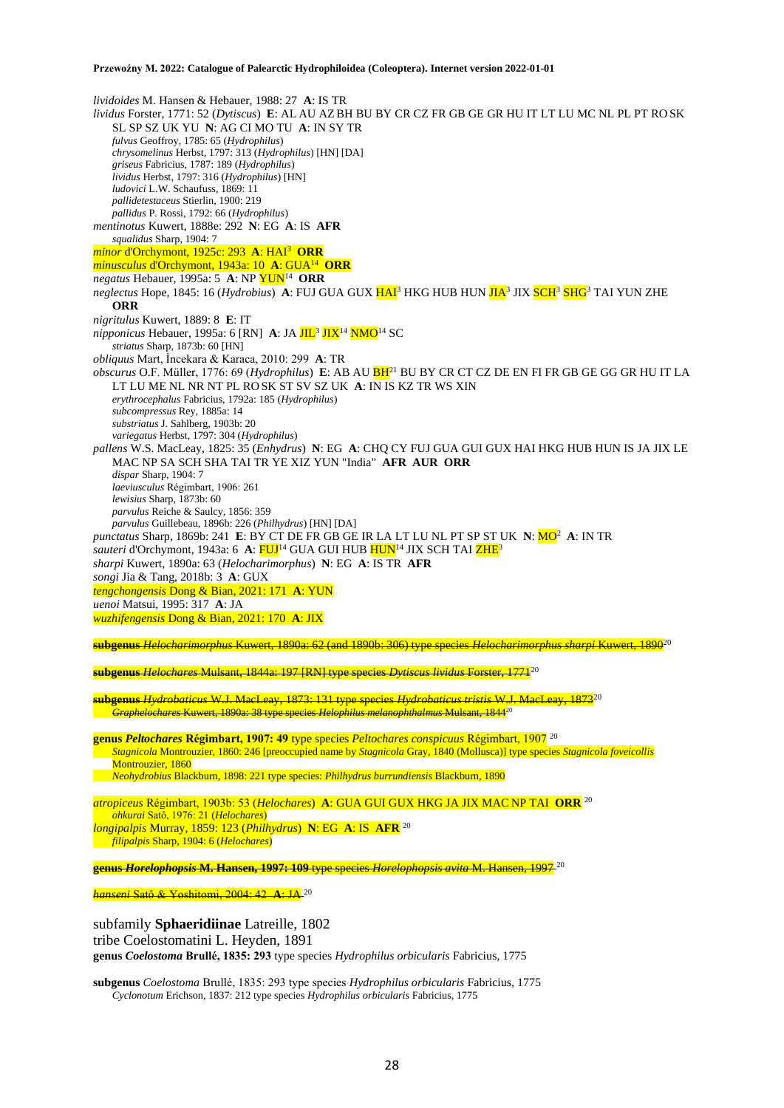*lividoides* M. Hansen & Hebauer, 1988: 27 **A**: IS TR *lividus* Forster, 1771: 52 (*Dytiscus*) **E**: AL AU AZBH BU BY CR CZ FR GB GE GR HU IT LT LU MC NL PL PT RO SK SL SP SZ UK YU **N**: AG CI MO TU **A**: IN SY TR *fulvus* Geoffroy, 1785: 65 (*Hydrophilus*) *chrysomelinus* Herbst, 1797: 313 (*Hydrophilus*) [HN] [DA] *griseus* Fabricius, 1787: 189 (*Hydrophilus*) *lividus* Herbst, 1797: 316 (*Hydrophilus*) [HN] *ludovici* L.W. Schaufuss, 1869: 11 *pallidetestaceus* Stierlin, 1900: 219 *pallidus* P. Rossi, 1792: 66 (*Hydrophilus*) *mentinotus* Kuwert, 1888e: 292 **N**: EG **A**: IS **AFR** *squalidus* Sharp, 1904: 7 *minor* d'Orchymont, 1925c: 293 **A**: HAI<sup>3</sup> **ORR** *minusculus* d'Orchymont, 1943a: 10 **A**: GUA<sup>14</sup> **ORR** *negatus* Hebauer, 1995a: 5 **A**: NP YUN<sup>14</sup> **ORR** *neglectus* Hope, 1845: 16 (*Hydrobius*) **A**: FUJ GUA GUX HAI<sup>3</sup> HKG HUB HUN JIA<sup>3</sup> JIX SCH<sup>3</sup> SHG<sup>3</sup> TAI YUN ZHE **ORR** *nigritulus* Kuwert, 1889: 8 **E**: IT *nipponicus* Hebauer, 1995a: 6 [RN] A: JA <mark>JIL<sup>3</sup> JIX</mark><sup>14</sup> <mark>NMO</mark><sup>14</sup> SC *striatus* Sharp, 1873b: 60 [HN] *obliquus* Mart, İncekara & Karaca, 2010: 299 **A**: TR *obscurus* O.F. Müller, 1776: 69 (*Hydrophilus*) **E**: AB AU BH<sup>21</sup> BU BY CR CT CZ DE EN FI FR GB GE GG GR HU IT LA LT LU ME NL NR NT PL RO SK ST SV SZ UK **A**: IN IS KZ TR WS XIN *erythrocephalus* Fabricius, 1792a: 185 (*Hydrophilus*) *subcompressus* Rey, 1885a: 14 *substriatus* J. Sahlberg, 1903b: 20 *variegatus* Herbst, 1797: 304 (*Hydrophilus*) *pallens* W.S. MacLeay, 1825: 35 (*Enhydrus*) **N**: EG **A**: CHQ CY FUJ GUA GUI GUX HAI HKG HUB HUN IS JA JIX LE MAC NP SA SCH SHA TAI TR YE XIZ YUN "India" **AFR AUR ORR** *dispar* Sharp, 1904: 7 *laeviusculus* Régimbart, 1906: 261 *lewisius* Sharp, 1873b: 60 *parvulus* Reiche & Saulcy, 1856: 359 *parvulus* Guillebeau, 1896b: 226 (*Philhydrus*) [HN] [DA] *punctatus* Sharp, 1869b: 241 **E**: BY CT DE FR GB GE IR LA LT LU NL PT SP ST UK **N**: MO<sup>2</sup> **A**: IN TR sauteri d'Orchymont, 1943a: 6 A: FUJ<sup>14</sup> GUA GUI HUB HUN<sup>14</sup> JIX SCH TAI ZHE<sup>3</sup> *sharpi* Kuwert, 1890a: 63 (*Helocharimorphus*) **N**: EG **A**: IS TR **AFR** *songi* Jia & Tang, 2018b: 3 **A**: GUX *tengchongensis* Dong & Bian, 2021: 171 **A**: YUN *uenoi* Matsui, 1995: 317 **A**: JA *wuzhifengensis* Dong & Bian, 2021: 170 **A**: JIX **subgenus** *Helocharimorphus* Kuwert, 1890a: 62 (and 1890b: 306) type species *Helocharimorphus sharpi* Kuwert, 1890<sup>20</sup> **subgenus** *Helochares* Mulsant, 1844a: 197 [RN] type species *Dytiscus lividus* Forster, 1771<sup>20</sup> **subgenus** *Hydrobaticus* W.J. MacLeay, 1873: 131 type species *Hydrobaticus tristis* W.J. MacLeay, 1873<sup>20</sup> *Graphelochares* Kuwert, 1890a: 38 type species *Helophilus melanophthalmus* Mulsant, 1844<sup>20</sup> **genus** *Peltochares* **Régimbart, 1907: 49** type species *Peltochares conspicuus* Régimbart, 1907 <sup>20</sup>

*Stagnicola* Montrouzier, 1860: 246 [preoccupied name by *Stagnicola* Gray, 1840 (Mollusca)] type species *Stagnicola foveicollis*

Montrouzier, 1860

*Neohydrobius* Blackburn, 1898: 221 type species: *Philhydrus burrundiensis* Blackburn, 1890

*atropiceus* Régimbart, 1903b: 53 (*Helochares*) **A**: GUA GUI GUX HKG JA JIX MAC NP TAI **ORR** <sup>20</sup> *ohkurai* Satô, 1976: 21 (*Helochares*) *longipalpis* Murray, 1859: 123 (*Philhydrus*) **N**: EG **A**: IS **AFR** <sup>20</sup> *filipalpis* Sharp, 1904: 6 (*Helochares*)

**genus** *Horelophopsis* **M. Hansen, 1997: 109** type species *Horelophopsis avita* M. Hansen, 1997 <sup>20</sup>

*hanseni* Satô & Yoshitomi, 2004: 42 **A**: JA <sup>20</sup>

subfamily **Sphaeridiinae** Latreille, 1802 tribe Coelostomatini L. Heyden, 1891 **genus** *Coelostoma* **Brullé, 1835: 293** type species *Hydrophilus orbicularis* Fabricius, 1775

**subgenus** *Coelostoma* Brullé, 1835: 293 type species *Hydrophilus orbicularis* Fabricius, 1775 *Cyclonotum* Erichson, 1837: 212 type species *Hydrophilus orbicularis* Fabricius, 1775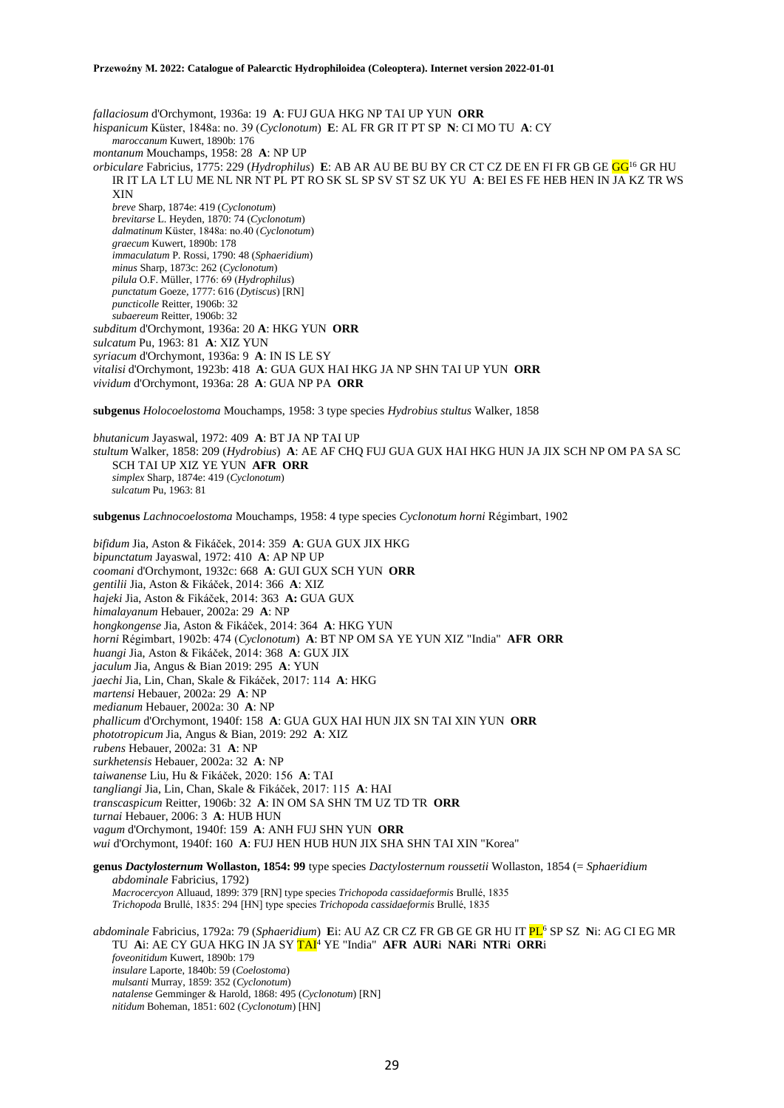*fallaciosum* d'Orchymont, 1936a: 19 **A**: FUJ GUA HKG NP TAI UP YUN **ORR** *hispanicum* Küster, 1848a: no. 39 (*Cyclonotum*) **E**: AL FR GR IT PT SP **N**: CI MO TU **A**: CY *maroccanum* Kuwert, 1890b: 176 *montanum* Mouchamps, 1958: 28 **A**: NP UP *orbiculare* Fabricius, 1775: 229 (*Hydrophilus*) **E**: AB AR AU BE BU BY CR CT CZ DE EN FI FR GB GE GG<sup>16</sup> GR HU IR IT LA LT LU ME NL NR NT PL PT RO SK SL SP SV ST SZ UK YU **A**: BEI ES FE HEB HEN IN JA KZ TR WS XIN *breve* Sharp, 1874e: 419 (*Cyclonotum*) *brevitarse* L. Heyden, 1870: 74 (*Cyclonotum*) *dalmatinum* Küster, 1848a: no.40 (*Cyclonotum*) *graecum* Kuwert, 1890b: 178 *immaculatum* P. Rossi, 1790: 48 (*Sphaeridium*) *minus* Sharp, 1873c: 262 (*Cyclonotum*) *pilula* O.F. Müller, 1776: 69 (*Hydrophilus*) *punctatum* Goeze, 1777: 616 (*Dytiscus*) [RN] *puncticolle* Reitter, 1906b: 32 *subaereum* Reitter, 1906b: 32 *subditum* d'Orchymont, 1936a: 20 **A**: HKG YUN **ORR** *sulcatum* Pu, 1963: 81 **A**: XIZ YUN *syriacum* d'Orchymont, 1936a: 9 **A**: IN IS LE SY *vitalisi* d'Orchymont, 1923b: 418 **A**: GUA GUX HAI HKG JA NP SHN TAI UP YUN **ORR** *vividum* d'Orchymont, 1936a: 28 **A**: GUA NP PA **ORR**

**subgenus** *Holocoelostoma* Mouchamps, 1958: 3 type species *Hydrobius stultus* Walker, 1858

*bhutanicum* Jayaswal, 1972: 409 **A**: BT JA NP TAI UP *stultum* Walker, 1858: 209 (*Hydrobius*) **A**: AE AF CHQ FUJ GUA GUX HAI HKG HUN JA JIX SCH NP OM PA SA SC SCH TAI UP XIZ YE YUN **AFR ORR** *simplex* Sharp, 1874e: 419 (*Cyclonotum*) *sulcatum* Pu, 1963: 81

**subgenus** *Lachnocoelostoma* Mouchamps, 1958: 4 type species *Cyclonotum horni* Régimbart, 1902

*bifidum* Jia, Aston & Fikáček, 2014: 359 **A**: GUA GUX JIX HKG *bipunctatum* Jayaswal, 1972: 410 **A**: AP NP UP *coomani* d'Orchymont, 1932c: 668 **A**: GUI GUX SCH YUN **ORR** *gentilii* Jia, Aston & Fikáček, 2014: 366 **A**: XIZ *hajeki* Jia, Aston & Fikáček, 2014: 363 **A:** GUA GUX *himalayanum* Hebauer, 2002a: 29 **A**: NP *hongkongense* Jia, Aston & Fikáček, 2014: 364 **A**: HKG YUN *horni* Régimbart, 1902b: 474 (*Cyclonotum*) **A**: BT NP OM SA YE YUN XIZ "India" **AFR ORR** *huangi* Jia, Aston & Fikáček, 2014: 368 **A**: GUX JIX *jaculum* Jia, Angus & Bian 2019: 295 **A**: YUN *jaechi* Jia, Lin, Chan, Skale & Fikáček, 2017: 114 **A**: HKG *martensi* Hebauer, 2002a: 29 **A**: NP *medianum* Hebauer, 2002a: 30 **A**: NP *phallicum* d'Orchymont, 1940f: 158 **A**: GUA GUX HAI HUN JIX SN TAI XIN YUN **ORR** *phototropicum* Jia, Angus & Bian, 2019: 292 **A**: XIZ *rubens* Hebauer, 2002a: 31 **A**: NP *surkhetensis* Hebauer, 2002a: 32 **A**: NP *taiwanense* Liu, Hu & Fikáček, 2020: 156 **A**: TAI *tangliangi* Jia, Lin, Chan, Skale & Fikáček, 2017: 115 **A**: HAI *transcaspicum* Reitter, 1906b: 32 **A**: IN OM SA SHN TM UZ TD TR **ORR** *turnai* Hebauer, 2006: 3 **A**: HUB HUN *vagum* d'Orchymont, 1940f: 159 **A**: ANH FUJ SHN YUN **ORR** *wui* d'Orchymont, 1940f: 160 **A**: FUJ HEN HUB HUN JIX SHA SHN TAI XIN "Korea" **genus** *Dactylosternum* **Wollaston, 1854: 99** type species *Dactylosternum roussetii* Wollaston, 1854 (= *Sphaeridium abdominale* Fabricius, 1792) *Macrocercyon* Alluaud, 1899: 379 [RN] type species *Trichopoda cassidaeformis* Brullé, 1835

*Trichopoda* Brullé, 1835: 294 [HN] type species *Trichopoda cassidaeformis* Brullé, 1835

*abdominale* Fabricius, 1792a: 79 (*Sphaeridium*) **E**i: AU AZ CR CZ FR GB GE GR HU IT PL<sup>6</sup> SP SZ **N**i: AG CI EG MR TU **A**i: AE CY GUA HKG IN JA SY TAI<sup>4</sup> YE "India" **AFR AUR**i **NAR**i **NTR**i **ORR**i *foveonitidum* Kuwert, 1890b: 179 *insulare* Laporte, 1840b: 59 (*Coelostoma*) *mulsanti* Murray, 1859: 352 (*Cyclonotum*) *natalense* Gemminger & Harold, 1868: 495 (*Cyclonotum*) [RN] *nitidum* Boheman, 1851: 602 (*Cyclonotum*) [HN]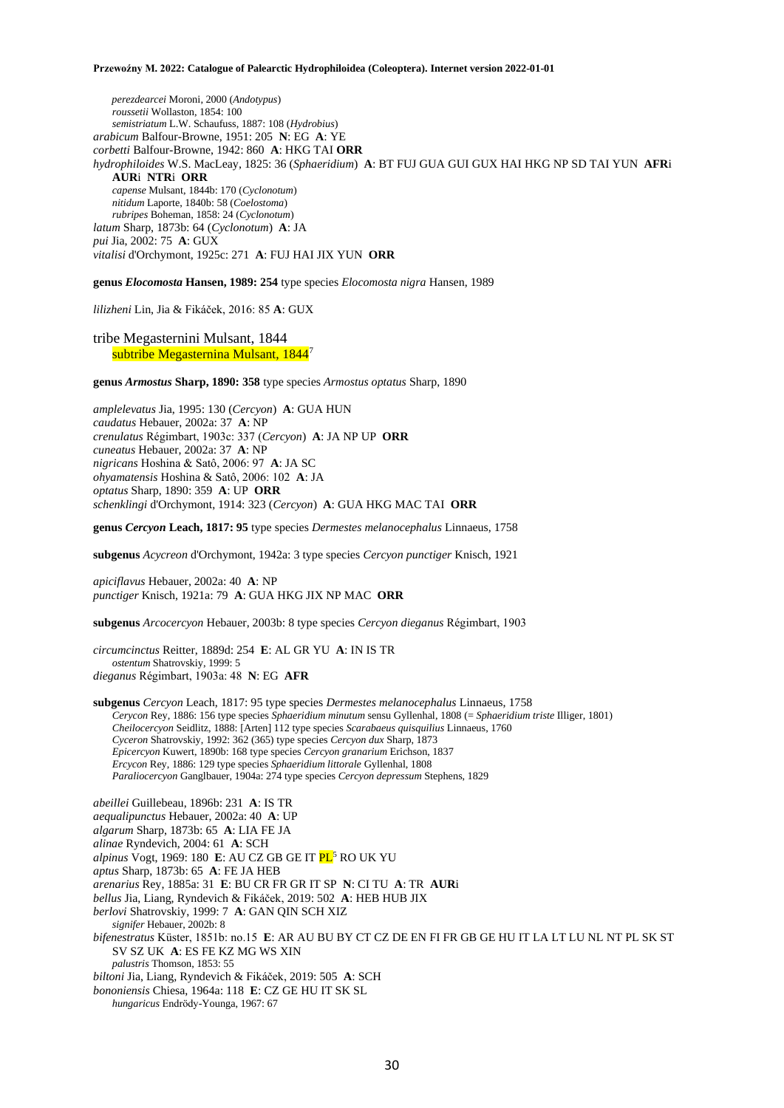*perezdearcei* Moroni, 2000 (*Andotypus*) *roussetii* Wollaston, 1854: 100 *semistriatum* L.W. Schaufuss, 1887: 108 (*Hydrobius*) *arabicum* Balfour-Browne, 1951: 205 **N**: EG **A**: YE *corbetti* Balfour-Browne, 1942: 860 **A**: HKG TAI **ORR** *hydrophiloides* W.S. MacLeay, 1825: 36 (*Sphaeridium*) **A**: BT FUJ GUA GUI GUX HAI HKG NP SD TAI YUN **AFR**i **AUR**i **NTR**i **ORR** *capense* Mulsant, 1844b: 170 (*Cyclonotum*) *nitidum* Laporte, 1840b: 58 (*Coelostoma*) *rubripes* Boheman, 1858: 24 (*Cyclonotum*) *latum* Sharp, 1873b: 64 (*Cyclonotum*) **A**: JA *pui* Jia, 2002: 75 **A**: GUX *vitalisi* d'Orchymont, 1925c: 271 **A**: FUJ HAI JIX YUN **ORR**

**genus** *Elocomosta* **Hansen, 1989: 254** type species *Elocomosta nigra* Hansen, 1989

*lilizheni* Lin, Jia & Fikáček, 2016: 85 **A**: GUX

tribe Megasternini Mulsant, 1844 subtribe Megasternina Mulsant, 1844<sup>7</sup>

**genus** *Armostus* **Sharp, 1890: 358** type species *Armostus optatus* Sharp, 1890

*amplelevatus* Jia, 1995: 130 (*Cercyon*) **A**: GUA HUN *caudatus* Hebauer, 2002a: 37 **A**: NP *crenulatus* Régimbart, 1903c: 337 (*Cercyon*) **A**: JA NP UP **ORR** *cuneatus* Hebauer, 2002a: 37 **A**: NP *nigricans* Hoshina & Satô, 2006: 97 **A**: JA SC *ohyamatensis* Hoshina & Satô, 2006: 102 **A**: JA *optatus* Sharp, 1890: 359 **A**: UP **ORR** *schenklingi* d'Orchymont, 1914: 323 (*Cercyon*) **A**: GUA HKG MAC TAI **ORR**

**genus** *Cercyon* **Leach, 1817: 95** type species *Dermestes melanocephalus* Linnaeus, 1758

**subgenus** *Acycreon* d'Orchymont, 1942a: 3 type species *Cercyon punctiger* Knisch, 1921

*apiciflavus* Hebauer, 2002a: 40 **A**: NP *punctiger* Knisch, 1921a: 79 **A**: GUA HKG JIX NP MAC **ORR**

**subgenus** *Arcocercyon* Hebauer, 2003b: 8 type species *Cercyon dieganus* Régimbart, 1903

*circumcinctus* Reitter, 1889d: 254 **E**: AL GR YU **A**: IN IS TR *ostentum* Shatrovskiy, 1999: 5 *dieganus* Régimbart, 1903a: 48 **N**: EG **AFR**

**subgenus** *Cercyon* Leach, 1817: 95 type species *Dermestes melanocephalus* Linnaeus, 1758 *Cerycon* Rey, 1886: 156 type species *Sphaeridium minutum* sensu Gyllenhal, 1808 (= *Sphaeridium triste* Illiger, 1801) *Cheilocercyon* Seidlitz, 1888: [Arten] 112 type species *Scarabaeus quisquilius* Linnaeus, 1760 *Cyceron* Shatrovskiy, 1992: 362 (365) type species *Cercyon dux* Sharp, 1873 *Epicercyon* Kuwert, 1890b: 168 type species *Cercyon granarium* Erichson, 1837 *Ercycon* Rey, 1886: 129 type species *Sphaeridium littorale* Gyllenhal, 1808 *Paraliocercyon* Ganglbauer, 1904a: 274 type species *Cercyon depressum* Stephens, 1829

*abeillei* Guillebeau, 1896b: 231 **A**: IS TR *aequalipunctus* Hebauer, 2002a: 40 **A**: UP *algarum* Sharp, 1873b: 65 **A**: LIA FE JA *alinae* Ryndevich, 2004: 61 **A**: SCH *alpinus* Vogt, 1969: 180 **E**: AU CZ GB GE IT PL<sup>5</sup> RO UK YU *aptus* Sharp, 1873b: 65 **A**: FE JA HEB *arenarius* Rey, 1885a: 31 **E**: BU CR FR GR IT SP **N**: CI TU **A**: TR **AUR**i *bellus* Jia, Liang, Ryndevich & Fikáček, 2019: 502 **A**: HEB HUB JIX *berlovi* Shatrovskiy, 1999: 7 **A**: GAN QIN SCH XIZ *signifer* Hebauer, 2002b: 8 *bifenestratus* Küster, 1851b: no.15 **E**: AR AU BU BY CT CZ DE EN FI FR GB GE HU IT LA LT LU NL NT PL SK ST SV SZ UK **A**: ES FE KZ MG WS XIN *palustris* Thomson, 1853: 55 *biltoni* Jia, Liang, Ryndevich & Fikáček, 2019: 505 **A**: SCH *bononiensis* Chiesa, 1964a: 118 **E**: CZ GE HU IT SK SL

*hungaricus* Endrödy-Younga, 1967: 67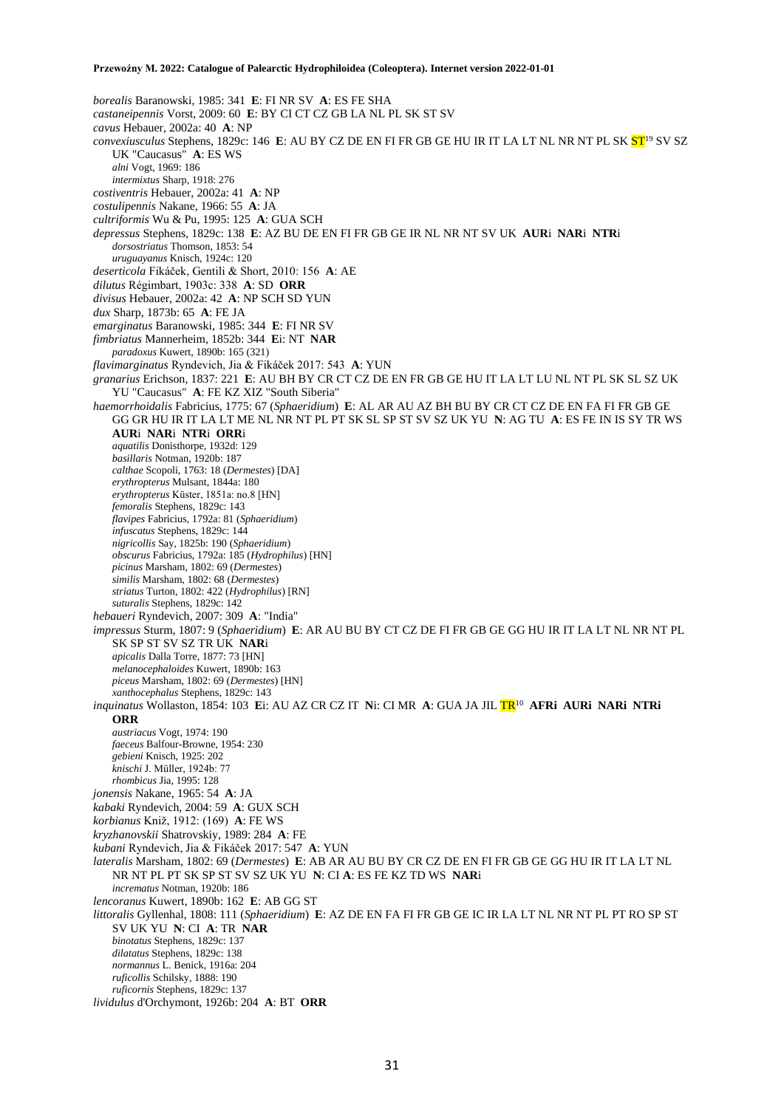*borealis* Baranowski, 1985: 341 **E**: FI NR SV **A**: ES FE SHA *castaneipennis* Vorst, 2009: 60 **E**: BY CI CT CZ GB LA NL PL SK ST SV *cavus* Hebauer, 2002a: 40 **A**: NP *convexiusculus* Stephens, 1829c: 146 **E**: AU BY CZ DE EN FI FR GB GE HU IR IT LA LT NL NR NT PL SK ST<sup>19</sup> SV SZ UK "Caucasus" **A**: ES WS *alni* Vogt, 1969: 186 *intermixtus* Sharp, 1918: 276 *costiventris* Hebauer, 2002a: 41 **A**: NP *costulipennis* Nakane, 1966: 55 **A**: JA *cultriformis* Wu & Pu, 1995: 125 **A**: GUA SCH *depressus* Stephens, 1829c: 138 **E**: AZ BU DE EN FI FR GB GE IR NL NR NT SV UK **AUR**i **NAR**i **NTR**i *dorsostriatus* Thomson, 1853: 54 *uruguayanus* Knisch, 1924c: 120 *deserticola* Fikáček, Gentili & Short, 2010: 156 **A**: AE *dilutus* Régimbart, 1903c: 338 **A**: SD **ORR** *divisus* Hebauer, 2002a: 42 **A**: NP SCH SD YUN *dux* Sharp, 1873b: 65 **A**: FE JA *emarginatus* Baranowski, 1985: 344 **E**: FI NR SV *fimbriatus* Mannerheim, 1852b: 344 **E**i: NT **NAR** *paradoxus* Kuwert, 1890b: 165 (321) *flavimarginatus* Ryndevich, Jia & Fikáček 2017: 543 **A**: YUN *granarius* Erichson, 1837: 221 **E**: AU BH BY CR CT CZ DE EN FR GB GE HU IT LA LT LU NL NT PL SK SL SZ UK YU "Caucasus" **A**: FE KZ XIZ "South Siberia" *haemorrhoidalis* Fabricius, 1775: 67 (*Sphaeridium*) **E**: AL AR AU AZ BH BU BY CR CT CZ DE EN FA FI FR GB GE GG GR HU IR IT LA LT ME NL NR NT PL PT SK SL SP ST SV SZ UK YU **N**: AG TU **A**: ES FE IN IS SY TR WS **AUR**i **NAR**i **NTR**i **ORR**i *aquatilis* Donisthorpe, 1932d: 129 *basillaris* Notman, 1920b: 187 *calthae* Scopoli, 1763: 18 (*Dermestes*) [DA] *erythropterus* Mulsant, 1844a: 180 *erythropterus* Küster, 1851a: no.8 [HN] *femoralis* Stephens, 1829c: 143 *flavipes* Fabricius, 1792a: 81 (*Sphaeridium*) *infuscatus* Stephens, 1829c: 144 *nigricollis* Say, 1825b: 190 (*Sphaeridium*) *obscurus* Fabricius, 1792a: 185 (*Hydrophilus*) [HN] *picinus* Marsham, 1802: 69 (*Dermestes*) *similis* Marsham, 1802: 68 (*Dermestes*) *striatus* Turton, 1802: 422 (*Hydrophilus*) [RN] *suturalis* Stephens, 1829c: 142 *hebaueri* Ryndevich, 2007: 309 **A**: "India" *impressus* Sturm, 1807: 9 (*Sphaeridium*) **E**: AR AU BU BY CT CZ DE FI FR GB GE GG HU IR IT LA LT NL NR NT PL SK SP ST SV SZ TR UK **NAR**i *apicalis* Dalla Torre, 1877: 73 [HN] *melanocephaloides* Kuwert, 1890b: 163 *piceus* Marsham, 1802: 69 (*Dermestes*) [HN] *xanthocephalus* Stephens, 1829c: 143 *inquinatus* Wollaston, 1854: 103 **E**i: AU AZ CR CZ IT **N**i: CI MR **A**: GUA JA JIL TR<sup>10</sup> **AFRi AURi NARi NTRi ORR** *austriacus* Vogt, 1974: 190 *faeceus* Balfour-Browne, 1954: 230 *gebieni* Knisch, 1925: 202 *knischi* J. Müller, 1924b: 77 *rhombicus* Jia, 1995: 128 *jonensis* Nakane, 1965: 54 **A**: JA *kabaki* Ryndevich, 2004: 59 **A**: GUX SCH *korbianus* Kniž, 1912: (169) **A**: FE WS *kryzhanovskii* Shatrovskiy, 1989: 284 **A**: FE *kubani* Ryndevich, Jia & Fikáček 2017: 547 **A**: YUN *lateralis* Marsham, 1802: 69 (*Dermestes*) **E**: AB AR AU BU BY CR CZ DE EN FI FR GB GE GG HU IR IT LA LT NL NR NT PL PT SK SP ST SV SZ UK YU **N**: CI **A**: ES FE KZ TD WS **NAR**i *incrematus* Notman, 1920b: 186 *lencoranus* Kuwert, 1890b: 162 **E**: AB GG ST *littoralis* Gyllenhal, 1808: 111 (*Sphaeridium*) **E**: AZ DE EN FA FI FR GB GE IC IR LA LT NL NR NT PL PT RO SP ST SV UK YU **N**: CI **A**: TR **NAR** *binotatus* Stephens, 1829c: 137 *dilatatus* Stephens, 1829c: 138 *normannus* L. Benick, 1916a: 204 *ruficollis* Schilsky, 1888: 190 *ruficornis* Stephens, 1829c: 137 *lividulus* d'Orchymont, 1926b: 204 **A**: BT **ORR**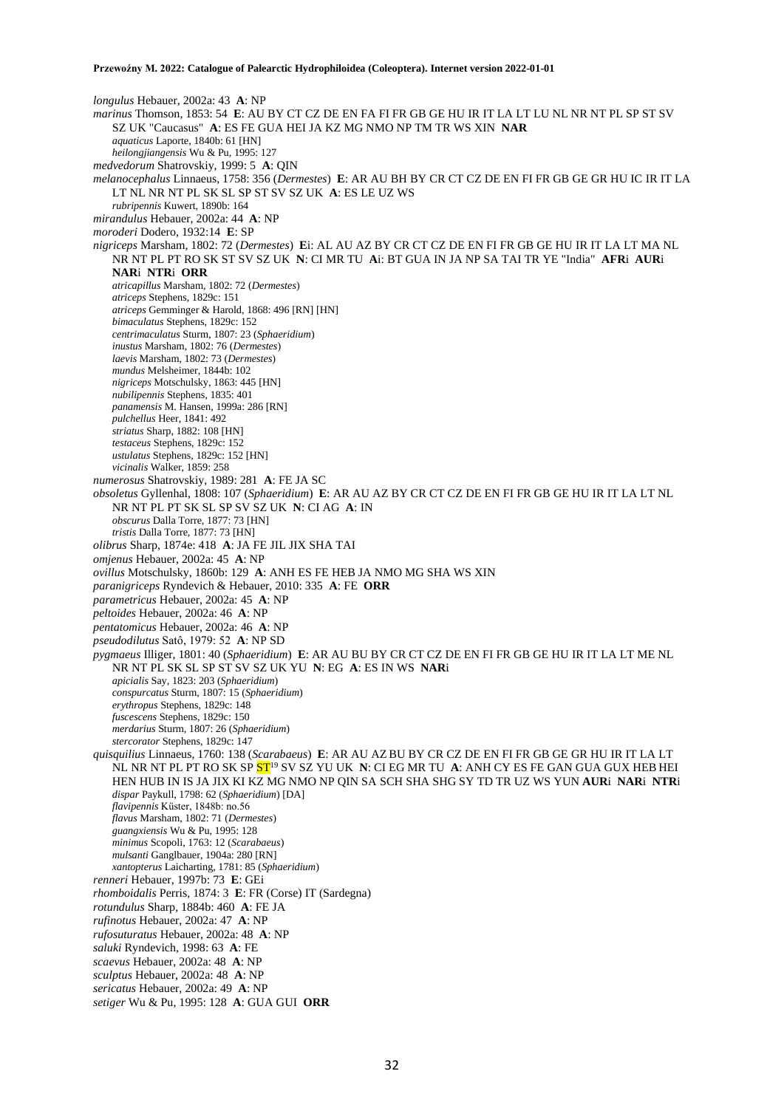*longulus* Hebauer, 2002a: 43 **A**: NP *marinus* Thomson, 1853: 54 **E**: AU BY CT CZ DE EN FA FI FR GB GE HU IR IT LA LT LU NL NR NT PL SP ST SV SZ UK "Caucasus" **A**: ES FE GUA HEI JA KZ MG NMO NP TM TR WS XIN **NAR** *aquaticus* Laporte, 1840b: 61 [HN] *heilongjiangensis* Wu & Pu, 1995: 127 *medvedorum* Shatrovskiy, 1999: 5 **A**: QIN *melanocephalus* Linnaeus, 1758: 356 (*Dermestes*) **E**: AR AU BH BY CR CT CZ DE EN FI FR GB GE GR HU IC IR IT LA LT NL NR NT PL SK SL SP ST SV SZ UK **A**: ES LE UZ WS *rubripennis* Kuwert, 1890b: 164 *mirandulus* Hebauer, 2002a: 44 **A**: NP *moroderi* Dodero, 1932:14 **E**: SP *nigriceps* Marsham, 1802: 72 (*Dermestes*) **E**i: AL AU AZ BY CR CT CZ DE EN FI FR GB GE HU IR IT LA LT MA NL NR NT PL PT RO SK ST SV SZ UK **N**: CI MR TU **A**i: BT GUA IN JA NP SA TAI TR YE "India" **AFR**i **AUR**i **NAR**i **NTR**i **ORR** *atricapillus* Marsham, 1802: 72 (*Dermestes*) *atriceps* Stephens, 1829c: 151 *atriceps* Gemminger & Harold, 1868: 496 [RN] [HN] *bimaculatus* Stephens, 1829c: 152 *centrimaculatus* Sturm, 1807: 23 (*Sphaeridium*) *inustus* Marsham, 1802: 76 (*Dermestes*) *laevis* Marsham, 1802: 73 (*Dermestes*) *mundus* Melsheimer, 1844b: 102 *nigriceps* Motschulsky, 1863: 445 [HN] *nubilipennis* Stephens, 1835: 401 *panamensis* M. Hansen, 1999a: 286 [RN] *pulchellus* Heer, 1841: 492 *striatus* Sharp, 1882: 108 [HN] *testaceus* Stephens, 1829c: 152 *ustulatus* Stephens, 1829c: 152 [HN] *vicinalis* Walker, 1859: 258 *numerosus* Shatrovskiy, 1989: 281 **A**: FE JA SC *obsoletus* Gyllenhal, 1808: 107 (*Sphaeridium*) **E**: AR AU AZ BY CR CT CZ DE EN FI FR GB GE HU IR IT LA LT NL NR NT PL PT SK SL SP SV SZ UK **N**: CI AG **A**: IN *obscurus* Dalla Torre, 1877: 73 [HN] *tristis* Dalla Torre, 1877: 73 [HN] *olibrus* Sharp, 1874e: 418 **A**: JA FE JIL JIX SHA TAI *omjenus* Hebauer, 2002a: 45 **A**: NP *ovillus* Motschulsky, 1860b: 129 **A**: ANH ES FE HEB JA NMO MG SHA WS XIN *paranigriceps* Ryndevich & Hebauer, 2010: 335 **A**: FE **ORR** *parametricus* Hebauer, 2002a: 45 **A**: NP *peltoides* Hebauer, 2002a: 46 **A**: NP *pentatomicus* Hebauer, 2002a: 46 **A**: NP *pseudodilutus* Satô, 1979: 52 **A**: NP SD *pygmaeus* Illiger, 1801: 40 (*Sphaeridium*) **E**: AR AU BU BY CR CT CZ DE EN FI FR GB GE HU IR IT LA LT ME NL NR NT PL SK SL SP ST SV SZ UK YU **N**: EG **A**: ES IN WS **NAR**i *apicialis* Say, 1823: 203 (*Sphaeridium*) *conspurcatus* Sturm, 1807: 15 (*Sphaeridium*) *erythropus* Stephens, 1829c: 148 *fuscescens* Stephens, 1829c: 150 *merdarius* Sturm, 1807: 26 (*Sphaeridium*) *stercorator* Stephens, 1829c: 147 *quisquilius* Linnaeus, 1760: 138 (*Scarabaeus*) **E**: AR AU AZ BU BY CR CZ DE EN FI FR GB GE GR HU IR IT LA LT NL NR NT PL PT RO SK SP ST<sup>19</sup> SV SZ YU UK **N**: CI EG MR TU **A**: ANH CY ES FE GAN GUA GUX HEB HEI HEN HUB IN IS JA JIX KI KZ MG NMO NP QIN SA SCH SHA SHG SY TD TR UZ WS YUN **AUR**i **NAR**i **NTR**i *dispar* Paykull, 1798: 62 (*Sphaeridium*) [DA] *flavipennis* Küster, 1848b: no.56 *flavus* Marsham, 1802: 71 (*Dermestes*) *guangxiensis* Wu & Pu, 1995: 128 *minimus* Scopoli, 1763: 12 (*Scarabaeus*) *mulsanti* Ganglbauer, 1904a: 280 [RN] *xantopterus* Laicharting, 1781: 85 (*Sphaeridium*) *renneri* Hebauer, 1997b: 73 **E**: GEi *rhomboidalis* Perris, 1874: 3 **E**: FR (Corse) IT (Sardegna) *rotundulus* Sharp, 1884b: 460 **A**: FE JA *rufinotus* Hebauer, 2002a: 47 **A**: NP *rufosuturatus* Hebauer, 2002a: 48 **A**: NP *saluki* Ryndevich, 1998: 63 **A**: FE *scaevus* Hebauer, 2002a: 48 **A**: NP *sculptus* Hebauer, 2002a: 48 **A**: NP *sericatus* Hebauer, 2002a: 49 **A**: NP *setiger* Wu & Pu, 1995: 128 **A**: GUA GUI **ORR**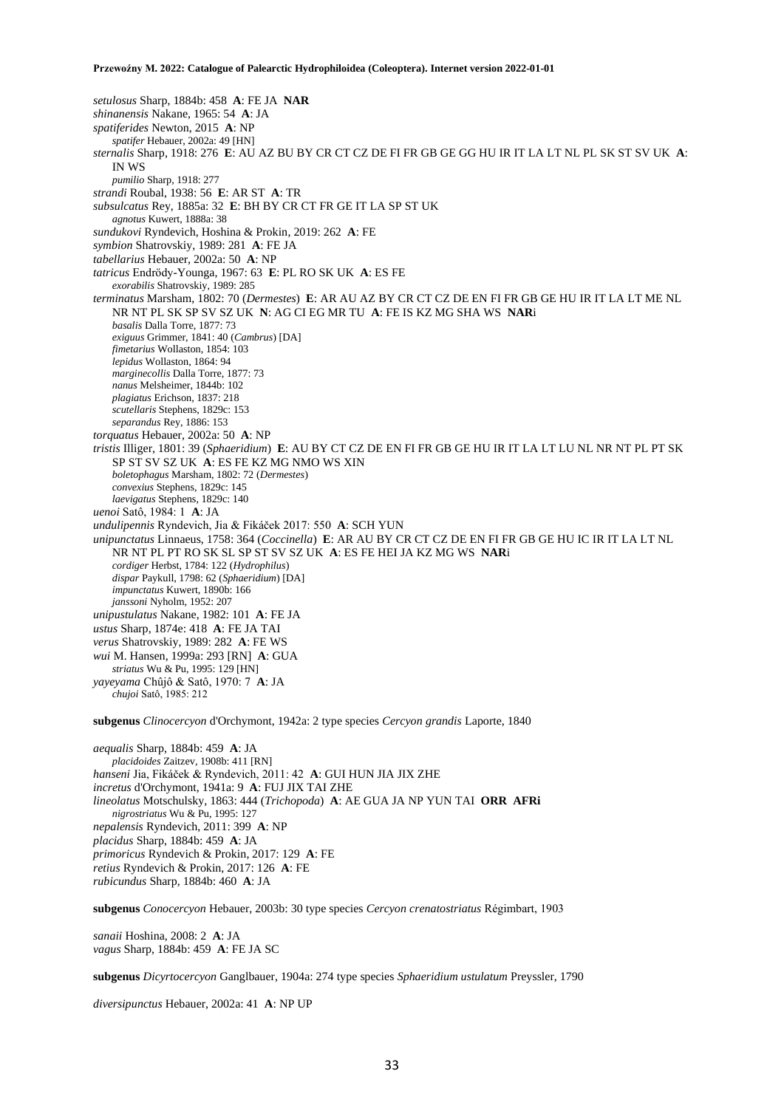*setulosus* Sharp, 1884b: 458 **A**: FE JA **NAR** *shinanensis* Nakane, 1965: 54 **A**: JA *spatiferides* Newton, 2015 **A**: NP *spatifer* Hebauer, 2002a: 49 [HN] *sternalis* Sharp, 1918: 276 **E**: AU AZ BU BY CR CT CZ DE FI FR GB GE GG HU IR IT LA LT NL PL SK ST SV UK **A**: IN WS *pumilio* Sharp, 1918: 277 *strandi* Roubal, 1938: 56 **E**: AR ST **A**: TR *subsulcatus* Rey, 1885a: 32 **E**: BH BY CR CT FR GE IT LA SP ST UK *agnotus* Kuwert, 1888a: 38 *sundukovi* Ryndevich, Hoshina & Prokin, 2019: 262 **A**: FE *symbion* Shatrovskiy, 1989: 281 **A**: FE JA *tabellarius* Hebauer, 2002a: 50 **A**: NP *tatricus* Endrödy-Younga, 1967: 63 **E**: PL RO SK UK **A**: ES FE *exorabilis* Shatrovskiy, 1989: 285 *terminatus* Marsham, 1802: 70 (*Dermestes*) **E**: AR AU AZ BY CR CT CZ DE EN FI FR GB GE HU IR IT LA LT ME NL NR NT PL SK SP SV SZ UK **N**: AG CI EG MR TU **A**: FE IS KZ MG SHA WS **NAR**i *basalis* Dalla Torre, 1877: 73 *exiguus* Grimmer, 1841: 40 (*Cambrus*) [DA] *fimetarius* Wollaston, 1854: 103 *lepidus* Wollaston, 1864: 94 *marginecollis* Dalla Torre, 1877: 73 *nanus* Melsheimer, 1844b: 102 *plagiatus* Erichson, 1837: 218 *scutellaris* Stephens, 1829c: 153 *separandus* Rey, 1886: 153 *torquatus* Hebauer, 2002a: 50 **A**: NP *tristis* Illiger, 1801: 39 (*Sphaeridium*) **E**: AU BY CT CZ DE EN FI FR GB GE HU IR IT LA LT LU NL NR NT PL PT SK SP ST SV SZ UK **A**: ES FE KZ MG NMO WS XIN *boletophagus* Marsham, 1802: 72 (*Dermestes*) *convexius* Stephens, 1829c: 145 *laevigatus* Stephens, 1829c: 140 *uenoi* Satô, 1984: 1 **A**: JA *undulipennis* Ryndevich, Jia & Fikáček 2017: 550 **A**: SCH YUN *unipunctatus* Linnaeus, 1758: 364 (*Coccinella*) **E**: AR AU BY CR CT CZ DE EN FI FR GB GE HU IC IR IT LA LT NL NR NT PL PT RO SK SL SP ST SV SZ UK **A**: ES FE HEI JA KZ MG WS **NAR**i *cordiger* Herbst, 1784: 122 (*Hydrophilus*) *dispar* Paykull, 1798: 62 (*Sphaeridium*) [DA] *impunctatus* Kuwert, 1890b: 166 *janssoni* Nyholm, 1952: 207 *unipustulatus* Nakane, 1982: 101 **A**: FE JA *ustus* Sharp, 1874e: 418 **A**: FE JA TAI *verus* Shatrovskiy, 1989: 282 **A**: FE WS *wui* M. Hansen, 1999a: 293 [RN] **A**: GUA *striatus* Wu & Pu, 1995: 129 [HN] *yayeyama* Chûjô & Satô, 1970: 7 **A**: JA *chujoi* Satô, 1985: 212 **subgenus** *Clinocercyon* d'Orchymont, 1942a: 2 type species *Cercyon grandis* Laporte, 1840

*aequalis* Sharp, 1884b: 459 **A**: JA *placidoides* Zaitzev, 1908b: 411 [RN] *hanseni* Jia, Fikáček & Ryndevich, 2011: 42 **A**: GUI HUN JIA JIX ZHE *incretus* d'Orchymont, 1941a: 9 **A**: FUJ JIX TAI ZHE *lineolatus* Motschulsky, 1863: 444 (*Trichopoda*) **A**: AE GUA JA NP YUN TAI **ORR AFRi**  *nigrostriatus* Wu & Pu, 1995: 127 *nepalensis* Ryndevich, 2011: 399 **A**: NP *placidus* Sharp, 1884b: 459 **A**: JA *primoricus* Ryndevich & Prokin, 2017: 129 **A**: FE *retius* Ryndevich & Prokin, 2017: 126 **A**: FE *rubicundus* Sharp, 1884b: 460 **A**: JA

**subgenus** *Conocercyon* Hebauer, 2003b: 30 type species *Cercyon crenatostriatus* Régimbart, 1903

*sanaii* Hoshina, 2008: 2 **A**: JA *vagus* Sharp, 1884b: 459 **A**: FE JA SC

**subgenus** *Dicyrtocercyon* Ganglbauer, 1904a: 274 type species *Sphaeridium ustulatum* Preyssler, 1790

*diversipunctus* Hebauer, 2002a: 41 **A**: NP UP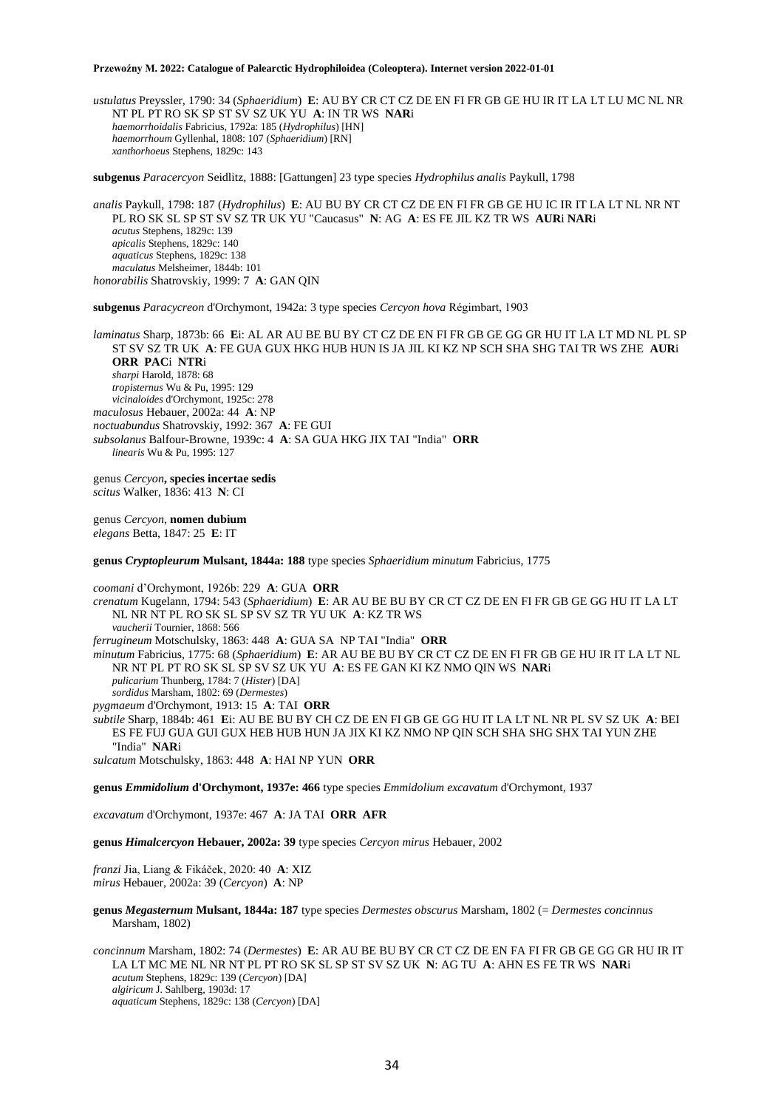*ustulatus* Preyssler, 1790: 34 (*Sphaeridium*) **E**: AU BY CR CT CZ DE EN FI FR GB GE HU IR IT LA LT LU MC NL NR NT PL PT RO SK SP ST SV SZ UK YU **A**: IN TR WS **NAR**i *haemorrhoidalis* Fabricius, 1792a: 185 (*Hydrophilus*) [HN] *haemorrhoum* Gyllenhal, 1808: 107 (*Sphaeridium*) [RN] *xanthorhoeus* Stephens, 1829c: 143

**subgenus** *Paracercyon* Seidlitz, 1888: [Gattungen] 23 type species *Hydrophilus analis* Paykull, 1798

*analis* Paykull, 1798: 187 (*Hydrophilus*) **E**: AU BU BY CR CT CZ DE EN FI FR GB GE HU IC IR IT LA LT NL NR NT PL RO SK SL SP ST SV SZ TR UK YU "Caucasus" **N**: AG **A**: ES FE JIL KZ TR WS **AUR**i **NAR**i *acutus* Stephens, 1829c: 139 *apicalis* Stephens, 1829c: 140 *aquaticus* Stephens, 1829c: 138 *maculatus* Melsheimer, 1844b: 101 *honorabilis* Shatrovskiy, 1999: 7 **A**: GAN QIN

**subgenus** *Paracycreon* d'Orchymont, 1942a: 3 type species *Cercyon hova* Régimbart, 1903

*laminatus* Sharp, 1873b: 66 **E**i: AL AR AU BE BU BY CT CZ DE EN FI FR GB GE GG GR HU IT LA LT MD NL PL SP ST SV SZ TR UK **A**: FE GUA GUX HKG HUB HUN IS JA JIL KI KZ NP SCH SHA SHG TAI TR WS ZHE **AUR**i **ORR PAC**i **NTR**i *sharpi* Harold, 1878: 68 *tropisternus* Wu & Pu, 1995: 129 *vicinaloides* d'Orchymont, 1925c: 278 *maculosus* Hebauer, 2002a: 44 **A**: NP *noctuabundus* Shatrovskiy, 1992: 367 **A**: FE GUI *subsolanus* Balfour-Browne, 1939c: 4 **A**: SA GUA HKG JIX TAI "India" **ORR** *linearis* Wu & Pu, 1995: 127

genus *Cercyon***, species incertae sedis** *scitus* Walker, 1836: 413 **N**: CI

genus *Cercyon*, **nomen dubium** *elegans* Betta, 1847: 25 **E**: IT

**genus** *Cryptopleurum* **Mulsant, 1844a: 188** type species *Sphaeridium minutum* Fabricius, 1775

*coomani* d'Orchymont, 1926b: 229 **A**: GUA **ORR** *crenatum* Kugelann, 1794: 543 (*Sphaeridium*) **E**: AR AU BE BU BY CR CT CZ DE EN FI FR GB GE GG HU IT LA LT NL NR NT PL RO SK SL SP SV SZ TR YU UK **A**: KZ TR WS *vaucherii* Tournier, 1868: 566 *ferrugineum* Motschulsky, 1863: 448 **A**: GUA SA NP TAI "India" **ORR** *minutum* Fabricius, 1775: 68 (*Sphaeridium*) **E**: AR AU BE BU BY CR CT CZ DE EN FI FR GB GE HU IR IT LA LT NL NR NT PL PT RO SK SL SP SV SZ UK YU **A**: ES FE GAN KI KZ NMO QIN WS **NAR**i *pulicarium* Thunberg, 1784: 7 (*Hister*) [DA] *sordidus* Marsham, 1802: 69 (*Dermestes*) *pygmaeum* d'Orchymont, 1913: 15 **A**: TAI **ORR** *subtile* Sharp, 1884b: 461 **E**i: AU BE BU BY CH CZ DE EN FI GB GE GG HU IT LA LT NL NR PL SV SZ UK **A**: BEI

ES FE FUJ GUA GUI GUX HEB HUB HUN JA JIX KI KZ NMO NP QIN SCH SHA SHG SHX TAI YUN ZHE "India" **NAR**i

*sulcatum* Motschulsky, 1863: 448 **A**: HAI NP YUN **ORR**

**genus** *Emmidolium* **d'Orchymont, 1937e: 466** type species *Emmidolium excavatum* d'Orchymont, 1937

*excavatum* d'Orchymont, 1937e: 467 **A**: JA TAI **ORR AFR**

**genus** *Himalcercyon* **Hebauer, 2002a: 39** type species *Cercyon mirus* Hebauer, 2002

*franzi* Jia, Liang & Fikáček, 2020: 40 **A**: XIZ *mirus* Hebauer, 2002a: 39 (*Cercyon*) **A**: NP

**genus** *Megasternum* **Mulsant, 1844a: 187** type species *Dermestes obscurus* Marsham, 1802 (= *Dermestes concinnus* Marsham, 1802)

*concinnum* Marsham, 1802: 74 (*Dermestes*) **E**: AR AU BE BU BY CR CT CZ DE EN FA FI FR GB GE GG GR HU IR IT LA LT MC ME NL NR NT PL PT RO SK SL SP ST SV SZ UK **N**: AG TU **A**: AHN ES FE TR WS **NAR**i *acutum* Stephens, 1829c: 139 (*Cercyon*) [DA] *algiricum* J. Sahlberg, 1903d: 17 *aquaticum* Stephens, 1829c: 138 (*Cercyon*) [DA]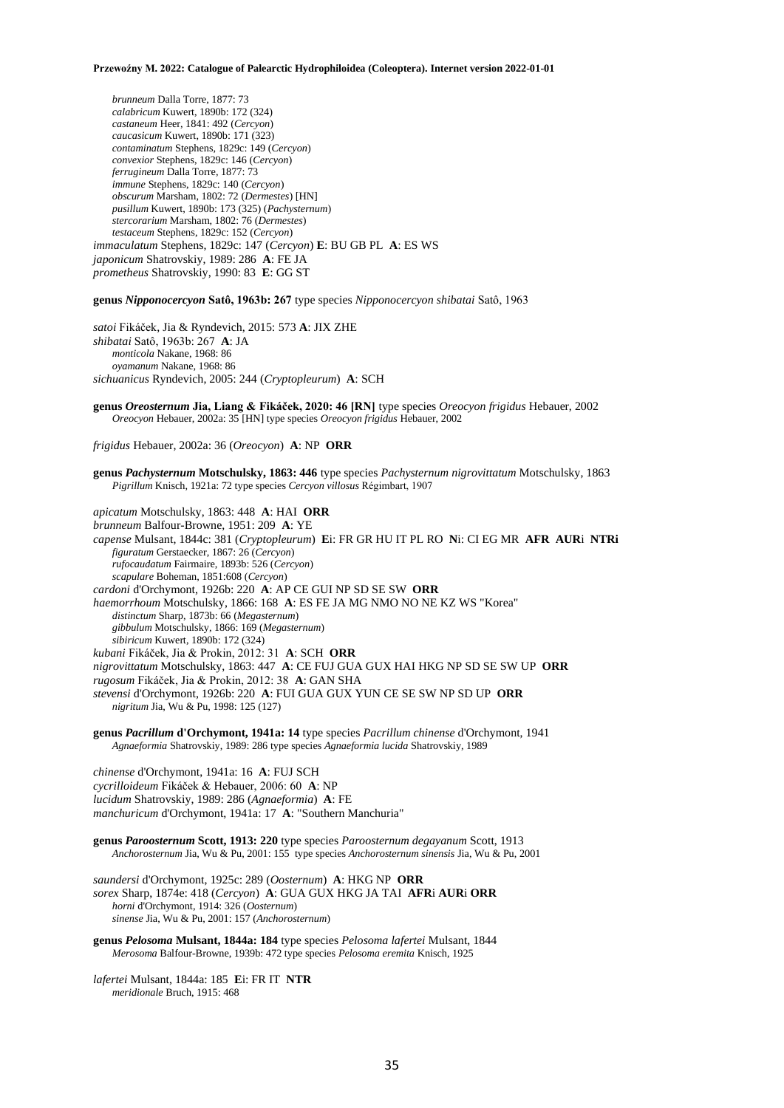*brunneum* Dalla Torre, 1877: 73 *calabricum* Kuwert, 1890b: 172 (324) *castaneum* Heer, 1841: 492 (*Cercyon*) *caucasicum* Kuwert, 1890b: 171 (323) *contaminatum* Stephens, 1829c: 149 (*Cercyon*) *convexior* Stephens, 1829c: 146 (*Cercyon*) *ferrugineum* Dalla Torre, 1877: 73 *immune* Stephens, 1829c: 140 (*Cercyon*) *obscurum* Marsham, 1802: 72 (*Dermestes*) [HN] *pusillum* Kuwert, 1890b: 173 (325) (*Pachysternum*) *stercorarium* Marsham, 1802: 76 (*Dermestes*) *testaceum* Stephens, 1829c: 152 (*Cercyon*) *immaculatum* Stephens, 1829c: 147 (*Cercyon*) **E**: BU GB PL **A**: ES WS *japonicum* Shatrovskiy, 1989: 286 **A**: FE JA *prometheus* Shatrovskiy, 1990: 83 **E**: GG ST

**genus** *Nipponocercyon* **Satô, 1963b: 267** type species *Nipponocercyon shibatai* Satô, 1963

*satoi* Fikáček, Jia & Ryndevich, 2015: 573 **A**: JIX ZHE *shibatai* Satô, 1963b: 267 **A**: JA *monticola* Nakane, 1968: 86 *oyamanum* Nakane, 1968: 86 *sichuanicus* Ryndevich, 2005: 244 (*Cryptopleurum*) **A**: SCH

**genus** *Oreosternum* **Jia, Liang & Fikáček, 2020: 46 [RN]** type species *Oreocyon frigidus* Hebauer, 2002 *Oreocyon* Hebauer, 2002a: 35 [HN] type species *Oreocyon frigidus* Hebauer, 2002

*frigidus* Hebauer, 2002a: 36 (*Oreocyon*) **A**: NP **ORR**

**genus** *Pachysternum* **Motschulsky, 1863: 446** type species *Pachysternum nigrovittatum* Motschulsky, 1863 *Pigrillum* Knisch, 1921a: 72 type species *Cercyon villosus* Régimbart, 1907

*apicatum* Motschulsky, 1863: 448 **A**: HAI **ORR** *brunneum* Balfour-Browne, 1951: 209 **A**: YE *capense* Mulsant, 1844c: 381 (*Cryptopleurum*) **E**i: FR GR HU IT PL RO **N**i: CI EG MR **AFR AUR**i **NTRi** *figuratum* Gerstaecker, 1867: 26 (*Cercyon*) *rufocaudatum* Fairmaire, 1893b: 526 (*Cercyon*) *scapulare* Boheman, 1851:608 (*Cercyon*) *cardoni* d'Orchymont, 1926b: 220 **A**: AP CE GUI NP SD SE SW **ORR** *haemorrhoum* Motschulsky, 1866: 168 **A**: ES FE JA MG NMO NO NE KZ WS "Korea" *distinctum* Sharp, 1873b: 66 (*Megasternum*) *gibbulum* Motschulsky, 1866: 169 (*Megasternum*) *sibiricum* Kuwert, 1890b: 172 (324) *kubani* Fikáček, Jia & Prokin, 2012: 31 **A**: SCH **ORR**  *nigrovittatum* Motschulsky, 1863: 447 **A**: CE FUJ GUA GUX HAI HKG NP SD SE SW UP **ORR** *rugosum* Fikáček, Jia & Prokin, 2012: 38 **A**: GAN SHA *stevensi* d'Orchymont, 1926b: 220 **A**: FUI GUA GUX YUN CE SE SW NP SD UP **ORR** *nigritum* Jia, Wu & Pu, 1998: 125 (127)

**genus** *Pacrillum* **d'Orchymont, 1941a: 14** type species *Pacrillum chinense* d'Orchymont, 1941 *Agnaeformia* Shatrovskiy, 1989: 286 type species *Agnaeformia lucida* Shatrovskiy, 1989

*chinense* d'Orchymont, 1941a: 16 **A**: FUJ SCH *cycrilloideum* Fikáček & Hebauer, 2006: 60 **A**: NP *lucidum* Shatrovskiy, 1989: 286 (*Agnaeformia*) **A**: FE *manchuricum* d'Orchymont, 1941a: 17 **A**: "Southern Manchuria"

**genus** *Paroosternum* **Scott, 1913: 220** type species *Paroosternum degayanum* Scott, 1913 *Anchorosternum* Jia, Wu & Pu, 2001: 155type species *Anchorosternum sinensis* Jia, Wu & Pu, 2001

*saundersi* d'Orchymont, 1925c: 289 (*Oosternum*) **A**: HKG NP **ORR** *sorex* Sharp, 1874e: 418 (*Cercyon*) **A**: GUA GUX HKG JA TAI **AFR**i **AUR**i **ORR** *horni* d'Orchymont, 1914: 326 (*Oosternum*) *sinense* Jia, Wu & Pu, 2001: 157 (*Anchorosternum*)

**genus** *Pelosoma* **Mulsant, 1844a: 184** type species *Pelosoma lafertei* Mulsant, 1844 *Merosoma* Balfour-Browne, 1939b: 472 type species *Pelosoma eremita* Knisch, 1925

*lafertei* Mulsant, 1844a: 185 **E**i: FR IT **NTR** *meridionale* Bruch, 1915: 468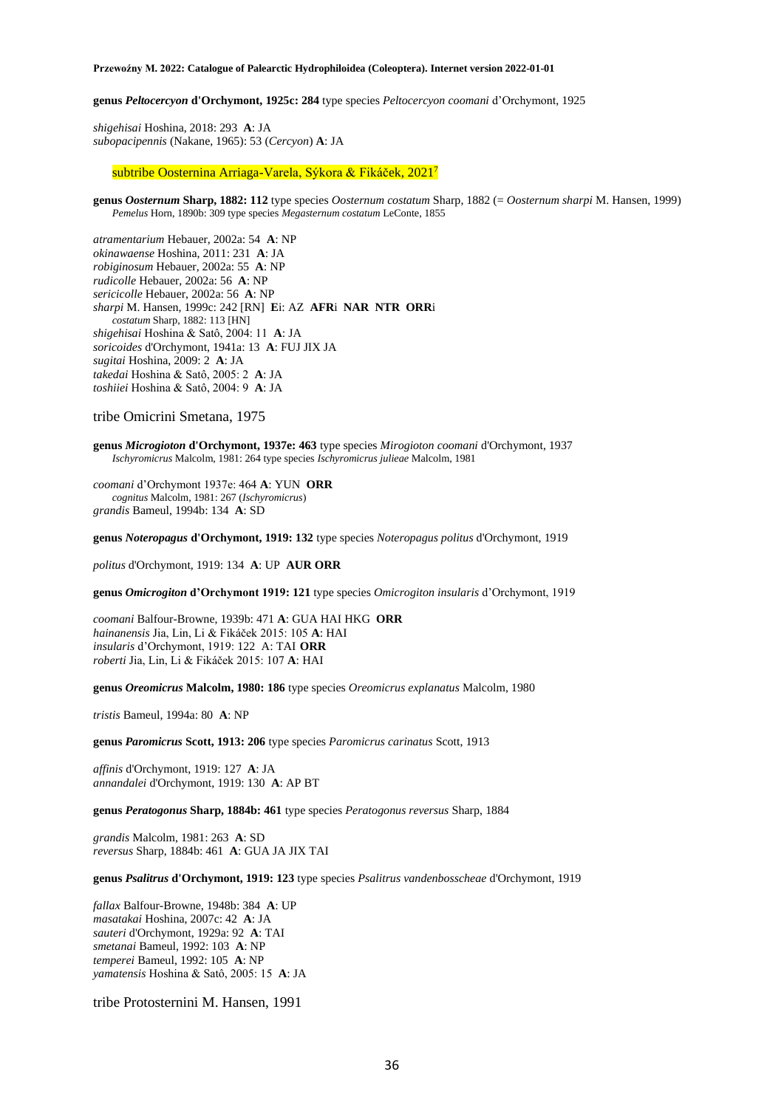**genus** *Peltocercyon* **d'Orchymont, 1925c: 284** type species *Peltocercyon coomani* d'Orchymont, 1925

*shigehisai* Hoshina, 2018: 293 **A**: JA *subopacipennis* (Nakane, 1965): 53 (*Cercyon*) **A**: JA

subtribe Oosternina Arriaga-Varela, Sýkora & Fikáček, 2021<sup>7</sup>

**genus** *Oosternum* **Sharp, 1882: 112** type species *Oosternum costatum* Sharp, 1882 (= *Oosternum sharpi* M. Hansen, 1999) *Pemelus* Horn, 1890b: 309 type species *Megasternum costatum* LeConte, 1855

*atramentarium* Hebauer, 2002a: 54 **A**: NP *okinawaense* Hoshina, 2011: 231 **A**: JA *robiginosum* Hebauer, 2002a: 55 **A**: NP *rudicolle* Hebauer, 2002a: 56 **A**: NP *sericicolle* Hebauer, 2002a: 56 **A**: NP *sharpi* M. Hansen, 1999c: 242 [RN] **E**i: AZ **AFR**i **NAR NTR ORR**i *costatum* Sharp, 1882: 113 [HN] *shigehisai* Hoshina & Satô, 2004: 11 **A**: JA *soricoides* d'Orchymont, 1941a: 13 **A**: FUJ JIX JA *sugitai* Hoshina, 2009: 2 **A**: JA *takedai* Hoshina & Satô, 2005: 2 **A**: JA *toshiiei* Hoshina & Satô, 2004: 9 **A**: JA

### tribe Omicrini Smetana, 1975

**genus** *Microgioton* **d'Orchymont, 1937e: 463** type species *Mirogioton coomani* d'Orchymont, 1937 *Ischyromicrus* Malcolm, 1981: 264 type species *Ischyromicrus julieae* Malcolm, 1981

*coomani* d'Orchymont 1937e: 464 **A**: YUN **ORR** *cognitus* Malcolm, 1981: 267 (*Ischyromicrus*) *grandis* Bameul, 1994b: 134 **A**: SD

**genus** *Noteropagus* **d'Orchymont, 1919: 132** type species *Noteropagus politus* d'Orchymont, 1919

*politus* d'Orchymont, 1919: 134 **A**: UP **AUR ORR**

**genus** *Omicrogiton* **d'Orchymont 1919: 121** type species *Omicrogiton insularis* d'Orchymont, 1919

*coomani* Balfour-Browne, 1939b: 471 **A**: GUA HAI HKG **ORR** *hainanensis* Jia, Lin, Li & Fikáček 2015: 105 **A**: HAI *insularis* d'Orchymont, 1919: 122 A: TAI **ORR** *roberti* Jia, Lin, Li & Fikáček 2015: 107 **A**: HAI

**genus** *Oreomicrus* **Malcolm, 1980: 186** type species *Oreomicrus explanatus* Malcolm, 1980

*tristis* Bameul, 1994a: 80 **A**: NP

**genus** *Paromicrus* **Scott, 1913: 206** type species *Paromicrus carinatus* Scott, 1913

*affinis* d'Orchymont, 1919: 127 **A**: JA *annandalei* d'Orchymont, 1919: 130 **A**: AP BT

**genus** *Peratogonus* **Sharp, 1884b: 461** type species *Peratogonus reversus* Sharp, 1884

*grandis* Malcolm, 1981: 263 **A**: SD *reversus* Sharp, 1884b: 461 **A**: GUA JA JIX TAI

**genus** *Psalitrus* **d'Orchymont, 1919: 123** type species *Psalitrus vandenbosscheae* d'Orchymont, 1919

*fallax* Balfour-Browne, 1948b: 384 **A**: UP *masatakai* Hoshina, 2007c: 42 **A**: JA *sauteri* d'Orchymont, 1929a: 92 **A**: TAI *smetanai* Bameul, 1992: 103 **A**: NP *temperei* Bameul, 1992: 105 **A**: NP *yamatensis* Hoshina & Satô, 2005: 15 **A**: JA

tribe Protosternini M. Hansen, 1991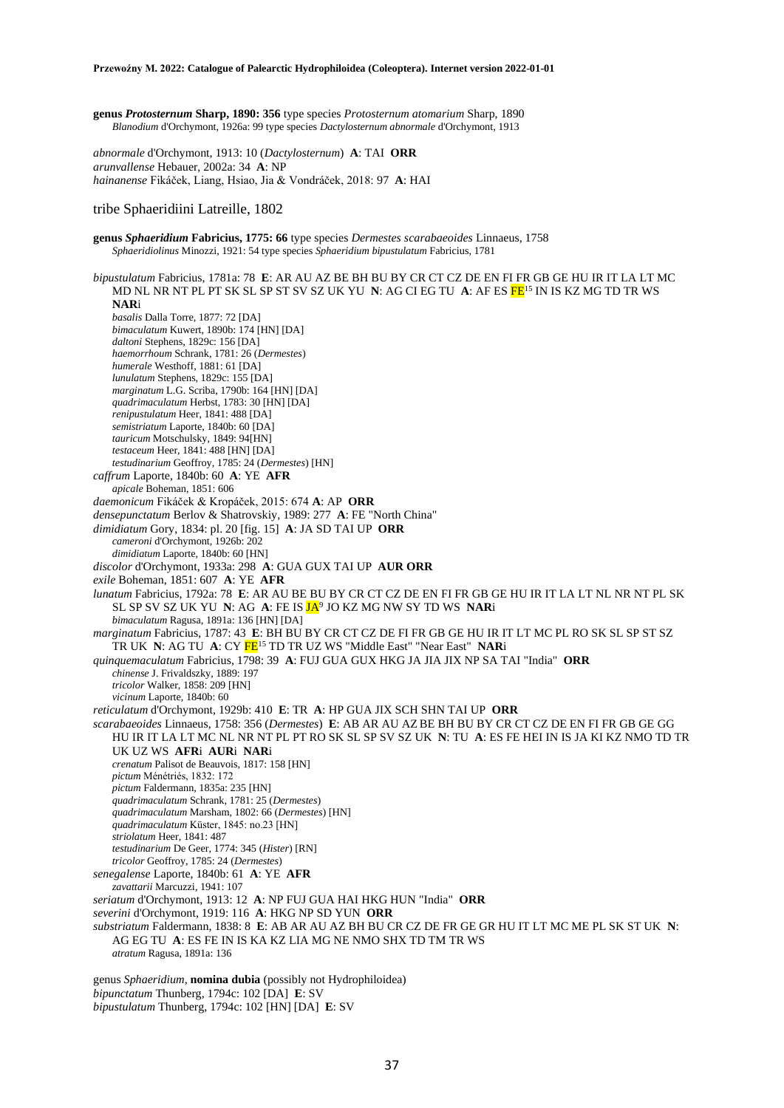**genus** *Protosternum* **Sharp, 1890: 356** type species *Protosternum atomarium* Sharp, 1890 *Blanodium* d'Orchymont, 1926a: 99 type species *Dactylosternum abnormale* d'Orchymont, 1913

*abnormale* d'Orchymont, 1913: 10 (*Dactylosternum*) **A**: TAI **ORR** *arunvallense* Hebauer, 2002a: 34 **A**: NP *hainanense* Fikáček, Liang, Hsiao, Jia & Vondráček, 2018: 97 **A**: HAI

# tribe Sphaeridiini Latreille, 1802

**genus** *Sphaeridium* **Fabricius, 1775: 66** type species *Dermestes scarabaeoides* Linnaeus, 1758 *Sphaeridiolinus* Minozzi, 1921: 54 type species *Sphaeridium bipustulatum* Fabricius, 1781

*bipustulatum* Fabricius, 1781a: 78 **E**: AR AU AZ BE BH BU BY CR CT CZ DE EN FI FR GB GE HU IR IT LA LT MC MD NL NR NT PL PT SK SL SP ST SV SZ UK YU **N**: AG CI EG TU **A**: AF ES FE<sup>15</sup> IN IS KZ MG TD TR WS **NAR**i *basalis* Dalla Torre, 1877: 72 [DA] *bimaculatum* Kuwert, 1890b: 174 [HN] [DA] *daltoni* Stephens, 1829c: 156 [DA] *haemorrhoum* Schrank, 1781: 26 (*Dermestes*) *humerale* Westhoff, 1881: 61 [DA] *lunulatum* Stephens, 1829c: 155 [DA] *marginatum* L.G. Scriba, 1790b: 164 [HN] [DA] *quadrimaculatum* Herbst, 1783: 30 [HN] [DA] *renipustulatum* Heer, 1841: 488 [DA] *semistriatum* Laporte, 1840b: 60 [DA] *tauricum* Motschulsky, 1849: 94[HN] *testaceum* Heer, 1841: 488 [HN] [DA] *testudinarium* Geoffroy, 1785: 24 (*Dermestes*) [HN] *caffrum* Laporte, 1840b: 60 **A**: YE **AFR** *apicale* Boheman, 1851: 606 *daemonicum* Fikáček & Kropáček, 2015: 674 **A**: AP **ORR** *densepunctatum* Berlov & Shatrovskiy, 1989: 277 **A**: FE "North China" *dimidiatum* Gory, 1834: pl. 20 [fig. 15] **A**: JA SD TAI UP **ORR** *cameroni* d'Orchymont, 1926b: 202 *dimidiatum* Laporte, 1840b: 60 [HN] *discolor* d'Orchymont, 1933a: 298 **A**: GUA GUX TAI UP **AUR ORR** *exile* Boheman, 1851: 607 **A**: YE **AFR** *lunatum* Fabricius, 1792a: 78 **E**: AR AU BE BU BY CR CT CZ DE EN FI FR GB GE HU IR IT LA LT NL NR NT PL SK SL SP SV SZ UK YU **N**: AG **A**: FE IS JA<sup>9</sup> JO KZ MG NW SY TD WS **NAR**i *bimaculatum* Ragusa, 1891a: 136 [HN] [DA] *marginatum* Fabricius, 1787: 43 **E**: BH BU BY CR CT CZ DE FI FR GB GE HU IR IT LT MC PL RO SK SL SP ST SZ TR UK **N**: AG TU **A**: CY FE<sup>15</sup> TD TR UZ WS "Middle East" "Near East" **NAR**i *quinquemaculatum* Fabricius, 1798: 39 **A**: FUJ GUA GUX HKG JA JIA JIX NP SA TAI "India" **ORR** *chinense* J. Frivaldszky, 1889: 197 *tricolor* Walker, 1858: 209 [HN] *vicinum* Laporte, 1840b: 60 *reticulatum* d'Orchymont, 1929b: 410 **E**: TR **A**: HP GUA JIX SCH SHN TAI UP **ORR** *scarabaeoides* Linnaeus, 1758: 356 (*Dermestes*) **E**: AB AR AU AZ BE BH BU BY CR CT CZ DE EN FI FR GB GE GG HU IR IT LA LT MC NL NR NT PL PT RO SK SL SP SV SZ UK **N**: TU **A**: ES FE HEI IN IS JA KI KZ NMO TD TR UK UZ WS **AFR**i **AUR**i **NAR**i *crenatum* Palisot de Beauvois, 1817: 158 [HN] *pictum* Ménétriés, 1832: 172 *pictum* Faldermann, 1835a: 235 [HN] *quadrimaculatum* Schrank, 1781: 25 (*Dermestes*) *quadrimaculatum* Marsham, 1802: 66 (*Dermestes*) [HN] *quadrimaculatum* Küster, 1845: no.23 [HN] *striolatum* Heer, 1841: 487 *testudinarium* De Geer, 1774: 345 (*Hister*) [RN] *tricolor* Geoffroy, 1785: 24 (*Dermestes*) *senegalense* Laporte, 1840b: 61 **A**: YE **AFR** *zavattarii* Marcuzzi, 1941: 107 *seriatum* d'Orchymont, 1913: 12 **A**: NP FUJ GUA HAI HKG HUN "India" **ORR** *severini* d'Orchymont, 1919: 116 **A**: HKG NP SD YUN **ORR** *substriatum* Faldermann, 1838: 8 **E**: AB AR AU AZ BH BU CR CZ DE FR GE GR HU IT LT MC ME PL SK ST UK **N**: AG EG TU **A**: ES FE IN IS KA KZ LIA MG NE NMO SHX TD TM TR WS *atratum* Ragusa, 1891a: 136 genus *Sphaeridium*, **nomina dubia** (possibly not Hydrophiloidea) *bipunctatum* Thunberg, 1794c: 102 [DA] **E**: SV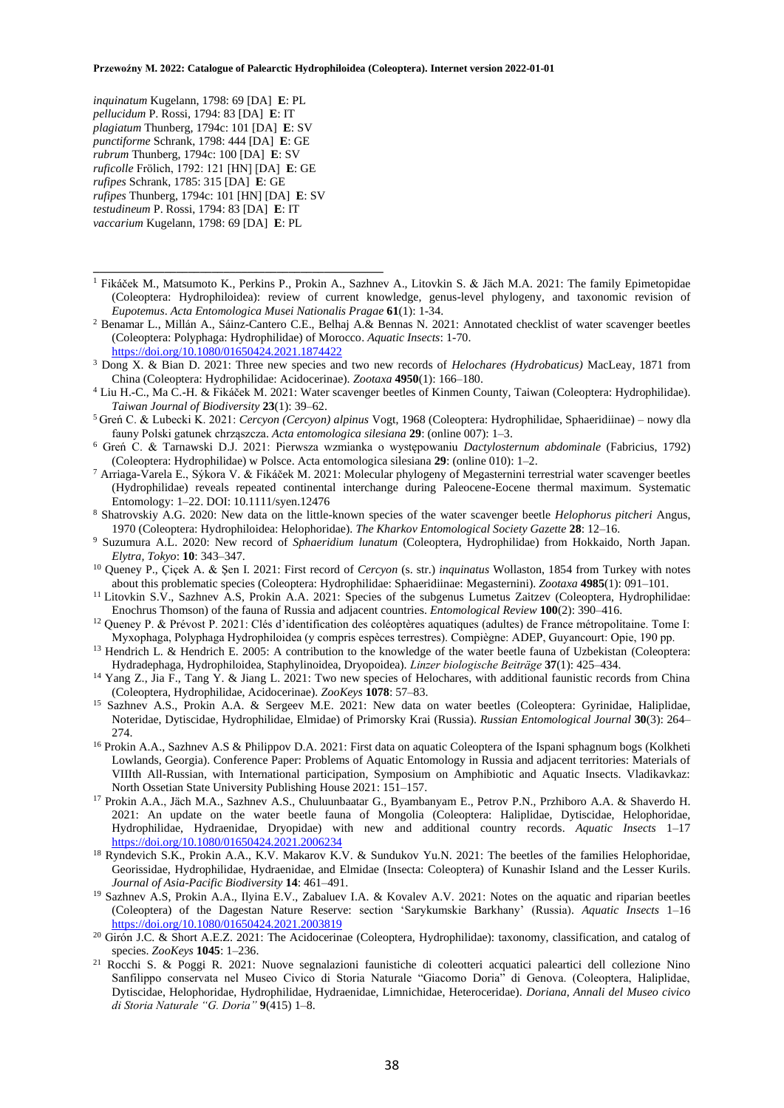*inquinatum* Kugelann, 1798: 69 [DA] **E**: PL *pellucidum* P. Rossi, 1794: 83 [DA] **E**: IT *plagiatum* Thunberg, 1794c: 101 [DA] **E**: SV *punctiforme* Schrank, 1798: 444 [DA] **E**: GE *rubrum* Thunberg, 1794c: 100 [DA] **E**: SV *ruficolle* Frölich, 1792: 121 [HN] [DA] **E**: GE *rufipes* Schrank, 1785: 315 [DA] **E**: GE *rufipes* Thunberg, 1794c: 101 [HN] [DA] **E**: SV *testudineum* P. Rossi, 1794: 83 [DA] **E**: IT *vaccarium* Kugelann, 1798: 69 [DA] **E**: PL

**\_\_\_\_\_\_\_\_\_\_\_\_\_\_\_\_\_\_\_\_\_\_\_\_\_\_\_\_\_\_\_\_\_\_\_\_\_\_\_\_\_\_\_\_\_\_\_\_\_**

- <sup>1</sup> Fikáček M., Matsumoto K., Perkins P., Prokin A., Sazhnev A., Litovkin S. & Jäch M.A. 2021: The family Epimetopidae (Coleoptera: Hydrophiloidea): review of current knowledge, genus-level phylogeny, and taxonomic revision of *Eupotemus*. *Acta Entomologica Musei Nationalis Pragae* **61**(1): 1-34.
- <sup>2</sup> Benamar L., Millán A., Sáinz-Cantero C.E., Belhaj A.& Bennas N. 2021: Annotated checklist of water scavenger beetles (Coleoptera: Polyphaga: Hydrophilidae) of Morocco. *Aquatic Insects*: 1-70. <https://doi.org/10.1080/01650424.2021.1874422>
- <sup>3</sup> Dong X. & Bian D. 2021: Three new species and two new records of *Helochares (Hydrobaticus)* MacLeay, 1871 from China (Coleoptera: Hydrophilidae: Acidocerinae). *Zootaxa* **4950**(1): 166–180.
- <sup>4</sup> Liu H.-C., Ma C.-H. & Fikáček M. 2021: Water scavenger beetles of Kinmen County, Taiwan (Coleoptera: Hydrophilidae). *Taiwan Journal of Biodiversity* **23**(1): 39–62.
- <sup>5</sup>Greń C. & Lubecki K. 2021: *Cercyon (Cercyon) alpinus* Vogt, 1968 (Coleoptera: Hydrophilidae, Sphaeridiinae) nowy dla fauny Polski gatunek chrząszcza. *Acta entomologica silesiana* **29**: (online 007): 1–3.
- <sup>6</sup> Greń C. & Tarnawski D.J. 2021: Pierwsza wzmianka o występowaniu *Dactylosternum abdominale* (Fabricius, 1792) (Coleoptera: Hydrophilidae) w Polsce. Acta entomologica silesiana **29**: (online 010): 1–2.
- <sup>7</sup> Arriaga-Varela E., Sýkora V. & Fikáček M. 2021: Molecular phylogeny of Megasternini terrestrial water scavenger beetles (Hydrophilidae) reveals repeated continental interchange during Paleocene-Eocene thermal maximum. Systematic Entomology: 1–22. DOI: 10.1111/syen.12476
- <sup>8</sup> Shatrovskiy A.G. 2020: New data on the little-known species of the water scavenger beetle *Helophorus pitcheri* Angus, 1970 (Coleoptera: Hydrophiloidea: Helophoridae). *The Kharkov Entomological Society Gazette* **28**: 12–16.
- <sup>9</sup> Suzumura A.L. 2020: New record of *Sphaeridium lunatum* (Coleoptera, Hydrophilidae) from Hokkaido, North Japan. *Elytra, Tokyo*: **10**: 343–347.
- <sup>10</sup> Queney P., Çiçek A. & Şen I. 2021: First record of *Cercyon* (s. str.) *inquinatus* Wollaston, 1854 from Turkey with notes about this problematic species (Coleoptera: Hydrophilidae: Sphaeridiinae: Megasternini). *Zootaxa* **4985**(1): 091–101.
- <sup>11</sup> Litovkin S.V., Sazhnev A.S, Prokin A.A. 2021: Species of the subgenus Lumetus Zaitzev (Coleoptera, Hydrophilidae: Enochrus Thomson) of the fauna of Russia and adjacent countries. *Entomological Review* **100**(2): 390–416.
- <sup>12</sup> Queney P. & Prévost P. 2021: Clés d'identification des coléoptères aquatiques (adultes) de France métropolitaine. Tome I: Myxophaga, Polyphaga Hydrophiloidea (y compris espèces terrestres). Compiègne: ADEP, Guyancourt: Opie, 190 pp.
- <sup>13</sup> Hendrich L. & Hendrich E. 2005: A contribution to the knowledge of the water beetle fauna of Uzbekistan (Coleoptera: Hydradephaga, Hydrophiloidea, Staphylinoidea, Dryopoidea). *Linzer biologische Beiträge* **37**(1): 425–434.
- <sup>14</sup> Yang Z., Jia F., Tang Y. & Jiang L. 2021: Two new species of Helochares, with additional faunistic records from China (Coleoptera, Hydrophilidae, Acidocerinae). *ZooKeys* **1078**: 57–83.
- <sup>15</sup> Sazhnev A.S., Prokin A.A. & Sergeev M.E. 2021: New data on water beetles (Coleoptera: Gyrinidae, Haliplidae, Noteridae, Dytiscidae, Hydrophilidae, Elmidae) of Primorsky Krai (Russia). *Russian Entomological Journal* **30**(3): 264– 274.
- <sup>16</sup> Prokin A.A., Sazhnev A.S & Philippov D.A. 2021: First data on aquatic Coleoptera of the Ispani sphagnum bogs (Kolkheti Lowlands, Georgia). Conference Paper: Problems of Aquatic Entomology in Russia and adjacent territories: Materials of VIIIth All-Russian, with International participation, Symposium on Amphibiotic and Aquatic Insects. Vladikavkaz: North Ossetian State University Publishing House 2021: 151–157.
- <sup>17</sup> Prokin A.A., Jäch M.A., Sazhnev A.S., Chuluunbaatar G., Byambanyam E., Petrov P.N., Przhiboro A.A. & Shaverdo H. 2021: An update on the water beetle fauna of Mongolia (Coleoptera: Haliplidae, Dytiscidae, Helophoridae, Hydrophilidae, Hydraenidae, Dryopidae) with new and additional country records. *Aquatic Insects* 1–17 <https://doi.org/10.1080/01650424.2021.2006234>
- <sup>18</sup> Ryndevich S.K., Prokin A.A., K.V. Makarov K.V. & Sundukov Yu.N. 2021: The beetles of the families Helophoridae, Georissidae, Hydrophilidae, Hydraenidae, and Elmidae (Insecta: Coleoptera) of Kunashir Island and the Lesser Kurils. *Journal of Asia-Pacific Biodiversity* **14**: 461–491.
- <sup>19</sup> Sazhnev A.S, Prokin A.A., Ilyina E.V., Zabaluev I.A. & Kovalev A.V. 2021: Notes on the aquatic and riparian beetles (Coleoptera) of the Dagestan Nature Reserve: section 'Sarykumskie Barkhany' (Russia). *Aquatic Insects* 1–16 <https://doi.org/10.1080/01650424.2021.2003819>
- $20$  Girón J.C. & Short A.E.Z. 2021: The Acidocerinae (Coleoptera, Hydrophilidae): taxonomy, classification, and catalog of species. *ZooKeys* **1045**: 1–236.
- <sup>21</sup> Rocchi S. & Poggi R. 2021: Nuove segnalazioni faunistiche di coleotteri acquatici paleartici dell collezione Nino Sanfilippo conservata nel Museo Civico di Storia Naturale "Giacomo Doria" di Genova. (Coleoptera, Haliplidae, Dytiscidae, Helophoridae, Hydrophilidae, Hydraenidae, Limnichidae, Heteroceridae). *Doriana, Annali del Museo civico di Storia Naturale "G. Doria"* **9**(415) 1–8.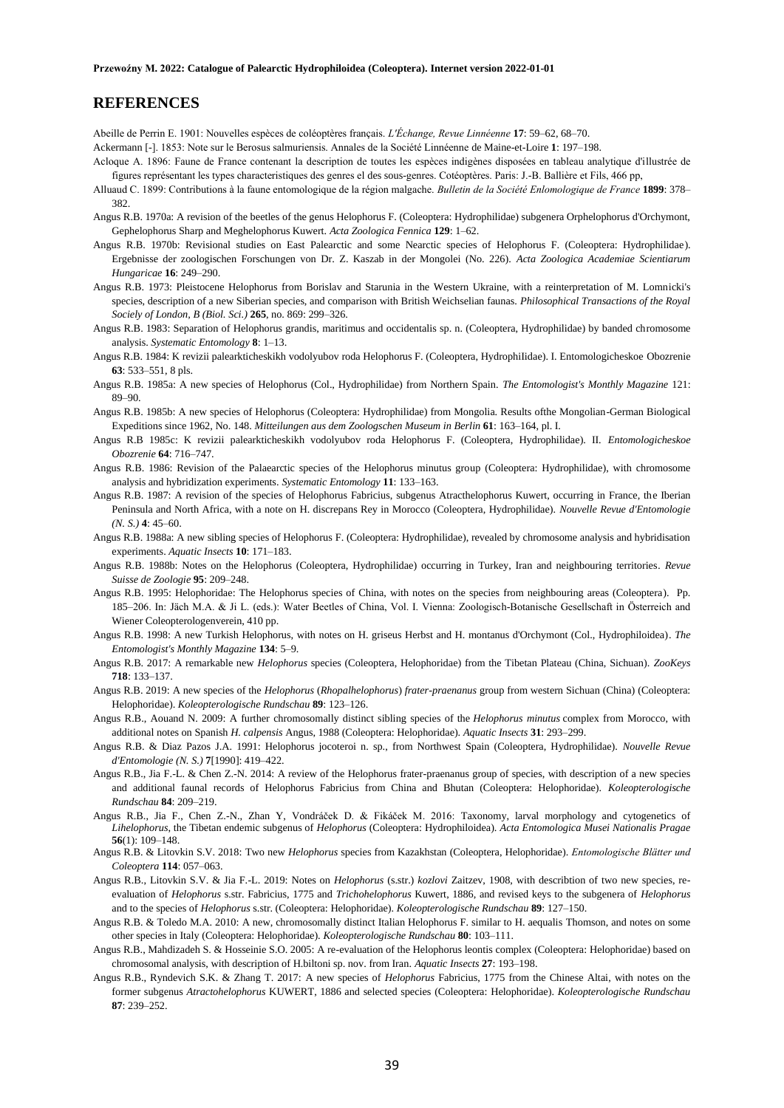# **REFERENCES**

Abeille de Perrin E. 1901: Nouvelles espèces de coléoptères français. *L'Échange, Revue Linnéenne* **17**: 59–62, 68–70.

Ackermann [-]. 1853: Note sur le Berosus salmuriensis. Annales de la Société Linnéenne de Maine-et-Loire **1**: 197–198.

- Acloque A. 1896: Faune de France contenant la description de toutes les espèces indigènes disposées en tableau analytique d'illustrée de figures représentant les types characteristiques des genres el des sous-genres. Cotéoptères. Paris: J.-B. Ballière et Fils, 466 pp,
- Alluaud C. 1899: Contributions à la faune entomologique de la région malgache. *Bulletin de la Société Enlomologique de France* **1899**: 378– 382.
- Angus R.B. 1970a: A revision of the beetles of the genus Helophorus F. (Coleoptera: Hydrophilidae) subgenera Orphelophorus d'Orchymont, Gephelophorus Sharp and Meghelophorus Kuwert. *Acta Zoologica Fennica* **129**: 1–62.
- Angus R.B. 1970b: Revisional studies on East Palearctic and some Nearctic species of Helophorus F. (Coleoptera: Hydrophilidae). Ergebnisse der zoologischen Forschungen von Dr. Z. Kaszab in der Mongolei (No. 226). *Acta Zoologica Academiae Scientiarum Hungaricae* **16**: 249–290.
- Angus R.B. 1973: Pleistocene Helophorus from Borislav and Starunia in the Western Ukraine, with a reinterpretation of M. Lomnicki's species, description of a new Siberian species, and comparison with British Weichselian faunas. *Philosophical Transactions of the Royal Sociely of London, B (Biol. Sci.)* **265**, no. 869: 299–326.
- Angus R.B. 1983: Separation of Helophorus grandis, maritimus and occidentalis sp. n. (Coleoptera, Hydrophilidae) by banded chromosome analysis. *Systematic Entomology* **8**: 1–13.
- Angus R.B. 1984: K revizii palearkticheskikh vodolyubov roda Helophorus F. (Coleoptera, HydrophiIidae). I. Entomologicheskoe Obozrenie **63**: 533–551, 8 pls.
- Angus R.B. 1985a: A new species of Helophorus (Col., Hydrophilidae) from Northern Spain. *The Entomologist's Monthly Magazine* 121: 89–90.
- Angus R.B. 1985b: A new species of Helophorus (Coleoptera: Hydrophilidae) from Mongolia. Results ofthe Mongolian-German Biological Expeditions since 1962, No. 148. *Mitteilungen aus dem Zoologschen Museum in Berlin* **61**: 163–164, pl. I.
- Angus R.B 1985c: K revizii palearkticheskikh vodolyubov roda Helophorus F. (Coleoptera, Hydrophilidae). II. *Entomologicheskoe Obozrenie* **64**: 716–747.
- Angus R.B. 1986: Revision of the Palaearctic species of the Helophorus minutus group (Coleoptera: Hydrophilidae), with chromosome analysis and hybridization experiments. *Systematic Entomology* **11**: 133–163.
- Angus R.B. 1987: A revision of the species of Helophorus Fabricius, subgenus Atracthelophorus Kuwert, occurring in France, the Iberian Peninsula and North Africa, with a note on H. discrepans Rey in Morocco (Coleoptera, Hydrophilidae). *Nouvelle Revue d'Entomologie (N. S.)* **4**: 45–60.
- Angus R.B. 1988a: A new sibling species of Helophorus F. (Coleoptera: Hydrophilidae), revealed by chromosome analysis and hybridisation experiments. *Aquatic Insects* **10**: 171–183.
- Angus R.B. 1988b: Notes on the Helophorus (Coleoptera, Hydrophilidae) occurring in Turkey, Iran and neighbouring territories*. Revue Suisse de Zoologie* **95**: 209–248.
- Angus R.B. 1995: Helophoridae: The Helophorus species of China, with notes on the species from neighbouring areas (Coleoptera). Pp. 185–206. In: Jäch M.A. & Ji L. (eds.): Water Beetles of China, Vol. I. Vienna: Zoologisch-Botanische Gesellschaft in Österreich and Wiener Coleopterologenverein, 410 pp.
- Angus R.B. 1998: A new Turkish Helophorus, with notes on H. griseus Herbst and H. montanus d'Orchymont (Col., Hydrophiloidea). *The Entomologist's Monthly Magazine* **134**: 5–9.
- Angus R.B. 2017: A remarkable new *Helophorus* species (Coleoptera, Helophoridae) from the Tibetan Plateau (China, Sichuan). *ZooKeys*  **718**: 133–137.
- Angus R.B. 2019: A new species of the *Helophorus* (*Rhopalhelophorus*) *frater*-*praenanus* group from western Sichuan (China) (Coleoptera: Helophoridae). *Koleopterologische Rundschau* **89**: 123–126.
- Angus R.B., Aouand N. 2009: A further chromosomally distinct sibling species of the *Helophorus minutus* complex from Morocco, with additional notes on Spanish *H. calpensis* Angus, 1988 (Coleoptera: Helophoridae). *Aquatic Insects* **31**: 293–299.
- Angus R.B. & Diaz Pazos J.A. 1991: Helophorus jocoteroi n. sp., from Northwest Spain (Coleoptera, Hydrophilidae). *Nouvelle Revue d'Entomologie (N. S.)* **7**[1990]: 419–422.
- Angus R.B., Jia F.-L. & Chen Z.-N. 2014: A review of the Helophorus frater-praenanus group of species, with description of a new species and additional faunal records of Helophorus Fabricius from China and Bhutan (Coleoptera: Helophoridae). *Koleopterologische Rundschau* **84**: 209–219.
- Angus R.B., Jia F., Chen Z.-N., Zhan Y, Vondráček D. & Fikáček M. 2016: Taxonomy, larval morphology and cytogenetics of *Lihelophorus*, the Tibetan endemic subgenus of *Helophorus* (Coleoptera: Hydrophiloidea). *Acta Entomologica Musei Nationalis Pragae* **56**(1): 109–148.
- Angus R.B. & Litovkin S.V. 2018: Two new *Helophorus* species from Kazakhstan (Coleoptera, Helophoridae). *Entomologische Blätter und Coleoptera* **114**: 057–063.
- Angus R.B., Litovkin S.V. & Jia F.-L. 2019: Notes on *Helophorus* (s.str.) *kozlovi* Zaitzev, 1908, with describtion of two new species, reevaluation of *Helophorus* s.str. Fabricius, 1775 and *Trichohelophorus* Kuwert, 1886, and revised keys to the subgenera of *Helophorus* and to the species of *Helophorus* s.str. (Coleoptera: Helophoridae). *Koleopterologische Rundschau* **89**: 127–150.
- Angus R.B. & Toledo M.A. 2010: A new, chromosomally distinct Italian Helophorus F. similar to H. aequalis Thomson, and notes on some other species in Italy (Coleoptera: Helophoridae). *Koleopterologische Rundschau* **80**: 103–111.
- Angus R.B., Mahdizadeh S. & Hosseinie S.O. 2005: A re-evaluation of the Helophorus leontis complex (Coleoptera: Helophoridae) based on chromosomal analysis, with description of H.biltoni sp. nov. from Iran. *Aquatic Insects* **27**: 193–198.
- Angus R.B., Ryndevich S.K. & Zhang T. 2017: A new species of *Helophorus* Fabricius, 1775 from the Chinese Altai, with notes on the former subgenus *Atractohelophorus* KUWERT, 1886 and selected species (Coleoptera: Helophoridae). *Koleopterologische Rundschau*  **87**: 239–252.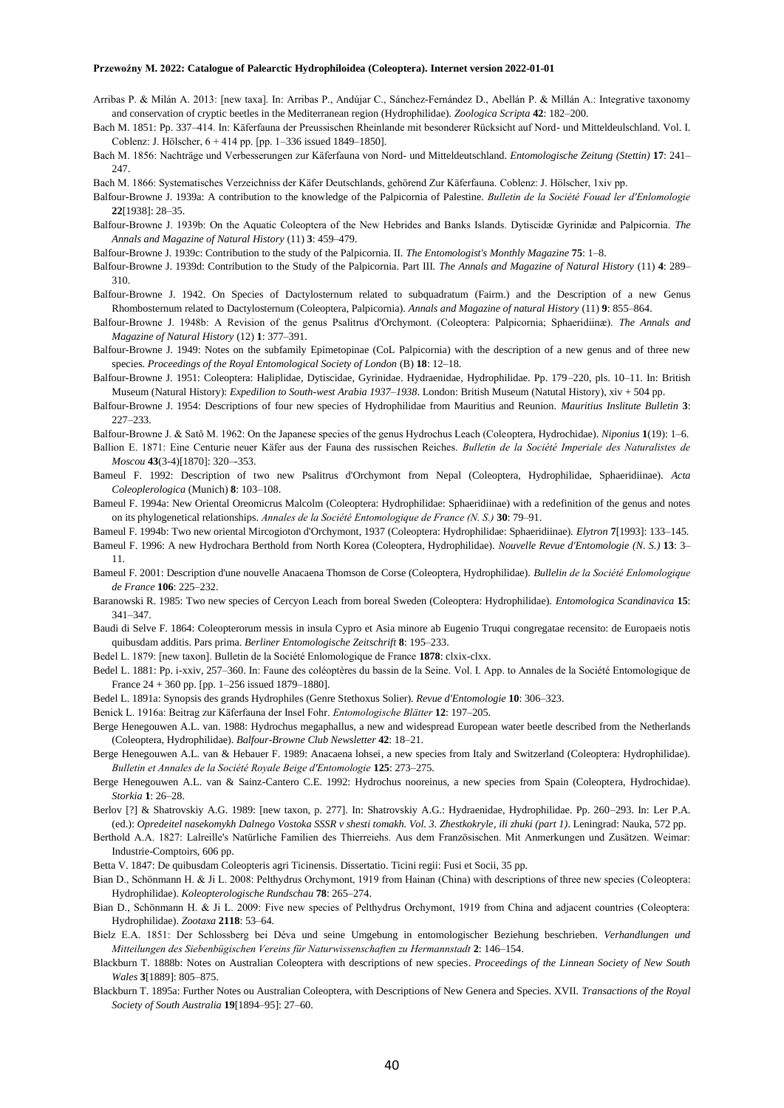- Arribas P. & Milán A. 2013: [new taxa]. In: Arribas P., Andújar C., Sánchez-Fernández D., Abellán P. & Millán A.: Integrative taxonomy and conservation of cryptic beetles in the Mediterranean region (Hydrophilidae). *Zoologica Scripta* **42**: 182–200.
- Bach M. 1851: Pp. 337–414. In: Käferfauna der Preussischen Rheinlande mit besonderer Rücksicht auf Nord- und Mitteldeulschland. Vol. I. Coblenz: J. Hölscher, 6 + 414 pp. [pp. 1–336 issued 1849–1850].
- Bach M. 1856: Nachträge und Verbesserungen zur Käferfauna von Nord- und Mitteldeutschland. *Entomologische Zeitung (Stettin)* **17**: 241– 247.
- Bach M. 1866: Systematisches Verzeichniss der Käfer Deutschlands, gehörend Zur Käferfauna. Coblenz: J. Hölscher, 1xiv pp.
- Balfour-Browne J. 1939a: A contribution to the knowledge of the Palpicornia of Palestine. *Bulletin de la Société Fouad ler d'Enlomologie* **22**[1938]: 28–35.
- Balfour-Browne J. 1939b: On the Aquatic Coleoptera of the New Hebrides and Banks Islands. Dytiscidæ Gyrinidæ and Palpicornia. *The Annals and Magazine of Natural History* (11) **3**: 459–479.
- Balfour-Browne J. 1939c: Contribution to the study of the Palpicornia. II. *The Entomologist's Monthly Magazine* **75**: 1–8.
- Balfour-Browne J. 1939d: Contribution to the Study of the Palpicornia. Part III. *The Annals and Magazine of Natural History* (11) **4**: 289– 310.
- Balfour-Browne J. 1942. On Species of Dactylosternum related to subquadratum (Fairm.) and the Description of a new Genus Rhombosternum related to Dactylosternum (Coleoptera, Palpicornia). *Annals and Magazine of natural History* (11) **9**: 855–864.
- Balfour-Browne J. 1948b: A Revision of the genus Psalitrus d'Orchymont. (Coleoptera: Palpicornia; Sphaeridiinæ). *The Annals and Magazine of Natural History* (12) **1**: 377–391.
- Balfour-Browne J. 1949: Notes on the subfamily Epimetopinae (CoL Palpicornia) with the description of a new genus and of three new species. *Proceedings of the Royal Entomological Society of London* (B) **18**: 12–18.
- Balfour-Browne J. 1951: Coleoptera: Haliplidae, Dytiscidae, Gyrinidae. Hydraenidae, Hydrophilidae. Pp. 179–220, pls. 10–11. In: British Museum (Natural History): *Expedilion to South-west Arabia 1937–1938*. London: British Museum (Natutal History), xiv + 504 pp.
- Balfour-Browne J. 1954: Descriptions of four new species of Hydrophilidae from Mauritius and Reunion. *Mauritius Inslitute Bulletin* **3**: 227–233.
- Balfour-Browne J. & Satô M. 1962: On the Japanese species of the genus Hydrochus Leach (Coleoptera, Hydrochidae). *Niponius* **1**(19): 1–6.
- Ballion E. 1871: Eine Centurie neuer Käfer aus der Fauna des russischen Reiches. *Bulletin de la Société Imperiale des Naturalistes de Moscou* **43**(3-4)[1870]: 320–-353.
- Bameul F. 1992: Description of two new Psalitrus d'Orchymont from Nepal (Coleoptera, Hydrophilidae, Sphaeridiinae). *Acta Coleoplerologica* (Munich) **8**: 103–108.
- Bameul F. 1994a: New Oriental Oreomicrus Malcolm (Coleoptera: Hydrophilidae: Sphaeridiinae) with a redefinition of the genus and notes on its phylogenetical relationships. *Annales de la Société Entomologique de France (N. S.)* **30**: 79–91.

Bameul F. 1994b: Two new oriental Mircogioton d'Orchymont, 1937 (Coleoptera: Hydrophilidae: Sphaeridiinae). *Elytron* **7**[1993]: 133–145.

- Bameul F. 1996: A new Hydrochara Berthold from North Korea (Coleoptera, Hydrophilidae). *Nouvelle Revue d'Entomologie (N. S.)* **13**: 3– 11.
- Bameul F. 2001: Description d'une nouvelle Anacaena Thomson de Corse (Coleoptera, Hydrophilidae). *Bullelin de la Société Enlomologique de France* **106**: 225–232.
- Baranowski R. 1985: Two new species of Cercyon Leach from boreal Sweden (Coleoptera: Hydrophilidae). *Entomologica Scandinavica* **15**: 341–347.
- Baudi di Selve F. 1864: Coleopterorum messis in insula Cypro et Asia minore ab Eugenio Truqui congregatae recensito: de Europaeis notis quibusdam additis. Pars prima. *Berliner Entomologische Zeitschrift* **8**: 195–233.
- Bedel L. 1879: [new taxon]. Bulletin de la Société Enlomologique de France **1878**: clxix-clxx.
- Bedel L. 1881: Pp. i-xxiv, 257–360. In: Faune des coléoptères du bassin de la Seine. Vol. I. App. to Annales de la Société Entomologique de France 24 + 360 pp. [pp. 1–256 issued 1879–1880].
- Bedel L. 1891a: Synopsis des grands Hydrophiles (Genre Stethoxus Solier). *Revue d'Entomologie* **10**: 306–323.
- Benick L. 1916a: Beitrag zur Käferfauna der Insel Fohr. *Entomologische Blätter* **12**: 197–205.
- Berge Henegouwen A.L. van. 1988: Hydrochus megaphallus, a new and widespread European water beetle described from the Netherlands (Coleoptera, Hydrophilidae). *Balfour-Browne Club Newsletter* **42**: 18–21.
- Berge Henegouwen A.L. van & Hebauer F. 1989: Anacaena lohsei, a new species from Italy and Switzerland (Coleoptera: Hydrophilidae). *Bulletin et Annales de la Société Royale Beige d'Entomologie* **125**: 273–275.
- Berge Henegouwen A.L. van & Sainz-Cantero C.E. 1992: Hydrochus nooreinus, a new species from Spain (Coleoptera, Hydrochidae). *Storkia* **1**: 26–28.
- Berlov [?] & Shatrovskiy A.G. 1989: [new taxon, p. 277]. In: Shatrovskiy A.G.: Hydraenidae, Hydrophilidae. Pp. 260–293. In: Ler P.A. (ed.): *Opredeitel nasekomykh Dalnego Vostoka SSSR v shesti tomakh. Vol. 3. Zhestkokryle, ili zhuki (part 1)*. Leningrad: Nauka, 572 pp.
- Berthold A.A. 1827: Lalreille's Natürliche Familien des Thierreiehs. Aus dem Französischen. Mit Anmerkungen und Zusätzen. Weimar: Industrie-Comptoirs, 606 pp.
- Betta V. 1847: De quibusdam Coleopteris agri Ticinensis. Dissertatio. Ticini regii: Fusi et Socii, 35 pp.
- Bian D., Schönmann H. & Ji L. 2008: Pelthydrus Orchymont, 1919 from Hainan (China) with descriptions of three new species (Coleoptera: Hydrophilidae). *Koleopterologische Rundschau* **78**: 265–274.
- Bian D., Schönmann H. & Ji L. 2009: Five new species of Pelthydrus Orchymont, 1919 from China and adjacent countries (Coleoptera: Hydrophilidae). *Zootaxa* **2118**: 53–64.
- Bielz E.A. 1851: Der Schlossberg bei Déva und seine Umgebung in entomologischer Beziehung beschrieben. *Verhandlungen und Mitteilungen des Siebenbügischen Vereins für Naturwissenschaften zu Hermannstadt* **2**: 146–154.
- Blackburn T. 1888b: Notes on Australian Coleoptera with descriptions of new species. *Proceedings of the Linnean Society of New South Wales* **3**[1889]: 805–875.
- Blackburn T. 1895a: Further Notes ou Australian Coleoptera, with Descriptions of New Genera and Species. XVII. *Transactions of the Royal Society of South Australia* **19**[1894–95]: 27–60.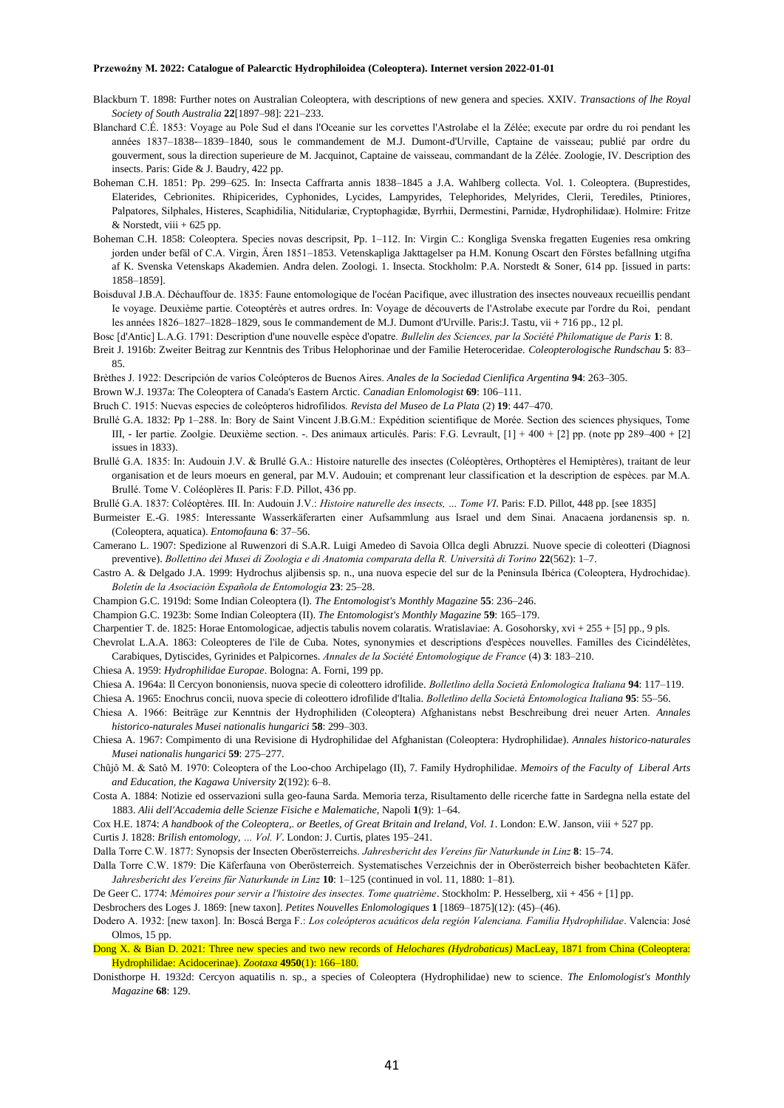- Blackburn T. 1898: Further notes on Australian Coleoptera, with descriptions of new genera and species. XXIV. *Transactions of lhe Royal Society of South Australia* **22**[1897–98]: 221–233.
- Blanchard C.É. 1853: Voyage au Pole Sud el dans l'Oceanie sur les corvettes l'Astrolabe el la Zélée; execute par ordre du roi pendant les années 1837–1838-–1839–1840, sous le commandement de M.J. Dumont-d'Urville, Captaine de vaisseau; publié par ordre du gouverment, sous la direction superieure de M. Jacquinot, Captaine de vaisseau, commandant de la Zélée. Zoologie, IV. Description des insects. Paris: Gide & J. Baudry, 422 pp.
- Boheman C.H. 1851: Pp. 299–625. In: Insecta Caffrarta annis 1838–1845 a J.A. Wahlberg collecta. Vol. 1. Coleoptera. (Buprestides, Elaterides, Cebrionites. Rhipicerides, Cyphonides, Lycides, Lampyrides, Telephorides, Melyrides, Clerii, Terediles, Ptiniores, Palpatores, Silphales, Histeres, Scaphidilia, Nitidulariæ, Cryptophagidæ, Byrrhii, Dermestini, Parnidæ, Hydrophilidaæ). Holmire: Fritze  $&$  Norstedt, viii + 625 pp.
- Boheman C.H. 1858: Coleoptera. Species novas descripsit, Pp. 1–112. In: Virgin C.: Kongliga Svenska fregatten Eugenies resa omkring jorden under befäl of C.A. Virgin, Ären 1851–1853. Vetenskapliga Jakttagelser pa H.M. Konung Oscart den Förstes befallning utgifna af K. Svenska Vetenskaps Akademien. Andra delen. Zoologi. 1. Insecta. Stockholm: P.A. Norstedt & Soner, 614 pp. [issued in parts: 1858–1859].
- Boisduval J.B.A. Déchauffour de. 1835: Faune entomologique de l'océan Pacifique, avec illustration des insectes nouveaux recueillis pendant Ie voyage. Deuxième partie. Coteoptérès et autres ordres. In: Voyage de découverts de l'Astrolabe execute par l'ordre du Roi, pendant les années 1826–1827–1828–1829, sous Ie commandement de M.J. Dumont d'Urville. Paris:J. Tastu, vii + 716 pp., 12 pl.
- Bosc [d'Antic] L.A.G. 1791: Description d'une nouvelle espèce d'opatre. *Bullelin des Sciences, par la Société Philomatique de Paris* **1**: 8.
- Breit J. 1916b: Zweiter Beitrag zur Kenntnis des Tribus Helophorinae und der Familie Heteroceridae. *Coleopterologische Rundschau* **5**: 83– 85.
- Brèthes J. 1922: Descripción de varios Coleópteros de Buenos Aires. *Anales de la Sociedad Cienlifica Argentina* **94**: 263–305.
- Brown W.J. 1937a: The Coleoptera of Canada's Eastern Arctic. *Canadian Enlomologist* **69**: 106–111.
- Bruch C. 1915: Nuevas especies de coleópteros hidrofilidos. *Revista del Museo de La Plata* (2) **19**: 447–470.
- Brullé G.A. 1832: Pp 1–288. In: Bory de Saint Vincent J.B.G.M.: Expédition scientifique de Morée. Section des sciences physiques, Tome III, - Ier partie. Zoolgie. Deuxième section. -. Des animaux articulés. Paris: F.G. Levrault, [1] + 400 + [2] pp. (note pp 289–400 + [2] issues in 1833).
- Brullé G.A. 1835: In: Audouin J.V. & Brullé G.A.: Histoire naturelle des insectes (Coléoptères, Orthoptères el Hemiptères), traitant de leur organisation et de leurs moeurs en general, par M.V. Audouin; et comprenant leur classification et la description de espèces. par M.A. Brullé. Tome V. Coléoplères II. Paris: F.D. Pillot, 436 pp.
- Brullé G.A. 1837: Coléoptères. III. In: Audouin J.V.: *Histoire naturelle des insects, … Tome VI*. Paris: F.D. Pillot, 448 pp. [see 1835]
- Burmeister E.-G. 1985: Interessante Wasserkäferarten einer Aufsammlung aus Israel und dem Sinai. Anacaena jordanensis sp. n. (Coleoptera, aquatica). *Entomofauna* **6**: 37–56.
- Camerano L. 1907: Spedizione al Ruwenzori di S.A.R. Luigi Amedeo di Savoia Ollca degli Abruzzi. Nuove specie di coleotteri (Diagnosi preventive). *Bollettino dei Musei di Zoologia e di Anatomia comparata della R. Università di Torino* **22**(562): 1–7.
- Castro A. & Delgado J.A. 1999: Hydrochus aljibensis sp. n., una nuova especie del sur de la Peninsula Ibérica (Coleoptera, Hydrochidae). *Boletín de la Asociaciòn Española de Entomologia* **23**: 25–28.
- Champion G.C. 1919d: Some Indian Coleoptera (I). *The Entomologist's Monthly Magazine* **55**: 236–246.
- Champion G.C. 1923b: Some Indian Coleoptera (II). *The Entomologist's Monthly Magazine* **59**: 165–179.
- Charpentier T. de. 1825: Horae Entomologicae, adjectis tabulis novem colaratis. Wratislaviae: A. Gosohorsky, xvi + 255 + [5] pp., 9 pls.

Chevrolat L.A.A. 1863: Coleopteres de l'ile de Cuba. Notes, synonymies et descriptions d'espèces nouvelles. Familles des Cicindélètes, Carabiques, Dytiscides, Gyrinides et Palpicornes. *Annales de la Société Entomologique de France* (4) **3**: 183–210.

- Chiesa A. 1959: *Hydrophilidae Europae*. Bologna: A. Forni, 199 pp.
- Chiesa A. 1964a: Il Cercyon bononiensis, nuova specie di coleottero idrofilide. *Bolletlino della Società Enlomologica Italiana* **94**: 117–119.
- Chiesa A. 1965: Enochrus concii, nuova specie di coleottero idrofilide d'Italia. *Bolletlino della Società Entomologica Italiana* **95**: 55–56.
- Chiesa A. 1966: Beiträge zur Kenntnis der Hydrophiliden (Coleoptera) Afghanistans nebst Beschreibung drei neuer Arten. *Annales historico-naturales Musei nationalis hungarici* **58**: 299–303.
- Chiesa A. 1967: Compimento di una Revisione di Hydrophilidae del Afghanistan (Coleoptera: Hydrophilidae). *Annales historico-naturales Musei nationalis hungarici* **59**: 275–277.
- Chûjô M. & Satô M. 1970: Coleoptera of the Loo-choo Archipelago (II), 7. Family Hydrophilidae. *Memoirs of the Faculty of Liberal Arts and Education, the Kagawa University* **2**(192): 6–8.
- Costa A. 1884: Notizie ed osservazioni sulla geo-fauna Sarda. Memoria terza, Risultamento delle ricerche fatte in Sardegna nella estate del 1883. *Alii dell'Accademia delle Scienze Fisiche e Malematiche*, Napoli **1**(9): 1–64.
- Cox H.E. 1874: *A handbook of the Coleoptera,. or Beetles, of Great Britain and Ireland, Vol. 1*. London: E.W. Janson, viii + 527 pp.
- Curtis J. 1828: *Brilish entomology, … Vol. V*. London: J. Curtis, plates 195–241.
- Dalla Torre C.W. 1877: Synopsis der Insecten Oberösterreichs. *Jahresbericht des Vereins für Naturkunde in Linz* **8**: 15–74.
- Dalla Torre C.W. 1879: Die Käferfauna von Oberösterreich. Systematisches Verzeichnis der in Oberösterreich bisher beobachteten Käfer. *Jahresbericht des Vereins für Naturkunde in Linz* **10**: 1–125 (continued in vol. 11, 1880: 1–81).
- De Geer C. 1774: *Mémoires pour servir a l'histoire des insectes. Tome quatrième*. Stockholm: P. Hesselberg, xii + 456 + [1] pp.

Desbrochers des Loges J. 1869: [new taxon]. *Petites Nouvelles Enlomologiques* **1** [1869–1875](12): (45)–(46).

Dodero A. 1932: [new taxon]. In: Boscá Berga F.: *Los coleópteros acuáticos dela región Valenciana. Familia Hydrophilidae*. Valencia: José Olmos, 15 pp.

- Dong X. & Bian D. 2021: Three new species and two new records of *Helochares (Hydrobaticus)* MacLeay, 1871 from China (Coleoptera: Hydrophilidae: Acidocerinae). *Zootaxa* **4950**(1): 166–180.
- Donisthorpe H. 1932d: Cercyon aquatilis n. sp., a species of Coleoptera (Hydrophilidae) new to science. *The Enlomologist's Monthly Magazine* **68**: 129.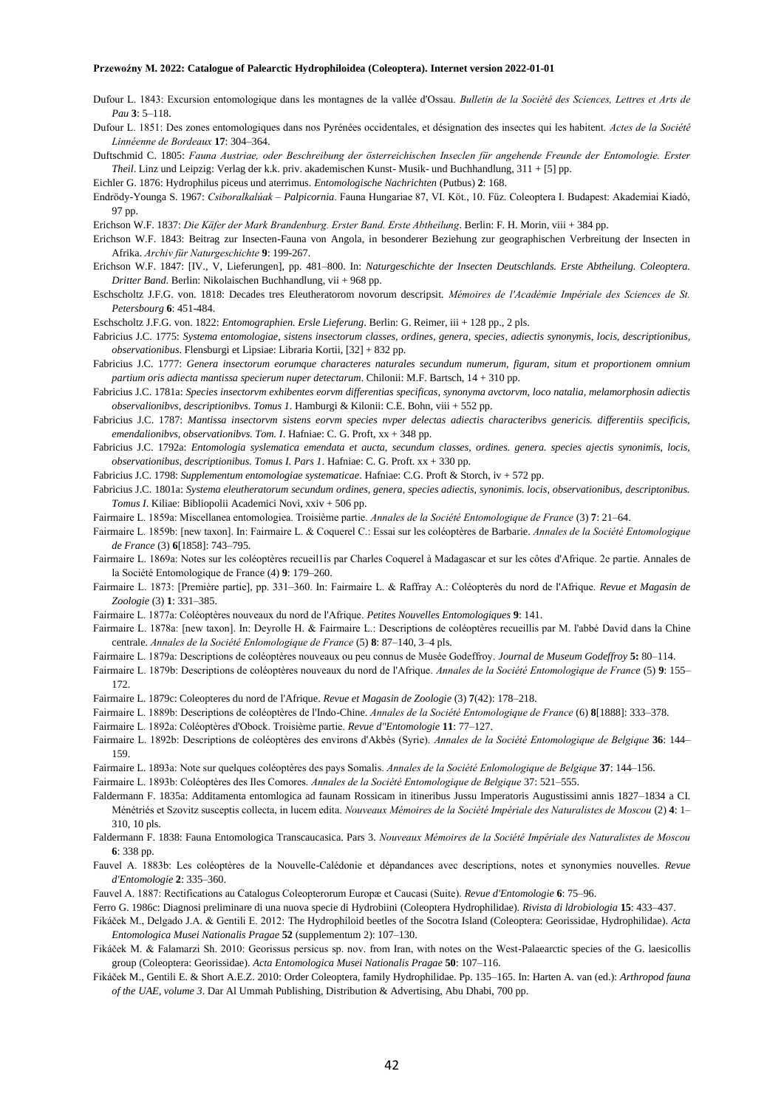- Dufour L. 1843: Excursion entomologique dans les montagnes de la vallée d'Ossau. *Bulletin de la Société des Sciences, Lettres et Arts de Pau* **3**: 5–118.
- Dufour L. 1851: Des zones entomologiques dans nos Pyrénées occidentales, et désignation des insectes qui les habitent. *Actes de la Société Linnéenne de Bordeaux* **17**: 304–364.

Duftschmid C. 1805: *Fauna Austriae, oder Beschreibung der österreichischen Inseclen für angehende Freunde der Entomologie. Erster Theil*. Linz und Leipzig: Verlag der k.k. priv. akademischen Kunst- Musik- und Buchhandlung, 311 + [5] pp.

Eichler G. 1876: Hydrophilus piceus und aterrimus. *Entomologische Nachrichten* (Putbus) **2**: 168.

- Endrödy-Younga S. 1967: *Csiboralkalúak – Palpicornia*. Fauna Hungariae 87, VI. Köt., 10. Füz. Coleoptera I. Budapest: Akademiai Kiadó, 97 pp.
- Erichson W.F. 1837: *Die Käfer der Mark Brandenburg. Erster Band. Erste Abtheilung*. Berlin: F. H. Morin, viii + 384 pp.
- Erichson W.F. 1843: Beitrag zur Insecten-Fauna von Angola, in besonderer Beziehung zur geographischen Verbreitung der Insecten in Afrika. *Archiv für Naturgeschichte* **9**: 199-267.
- Erichson W.F. 1847: [IV., V, Lieferungen], pp. 481–800. In: *Naturgeschichte der Insecten Deutschlands. Erste Abtheilung. Coleoptera. Dritter Band*. Berlin: Nikolaischen Buchhandlung, vii + 968 pp.
- Eschscholtz J.F.G. von. 1818: Decades tres Eleutheratorom novorum descripsit. *Mémoires de l'Académie Impériale des Sciences de St. Petersbourg* **6**: 451-484.
- Eschscholtz J.F.G. von. 1822: *Entomographien. Ersle Lieferung*. Berlin: G. Reimer, iii + 128 pp., 2 pls.
- Fabricius J.C. 1775: *Systema entomologiae, sistens insectorum classes, ordines, genera, species, adiectis synonymis, locis, descriptionibus, observationibus*. Flensburgi et Lipsiae: Libraria Kortii, [32] + 832 pp.
- Fabricius J.C. 1777: *Genera insectorum eorumque characteres naturales secundum numerum, figuram, situm et proportionem omnium partium oris adiecta mantissa specierum nuper detectarum*. Chilonii: M.F. Bartsch, 14 + 310 pp.
- Fabricius J.C. 1781a: *Species insectorvm exhibentes eorvm differentias specificas, synonyma avctorvm, loco natalia, melamorphosin adiectis observalionibvs, descriptionibvs. Tomus 1*. Hamburgi & Kilonii: C.E. Bohn, viii + 552 pp.
- Fabricius J.C. 1787: *Mantissa insectorvm sistens eorvm species nvper delectas adiectis characteribvs genericis. differentiis specificis, emendalionibvs, observationibvs. Tom. I*. Hafniae: C. G. Proft, xx + 348 pp.
- Fabricius J.C. 1792a: *Entomologia syslematica emendata et aucta, secundum classes, ordines. genera. species ajectis synonimis, locis, observationibus, descriptionibus. Tomus I. Pars 1*. Hafniae: C. G. Proft. xx + 330 pp.
- Fabricius J.C. 1798: *Supplementum entomologiae systematicae*. Hafniae: C.G. Proft & Storch, iv + 572 pp.
- Fabricius J.C. 1801a: *Systema eleutheratorum secundum ordines, genera, species adiectis, synonimis. locis, observationibus, descriptonibus. Tomus I*. Kiliae: Bibliopolii Academici Novi, xxiv + 506 pp.
- Fairmaire L. 1859a: Miscellanea entomologiea. Troisième partie. *Annales de la Société Entomologique de France* (3) **7**: 21–64.
- Fairmaire L. 1859b: [new taxon]. In: Fairmaire L. & Coquerel C.: Essai sur les coléoptères de Barbarie. *Annales de la Société Entomologique de France* (3) **6**[1858]: 743–795.
- Fairmaire L. 1869a: Notes sur les coléoptères recueil1is par Charles Coquerel à Madagascar et sur les côtes d'Afrique. 2e partie. Annales de la Société Entomologique de France (4) **9**: 179–260.
- Fairmaire L. 1873: [Première partie], pp. 331–360. In: Fairmaire L. & Raffray A.: Coléopterès du nord de l'Afrique. *Revue et Magasin de Zoologie* (3) **1**: 331–385.
- Fairmaire L. 1877a: Coléoptères nouveaux du nord de l'Afrique. *Petites Nouvelles Entomologiques* **9**: 141.
- Fairmaire L. 1878a: [new taxon]. In: Deyrolle H. & Fairmaire L.: Descriptions de coléoptères recueillis par M. l'abbé David dans la Chine centrale. *Annales de la Société Enlomologique de France* (5) **8**: 87–140, 3–4 pls.
- Fairmaire L. 1879a: Descriptions de coléoptères nouveaux ou peu connus de Musée Godeffroy. *Journal de Museum Godeffroy* **5:** 80–114.
- Fairmaire L. 1879b: Descriptions de coléoptères nouveaux du nord de l'Afrique. *Annales de la Société Entomologique de France* (5) **9**: 155– 172.
- Fairmaire L. 1879c: Coleopteres du nord de l'Afrique. *Revue et Magasin de Zoologie* (3) **7**(42): 178–218.
- Fairmaire L. 1889b: Descriptions de coléoptères de l'Indo-Chine. *Annales de la Société Entomologique de France* (6) **8**[1888]: 333–378.
- Fairmaire L. 1892a: Coléoptères d'Obock. Troisième partie. *Revue d"Entomologie* **11**: 77–127.
- Fairmaire L. 1892b: Descriptions de coléoptères des environs d'Akbès (Syrie). *Annales de la Société Entomologique de Belgique* **36**: 144– 159.
- Fairmaire L. 1893a: Note sur quelques coléoptères des pays Somalis. *Annales de la Société Enlomologique de Belgique* **37**: 144–156.
- Fairmaire L. 1893b: Coléoptères des Iles Comores. *Annales de la Société Entomologique de Belgique* 37: 521–555.
- Faldermann F. 1835a: Additamenta entomlogica ad faunam Rossicam in itineribus Jussu Imperatoris Augustissimi annis 1827–1834 a CI. Ménétriés et Szovitz susceptis collecta, in lucem edita. *Nouveaux Mémoires de la Société Impériale des Naturalistes de Moscou* (2) **4**: 1– 310, 10 pls.
- Faldermann F. 1838: Fauna Entomologica Transcaucasica. Pars 3. *Nouveaux Mémoires de la Société Impériale des Naturalistes de Moscou* **6**: 338 pp.
- Fauvel A. 1883b: Les coléoptères de la Nouvelle-Calédonie et dépandances avec descriptions, notes et synonymies nouvelles. *Revue d'Entomologie* **2**: 335–360.
- Fauvel A. 1887: Rectifications au Catalogus Coleopterorum Europæ et Caucasi (Suite). *Revue d'Entomologie* **6**: 75–96.
- Ferro G. 1986c: Diagnosi preliminare di una nuova specie di Hydrobiini (Coleoptera Hydrophilidae). *Rivista di ldrobiologia* **15**: 433–437.
- Fikáček M., Delgado J.A. & Gentili E. 2012: The Hydrophiloid beetles of the Socotra Island (Coleoptera: Georissidae, Hydrophilidae). *Acta Entomologica Musei Nationalis Pragae* **52** (supplementum 2): 107–130.
- Fikáček M. & Falamarzi Sh. 2010: Georissus persicus sp. nov. from Iran, with notes on the West-Palaearctic species of the G. laesicollis group (Coleoptera: Georissidae). *Acta Entomologica Musei Nationalis Pragae* **50**: 107–116.
- Fikáček M., Gentili E. & Short A.E.Z. 2010: Order Coleoptera, family Hydrophilidae. Pp. 135–165. In: Harten A. van (ed.): *Arthropod fauna of the UAE, volume 3*. Dar Al Ummah Publishing, Distribution & Advertising, Abu Dhabi, 700 pp.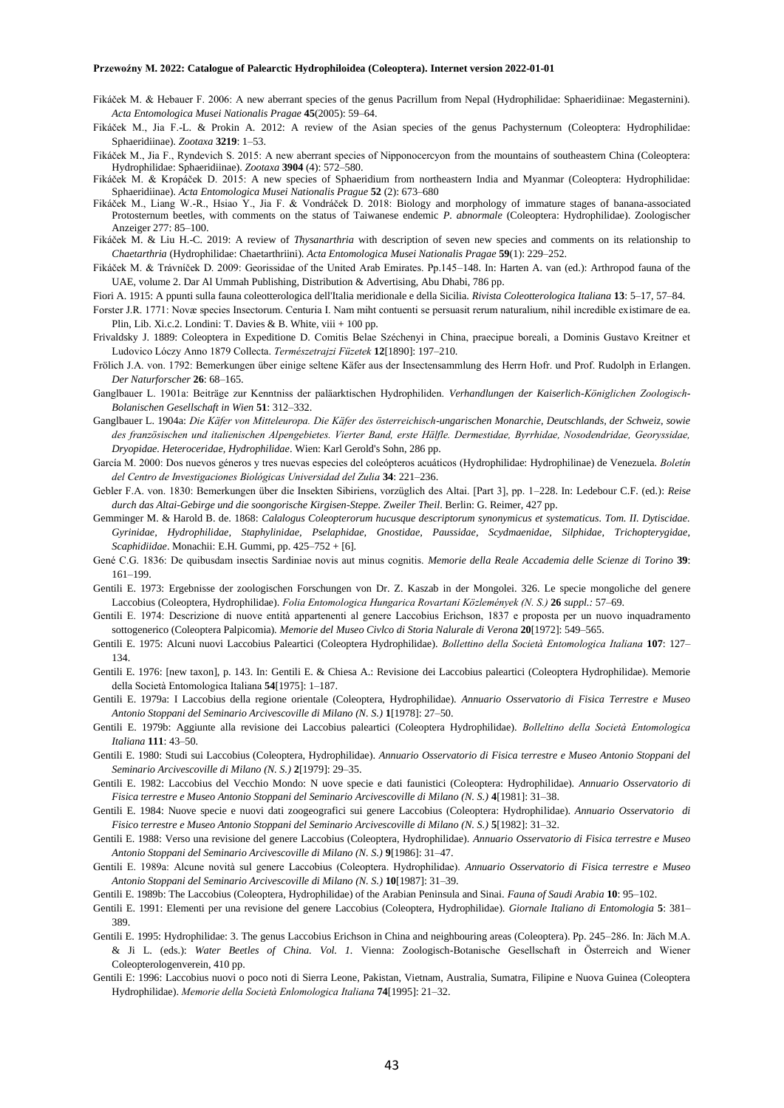- Fikáček M. & Hebauer F. 2006: A new aberrant species of the genus Pacrillum from Nepal (Hydrophilidae: Sphaeridiinae: Megasternini). *Acta Entomologica Musei Nationalis Pragae* **45**(2005): 59–64.
- Fikáček M., Jia F.-L. & Prokin A. 2012: A review of the Asian species of the genus Pachysternum (Coleoptera: Hydrophilidae: Sphaeridiinae). *Zootaxa* **3219**: 1–53.
- Fikáček M., Jia F., Ryndevich S. 2015: A new aberrant species of Nipponocercyon from the mountains of southeastern China (Coleoptera: Hydrophilidae: Sphaeridiinae). *Zootaxa* **3904** (4): 572–580.
- Fikáček M. & Kropáček D. 2015: A new species of Sphaeridium from northeastern India and Myanmar (Coleoptera: Hydrophilidae: Sphaeridiinae). *Acta Entomologica Musei Nationalis Prague* **52** (2): 673–680
- Fikáček M., Liang W.-R., Hsiao Y., Jia F. & Vondráček D. 2018: Biology and morphology of immature stages of banana-associated Protosternum beetles, with comments on the status of Taiwanese endemic *P. abnormale* (Coleoptera: Hydrophilidae). Zoologischer Anzeiger 277: 85–100.
- Fikáček M. & Liu H.-C. 2019: A review of *Thysanarthria* with description of seven new species and comments on its relationship to *Chaetarthria* (Hydrophilidae: Chaetarthriini). *Acta Entomologica Musei Nationalis Pragae* **59**(1): 229–252.
- Fikáček M. & Trávníček D. 2009: Georissidae of the United Arab Emirates. Pp.145–148. In: Harten A. van (ed.): Arthropod fauna of the UAE, volume 2. Dar Al Ummah Publishing, Distribution & Advertising, Abu Dhabi, 786 pp.
- Fiori A. 1915: A ppunti sulla fauna coleotterologica dell'Italia meridionale e della Sicilia. *Rivista Coleotterologica Italiana* **13**: 5–17, 57–84.
- Forster J.R. 1771: Novæ species Insectorum. Centuria I. Nam miht contuenti se persuasit rerum naturalium, nihil incredible existimare de ea. Plin, Lib. Xi.c.2. Londini: T. Davies & B. White, viii + 100 pp.
- Frivaldsky J. 1889: Coleoptera in Expeditione D. Comitis Belae Széchenyi in China, praecipue boreali, a Dominis Gustavo Kreitner et Ludovico Lóczy Anno 1879 Collecta. *Természetrajzi Füzetek* **12**[1890]: 197–210.
- Frölich J.A. von. 1792: Bemerkungen über einige seltene Käfer aus der Insectensammlung des Herrn Hofr. und Prof. Rudolph in Erlangen. *Der Naturforscher* **26**: 68–165.
- Ganglbauer L. 1901a: Beiträge zur Kenntniss der paläarktischen Hydrophiliden. *Verhandlungen der Kaiserlich-Königlichen Zoologisch-Bolanischen Gesellschaft in Wien* **51**: 312–332.
- Ganglbauer L. 1904a: *Die Käfer von Mitteleuropa. Die Käfer des österreichisch-ungarischen Monarchie, Deutschlands, der Schweiz, sowie des französischen und italienischen Alpengebietes. Vierter Band, erste Hälfle. Dermestidae, Byrrhidae, Nosodendridae, Georyssidae, Dryopidae. Heteroceridae, Hydrophilidae*. Wien: Karl Gerold's Sohn, 286 pp.
- García M. 2000: Dos nuevos géneros y tres nuevas especies del coleópteros acuáticos (Hydrophilidae: Hydrophilinae) de Venezuela. *Boletín del Centro de Investigaciones Biológicas Universidad del Zulia* **34**: 221–236.
- Gebler F.A. von. 1830: Bemerkungen über die Insekten Sibiriens, vorzüglich des Altai. [Part 3], pp. 1–228. In: Ledebour C.F. (ed.): *Reise durch das Altai-Gebirge und die soongorische Kirgisen-Steppe. Zweiler Theil*. Berlin: G. Reimer, 427 pp.
- Gemminger M. & Harold B. de. 1868: *Calalogus Coleopterorum hucusque descriptorum synonymicus et systematicus. Tom. II. Dytiscidae. Gyrinidae, Hydrophilidae, Staphylinidae, Pselaphidae, Gnostidae, Paussidae, Scydmaenidae, Silphidae, Trichopterygidae, Scaphidiidae*. Monachii: E.H. Gummi, pp. 425–752 + [6].
- Gené C.G. 1836: De quibusdam insectis Sardiniae novis aut minus cognitis. *Memorie della Reale Accademia delle Scienze di Torino* **39**: 161–199.
- Gentili E. 1973: Ergebnisse der zoologischen Forschungen von Dr. Z. Kaszab in der Mongolei. 326. Le specie mongoliche del genere Laccobius (Coleoptera, Hydrophilidae). *Folia Entomologica Hungarica Rovartani Közlemények (N. S.)* **26** *suppl.:* 57–69.
- Gentili E. 1974: Descrizione di nuove entità appartenenti al genere Laccobius Erichson, 1837 e proposta per un nuovo inquadramento sottogenerico (Coleoptera Palpicomia). *Memorie del Museo Civlco di Storia Nalurale di Verona* **20**[1972]: 549–565.
- Gentili E. 1975: Alcuni nuovi Laccobius Paleartici (Coleoptera Hydrophilidae). *Bollettino della Società Entomologica Italiana* **107**: 127– 134.
- Gentili E. 1976: [new taxon], p. 143. In: Gentili E. & Chiesa A.: Revisione dei Laccobius paleartici (Coleoptera Hydrophilidae). Memorie della Società Entomologica Italiana **54**[1975]: 1–187.
- Gentili E. 1979a: I Laccobius della regione orientale (Coleoptera, Hydrophilidae). *Annuario Osservatorio di Fisica Terrestre e Museo Antonio Stoppani del Seminario Arcivescoville di Milano (N. S.)* **1**[1978]: 27–50.
- Gentili E. 1979b: Aggiunte alla revisione dei Laccobius paleartici (Coleoptera Hydrophilidae). *Bolleltino della Società Entomologica Italiana* **111**: 43–50.
- Gentili E. 1980: Studi sui Laccobius (Coleoptera, Hydrophilidae). *Annuario Osservatorio di Fisica terrestre e Museo Antonio Stoppani del Seminario Arcivescoville di Milano (N. S.)* **2**[1979]: 29–35.
- Gentili E. 1982: Laccobius del Vecchio Mondo: N uove specie e dati faunistici (Coleoptera: Hydrophilidae). *Annuario Osservatorio di Fisica terrestre e Museo Antonio Stoppani del Seminario Arcivescoville di Milano (N. S.)* **4**[1981]: 31–38.
- Gentili E. 1984: Nuove specie e nuovi dati zoogeografici sui genere Laccobius (Coleoptera: Hydrophilidae). *Annuario Osservatorio di Fisico terrestre e Museo Antonio Stoppani del Seminario Arcivescoville di Milano (N. S.)* **5**[1982]: 31–32.
- Gentili E. 1988: Verso una revisione del genere Laccobius (Coleoptera, Hydrophilidae). *Annuario Osservatorio di Fisica terrestre e Museo Antonio Stoppani del Seminario Arcivescoville di Milano (N. S.)* **9**[1986]: 31–47.
- Gentili E. 1989a: Alcune novità sul genere Laccobius (Coleoptera. Hydrophilidae). *Annuario Osservatorio di Fisica terrestre e Museo Antonio Stoppani del Seminario Arcivescoville di Milano (N. S.)* **10**[1987]: 31–39.
- Gentili E. 1989b: The Laccobius (Coleoptera, Hydrophilidae) of the Arabian Peninsula and Sinai. *Fauna of Saudi Arabia* **10**: 95–102.
- Gentili E. 1991: Elementi per una revisione del genere Laccobius (Coleoptera, Hydrophilidae). *Giornale Italiano di Entomologia* **5**: 381– 389.
- Gentili E. 1995: Hydrophilidae: 3. The genus Laccobius Erichson in China and neighbouring areas (Coleoptera). Pp. 245–286. In: Jäch M.A. & Ji L. (eds.): *Water Beetles of China. Vol. 1.* Vienna: Zoologisch-Botanische Gesellschaft in Österreich and Wiener Coleopterologenverein, 410 pp.
- Gentili E: 1996: Laccobius nuovi o poco noti di Sierra Leone, Pakistan, Vietnam, Australia, Sumatra, Filipine e Nuova Guinea (Coleoptera Hydrophilidae). *Memorie della Società Enlomologica Italiana* **74**[1995]: 21–32.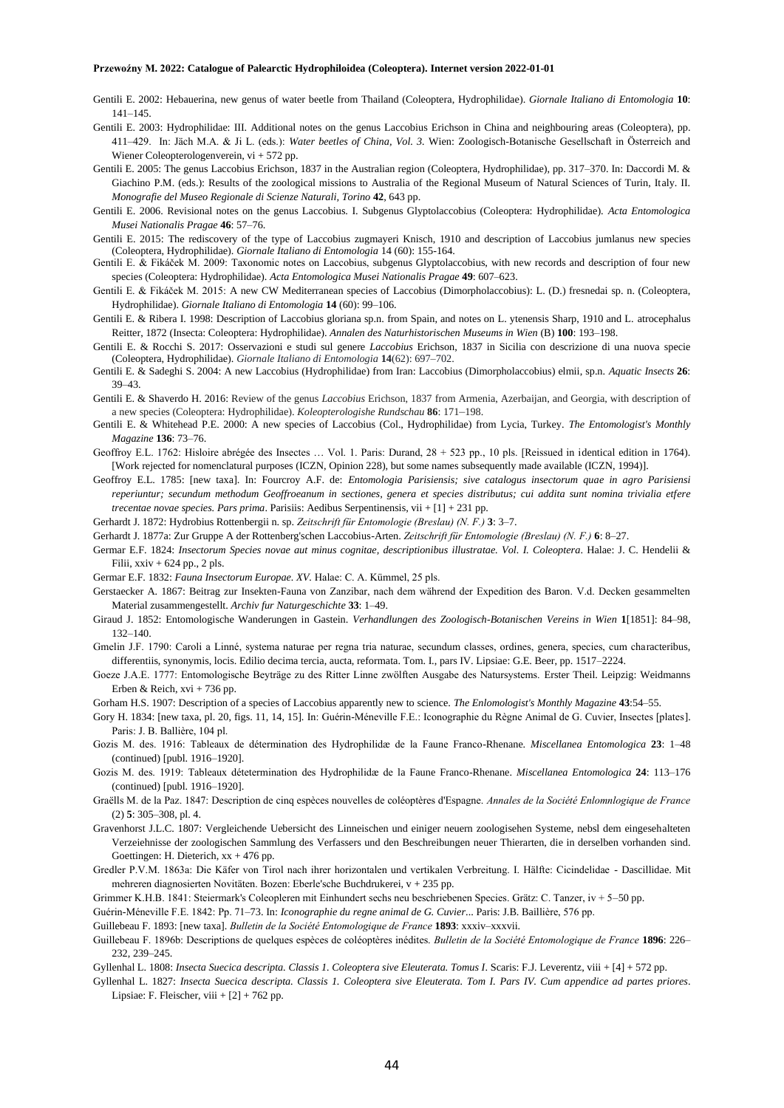- Gentili E. 2002: Hebauerina, new genus of water beetle from Thailand (Coleoptera, Hydrophilidae). *Giornale Italiano di Entomologia* **10**: 141–145.
- Gentili E. 2003: Hydrophilidae: III. Additional notes on the genus Laccobius Erichson in China and neighbouring areas (Coleoptera), pp. 411–429. In: Jäch M.A. & Ji L. (eds.): *Water beetles of China, Vol. 3.* Wien: Zoologisch-Botanische Gesellschaft in Österreich and Wiener Coleopterologenverein, vi + 572 pp.
- Gentili E. 2005: The genus Laccobius Erichson, 1837 in the Australian region (Coleoptera, Hydrophilidae), pp. 317–370. In: Daccordi M. & Giachino P.M. (eds.): Results of the zoological missions to Australia of the Regional Museum of Natural Sciences of Turin, Italy. II. *Monografie del Museo Regionale di Scienze Naturali, Torino* **42**, 643 pp.
- Gentili E. 2006. Revisional notes on the genus Laccobius. I. Subgenus Glyptolaccobius (Coleoptera: Hydrophilidae). *Acta Entomologica Musei Nationalis Pragae* **46**: 57–76.
- Gentili E. 2015: The rediscovery of the type of Laccobius zugmayeri Knisch, 1910 and description of Laccobius jumlanus new species (Coleoptera, Hydrophilidae). *Giornale Italiano di Entomologia* 14 (60): 155-164.
- Gentili E. & Fikáček M. 2009: Taxonomic notes on Laccobius, subgenus Glyptolaccobius, with new records and description of four new species (Coleoptera: Hydrophilidae). *Acta Entomologica Musei Nationalis Pragae* **49**: 607–623.
- Gentili E. & Fikáček M. 2015: A new CW Mediterranean species of Laccobius (Dimorpholaccobius): L. (D.) fresnedai sp. n. (Coleoptera, Hydrophilidae). *Giornale Italiano di Entomologia* **14** (60): 99–106.
- Gentili E. & Ribera I. 1998: Description of Laccobius gloriana sp.n. from Spain, and notes on L. ytenensis Sharp, 1910 and L. atrocephalus Reitter, 1872 (Insecta: Coleoptera: Hydrophilidae). *Annalen des Naturhistorischen Museums in Wien* (B) **100**: 193–198.
- Gentili E. & Rocchi S. 2017: Osservazioni e studi sul genere *Laccobius* Erichson, 1837 in Sicilia con descrizione di una nuova specie (Coleoptera, Hydrophilidae). *Giornale Italiano di Entomologia* **14**(62): 697–702.
- Gentili E. & Sadeghi S. 2004: A new Laccobius (Hydrophilidae) from Iran: Laccobius (Dimorpholaccobius) elmii, sp.n. *Aquatic Insects* **26**: 39–43.
- Gentili E. & Shaverdo H. 2016: Review of the genus *Laccobius* Erichson, 1837 from Armenia, Azerbaijan, and Georgia, with description of a new species (Coleoptera: Hydrophilidae). *Koleopterologishe Rundschau* **86**: 171–198.
- Gentili E. & Whitehead P.E. 2000: A new species of Laccobius (Col., Hydrophilidae) from Lycia, Turkey. *The Entomologist's Monthly Magazine* **136**: 73–76.
- Geoffroy E.L. 1762: Hisloire abrégée des Insectes … Vol. 1. Paris: Durand, 28 + 523 pp., 10 pls. [Reissued in identical edition in 1764). [Work rejected for nomenclatural purposes (ICZN, Opinion 228), but some names subsequently made available (ICZN, 1994)].
- Geoffroy E.L. 1785: [new taxa]. In: Fourcroy A.F. de: *Entomologia Parisiensis; sive catalogus insectorum quae in agro Parisiensi reperiuntur; secundum methodum Geoffroeanum in sectiones, genera et species distributus; cui addita sunt nomina trivialia etfere trecentae novae species. Pars prima*. Parisiis: Aedibus Serpentinensis, vii + [1] + 231 pp.
- Gerhardt J. 1872: Hydrobius Rottenbergii n. sp. *Zeitschrift für Entomologie (Breslau) (N. F.)* **3**: 3–7.
- Gerhardt J. 1877a: Zur Gruppe A der Rottenberg'schen Laccobius-Arten. *Zeitschrift für Entomologie (Breslau) (N. F.)* **6**: 8–27.
- Germar E.F. 1824: *Insectorum Species novae aut minus cognitae, descriptionibus illustratae. Vol. I. Coleoptera*. Halae: J. C. Hendelii & Filii,  $xxiv + 624$  pp., 2 pls.

Germar E.F. 1832: *Fauna Insectorum Europae. XV.* Halae: C. A. Kümmel, 25 pls.

- Gerstaecker A. 1867: Beitrag zur Insekten-Fauna von Zanzibar, nach dem während der Expedition des Baron. V.d. Decken gesammelten Material zusammengestellt. *Archiv fur Naturgeschichte* **33**: 1–49.
- Giraud J. 1852: Entomologische Wanderungen in Gastein. *Verhandlungen des Zoologisch-Botanischen Vereins in Wien* **1**[1851]: 84–98, 132–140.
- Gmelin J.F. 1790: Caroli a Linné, systema naturae per regna tria naturae, secundum classes, ordines, genera, species, cum characteribus, differentiis, synonymis, locis. Edilio decima tercia, aucta, reformata. Tom. I., pars IV. Lipsiae: G.E. Beer, pp. 1517–2224.
- Goeze J.A.E. 1777: Entomologische Beyträge zu des Ritter Linne zwölften Ausgabe des Natursystems. Erster Theil. Leipzig: Weidmanns Erben & Reich, xvi + 736 pp.
- Gorham H.S. 1907: Description of a species of Laccobius apparently new to science. *The Enlomologist's Monthly Magazine* **43**:54–55.
- Gory H. 1834: [new taxa, pl. 20, figs. 11, 14, 15]. In: Guérin-Méneville F.E.: Iconographie du Règne Animal de G. Cuvier, Insectes [plates]. Paris: J. B. Ballière, 104 pl.
- Gozis M. des. 1916: Tableaux de détermination des Hydrophilidæ de la Faune Franco-Rhenane. *Miscellanea Entomologica* **23**: 1–48 (continued) [publ. 1916–1920].
- Gozis M. des. 1919: Tableaux détetermination des Hydrophilidæ de la Faune Franco-Rhenane. *Miscellanea Entomologica* **24**: 113–176 (continued) [publ. 1916–1920].
- Graëlls M. de la Paz. 1847: Description de cinq espèces nouvelles de coléoptères d'Espagne. *Annales de la Société Enlomnlogique de France* (2) **5**: 305–308, pl. 4.
- Gravenhorst J.L.C. 1807: Vergleichende Uebersicht des Linneischen und einiger neuern zoologisehen Systeme, nebsl dem eingesehalteten Verzeiehnisse der zoologischen Sammlung des Verfassers und den Beschreibungen neuer Thierarten, die in derselben vorhanden sind. Goettingen: H. Dieterich,  $xx + 476$  pp.
- Gredler P.V.M. 1863a: Die Käfer von Tirol nach ihrer horizontalen und vertikalen Verbreitung. I. Hälfte: Cicindelidae Dascillidae. Mit mehreren diagnosierten Novitäten. Bozen: Eberle'sche Buchdrukerei, v + 235 pp.

Grimmer K.H.B. 1841: Steiermark's Coleopleren mit Einhundert sechs neu beschriebenen Species. Grätz: C. Tanzer, iv + 5–50 pp.

Guérin-Méneville F.E. 1842: Pp. 71–73. In: *Iconographie du regne animal de G. Cuvier*... Paris: J.B. Baillière, 576 pp.

Guillebeau F. 1893: [new taxa]. *Bulletin de la Société Entomologique de France* **1893**: xxxiv–xxxvii.

- Guillebeau F. 1896b: Descriptions de quelques espèces de coléoptères inédites. *Bulletin de la Société Entomologique de France* **1896**: 226– 232, 239–245.
- Gyllenhal L. 1808: *Insecta Suecica descripta. Classis 1. Coleoptera sive Eleuterata. Tomus I*. Scaris: F.J. Leverentz, viii + [4] + 572 pp.
- Gyllenhal L. 1827: *Insecta Suecica descripta. Classis 1. Coleoptera sive Eleuterata. Tom I. Pars IV. Cum appendice ad partes priores*. Lipsiae: F. Fleischer, viii  $+[2]+762$  pp.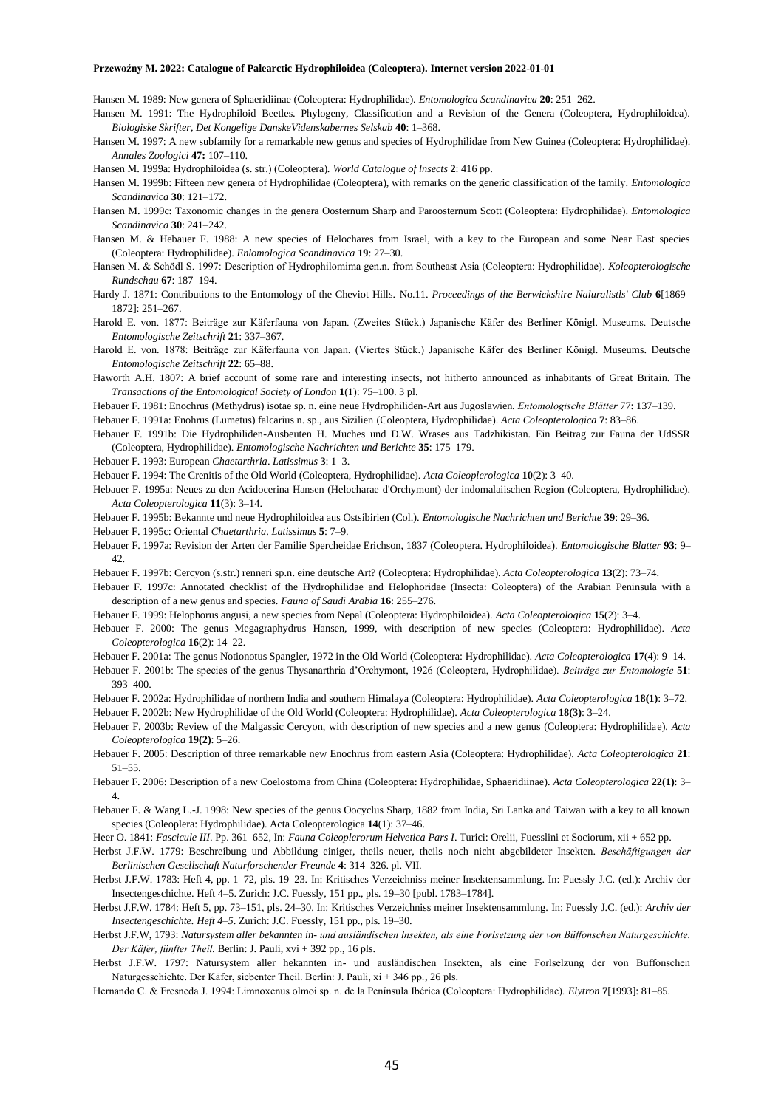Hansen M. 1989: New genera of Sphaeridiinae (Coleoptera: Hydrophilidae). *Entomologica Scandinavica* **20**: 251–262.

- Hansen M. 1991: The Hydrophiloid Beetles. Phylogeny, Classification and a Revision of the Genera (Coleoptera, Hydrophiloidea). *Biologiske Skrifter, Det Kongelige DanskeVidenskabernes Selskab* **40**: 1–368.
- Hansen M. 1997: A new subfamily for a remarkable new genus and species of Hydrophilidae from New Guinea (Coleoptera: Hydrophilidae). *Annales Zoologici* **47:** 107–110.

Hansen M. 1999a: Hydrophiloidea (s. str.) (Coleoptera). *World Catalogue of lnsects* **2**: 416 pp.

- Hansen M. 1999b: Fifteen new genera of Hydrophilidae (Coleoptera), with remarks on the generic classification of the family. *Entomologica Scandinavica* **30**: 121–172.
- Hansen M. 1999c: Taxonomic changes in the genera Oosternum Sharp and Paroosternum Scott (Coleoptera: Hydrophilidae). *Entomologica Scandinavica* **30**: 241–242.
- Hansen M. & Hebauer F. 1988: A new species of Helochares from Israel, with a key to the European and some Near East species (Coleoptera: Hydrophilidae). *Enlomologica Scandinavica* **19**: 27–30.
- Hansen M. & Schödl S. 1997: Description of Hydrophilomima gen.n. from Southeast Asia (Coleoptera: Hydrophilidae). *Koleopterologische Rundschau* **67**: 187–194.
- Hardy J. 1871: Contributions to the Entomology of the Cheviot Hills. No.11. *Proceedings of the Berwickshire Naluralistls' Club* **6**[1869– 1872]: 251–267.
- Harold E. von. 1877: Beiträge zur Käferfauna von Japan. (Zweites Stück.) Japanische Käfer des Berliner Königl. Museums. Deutsche *Entomologische Zeitschrift* **21**: 337–367.
- Harold E. von. 1878: Beiträge zur Käferfauna von Japan. (Viertes Stück.) Japanische Käfer des Berliner Königl. Museums. Deutsche *Entomologische Zeitschrift* **22**: 65–88.
- Haworth A.H. 1807: A brief account of some rare and interesting insects, not hitherto announced as inhabitants of Great Britain. The *Transactions of the Entomological Society of London* **1**(1): 75–100. 3 pl.
- Hebauer F. 1981: Enochrus (Methydrus) isotae sp. n. eine neue Hydrophiliden-Art aus Jugoslawien*. Entomologische Blätter* 77: 137–139.
- Hebauer F. 1991a: Enohrus (Lumetus) falcarius n. sp., aus Sizilien (Coleoptera, Hydrophilidae). *Acta Coleopterologica* **7**: 83–86.
- Hebauer F. 1991b: Die Hydrophiliden-Ausbeuten H. Muches und D.W. Wrases aus Tadzhikistan. Ein Beitrag zur Fauna der UdSSR (Coleoptera, Hydrophilidae). *Entomologische Nachrichten und Berichte* **35**: 175–179.
- Hebauer F. 1993: European *Chaetarthria*. *Latissimus* **3**: 1–3.
- Hebauer F. 1994: The Crenitis of the Old World (Coleoptera, Hydrophilidae). *Acta Coleoplerologica* **10**(2): 3–40.
- Hebauer F. 1995a: Neues zu den Acidocerina Hansen (Helocharae d'Orchymont) der indomalaiischen Region (Coleoptera, Hydrophilidae). *Acta Coleopterologica* **11**(3): 3–14.
- Hebauer F. 1995b: Bekannte und neue Hydrophiloidea aus Ostsibirien (Col.). *Entomologische Nachrichten und Berichte* **39**: 29–36.
- Hebauer F. 1995c: Oriental *Chaetarthria*. *Latissimus* **5**: 7–9.
- Hebauer F. 1997a: Revision der Arten der Familie Spercheidae Erichson, 1837 (Coleoptera. Hydrophiloidea). *Entomologische Blatter* **93**: 9–  $42^{\circ}$
- Hebauer F. 1997b: Cercyon (s.str.) renneri sp.n. eine deutsche Art? (Coleoptera: Hydrophilidae). *Acta Coleopterologica* **13**(2): 73–74.
- Hebauer F. 1997c: Annotated checklist of the Hydrophilidae and Helophoridae (Insecta: Coleoptera) of the Arabian Peninsula with a description of a new genus and species. *Fauna of Saudi Arabia* **16**: 255–276.
- Hebauer F. 1999: Helophorus angusi, a new species from Nepal (Coleoptera: Hydrophiloidea). *Acta Coleopterologica* **15**(2): 3–4.
- Hebauer F. 2000: The genus Megagraphydrus Hansen, 1999, with description of new species (Coleoptera: Hydrophilidae). *Acta Coleopterologica* **16**(2): 14–22.
- Hebauer F. 2001a: The genus Notionotus Spangler, 1972 in the Old World (Coleoptera: Hydrophilidae). *Acta Coleopterologica* **17**(4): 9–14.
- Hebauer F. 2001b: The species of the genus Thysanarthria d'Orchymont, 1926 (Coleoptera, Hydrophilidae). *Beiträge zur Entomologie* **51**: 393–400.
- Hebauer F. 2002a: Hydrophilidae of northern India and southern Himalaya (Coleoptera: Hydrophilidae). *Acta Coleopterologica* **18(1)**: 3–72.
- Hebauer F. 2002b: New Hydrophilidae of the Old World (Coleoptera: Hydrophilidae). *Acta Coleopterologica* **18(3)**: 3–24.
- Hebauer F. 2003b: Review of the Malgassic Cercyon, with description of new species and a new genus (Coleoptera: Hydrophilidae). *Acta Coleopterologica* **19(2)**: 5–26.
- Hebauer F. 2005: Description of three remarkable new Enochrus from eastern Asia (Coleoptera: Hydrophilidae). *Acta Coleopterologica* **21**: 51–55.
- Hebauer F. 2006: Description of a new Coelostoma from China (Coleoptera: Hydrophilidae, Sphaeridiinae). *Acta Coleopterologica* **22(1)**: 3– 4.
- Hebauer F. & Wang L.-J. 1998: New species of the genus Oocyclus Sharp, 1882 from India, Sri Lanka and Taiwan with a key to all known species (Coleoplera: Hydrophilidae). Acta Coleopterologica **14**(1): 37–46.
- Heer O. 1841: *Fascicule III*. Pp. 361–652, In: *Fauna Coleoplerorum Helvetica Pars I*. Turici: Orelii, Fuesslini et Sociorum, xii + 652 pp.
- Herbst J.F.W. 1779: Beschreibung und Abbildung einiger, theils neuer, theils noch nicht abgebildeter Insekten. *Beschäftigungen der Berlinischen Gesellschaft Naturforschender Freunde* **4**: 314–326. pl. VII.
- Herbst J.F.W. 1783: Heft 4, pp. 1–72, pls. 19–23. In: Kritisches Verzeichniss meiner Insektensammlung. In: Fuessly J.C. (ed.): Archiv der Insectengeschichte. Heft 4–5. Zurich: J.C. Fuessly, 151 pp., pls. 19–30 [publ. 1783–1784].
- Herbst J.F.W. 1784: Heft 5, pp. 73–151, pls. 24–30. In: Kritisches Verzeichniss meiner Insektensammlung. In: Fuessly J.C. (ed.): *Archiv der Insectengeschichte. Heft 4–5*. Zurich: J.C. Fuessly, 151 pp., pls. 19–30.
- Herbst J.F.W, 1793: *Natursystem aller bekannten in- und ausländischen lnsekten, als eine Forlsetzung der von Büffonschen Naturgeschichte. Der Käfer, fünfter Theil.* Berlin: J. Pauli, xvi + 392 pp., 16 pls.
- Herbst J.F.W. 1797: Natursystem aller hekannten in- und ausländischen Insekten, als eine Forlselzung der von Buffonschen Naturgesschichte. Der Käfer, siebenter Theil. Berlin: J. Pauli, xi + 346 pp., 26 pls.
- Hernando C. & Fresneda J. 1994: Limnoxenus olmoi sp. n. de la Península Ibérica (Coleoptera: Hydrophilidae). *Elytron* **7**[1993]: 81–85.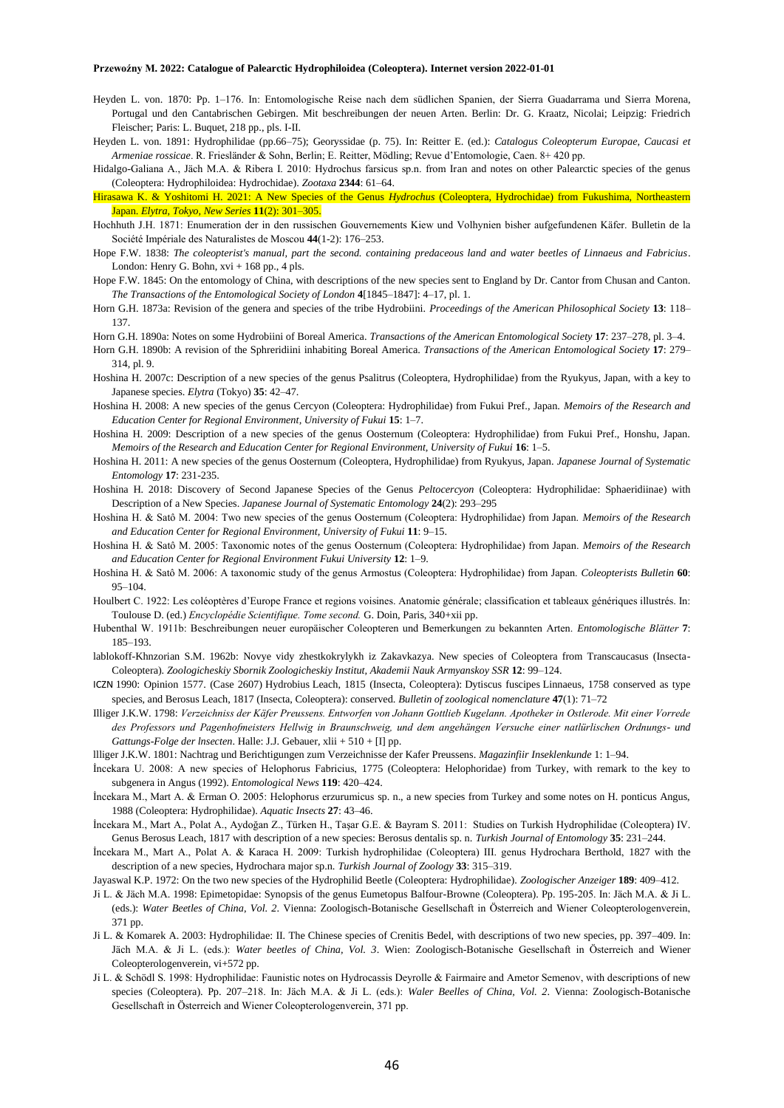- Heyden L. von. 1870: Pp. 1–176. In: Entomologische Reise nach dem südlichen Spanien, der Sierra Guadarrama und Sierra Morena, Portugal und den Cantabrischen Gebirgen. Mit beschreibungen der neuen Arten. Berlin: Dr. G. Kraatz, Nicolai; Leipzig: Friedrich Fleischer; Paris: L. Buquet, 218 pp., pls. I-II.
- Heyden L. von. 1891: Hydrophilidae (pp.66–75); Georyssidae (p. 75). In: Reitter E. (ed.): *Catalogus Coleopterum Europae, Caucasi et Armeniae rossicae*. R. Friesländer & Sohn, Berlin; E. Reitter, Mödling; Revue d'Entomologie, Caen. 8+ 420 pp.
- Hidalgo-Galiana A., Jäch M.A. & Ribera I. 2010: Hydrochus farsicus sp.n. from Iran and notes on other Palearctic species of the genus (Coleoptera: Hydrophiloidea: Hydrochidae). *Zootaxa* **2344**: 61–64.
- Hirasawa K. & Yoshitomi H. 2021: A New Species of the Genus *Hydrochus* (Coleoptera, Hydrochidae) from Fukushima, Northeastern Japan. *Elytra, Tokyo, New Series* **11**(2): 301–305.
- Hochhuth J.H. 1871: Enumeration der in den russischen Gouvernements Kiew und Volhynien bisher aufgefundenen Käfer. Bulletin de la Société Impériale des Naturalistes de Moscou **44**(1-2): 176–253.
- Hope F.W. 1838: *The coleopterist's manual, part the second. containing predaceous land and water beetles of Linnaeus and Fabricius*. London: Henry G. Bohn,  $xvi + 168$  pp., 4 pls.
- Hope F.W. 1845: On the entomology of China, with descriptions of the new species sent to England by Dr. Cantor from Chusan and Canton. *The Transactions of the Entomological Society of London* **4**[1845–1847]: 4–17, pl. 1.
- Horn G.H. 1873a: Revision of the genera and species of the tribe Hydrobiini. *Proceedings of the American Philosophical Society* **13**: 118– 137.
- Horn G.H. 1890a: Notes on some Hydrobiini of Boreal America. *Transactions of the American Entomological Society* **17**: 237–278, pl. 3–4.
- Horn G.H. 1890b: A revision of the Sphreridiini inhabiting Boreal America. *Transactions of the American Entomological Society* **17**: 279– 314, pl. 9.
- Hoshina H. 2007c: Description of a new species of the genus Psalitrus (Coleoptera, Hydrophilidae) from the Ryukyus, Japan, with a key to Japanese species. *Elytra* (Tokyo) **35**: 42–47.
- Hoshina H. 2008: A new species of the genus Cercyon (Coleoptera: Hydrophilidae) from Fukui Pref., Japan. *Memoirs of the Research and Education Center for Regional Environment, University of Fukui* **15**: 1–7.
- Hoshina H. 2009: Description of a new species of the genus Oosternum (Coleoptera: Hydrophilidae) from Fukui Pref., Honshu, Japan. *Memoirs of the Research and Education Center for Regional Environment, University of Fukui* **16**: 1–5.
- Hoshina H. 2011: A new species of the genus Oosternum (Coleoptera, Hydrophilidae) from Ryukyus, Japan. *Japanese Journal of Systematic Entomology* **17**: 231-235.
- Hoshina H. 2018: Discovery of Second Japanese Species of the Genus *Peltocercyon* (Coleoptera: Hydrophilidae: Sphaeridiinae) with Description of a New Species. *Japanese Journal of Systematic Entomology* **24**(2): 293–295
- Hoshina H. & Satô M. 2004: Two new species of the genus Oosternum (Coleoptera: Hydrophilidae) from Japan. *Memoirs of the Research and Education Center for Regional Environment, University of Fukui* **11**: 9–15.
- Hoshina H. & Satô M. 2005: Taxonomic notes of the genus Oosternum (Coleoptera: Hydrophilidae) from Japan. *Memoirs of the Research and Education Center for Regional Environment Fukui University* **12**: 1–9.
- Hoshina H. & Satô M. 2006: A taxonomic study of the genus Armostus (Coleoptera: Hydrophilidae) from Japan. *Coleopterists Bulletin* **60**: 95–104.
- Houlbert C. 1922: Les coléoptères d'Europe France et regions voisines. Anatomie générale; classification et tableaux génériques illustrés. In: Toulouse D. (ed.) *Encyclopédie Scientifique. Tome second.* G. Doin, Paris, 340+xii pp.
- Hubenthal W. 1911b: Beschreibungen neuer europäischer Coleopteren und Bemerkungen zu bekannten Arten. *Entomologische Blätter* **7**: 185–193.
- lablokoff-Khnzorian S.M. 1962b: Novye vidy zhestkokrylykh iz Zakavkazya. New species of Coleoptera from Transcaucasus (Insecta-Coleoptera). *Zoologicheskiy Sbornik Zoologicheskiy Institut, Akademii Nauk Armyanskoy SSR* **12**: 99–124.
- ICZN 1990: Opinion 1577. (Case 2607) Hydrobius Leach, 1815 (Insecta, Coleoptera): Dytiscus fuscipes Linnaeus, 1758 conserved as type species, and Berosus Leach, 1817 (Insecta, Coleoptera): conserved. *Bulletin of zoological nomenclature* **47**(1): 71–72
- Illiger J.K.W. 1798: *Verzeichniss der Käfer Preussens. Entworfen von Johann Gottlieb Kugelann. Apotheker in Ostlerode. Mit einer Vorrede des Professors und Pagenhofmeisters Hellwig in Braunschweig, und dem angehängen Versuche einer natlürlischen Ordnungs- und Gattungs-Folge der lnsecten*. Halle: J.J. Gebauer, xlii + 510 + [I] pp.
- llliger J.K.W. 1801: Nachtrag und Berichtigungen zum Verzeichnisse der Kafer Preussens. *Magazinfiir Inseklenkunde* 1: 1–94.
- İncekara U. 2008: A new species of Helophorus Fabricius, 1775 (Coleoptera: Helophoridae) from Turkey, with remark to the key to subgenera in Angus (1992). *Entomological News* **119**: 420–424.
- İncekara M., Mart A. & Erman O. 2005: Helophorus erzurumicus sp. n., a new species from Turkey and some notes on H. ponticus Angus, 1988 (Coleoptera: Hydrophilidae). *Aquatic Insects* **27**: 43–46.
- İncekara M., Mart A., Polat A., Aydoğan Z., Türken H., Taşar G.E. & Bayram S. 2011: Studies on Turkish Hydrophilidae (Coleoptera) IV. Genus Berosus Leach, 1817 with description of a new species: Berosus dentalis sp. n. *Turkish Journal of Entomology* **35**: 231–244.
- İncekara M., Mart A., Polat A. & Karaca H. 2009: Turkish hydrophilidae (Coleoptera) III. genus Hydrochara Berthold, 1827 with the description of a new species, Hydrochara major sp.n. *Turkish Journal of Zoology* **33**: 315–319.
- Jayaswal K.P. 1972: On the two new species of the Hydrophilid Beetle (Coleoptera: Hydrophilidae). *Zoologischer Anzeiger* **189**: 409–412.
- Ji L. & Jäch M.A. 1998: Epimetopidae: Synopsis of the genus Eumetopus Balfour-Browne (Coleoptera). Pp. 195-205. In: Jäch M.A. & Ji L. (eds.): *Water Beetles of China*, *Vol. 2*. Vienna: Zoologisch-Botanische Gesellschaft in Österreich and Wiener Coleopterologenverein, 371 pp.
- Ji L. & Komarek A. 2003: Hydrophilidae: II. The Chinese species of Crenitis Bedel, with descriptions of two new species, pp. 397–409. In: Jäch M.A. & Ji L. (eds.): *Water beetles of China, Vol. 3*. Wien: Zoologisch-Botanische Gesellschaft in Österreich and Wiener Coleopterologenverein, vi+572 pp.
- Ji L. & Schödl S. 1998: Hydrophilidae: Faunistic notes on Hydrocassis Deyrolle & Fairmaire and Ametor Semenov, with descriptions of new species (Coleoptera). Pp. 207–218. In: Jäch M.A. & Ji L. (eds.): *Waler Beelles of China, Vol. 2*. Vienna: Zoologisch-Botanische Gesellschaft in Österreich and Wiener Coleopterologenverein, 371 pp.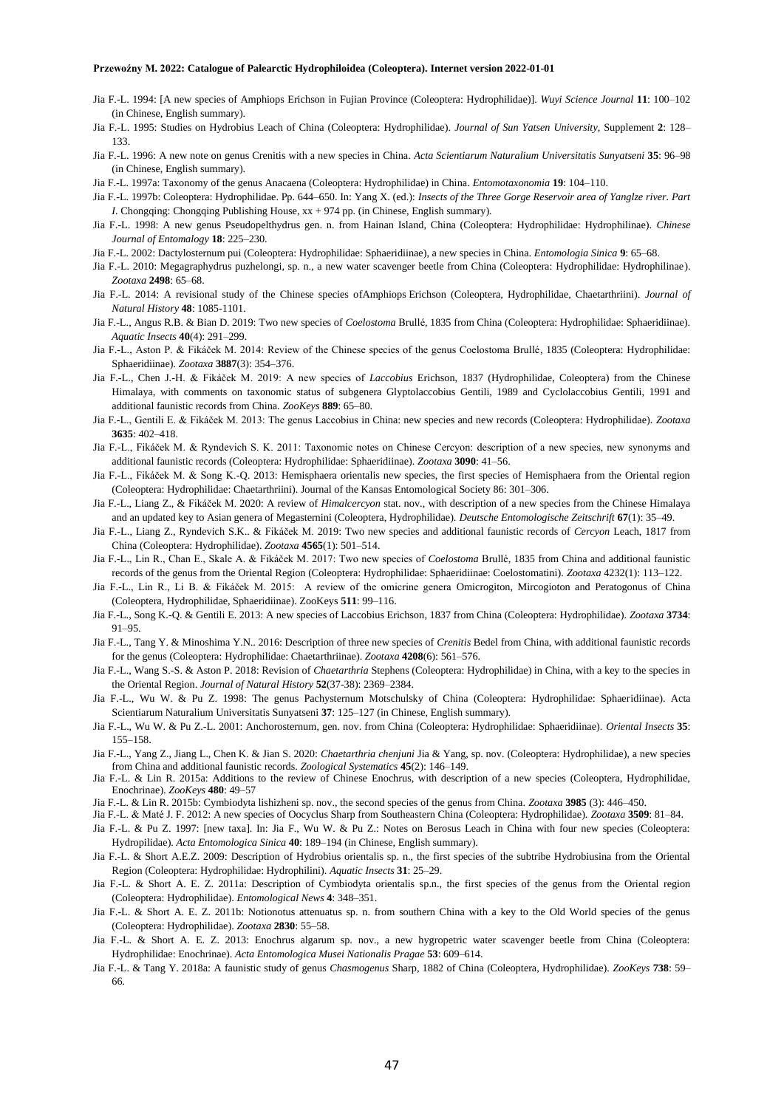- Jia F.-L. 1994: [A new species of Amphiops Erichson in Fujian Province (Coleoptera: Hydrophilidae)]. *Wuyi Science Journal* **11**: 100–102 (in Chinese, English summary).
- Jia F.-L. 1995: Studies on Hydrobius Leach of China (Coleoptera: Hydrophilidae). *Journal of Sun Yatsen University*, Supplement **2**: 128– 133.
- Jia F.-L. 1996: A new note on genus Crenitis with a new species in China. *Acta Scientiarum Naturalium Universitatis Sunyatseni* **35**: 96–98 (in Chinese, English summary).
- Jia F.-L. 1997a: Taxonomy of the genus Anacaena (Coleoptera: Hydrophilidae) in China. *Entomotaxonomia* **19**: 104–110.
- Jia F.-L. 1997b: Coleoptera: Hydrophilidae. Pp. 644–650. In: Yang X. (ed.): *Insects of the Three Gorge Reservoir area of Yanglze river. Part I*. Chongqing: Chongqing Publishing House, xx + 974 pp. (in Chinese, English summary).
- Jia F.-L. 1998: A new genus Pseudopelthydrus gen. n. from Hainan Island, China (Coleoptera: Hydrophilidae: Hydrophilinae). *Chinese Journal of Entomalogy* **18**: 225–230.
- Jia F.-L. 2002: Dactylosternum pui (Coleoptera: Hydrophilidae: Sphaeridiinae), a new species in China. *Entomologia Sinica* **9**: 65–68.
- Jia F.-L. 2010: Megagraphydrus puzhelongi, sp. n., a new water scavenger beetle from China (Coleoptera: Hydrophilidae: Hydrophilinae). *Zootaxa* **2498**: 65–68.
- Jia F.-L. 2014: A revisional study of the Chinese species ofAmphiops Erichson (Coleoptera, Hydrophilidae, Chaetarthriini). *Journal of Natural History* **48**: 1085-1101.
- Jia F.-L., Angus R.B. & Bian D. 2019: Two new species of *Coelostoma* Brullé, 1835 from China (Coleoptera: Hydrophilidae: Sphaeridiinae). *Aquatic Insects* **40**(4): 291–299.
- Jia F.-L., Aston P. & Fikáček M. 2014: Review of the Chinese species of the genus Coelostoma Brullé, 1835 (Coleoptera: Hydrophilidae: Sphaeridiinae). *Zootaxa* **3887**(3): 354–376.
- Jia F.-L., Chen J.-H. & Fikáček M. 2019: A new species of *Laccobius* Erichson, 1837 (Hydrophilidae, Coleoptera) from the Chinese Himalaya, with comments on taxonomic status of subgenera Glyptolaccobius Gentili, 1989 and Cyclolaccobius Gentili, 1991 and additional faunistic records from China. *ZooKeys* **889**: 65–80.
- Jia F.-L., Gentili E. & Fikáček M. 2013: The genus Laccobius in China: new species and new records (Coleoptera: Hydrophilidae). *Zootaxa* **3635**: 402–418.
- Jia F.-L., Fikáček M. & Ryndevich S. K. 2011: Taxonomic notes on Chinese Cercyon: description of a new species, new synonyms and additional faunistic records (Coleoptera: Hydrophilidae: Sphaeridiinae). *Zootaxa* **3090**: 41–56.
- Jia F.-L., Fikáček M. & Song K.-Q. 2013: Hemisphaera orientalis new species, the first species of Hemisphaera from the Oriental region (Coleoptera: Hydrophilidae: Chaetarthriini). Journal of the Kansas Entomological Society 86: 301–306.
- Jia F.-L., Liang Z., & Fikáček M. 2020: A review of *Himalcercyon* stat. nov., with description of a new species from the Chinese Himalaya and an updated key to Asian genera of Megasternini (Coleoptera, Hydrophilidae). *Deutsche Entomologische Zeitschrift* **67**(1): 35–49.
- Jia F.-L., Liang Z., Ryndevich S.K.. & Fikáček M. 2019: Two new species and additional faunistic records of *Cercyon* Leach, 1817 from China (Coleoptera: Hydrophilidae). *Zootaxa* **4565**(1): 501–514.
- Jia F.-L., Lin R., Chan E., Skale A. & Fikáček M. 2017: Two new species of *Coelostoma* Brullé, 1835 from China and additional faunistic records of the genus from the Oriental Region (Coleoptera: Hydrophilidae: Sphaeridiinae: Coelostomatini). *Zootaxa* 4232(1): 113–122.
- Jia F.-L., Lin R., Li B. & Fikáček M. 2015: A review of the omicrine genera Omicrogiton, Mircogioton and Peratogonus of China (Coleoptera, Hydrophilidae, Sphaeridiinae). ZooKeys **511**: 99–116.
- Jia F.-L., Song K.-Q. & Gentili E. 2013: A new species of Laccobius Erichson, 1837 from China (Coleoptera: Hydrophilidae). *Zootaxa* **3734**: 91–95.
- Jia F.-L., Tang Y. & Minoshima Y.N.. 2016: Description of three new species of *Crenitis* Bedel from China, with additional faunistic records for the genus (Coleoptera: Hydrophilidae: Chaetarthriinae). *Zootaxa* **4208**(6): 561–576.
- Jia F.-L., Wang S.-S. & Aston P. 2018: Revision of *Chaetarthria* Stephens (Coleoptera: Hydrophilidae) in China, with a key to the species in the Oriental Region. *Journal of Natural History* **52**(37-38): 2369–2384.
- Jia F.-L., Wu W. & Pu Z. 1998: The genus Pachysternum Motschulsky of China (Coleoptera: Hydrophilidae: Sphaeridiinae). Acta Scientiarum Naturalium Universitatis Sunyatseni **37**: 125–127 (in Chinese, English summary).
- Jia F.-L., Wu W. & Pu Z.-L. 2001: Anchorosternum, gen. nov. from China (Coleoptera: Hydrophilidae: Sphaeridiinae). *Oriental Insects* **35**: 155–158.
- Jia F.-L., Yang Z., Jiang L., Chen K. & Jian S. 2020: *Chaetarthria chenjuni* Jia & Yang, sp. nov. (Coleoptera: Hydrophilidae), a new species from China and additional faunistic records. *Zoological Systematics* **45**(2): 146–149.
- Jia F.-L. & Lin R. 2015a: Additions to the review of Chinese Enochrus, with description of a new species (Coleoptera, Hydrophilidae, Enochrinae). *ZooKeys* **480**: 49–57
- Jia F.-L. & Lin R. 2015b: Cymbiodyta lishizheni sp. nov., the second species of the genus from China. *Zootaxa* **3985** (3): 446–450.
- Jia F.-L. & Maté J. F. 2012: A new species of Oocyclus Sharp from Southeastern China (Coleoptera: Hydrophilidae). *Zootaxa* **3509**: 81–84.
- Jia F.-L. & Pu Z. 1997: [new taxa]. In: Jia F., Wu W. & Pu Z.: Notes on Berosus Leach in China with four new species (Coleoptera: Hydropilidae). *Acta Entomologica Sinica* **40**: 189–194 (in Chinese, English summary).
- Jia F.-L. & Short A.E.Z. 2009: Description of Hydrobius orientalis sp. n., the first species of the subtribe Hydrobiusina from the Oriental Region (Coleoptera: Hydrophilidae: Hydrophilini). *Aquatic Insects* **31**: 25–29.
- Jia F.-L. & Short A. E. Z. 2011a: Description of Cymbiodyta orientalis sp.n., the first species of the genus from the Oriental region (Coleoptera: Hydrophilidae). *Entomological News* **4**: 348–351.
- Jia F.-L. & Short A. E. Z. 2011b: Notionotus attenuatus sp. n. from southern China with a key to the Old World species of the genus (Coleoptera: Hydrophilidae). *Zootaxa* **2830**: 55–58.
- Jia F.-L. & Short A. E. Z. 2013: Enochrus algarum sp. nov., a new hygropetric water scavenger beetle from China (Coleoptera: Hydrophilidae: Enochrinae). *Acta Entomologica Musei Nationalis Pragae* **53**: 609–614.
- Jia F.-L. & Tang Y. 2018a: A faunistic study of genus *Chasmogenus* Sharp, 1882 of China (Coleoptera, Hydrophilidae). *ZooKeys* **738**: 59– 66.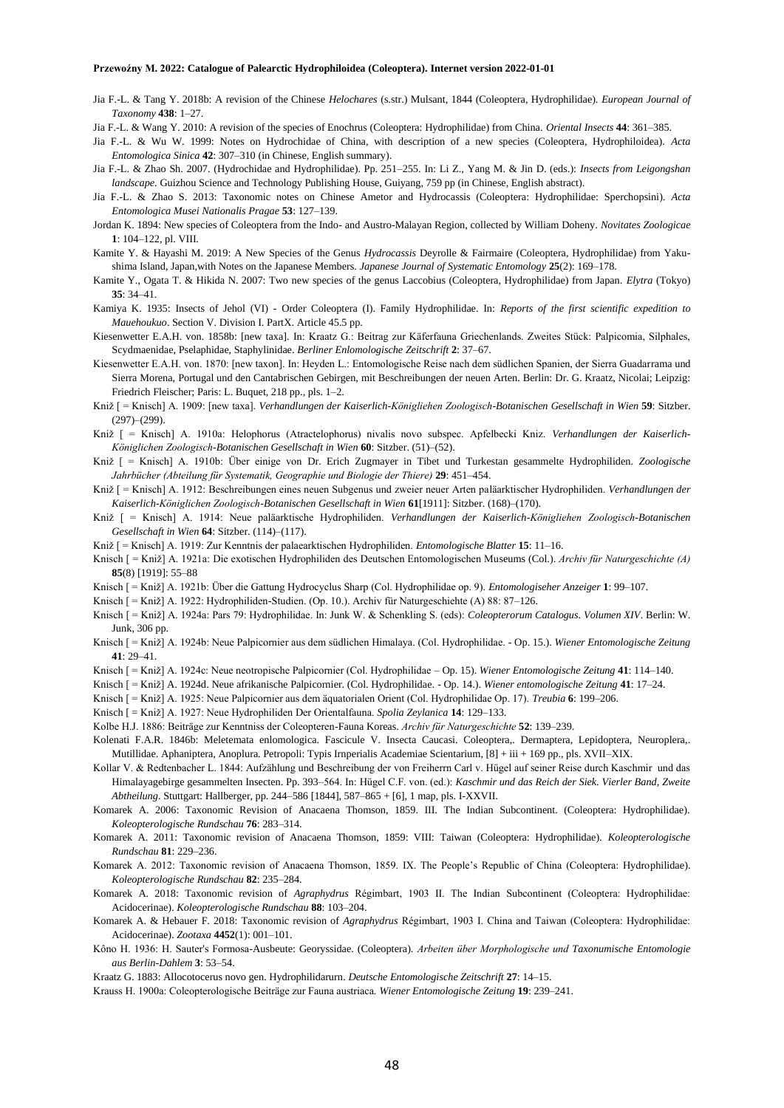- Jia F.-L. & Tang Y. 2018b: A revision of the Chinese *Helochares* (s.str.) Mulsant, 1844 (Coleoptera, Hydrophilidae). *European Journal of Taxonomy* **438**: 1–27.
- Jia F.-L. & Wang Y. 2010: A revision of the species of Enochrus (Coleoptera: Hydrophilidae) from China. *Oriental Insects* **44**: 361–385.
- Jia F.-L. & Wu W. 1999: Notes on Hydrochidae of China, with description of a new species (Coleoptera, Hydrophiloidea). *Acta Entomologica Sinica* **42**: 307–310 (in Chinese, English summary).
- Jia F.-L. & Zhao Sh. 2007. (Hydrochidae and Hydrophilidae). Pp. 251–255. In: Li Z., Yang M. & Jin D. (eds.): *Insects from Leigongshan landscape.* Guizhou Science and Technology Publishing House, Guiyang, 759 pp (in Chinese, English abstract).
- Jia F.-L. & Zhao S. 2013: Taxonomic notes on Chinese Ametor and Hydrocassis (Coleoptera: Hydrophilidae: Sperchopsini). *Acta Entomologica Musei Nationalis Pragae* **53**: 127–139.
- Jordan K. 1894: New species of Coleoptera from the Indo- and Austro-Malayan Region, collected by William Doheny. *Novitates Zoologicae* **1**: 104–122, pl. VIII.
- Kamite Y. & Hayashi M. 2019: A New Species of the Genus *Hydrocassis* Deyrolle & Fairmaire (Coleoptera, Hydrophilidae) from Yakushima Island, Japan,with Notes on the Japanese Members. *Japanese Journal of Systematic Entomology* **25**(2): 169–178.
- Kamite Y., Ogata T. & Hikida N. 2007: Two new species of the genus Laccobius (Coleoptera, Hydrophilidae) from Japan. *Elytra* (Tokyo) **35**: 34–41.
- Kamiya K. 1935: Insects of Jehol (VI) Order Coleoptera (I). Family Hydrophilidae. In: *Reports of the first scientific expedition to Mauehoukuo*. Section V. Division I. PartX. Article 45.5 pp.
- Kiesenwetter E.A.H. von. 1858b: [new taxa]. In: Kraatz G.: Beitrag zur Käferfauna Griechenlands. Zweites Stück: Palpicomia, Silphales, Scydmaenidae, Pselaphidae, Staphylinidae. *Berliner Enlomologische Zeitschrift* **2**: 37–67.
- Kiesenwetter E.A.H. von. 1870: [new taxon]. In: Heyden L.: Entomologische Reise nach dem südlichen Spanien, der Sierra Guadarrama und Sierra Morena, Portugal und den Cantabrischen Gebirgen, mit Beschreibungen der neuen Arten. Berlin: Dr. G. Kraatz, Nicolai; Leipzig: Friedrich Fleischer; Paris: L. Buquet, 218 pp., pls. 1–2.
- Kniž [ = Knisch] A. 1909: [new taxa]. *Verhandlungen der Kaiserlich-Königliehen Zoologisch-Botanischen Gesellschaft in Wien* **59**: Sitzber. (297)–(299).
- Kniž [ = Knisch] A. 1910a: Helophorus (Atractelophorus) nivalis novo subspec. Apfelbecki Kniz. *Verhandlungen der Kaiserlich-Königlichen Zoologisch-Botanischen Gesellschaft in Wien* **60**: Sitzber. (51)–(52).
- Kniž [ = Knisch] A. 1910b: Über einige von Dr. Erich Zugmayer in Tibet und Turkestan gesammelte Hydrophiliden. *Zoologische Jahrbücher (Abteilung für Systematik, Geographie und Biologie der Thiere)* **29**: 451–454.
- Kniž [ = Knisch] A. 1912: Beschreibungen eines neuen Subgenus und zweier neuer Arten paläarktischer Hydrophiliden. *Verhandlungen der Kaiserlich-Königlichen Zoologisch-Botanischen Gesellschaft in Wien* **61**[1911]: Sitzber. (168)–(170).
- Kniž [ = Knisch] A. 1914: Neue paläarktische Hydrophiliden. *Verhandlungen der Kaiserlich-Königliehen Zoologisch-Botanischen Gesellschaft in Wien* **64**: Sitzber. (114)–(117).
- Kniž [ = Knisch] A. 1919: Zur Kenntnis der palaearktischen Hydrophiliden. *Entomologische Blatter* **15**: 11–16.
- Knisch [ = Kniž] A. 1921a: Die exotischen Hydrophiliden des Deutschen Entomologischen Museums (Col.). *Archiv für Naturgeschichte (A)* **85**(8) [1919]: 55–88
- Knisch [ = Kniž] A. 1921b: Über die Gattung Hydrocyclus Sharp (Col. Hydrophilidae op. 9). *Entomologiseher Anzeiger* **1**: 99–107.
- Knisch [ = Kniž] A. 1922: Hydrophiliden-Studien. (Op. 10.). Archiv für Naturgeschiehte (A) 88: 87–126.
- Knisch [ = Kniž] A. 1924a: Pars 79: Hydrophilidae. In: Junk W. & Schenkling S. (eds): *Coleopterorum Catalogus. Volumen XIV*. Berlin: W. Junk, 306 pp.
- Knisch [ = Kniž] A. 1924b: Neue Palpicornier aus dem südlichen Himalaya. (Col. Hydrophilidae. Op. 15.). *Wiener Entomologische Zeitung* **41**: 29–41.
- Knisch [ = Kniž] A. 1924c: Neue neotropische Palpicornier (Col. Hydrophilidae Op. 15). *Wiener Entomologische Zeitung* **41**: 114–140.
- Knisch [ = Kniž] A. 1924d. Neue afrikanische Palpicornier. (Col. Hydrophilidae. Op. 14.). *Wiener entomologische Zeitung* **41**: 17–24.
- Knisch [ = Kniž] A. 1925: Neue Palpicornier aus dem äquatorialen Orient (Col. Hydrophilidae Op. 17). *Treubia* **6**: 199–206.
- Knisch [ = Kniž] A. 1927: Neue Hydrophiliden Der Orientalfauna. *Spolia Zeylanica* **14**: 129–133.
- Kolbe H.J. 1886: Beiträge zur Kenntniss der Coleopteren-Fauna Koreas. *Archiv für Naturgeschichte* **52**: 139–239.
- Kolenati F.A.R. 1846b: Meletemata enlomologica. Fascicule V. Insecta Caucasi. Coleoptera,. Dermaptera, Lepidoptera, Neuroplera,. Mutillidae. Aphaniptera, Anoplura. Petropoli: Typis Irnperialis Academiae Scientarium, [8] + iii + 169 pp., pls. XVII–XIX.
- Kollar V. & Redtenbacher L. 1844: Aufzählung und Beschreibung der von Freiherrn Carl v. Hügel auf seiner Reise durch Kaschmir und das Himalayagebirge gesammelten Insecten. Pp. 393–564. In: Hügel C.F. von. (ed.): *Kaschmir und das Reich der Siek. Vierler Band, Zweite Abtheilung*. Stuttgart: Hallberger, pp. 244–586 [1844], 587–865 + [6], 1 map, pls. I-XXVII.
- Komarek A. 2006: Taxonomic Revision of Anacaena Thomson, 1859. III. The Indian Subcontinent. (Coleoptera: Hydrophilidae). *Koleopterologische Rundschau* **76**: 283–314.
- Komarek A. 2011: Taxonomic revision of Anacaena Thomson, 1859: VIII: Taiwan (Coleoptera: Hydrophilidae). *Koleopterologische Rundschau* **81**: 229–236.
- Komarek A. 2012: Taxonomic revision of Anacaena Thomson, 1859. IX. The People's Republic of China (Coleoptera: Hydrophilidae). *Koleopterologische Rundschau* **82**: 235–284.
- Komarek A. 2018: Taxonomic revision of *Agraphydrus* Régimbart, 1903 II. The Indian Subcontinent (Coleoptera: Hydrophilidae: Acidocerinae). *Koleopterologische Rundschau* **88**: 103–204.
- Komarek A. & Hebauer F. 2018: Taxonomic revision of *Agraphydrus* Régimbart, 1903 I. China and Taiwan (Coleoptera: Hydrophilidae: Acidocerinae). *Zootaxa* **4452**(1): 001–101.
- Kôno H. 1936: H. Sauter's Formosa-Ausbeute: Georyssidae. (Coleoptera). *Arbeiten über Morphologische und Taxonumische Entomologie aus Berlin-Dahlem* **3**: 53–54.
- Kraatz G. 1883: Allocotocerus novo gen. Hydrophilidarurn. *Deutsche Entomologische Zeitschrift* **27**: 14–15.
- Krauss H. 1900a: Coleopterologische Beiträge zur Fauna austriaca. *Wiener Entomologische Zeitung* **19**: 239–241.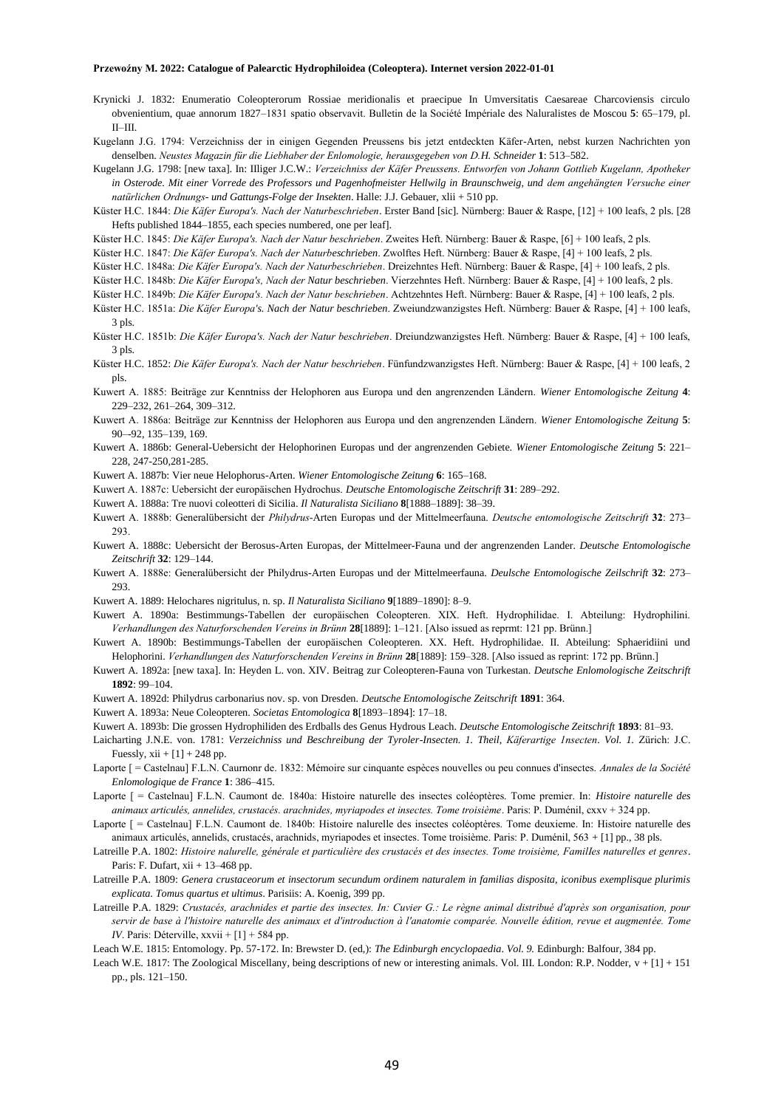- Krynicki J. 1832: Enumeratio Coleopterorum Rossiae meridionalis et praecipue In Umversitatis Caesareae Charcoviensis circulo obvenientium, quae annorum 1827–1831 spatio observavit. Bulletin de la Société Impériale des Naluralistes de Moscou **5**: 65–179, pl. II–III.
- Kugelann J.G. 1794: Verzeichniss der in einigen Gegenden Preussens bis jetzt entdeckten Käfer-Arten, nebst kurzen Nachrichten yon denselben. *Neustes Magazin für die Liebhaber der Enlomologie, herausgegeben von D.H. Schneider* **1**: 513–582.
- Kugelann J.G. 1798: [new taxa]. In: IIliger J.C.W.: *Verzeichniss der Käfer Preussens. Entworfen von Johann Gottlieb Kugelann, Apotheker in Osterode. Mit einer Vorrede des Professors und Pagenhofmeister Hellwilg in Braunschweig, und dem angehängten Versuche einer natürlichen Ordnungs- und Gattungs-Folge der Insekten*. Halle: J.J. Gebauer, xlii + 510 pp.
- Küster H.C. 1844: *Die Käfer Europa's. Nach der Naturbeschrieben*. Erster Band [sic]. Nürnberg: Bauer & Raspe, [12] + 100 leafs, 2 pls. [28 Hefts published 1844–1855, each species numbered, one per leaf].

Küster H.C. 1845: *Die Käfer Europa's. Nach der Natur beschrieben*. Zweites Heft. Nürnberg: Bauer & Raspe, [6] + 100 leafs, 2 pls.

Küster H.C. 1847: *Die Käfer Europa's. Nach der Naturbeschrieben*. Zwolftes Heft. Nürnberg: Bauer & Raspe, [4] + 100 leafs, 2 pls.

Küster H.C. 1848a: *Die Käfer Europa's. Nach der Naturbeschrieben*. Dreizehntes Heft. Nürnberg: Bauer & Raspe, [4] + 100 leafs, 2 pls.

- Küster H.C. 1848b: *Die Käfer Europa's, Nach der Natur beschrieben*. Vierzehntes Heft. Nürnberg: Bauer & Raspe, [4] + 100 leafs, 2 pls.
- Küster H.C. 1849b: *Die Käfer Europa's. Nach der Natur beschrieben*. Achtzehntes Heft. Nürnberg: Bauer & Raspe, [4] + 100 leafs, 2 pls.
- Küster H.C. 1851a: *Die Käfer Europa's. Nach der Natur beschrieben*. Zweiundzwanzigstes Heft. Nürnberg: Bauer & Raspe, [4] + 100 leafs, 3 pls.
- Küster H.C. 1851b: *Die Käfer Europa's. Nach der Natur beschrieben*. Dreiundzwanzigstes Heft. Nürnberg: Bauer & Raspe, [4] + 100 leafs, 3 pls.
- Küster H.C. 1852: *Die Käfer Europa's. Nach der Natur beschrieben*. Fünfundzwanzigstes Heft. Nürnberg: Bauer & Raspe, [4] + 100 leafs, 2 pls.
- Kuwert A. 1885: Beiträge zur Kenntniss der Helophoren aus Europa und den angrenzenden Ländern. *Wiener Entomologische Zeitung* **4**: 229–232, 261–264, 309–312.
- Kuwert A. 1886a: Beiträge zur Kenntniss der Helophoren aus Europa und den angrenzenden Ländern. *Wiener Entomologische Zeitung* **5**: 90–-92, 135–139, 169.
- Kuwert A. 1886b: General-Uebersicht der Helophorinen Europas und der angrenzenden Gebiete. *Wiener Entomologische Zeitung* **5**: 221– 228, 247-250,281-285.
- Kuwert A. 1887b: Vier neue Helophorus-Arten. *Wiener Entomologische Zeitung* **6**: 165–168.
- Kuwert A. 1887c: Uebersicht der europäischen Hydrochus. *Deutsche Entomologische Zeitschrift* **31**: 289–292.
- Kuwert A. 1888a: Tre nuovi coleotteri di Sicilia. *Il Naturalista Siciliano* **8**[1888–1889]: 38–39.
- Kuwert A. 1888b: Generalübersicht der *Philydrus*-Arten Europas und der Mittelmeerfauna. *Deutsche entomologische Zeitschrift* **32**: 273– 293.
- Kuwert A. 1888c: Uebersicht der Berosus-Arten Europas, der Mittelmeer-Fauna und der angrenzenden Lander. *Deutsche Entomologische Zeitschrift* **32**: 129–144.
- Kuwert A. 1888e: Generalübersicht der Philydrus-Arten Europas und der Mittelmeerfauna. *Deulsche Entomologische Zeilschrift* **32**: 273– 293.
- Kuwert A. 1889: Helochares nigritulus, n. sp. *Il Naturalista Siciliano* **9**[1889–1890]: 8–9.
- Kuwert A. 1890a: Bestimmungs-Tabellen der europäischen Coleopteren. XIX. Heft. Hydrophilidae. I. Abteilung: Hydrophilini. *Verhandlungen des Naturforschenden Vereins in Brünn* **28**[1889]: 1–121. [Also issued as reprmt: 121 pp. Brünn.]
- Kuwert A. 1890b: Bestimmungs-Tabellen der europäischen Coleopteren. XX. Heft. Hydrophilidae. II. Abteilung: Sphaeridiini und Helophorini. *Verhandlungen des Naturforschenden Vereins in Brünn* **28**[1889]: 159–328. [Also issued as reprint: 172 pp. Brünn.]
- Kuwert A. 1892a: [new taxa]. In: Heyden L. von. XIV. Beitrag zur Coleopteren-Fauna von Turkestan. *Deutsche Enlomologische Zeitschrift* **1892**: 99–104.
- Kuwert A. 1892d: Philydrus carbonarius nov. sp. von Dresden. *Deutsche Entomologische Zeitschrift* **1891**: 364.
- Kuwert A. 1893a: Neue Coleopteren. *Societas Entomologica* **8**[1893–1894]: 17–18.
- Kuwert A. 1893b: Die grossen Hydrophiliden des Erdballs des Genus Hydrous Leach. *Deutsche Entomologische Zeitschrift* **1893**: 81–93.
- Laicharting J.N.E. von. 1781: *Verzeichniss und Beschreibung der Tyroler-Insecten. 1. Theil, Käferartige 1nsecten*. *Vol. 1.* Zürich: J.C. Fuessly,  $xii + [1] + 248$  pp.
- Laporte [ = Castelnau] F.L.N. Caurnonr de. 1832: Mémoire sur cinquante espèces nouvelles ou peu connues d'insectes. *Annales de la Société Enlomologique de France* **1**: 386–415.
- Laporte [ = Castelnau] F.L.N. Caumont de. 1840a: Histoire naturelle des insectes coléoptères. Tome premier. In: *Histoire naturelle des animaux articulés, annelides, crustacés. arachnides, myriapodes et insectes. Tome troisième*. Paris: P. Duménil, cxxv + 324 pp.
- Laporte [ = Castelnau] F.L.N. Caumont de. 1840b: Histoire nalurelle des insectes coléoptères. Tome deuxieme. In: Histoire naturelle des animaux articulés, annelids, crustacés, arachnids, myriapodes et insectes. Tome troisième. Paris: P. Duménil, 563 + [1] pp., 38 pls.
- Latreille P.A. 1802: *Histoire nalurelle, générale et particulière des crustacés et des insectes. Tome troisième, FamilIes naturelles et genres*. Paris: F. Dufart,  $xii + 13-468$  pp.
- Latreille P.A. 1809: *Genera crustaceorum et insectorum secundum ordinem naturalem in familias disposita, iconibus exemplisque plurimis explicata. Tomus quartus et ultimus*. Parisiis: A. Koenig, 399 pp.
- Latreille P.A. 1829: *Crustacés, arachnides et partie des insectes. In: Cuvier G.: Le règne animal distribué d'après son organisation, pour servir de base à l'histoire naturelle des animaux et d'introduction à l'anatomie comparée. Nouvelle édition, revue et augmentée. Tome IV*. Paris: Déterville, xxvii + [1] + 584 pp.
- Leach W.E. 1815: Entomology. Pp. 57-172. In: Brewster D. (ed,): *The Edinburgh encyclopaedia*. *Vol. 9.* Edinburgh: Balfour, 384 pp.
- Leach W.E. 1817: The Zoological Miscellany, being descriptions of new or interesting animals. Vol. III. London: R.P. Nodder, v + [1] + 151 pp., pls. 121–150.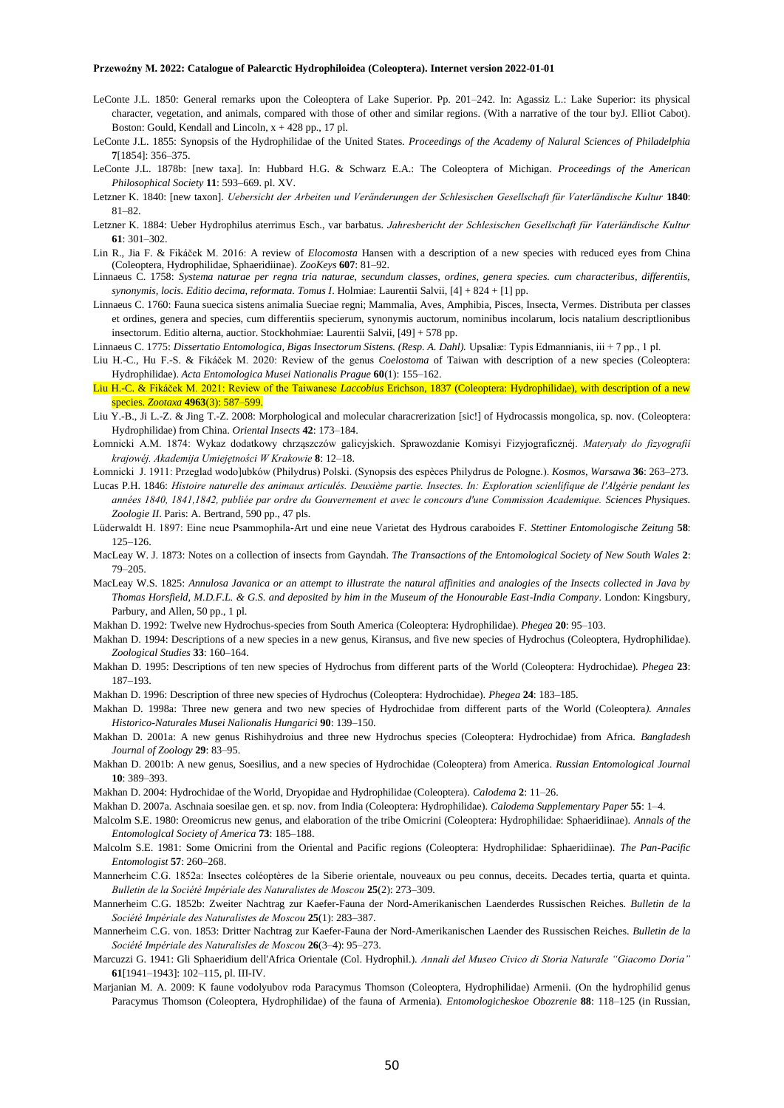- LeConte J.L. 1850: General remarks upon the Coleoptera of Lake Superior. Pp. 201–242. In: Agassiz L.: Lake Superior: its physical character, vegetation, and animals, compared with those of other and similar regions. (With a narrative of the tour byJ. Elliot Cabot). Boston: Gould, Kendall and Lincoln,  $x + 428$  pp., 17 pl.
- LeConte J.L. 1855: Synopsis of the Hydrophilidae of the United States. *Proceedings of the Academy of Nalural Sciences of Philadelphia* **7**[1854]: 356–375.
- LeConte J.L. 1878b: [new taxa]. In: Hubbard H.G. & Schwarz E.A.: The Coleoptera of Michigan. *Proceedings of the American Philosophical Society* **11**: 593–669. pl. XV.
- Letzner K. 1840: [new taxon]. *Uebersicht der Arbeiten und Veränderungen der Schlesischen Gesellschaft für Vaterländische Kultur* **1840**: 81–82.
- Letzner K. 1884: Ueber Hydrophilus aterrimus Esch., var barbatus. *Jahresbericht der Schlesischen Gesellschaft für Vaterländische Kultur* **61**: 301–302.
- Lin R., Jia F. & Fikáček M. 2016: A review of *Elocomosta* Hansen with a description of a new species with reduced eyes from China (Coleoptera, Hydrophilidae, Sphaeridiinae). *ZooKeys* **607**: 81–92.
- Linnaeus C. 1758: *Systema naturae per regna tria naturae, secundum classes, ordines, genera species. cum characteribus, differentiis, synonymis, locis. Editio decima, reformata. Tomus I*. Holmiae: Laurentii Salvii, [4] + 824 + [1] pp.
- Linnaeus C. 1760: Fauna suecica sistens animalia Sueciae regni; Mammalia, Aves, Amphibia, Pisces, Insecta, Vermes. Distributa per classes et ordines, genera and species, cum differentiis specierum, synonymis auctorum, nominibus incolarum, locis natalium descriptlionibus insectorum. Editio alterna, auctior. Stockhohmiae: Laurentii Salvii, [49] + 578 pp.
- Linnaeus C. 1775: *Dissertatio Entomologica, Bigas Insectorum Sistens. (Resp. A. Dahl).* Upsaliæ: Typis Edmannianis, iii + 7 pp., 1 pl.
- Liu H.-C., Hu F.-S. & Fikáček M. 2020: Review of the genus *Coelostoma* of Taiwan with description of a new species (Coleoptera: Hydrophilidae). *Acta Entomologica Musei Nationalis Prague* **60**(1): 155–162.
- Liu H.-C. & Fikáček M. 2021: Review of the Taiwanese *Laccobius* Erichson, 1837 (Coleoptera: Hydrophilidae), with description of a new species. *Zootaxa* **4963**(3): 587–599.
- Liu Y.-B., Ji L.-Z. & Jing T.-Z. 2008: Morphological and molecular characrerization [sic!] of Hydrocassis mongolica, sp. nov. (Coleoptera: Hydrophilidae) from China. *Oriental Insects* **42**: 173–184.
- Łomnicki A.M. 1874: Wykaz dodatkowy chrząszczów galicyjskich. Sprawozdanie Komisyi Fizyjograficznéj. *Materyały do fizyografii krajowéj. Akademija Umiejętności W Krakowie* **8**: 12–18.
- Łomnicki J. 1911: Przeglad wodo]ubków (Philydrus) Polski. (Synopsis des espèces Philydrus de Pologne.). *Kosmos, Warsawa* **36**: 263–273.
- Lucas P.H. 1846: *Histoire naturelle des animaux articulés. Deuxième partie. Insectes. In: Exploration scienlifique de l'Algérie pendant les années 1840, 1841,1842, publiée par ordre du Gouvernement et avec le concours d'une Commission Academique. Sciences Physiques. Zoologie II*. Paris: A. Bertrand, 590 pp., 47 pls.
- Lüderwaldt H. 1897: Eine neue Psammophila-Art und eine neue Varietat des Hydrous caraboides F. *Stettiner Entomologische Zeitung* **58**: 125–126.
- MacLeay W. J. 1873: Notes on a collection of insects from Gayndah. *The Transactions of the Entomological Society of New South Wales* **2**: 79–205.
- MacLeay W.S. 1825: *Annulosa Javanica or an attempt to illustrate the natural affinities and analogies of the Insects collected in Java by Thomas Horsfield, M.D.F.L. & G.S. and deposited by him in the Museum of the Honourable East-India Company*. London: Kingsbury, Parbury, and Allen, 50 pp., 1 pl.
- Makhan D. 1992: Twelve new Hydrochus-species from South America (Coleoptera: Hydrophilidae). *Phegea* **20**: 95–103.
- Makhan D. 1994: Descriptions of a new species in a new genus, Kiransus, and five new species of Hydrochus (Coleoptera, Hydrophilidae). *Zoological Studies* **33**: 160–164.
- Makhan D. 1995: Descriptions of ten new species of Hydrochus from different parts of the World (Coleoptera: Hydrochidae). *Phegea* **23**: 187–193.
- Makhan D. 1996: Description of three new species of Hydrochus (Coleoptera: Hydrochidae). *Phegea* **24**: 183–185.
- Makhan D. 1998a: Three new genera and two new species of Hydrochidae from different parts of the World (Coleoptera*). Annales Historico-Naturales Musei Nalionalis Hungarici* **90**: 139–150.
- Makhan D. 2001a: A new genus Rishihydroius and three new Hydrochus species (Coleoptera: Hydrochidae) from Africa. *Bangladesh Journal of Zoology* **29**: 83–95.
- Makhan D. 2001b: A new genus, Soesilius, and a new species of Hydrochidae (Coleoptera) from America. *Russian Entomological Journal* **10**: 389–393.
- Makhan D. 2004: Hydrochidae of the World, Dryopidae and Hydrophilidae (Coleoptera). *Calodema* **2**: 11–26.
- Makhan D. 2007a. Aschnaia soesilae gen. et sp. nov. from India (Coleoptera: Hydrophilidae). *Calodema Supplementary Paper* **55**: 1–4.
- Malcolm S.E. 1980: Oreomicrus new genus, and elaboration of the tribe Omicrini (Coleoptera: Hydrophilidae: Sphaeridiinae). *Annals of the Entomologlcal Society of America* **73**: 185–188.
- Malcolm S.E. 1981: Some Omicrini from the Oriental and Pacific regions (Coleoptera: Hydrophilidae: Sphaeridiinae). *The Pan-Pacific Entomologist* **57**: 260–268.
- Mannerheim C.G. 1852a: Insectes coléoptères de la Siberie orientale, nouveaux ou peu connus, deceits. Decades tertia, quarta et quinta. *Bulletin de la Société Impériale des Naturalistes de Moscou* **25**(2): 273–309.
- Mannerheim C.G. 1852b: Zweiter Nachtrag zur Kaefer-Fauna der Nord-Amerikanischen Laenderdes Russischen Reiches. *Bulletin de la Société Impériale des Naturalistes de Moscou* **25**(1): 283–387.
- Mannerheim C.G. von. 1853: Dritter Nachtrag zur Kaefer-Fauna der Nord-Amerikanischen Laender des Russischen Reiches. *Bulletin de la Société Impériale des Naturalisles de Moscou* **26**(3–4): 95–273.
- Marcuzzi G. 1941: Gli Sphaeridium dell'Africa Orientale (Col. Hydrophil.). *Annali del Museo Civico di Storia Naturale "Giacomo Doria"* **61**[1941–1943]: 102–115, pl. III-IV.
- Marjanian M. A. 2009: K faune vodolyubov roda Paracymus Thomson (Coleoptera, Hydrophilidae) Armenii. (On the hydrophilid genus Paracymus Thomson (Coleoptera, Hydrophilidae) of the fauna of Armenia). *Entomologicheskoe Obozrenie* **88**: 118–125 (in Russian,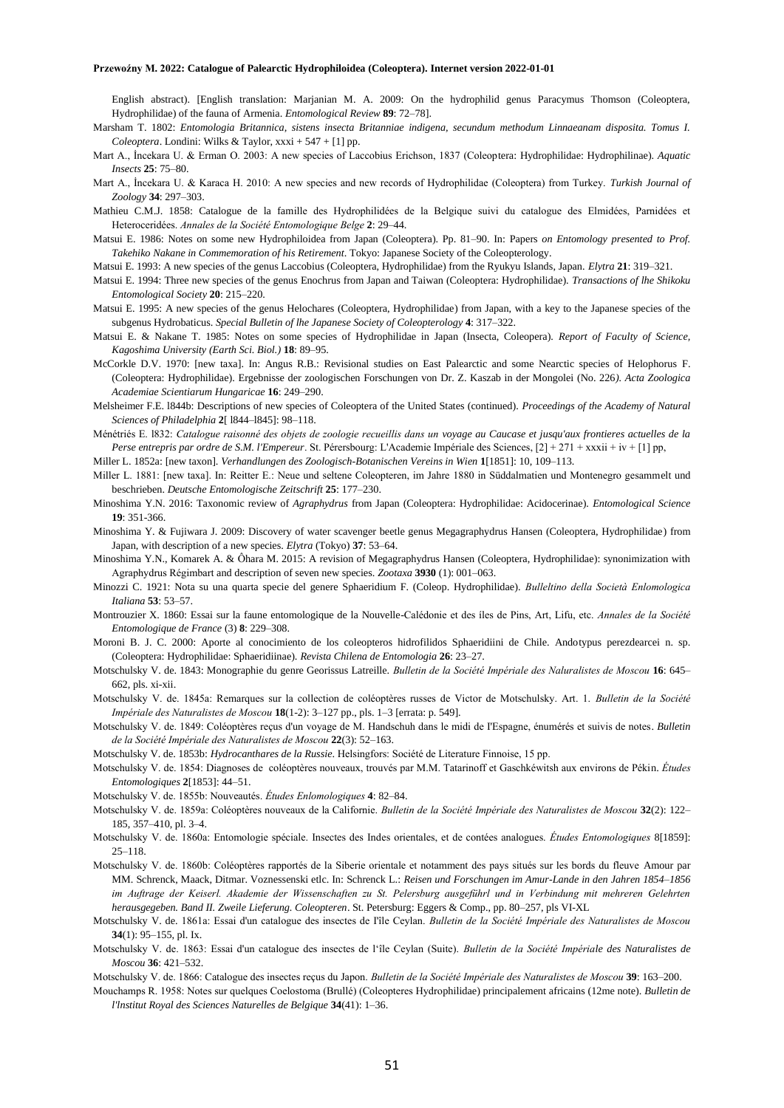English abstract). [English translation: Marjanian M. A. 2009: On the hydrophilid genus Paracymus Thomson (Coleoptera, Hydrophilidae) of the fauna of Armenia. *Entomological Review* **89**: 72–78].

Marsham T. 1802: *Entomologia Britannica, sistens insecta Britanniae indigena, secundum methodum Linnaeanam disposita. Tomus I. Coleoptera*. Londini: Wilks & Taylor, xxxi + 547 + [1] pp.

- Mart A., İncekara U. & Erman O. 2003: A new species of Laccobius Erichson, 1837 (Coleoptera: Hydrophilidae: Hydrophilinae). *Aquatic Insects* **25**: 75–80.
- Mart A., İncekara U. & Karaca H. 2010: A new species and new records of Hydrophilidae (Coleoptera) from Turkey. *Turkish Journal of Zoology* **34**: 297–303.
- Mathieu C.M.J. 1858: Catalogue de la famille des Hydrophilidées de la Belgique suivi du catalogue des Elmidées, Parnidées et Heteroceridées. *Annales de la Société Entomologique Belge* **2**: 29–44.
- Matsui E. 1986: Notes on some new Hydrophiloidea from Japan (Coleoptera). Pp. 81–90. In: Papers *on Entomology presented to Prof. Takehiko Nakane in Commemoration of his Retirement*. Tokyo: Japanese Society of the Coleopterology.
- Matsui E. 1993: A new species of the genus Laccobius (Coleoptera, Hydrophilidae) from the Ryukyu Islands, Japan. *Elytra* **21**: 319–321.
- Matsui E. 1994: Three new species of the genus Enochrus from Japan and Taiwan (Coleoptera: Hydrophilidae). *Transactions of lhe Shikoku Entomological Society* **20**: 215–220.
- Matsui E. 1995: A new species of the genus Helochares (Coleoptera, Hydrophilidae) from Japan, with a key to the Japanese species of the subgenus Hydrobaticus. *Special Bulletin of lhe Japanese Society of Coleopterology* **4**: 317–322.
- Matsui E. & Nakane T. 1985: Notes on some species of Hydrophilidae in Japan (Insecta, Coleopera). *Report of Faculty of Science, Kagoshima University (Earth Sci. Biol.)* **18**: 89–95.
- McCorkle D.V. 1970: [new taxa]. In: Angus R.B.: Revisional studies on East Palearctic and some Nearctic species of Helophorus F. (Coleoptera: Hydrophilidae). Ergebnisse der zoologischen Forschungen von Dr. Z. Kaszab in der Mongolei (No. 226*). Acta Zoologica Academiae Scientiarum Hungaricae* **16**: 249–290.
- Melsheimer F.E. l844b: Descriptions of new species of Coleoptera of the United States (continued). *Proceedings of the Academy of Natural Sciences of Philadelphia* **2**[ l844–l845]: 98–118.
- Ménétriés E. l832: *Catalogue raisonné des objets de zoologie recueillis dans un voyage au Caucase et jusqu'aux frontieres actuelles de la Perse entrepris par ordre de S.M. l'Empereur.* St. Pérersbourg: L'Academie Impériale des Sciences, [2] + 271 + xxxii + iv + [1] pp,
- Miller L. 1852a: [new taxon]. *Verhandlungen des Zoologisch-Botanischen Vereins in Wien* **1**[1851]: 10, 109–113.
- Miller L. 1881: [new taxa]. In: Reitter E.: Neue und seltene Coleopteren, im Jahre 1880 in Süddalmatien und Montenegro gesammelt und beschrieben. *Deutsche Entomologische Zeitschrift* **25**: 177–230.
- Minoshima Y.N. 2016: Taxonomic review of *Agraphydrus* from Japan (Coleoptera: Hydrophilidae: Acidocerinae). *Entomological Science* **19**: 351-366.
- Minoshima Y. & Fujiwara J. 2009: Discovery of water scavenger beetle genus Megagraphydrus Hansen (Coleoptera, Hydrophilidae) from Japan, with description of a new species. *Elytra* (Tokyo) **37**: 53–64.
- Minoshima Y.N., Komarek A. & Ôhara M. 2015: A revision of Megagraphydrus Hansen (Coleoptera, Hydrophilidae): synonimization with Agraphydrus Régimbart and description of seven new species. *Zootaxa* **3930** (1): 001–063.
- Minozzi C. 1921: Nota su una quarta specie del genere Sphaeridium F. (Coleop. Hydrophilidae). *Bulleltino della Società Enlomologica Italiana* **53**: 53–57.
- Montrouzier X. 1860: Essai sur la faune entomologique de la Nouvelle-Calédonie et des íles de Pins, Art, Lifu, etc. *Annales de la Société Entomologique de France* (3) **8**: 229–308.
- Moroni B. J. C. 2000: Aporte al conocimiento de los coleopteros hidrofilidos Sphaeridiini de Chile. Andotypus perezdearcei n. sp. (Coleoptera: Hydrophilidae: Sphaeridiinae). *Revista Chilena de Entomologia* **26**: 23–27.
- Motschulsky V. de. 1843: Monographie du genre Georissus Latreille. *Bulletin de la Société Impériale des Naluralistes de Moscou* **16**: 645– 662, pls. xi-xii.
- Motschulsky V. de. 1845a: Remarques sur la collection de coléoptères russes de Victor de Motschulsky. Art. 1. *Bulletin de la Société Impériale des Naturalistes de Moscou* **18**(1-2): 3–127 pp., pls. 1–3 [errata: p. 549].
- Motschulsky V. de. 1849: Coléoptères reçus d'un voyage de M. Handschuh dans le midi de I'Espagne, énumérés et suivis de notes. *Bulletin de la Société Impériale des Naturalistes de Moscou* **22**(3): 52–163.
- Motschulsky V. de. 1853b: *Hydrocanthares de la Russie*. Helsingfors: Société de Literature Finnoise, 15 pp.
- Motschulsky V. de. 1854: Diagnoses de coléoptères nouveaux, trouvés par M.M. Tatarinoff et Gaschkéwitsh aux environs de Pékin. *Études Entomologiques* **2**[1853]: 44–51.
- Motschulsky V. de. 1855b: Nouveautés. *Études Enlomologiques* **4**: 82–84.
- Motschulsky V. de. 1859a: Coléoptères nouveaux de la Californie. *Bulletin de la Société Impériale des Naturalistes de Moscou* **32**(2): 122– 185, 357–410, pl. 3–4.
- Motschulsky V. de. 1860a: Entomologie spéciale. Insectes des Indes orientales, et de contées analogues. *Études Entomologiques* 8[1859]: 25–118.
- Motschulsky V. de. 1860b: Coléoptères rapportés de la Siberie orientale et notamment des pays situés sur les bords du fleuve Amour par MM. Schrenck, Maack, Ditmar. Voznessenski etlc. In: Schrenck L.: *Reisen und Forschungen im Amur-Lande in den Jahren 1854–1856 im Auftrage der Keiserl. Akademie der Wissenschaften zu St. Pelersburg ausgeführl und in Verbindung mit mehreren Gelehrten herausgegeben. Band II. Zweile Lieferung. Coleopteren*. St. Petersburg: Eggers & Comp., pp. 80–257, pls VI-XL
- Motschulsky V. de. 1861a: Essai d'un catalogue des insectes de I'île Ceylan. *Bulletin de la Société Impériale des Naturalistes de Moscou* **34**(1): 95–155, pl. Ix.
- Motschulsky V. de. 1863: Essai d'un catalogue des insectes de l'île Ceylan (Suite). *Bulletin de la Société Impériale des Naturalistes de Moscou* **36**: 421–532.
- Motschulsky V. de. 1866: Catalogue des insectes reçus du Japon. *Bulletin de la Société Impériale des Naturalistes de Moscou* **39**: 163–200.
- Mouchamps R. 1958: Notes sur quelques Coelostoma (Brullé) (Coleopteres Hydrophilidae) principalement africains (12me note). *Bulletin de l'lnstitut Royal des Sciences Naturelles de Belgique* **34**(41): 1–36.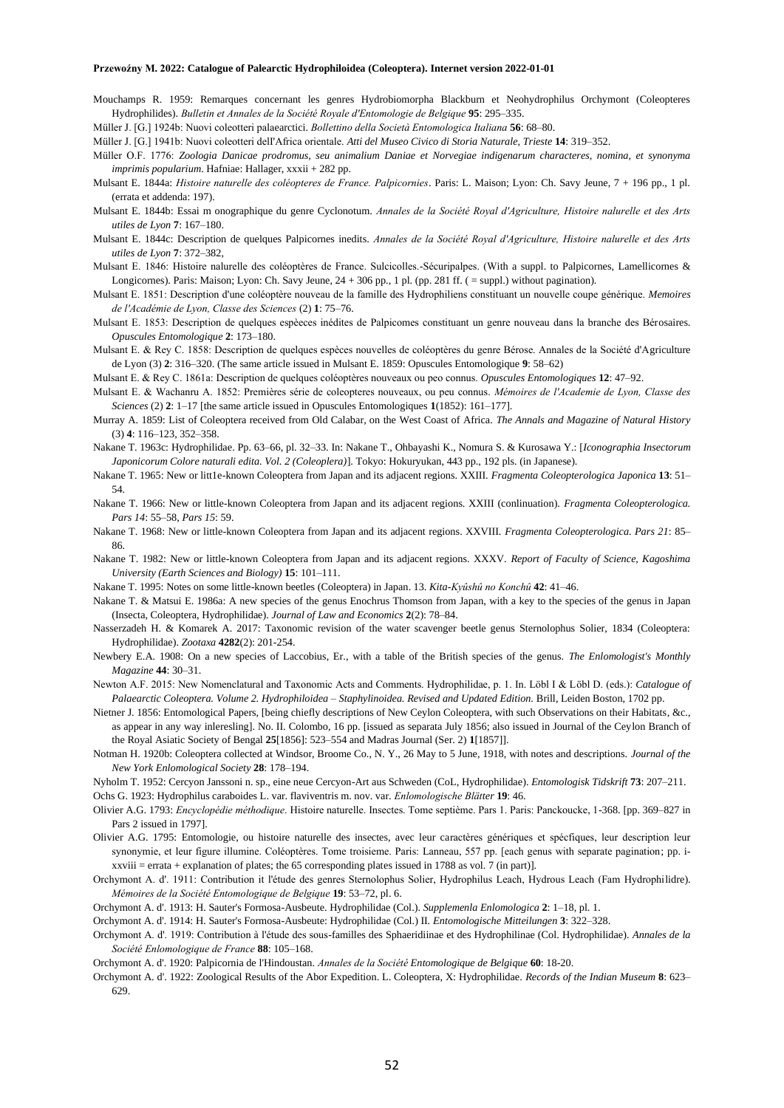- Mouchamps R. 1959: Remarques concernant les genres Hydrobiomorpha Blackburn et Neohydrophilus Orchymont (Coleopteres Hydrophilides). *Bulletin et Annales de la Société Royale d'Entomologie de Belgique* **95**: 295–335.
- Müller J. [G.] 1924b: Nuovi coleotteri palaearctici. *Bollettino della Società Entomologica Italiana* **56**: 68–80.
- Müller J. [G.] 1941b: Nuovi coleotteri delI'Africa orientale. *Atti del Museo Civico di Storia Naturale, Trieste* **14**: 319*–*352.
- Müller O.F. 1776: *Zoologia Danicae prodromus, seu animalium Daniae et Norvegiae indigenarum characteres, nomina, et synonyma imprimis popularium*. Hafniae: Hallager, xxxii + 282 pp.
- Mulsant E. 1844a: *Histoire naturelle des coléopteres de France. Palpicornies*. Paris: L. Maison; Lyon: Ch. Savy Jeune, 7 + 196 pp., 1 pl. (errata et addenda: 197).
- Mulsant E. 1844b: Essai m onographique du genre Cyclonotum. *Annales de la Société Royal d'Agriculture, Histoire nalurelle et des Arts utiles de Lyon* **7**: 167–180.
- Mulsant E. 1844c: Description de quelques Palpicornes inedits. *Annales de la Société Royal d'Agriculture, Histoire nalurelle et des Arts utiles de Lyon* **7**: 372–382,
- Mulsant E. 1846: Histoire nalurelle des coléoptères de France. Sulcicolles.-Sécuripalpes. (With a suppl. to Palpicornes, Lamellicornes & Longicornes). Paris: Maison; Lyon: Ch. Savy Jeune, 24 + 306 pp., 1 pl. (pp. 281 ff. ( = suppl.) without pagination).
- Mulsant E. 1851: Description d'une coléoptère nouveau de la famille des Hydrophiliens constituant un nouvelle coupe générique. *Memoires de l'Académie de Lyon, Classe des Sciences* (2) **1**: 75–76.
- Mulsant E. 1853: Description de quelques espèeces inédites de Palpicomes constituant un genre nouveau dans la branche des Bérosaires. *Opuscules Entomologique* **2**: 173–180.
- Mulsant E. & Rey C. 1858: Description de quelques espèces nouvelles de coléoptères du genre Bérose. Annales de la Société d'Agriculture de Lyon (3) **2**: 316–320. (The same article issued in Mulsant E. 1859: Opuscules Entomologique **9**: 58–62)
- Mulsant E. & Rey C. 1861a: Description de quelques coléoptères nouveaux ou peo connus. *Opuscules Entomologiques* **12**: 47–92.
- Mulsant E. & Wachanru A. 1852: Premières série de coleopteres nouveaux, ou peu connus. *Mémoires de l'Academie de Lyon, Classe des Sciences* (2) **2**: 1–17 [the same article issued in Opuscules Entomologiques **1**(1852): 161–177].
- Murray A. 1859: List of Coleoptera received from Old Calabar, on the West Coast of Africa. *The Annals and Magazine of Natural History* (3) **4**: 116–123, 352–358.
- Nakane T. 1963c: Hydrophilidae. Pp. 63–66, pl. 32–33. In: Nakane T., Ohbayashi K., Nomura S. & Kurosawa Y.: [*Iconographia Insectorum Japonicorum Colore naturali edita. Vol. 2 (Coleoplera)*]. Tokyo: Hokuryukan, 443 pp., 192 pls. (in Japanese).
- Nakane T. 1965: New or litt1e-known Coleoptera from Japan and its adjacent regions. XXIII. *Fragmenta Coleopterologica Japonica* **13**: 51– 54.
- Nakane T. 1966: New or little-known Coleoptera from Japan and its adjacent regions. XXIII (conlinuation). *Fragmenta Coleopterologica. Pars 14*: 55–58, *Pars 15*: 59.
- Nakane T. 1968: New or little-known Coleoptera from Japan and its adjacent regions. XXVIII. *Fragmenta Coleopterologica. Pars 21*: 85– 86.
- Nakane T. 1982: New or little-known Coleoptera from Japan and its adjacent regions. XXXV. *Report of Faculty of Science, Kagoshima University (Earth Sciences and Biology)* **15**: 101–111.
- Nakane T. 1995: Notes on some little-known beetles (Coleoptera) in Japan. 13. *Kita-Kyûshû no Konchû* **42**: 41–46.
- Nakane T. & Matsui E. 1986a: A new species of the genus Enochrus Thomson from Japan, with a key to the species of the genus in Japan (Insecta, Coleoptera, Hydrophilidae). *Journal of Law and Economics* **2**(2): 78–84.
- Nasserzadeh H. & Komarek A. 2017: Taxonomic revision of the water scavenger beetle genus Sternolophus Solier, 1834 (Coleoptera: Hydrophilidae). *Zootaxa* **4282**(2): 201-254.
- Newbery E.A. 1908: On a new species of Laccobius, Er., with a table of the British species of the genus. *The Enlomologist's Monthly Magazine* **44**: 30–31.
- Newton A.F. 2015: New Nomenclatural and Taxonomic Acts and Comments. Hydrophilidae, p. 1. In. Löbl I & Löbl D. (eds.): *Catalogue of Palaearctic Coleoptera. Volume 2. Hydrophiloidea – Staphylinoidea. Revised and Updated Edition.* Brill, Leiden Boston, 1702 pp.
- Nietner J. 1856: Entomological Papers, [being chiefly descriptions of New Ceylon Coleoptera, with such Observations on their Habitats, &c., as appear in any way inleresling]. No. II. Colombo, 16 pp. [issued as separata July 1856; also issued in Journal of the Ceylon Branch of the Royal Asiatic Society of Bengal **25**[1856]: 523–554 and Madras Journal (Ser. 2) **1**[1857]].
- Notman H. 1920b: Coleoptera collected at Windsor, Broome Co., N. Y., 26 May to 5 June, 1918, with notes and descriptions. *Journal of the New York Enlomological Society* **28**: 178–194.
- Nyholm T. 1952: Cercyon Janssoni n. sp., eine neue Cercyon-Art aus Schweden (CoL, Hydrophilidae). *Entomologisk Tidskrift* **73**: 207–211. Ochs G. 1923: Hydrophilus caraboides L. var. flaviventris m. nov. var. *Enlomologische Blätter* **19**: 46.
- Olivier A.G. 1793: *Encyclopédie méthodique*. Histoire naturelle. Insectes. Tome septième. Pars 1. Paris: Panckoucke, 1-368. [pp. 369–827 in Pars 2 issued in 1797].
- Olivier A.G. 1795: Entomologie, ou histoire naturelle des insectes, avec leur caractères génériques et spécfiques, leur description leur synonymie, et leur figure illumine. Coléoptères. Tome troisieme. Paris: Lanneau, 557 pp. [each genus with separate pagination; pp. ixxviii = errata + explanation of plates; the 65 corresponding plates issued in 1788 as vol. 7 (in part)].
- Orchymont A. d'. 1911: Contribution it l'étude des genres Sternolophus Solier, Hydrophilus Leach, Hydrous Leach (Fam Hydrophilidre). *Mémoires de la Société Entomologique de Belgique* **19**: 53–72, pl. 6.
- Orchymont A. d'. 1913: H. Sauter's Formosa-Ausbeute. Hydrophilidae (Col.). *Supplemenla Enlomologica* **2**: 1–18, pl. 1.
- Orchymont A. d'. 1914: H. Sauter's Formosa-Ausbeute: Hydrophilidae (Col.) II*. Entomologische Mitteilungen* **3**: 322–328.
- Orchymont A. d'. 1919: Contribution à l'étude des sous-familles des Sphaeridiinae et des Hydrophilinae (Col. Hydrophilidae). *Annales de la Société Enlomologique de France* **88**: 105–168.

Orchymont A. d'. 1922: Zoological Results of the Abor Expedition. L. Coleoptera, X: Hydrophilidae. *Records of the Indian Museum* **8**: 623– 629.

Orchymont A. d'. 1920: Palpicornia de l'Hindoustan. *Annales de la Société Entomologique de Belgique* **60**: 18-20.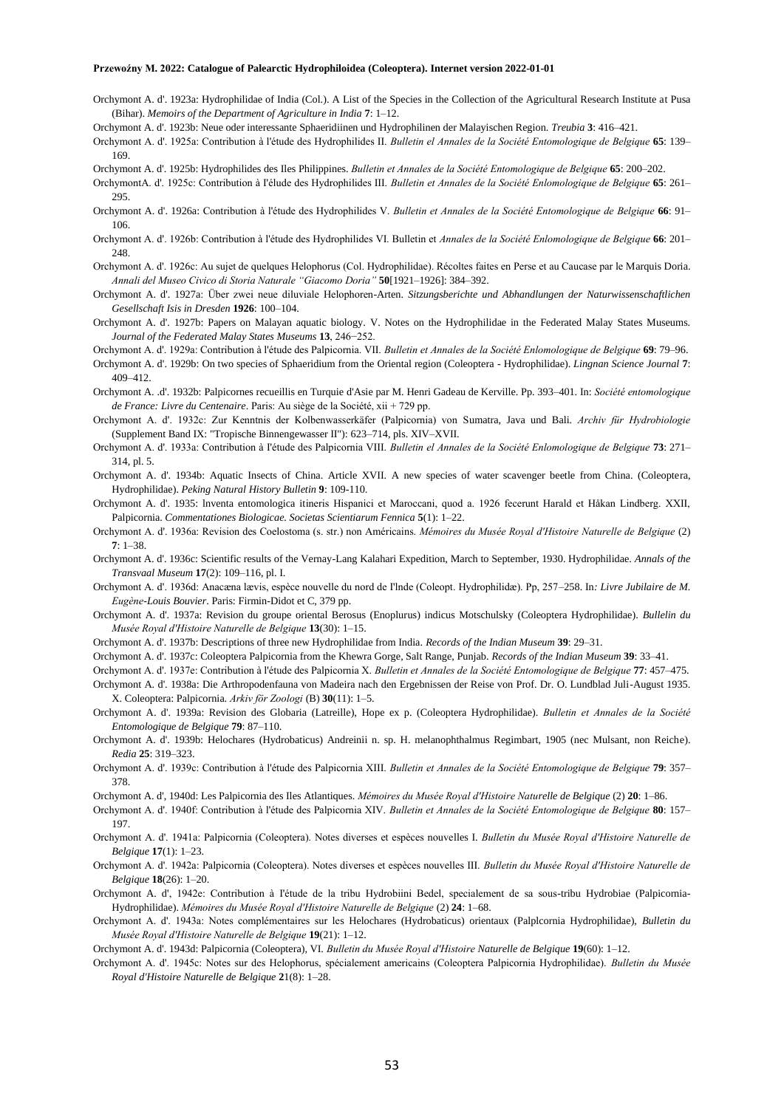Orchymont A. d'. 1923a: Hydrophilidae of India (Col.). A List of the Species in the Collection of the Agricultural Research Institute at Pusa (Bihar). *Memoirs of the Department of Agriculture in India* **7**: 1–12.

Orchymont A. d'. 1923b: Neue oder interessante Sphaeridiinen und Hydrophilinen der Malayischen Region. *Treubia* **3**: 416–421.

Orchymont A. d'. 1925a: Contribution à l'étude des Hydrophilides II. *Bulletin el Annales de la Société Entomologique de Belgique* **65**: 139– 169.

Orchymont A. d'. 1925b: Hydrophilides des Iles Philippines. *Bulletin et Annales de la Société Entomologique de Belgique* **65**: 200–202.

- OrchymontA. d'. 1925c: Contribution à I'élude des Hydrophilides III. *Bulletin et Annales de la Société Enlomologique de Belgique* **65**: 261– 295.
- Orchymont A. d'. 1926a: Contribution à l'étude des Hydrophilides V. *Bulletin et Annales de la Société Entomologique de Belgique* **66**: 91– 106.
- Orchymont A. d'. 1926b: Contribution à l'étude des Hydrophilides VI. Bulletin et *Annales de la Société Enlomologique de Belgique* **66**: 201– 248.
- Orchymont A. d'. 1926c: Au sujet de quelques Helophorus (Col. Hydrophilidae). Récoltes faites en Perse et au Caucase par le Marquis Doria. *Annali del Museo Civico di Storia Naturale "Giacomo Doria"* **50**[1921–1926]: 384–392.
- Orchymont A. d'. 1927a: Über zwei neue diluviale Helophoren-Arten. *Sitzungsberichte und Abhandlungen der Naturwissenschaftlichen Gesellschaft Isis in Dresden* **1926**: 100–104.
- Orchymont A. d'. 1927b: Papers on Malayan aquatic biology. V. Notes on the Hydrophilidae in the Federated Malay States Museums. *Journal of the Federated Malay States Museums* **13**, 246−252.
- Orchymont A. d'. 1929a: Contribution à l'étude des Palpicornia. VII. *Bulletin et Annales de la Société Enlomologique de Belgique* **69**: 79–96.
- Orchymont A. d'. 1929b: On two species of Sphaeridium from the Oriental region (Coleoptera Hydrophilidae). *Lingnan Science Journal* **7**: 409–412.
- Orchymont A. .d'. 1932b: Palpicornes recueillis en Turquie d'Asie par M. Henri Gadeau de Kerville. Pp. 393–401. In: *Société entomologique de France: Livre du Centenaire*. Paris: Au siège de la Société, xii + 729 pp.
- Orchymont A. d'. 1932c: Zur Kenntnis der Kolbenwasserkäfer (Palpicornia) von Sumatra, Java und Bali. *Archiv für Hydrobiologie* (Supplement Band IX: "Tropische Binnengewasser II"): 623–714, pls. XIV–XVII.
- Orchymont A. d'. 1933a: Contribution à I'étude des Palpicornia VIII. *Bulletin el Annales de la Société Enlomologique de Belgique* **73**: 271– 314, pl. 5.
- Orchymont A. d'. 1934b: Aquatic Insects of China. Article XVII. A new species of water scavenger beetle from China. (Coleoptera, Hydrophilidae). *Peking Natural History Bulletin* **9**: 109-110.
- Orchymont A. d'. 1935: lnventa entomologica itineris Hispanici et Maroccani, quod a. 1926 fecerunt Harald et Håkan Lindberg. XXII, Palpicornia. *Commentationes Biologicae. Societas Scientiarum Fennica* **5**(1): 1–22.
- Orchymont A. d'. 1936a: Revision des Coelostoma (s. str.) non Américains. *Mémoires du Musée Royal d'Histoire Naturelle de Belgique* (2) **7**: 1–38.
- Orchymont A. d'. 1936c: Scientific results of the Vernay-Lang Kalahari Expedition, March to September, 1930. Hydrophilidae. *Annals of the Transvaal Museum* **17**(2): 109–116, pl. I.
- Orchymont A. d'. 1936d: Anacæna lævis, espèce nouvelle du nord de I'lnde (Coleopt. Hydrophilidæ). Pp, 257–258. In*: Livre Jubilaire de M. Eugène-Louis Bouvier*. Paris: Firmin-Didot et C, 379 pp.
- Orchymont A. d'. 1937a: Revision du groupe oriental Berosus (Enoplurus) indicus Motschulsky (Coleoptera Hydrophilidae). *Bullelin du Musée Royal d'Histoire Naturelle de Belgique* **13**(30): 1–15.
- Orchymont A. d'. 1937b: Descriptions of three new Hydrophilidae from India. *Records of the Indian Museum* **39**: 29–31.
- Orchymont A. d'. 1937c: Coleoptera Palpicornia from the Khewra Gorge, Salt Range, Punjab. *Records of the Indian Museum* **39**: 33–41.
- Orchymont A. d'. 1937e: Contribution à l'étude des Palpicornia X. *Bulletin et Annales de la Société Entomologique de Belgique* **77**: 457–475.
- Orchymont A. d'. 1938a: Die Arthropodenfauna von Madeira nach den Ergebnissen der Reise von Prof. Dr. O. Lundblad Juli-August 1935. X. Coleoptera: Palpicornia. *Arkiv för Zoologi* (B) **30**(11): 1–5.
- Orchymont A. d'. 1939a: Revision des Globaria (Latreille), Hope ex p. (Coleoptera Hydrophilidae). *Bulletin et Annales de la Société Entomologique de Belgique* **79**: 87–110.
- Orchymont A. d'. 1939b: Helochares (Hydrobaticus) Andreinii n. sp. H. melanophthalmus Regimbart, 1905 (nec Mulsant, non Reiche). *Redia* **25**: 319–323.
- Orchymont A. d'. 1939c: Contribution à l'étude des Palpicornia XIII. *Bulletin et Annales de la Société Entomologique de Belgique* **79**: 357– 378.
- Orchymont A. d', 1940d: Les Palpicornia des Iles Atlantiques. *Mémoires du Musée Royal d'Histoire Naturelle de Belgique* (2) **20**: 1–86.
- Orchymont A. d'. 1940f: Contribution à l'étude des Palpicornia XIV. *Bulletin et Annales de la Société Entomologique de Belgique* **80**: 157– 197.
- Orchymont A. d'. 1941a: Palpicornia (Coleoptera). Notes diverses et espèces nouvelles I. *Bulletin du Musée Royal d'Histoire Naturelle de Belgique* **17**(1): 1–23.
- Orchymont A. d'. 1942a: Palpicornia (Coleoptera). Notes diverses et espèces nouvelles III. *Bulletin du Musée Royal d'Histoire Naturelle de Belgique* **18**(26): 1–20.
- Orchymont A. d', 1942e: Contribution à I'étude de la tribu Hydrobiini Bedel, specialement de sa sous-tribu Hydrobiae (Palpicornia-Hydrophilidae). *Mémoires du Musée Royal d'Histoire Naturelle de Belgique* (2) **24**: 1–68.
- Orchymont A. d'. 1943a: Notes complémentaires sur les Helochares (Hydrobaticus) orientaux (Palplcornia Hydrophilidae), *Bulletin du Musée Royal d'Histoire Naturelle de Belgique* **19**(21): 1–12.
- Orchymont A. d'. 1943d: Palpicornia (Coleoptera), VI. *Bulletin du Musée Royal d'Histoire Naturelle de Belgique* **19**(60): 1–12.
- Orchymont A. d'. 1945c: Notes sur des Helophorus, spécialement americains (Coleoptera Palpicornia Hydrophilidae). *Bulletin du Musée Royal d'Histoire Naturelle de Belgique* **2**1(8): 1–28.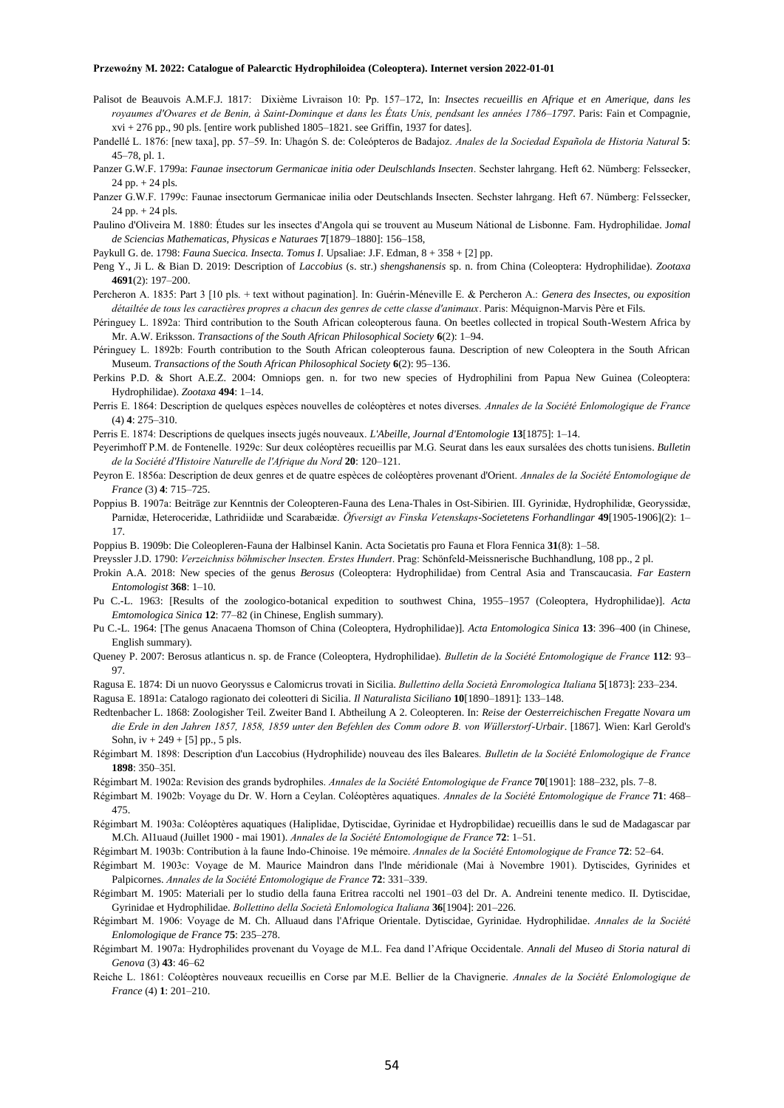- Palisot de Beauvois A.M.F.J. 1817: Dixième Livraison 10: Pp. 157–172, In: *Insectes recueillis en Afrique et en Amerique, dans les royaumes d'Owares et de Benin, à Saint-Dominque et dans les États Unis, pendsant les années 1786–1797*. Paris: Fain et Compagnie,  $xvi + 276$  pp., 90 pls. [entire work published  $1805-1821$ . see Griffin, 1937 for dates].
- Pandellé L. 1876: [new taxa], pp. 57–59. In: Uhagón S. de: Coleópteros de Badajoz. *Anales de la Sociedad Española de Historia Natural* **5**: 45–78, pl. 1.
- Panzer G.W.F. 1799a: *Faunae insectorum Germanicae initia oder Deulschlands Insecten*. Sechster lahrgang. Heft 62. Nümberg: Felssecker,  $24$  pp.  $+ 24$  pls.
- Panzer G.W.F. 1799c: Faunae insectorum Germanicae inilia oder Deutschlands Insecten. Sechster lahrgang. Heft 67. Nümberg: Felssecker, 24 pp. + 24 pls.
- Paulino d'Oliveira M. 1880: Études sur les insectes d'Angola qui se trouvent au Museum Nátional de Lisbonne. Fam. Hydrophilidae. J*omal de Sciencias Mathematicas, Physicas e Naturaes* **7**[1879–1880]: 156–158,
- Paykull G. de. 1798: *Fauna Suecica. Insecta. Tomus I*. Upsaliae: J.F. Edman, 8 + 358 + [2] pp.
- Peng Y., Ji L. & Bian D. 2019: Description of *Laccobius* (s. str.) *shengshanensis* sp. n. from China (Coleoptera: Hydrophilidae). *Zootaxa* **4691**(2): 197–200.
- Percheron A. 1835: Part 3 [10 pls. + text without pagination]. In: Guérin-Méneville E. & Percheron A.: *Genera des Insectes, ou exposition détailtée de tous les caractières propres a chacun des genres de cette classe d'animaux*. Paris: Méquignon-Marvis Père et Fils.
- Péringuey L. 1892a: Third contribution to the South African coleopterous fauna. On beetles collected in tropical South-Western Africa by Mr. A.W. Eriksson. *Transactions of the South African Philosophical Society* **6**(2): 1–94.
- Péringuey L. 1892b: Fourth contribution to the South African coleopterous fauna. Description of new Coleoptera in the South African Museum. *Transactions of the South African Philosophical Society* **6**(2): 95–136.
- Perkins P.D. & Short A.E.Z. 2004: Omniops gen. n. for two new species of Hydrophilini from Papua New Guinea (Coleoptera: Hydrophilidae). *Zootaxa* **494**: 1–14.
- Perris E. 1864: Description de quelques espèces nouvelles de coléoptères et notes diverses. *Annales de la Société Enlomologique de France* (4) **4**: 275–310.
- Perris E. 1874: Descriptions de quelques insects jugés nouveaux. *L'Abeille, Journal d'Entomologie* **13**[1875]: 1–14.
- Peyerimhoff P.M. de Fontenelle. 1929c: Sur deux coléoptères recueillis par M.G. Seurat dans les eaux sursalées des chotts tunisiens. *Bulletin de la Société d'Histoire Naturelle de l'Afrique du Nord* **20**: 120–121.
- Peyron E. 1856a: Description de deux genres et de quatre espèces de coléoptères provenant d'Orient. *Annales de la Société Entomologique de France* (3) **4**: 715–725.
- Poppius B. 1907a: Beiträge zur Kenntnis der Coleopteren-Fauna des Lena-Thales in Ost-Sibirien. III. Gyrinidæ, Hydrophilidæ, Georyssidæ, Parnidæ, Heteroceridæ, Lathridiidæ und Scarabæidæ. *Öfversigt av Finska Vetenskaps-Societetens Forhandlingar* **49**[1905-1906](2): 1– 17.
- Poppius B. 1909b: Die Coleopleren-Fauna der Halbinsel Kanin. Acta Societatis pro Fauna et Flora Fennica **31**(8): 1–58.
- Preyssler J.D. 1790: *Verzeichniss böhmischer lnsecten. Erstes Hundert*. Prag: Schönfeld-Meissnerische Buchhandlung, 108 pp., 2 pl.
- Prokin A.A. 2018: New species of the genus *Berosus* (Coleoptera: Hydrophilidae) from Central Asia and Transcaucasia. *Far Eastern Entomologist* **368**: 1–10.
- Pu C.-L. 1963: [Results of the zoologico-botanical expedition to southwest China, 1955–1957 (Coleoptera, Hydrophilidae)]. *Acta Emtomologica Sinica* **12**: 77–82 (in Chinese, English summary).
- Pu C.-L. 1964: [The genus Anacaena Thomson of China (Coleoptera, Hydrophilidae)]. *Acta Entomologica Sinica* **13**: 396–400 (in Chinese, English summary).
- Queney P. 2007: Berosus atlanticus n. sp. de France (Coleoptera, Hydrophilidae). *Bulletin de la Société Entomologique de France* **112**: 93– 97.
- Ragusa E. 1874: Di un nuovo Georyssus e Calomicrus trovati in Sicilia. *Bullettino della Società Enromologica Italiana* **5**[1873]: 233–234.
- Ragusa E. 1891a: Catalogo ragionato dei coleotteri di Sicilia. *Il Naturalista Siciliano* **10**[1890–1891]: 133–148.
- Redtenbacher L. 1868: Zoologisher Teil. Zweiter Band I. Abtheilung A 2. Coleopteren. In: *Reise der Oesterreichischen Fregatte Novara um die Erde in den Jahren 1857, 1858, 1859 unter den Befehlen des Comm odore B. von Wüllerstorf-Urbair*. [1867]. Wien: Karl Gerold's Sohn, iv + 249 + [5] pp., 5 pls.
- Régimbart M. 1898: Description d'un Laccobius (Hydrophilide) nouveau des îles Baleares. *Bulletin de la Société Enlomologique de France* **1898**: 350–35l.
- Régimbart M. 1902a: Revision des grands bydrophiles. *Annales de la Société Entomologique de France* **70**[1901]: 188–232, pls. 7–8.
- Régimbart M. 1902b: Voyage du Dr. W. Horn a Ceylan. Coléoptères aquatiques. *Annales de la Société Entomologique de France* **71**: 468– 475.
- Régimbart M. 1903a: Coléoptères aquatiques (Haliplidae, Dytiscidae, Gyrinidae et Hydropbilidae) recueillis dans le sud de Madagascar par M.Ch. Al1uaud (Juillet 1900 - mai 1901). *Annales de la Société Entomologique de France* **72**: 1–51.
- Régimbart M. 1903b: Contribution à la faune Indo-Chinoise. 19e mémoire. *Annales de la Société Entomologique de France* **72**: 52–64.
- Régimbart M. 1903c: Voyage de M. Maurice Maindron dans l'lnde méridionale (Mai à Novembre 1901). Dytiscides, Gyrinides et Palpicornes. *Annales de la Société Entomologique de France* **72**: 331–339.
- Régimbart M. 1905: Materiali per lo studio della fauna Eritrea raccolti nel 1901–03 del Dr. A. Andreini tenente medico. II. Dytiscidae, Gyrinidae et Hydrophilidae. *Bollettino della Società Enlomologica Italiana* **36**[1904]: 201–226.
- Régimbart M. 1906: Voyage de M. Ch. Alluaud dans l'Afrique Orientale. Dytiscidae, Gyrinidae. Hydrophilidae. *Annales de la Société Enlomologique de France* **75**: 235–278.
- Régimbart M. 1907a: Hydrophilides provenant du Voyage de M.L. Fea dand l'Afrique Occidentale. *Annali del Museo di Storia natural di Genova* (3) **43**: 46–62
- Reiche L. 1861: Coléoptères nouveaux recueillis en Corse par M.E. Bellier de la Chavignerie. *Annales de la Société Enlomologique de France* (4) **1**: 201–210.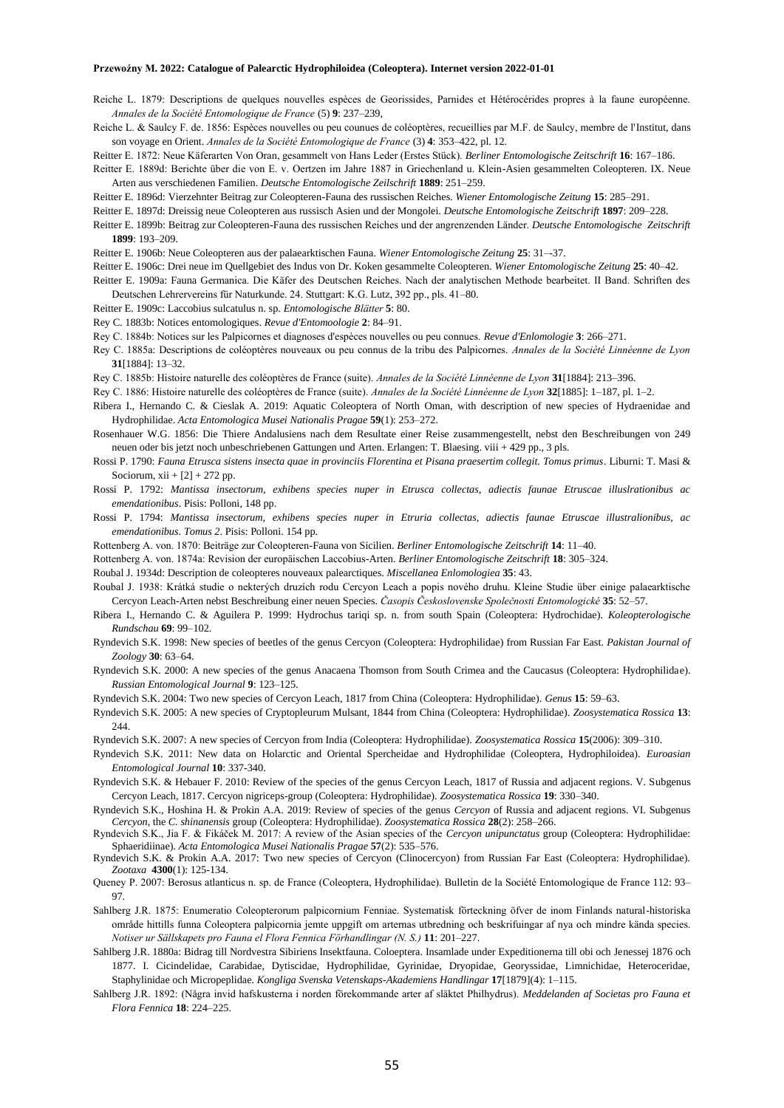- Reiche L. 1879: Descriptions de quelques nouvelles espèces de Georissides, Parnides et Hétérocérides propres à la faune européenne. *Annales de la Société Entomologique de France* (5) **9**: 237–239,
- Reiche L. & Saulcy F. de. 1856: Espèces nouvelles ou peu counues de coléoptères, recueillies par M.F. de Saulcy, membre de l'Institut, dans son voyage en Orient. *Annales de la Société Entomologique de France* (3) **4**: 353–422, pl. 12.
- Reitter E. 1872: Neue Käferarten Von Oran, gesammelt von Hans Leder (Erstes Stück). *Berliner Entomologische Zeitschrift* **16**: 167–186.
- Reitter E. 1889d: Berichte über die von E. v. Oertzen im Jahre 1887 in Griechenland u. Klein-Asien gesammelten Coleopteren. IX. Neue Arten aus verschiedenen Familien. *Deutsche Entomologische Zeilschrift* **1889**: 251–259.
- Reitter E. 1896d: Vierzehnter Beitrag zur Coleopteren-Fauna des russischen Reiches. *Wiener Entomologische Zeitung* **15**: 285–291.
- Reitter E. 1897d: Dreissig neue Coleopteren aus russisch Asien und der Mongolei. *Deutsche Entomologische Zeitschrift* **1897**: 209–228.
- Reitter E. 1899b: Beitrag zur Coleopteren-Fauna des russischen Reiches und der angrenzenden Länder. *Deutsche Entomologische Zeitschrift*  **1899**: 193–209.
- Reitter E. 1906b: Neue Coleopteren aus der palaearktischen Fauna. *Wiener Entomologische Zeitung* **25**: 31–-37.
- Reitter E. 1906c: Drei neue im Quellgebiet des Indus von Dr. Koken gesammelte Coleopteren. *Wiener Entomologische Zeitung* **25**: 40–42.
- Reitter E. 1909a: Fauna Germanica. Die Käfer des Deutschen Reiches. Nach der analytischen Methode bearbeitet. II Band. Schriften des Deutschen Lehrervereins für Naturkunde. 24. Stuttgart: K.G. Lutz, 392 pp., pls. 41–80.
- Reitter E. 1909c: Laccobius sulcatulus n. sp. *Entomologische Blätter* **5**: 80.
- Rey C. 1883b: Notices entomologiques. *Revue d'Entomoologie* **2**: 84–91.
- Rey C. 1884b: Notices sur les Palpicornes et diagnoses d'espèces nouvelles ou peu connues. *Revue d'Enlomologie* **3**: 266–271.
- Rey C. 1885a: Descriptions de coléoptères nouveaux ou peu connus de la tribu des Palpicornes. *Annales de la Société Linnéenne de Lyon* **31**[1884]: 13–32.
- Rey C. 1885b: Histoire naturelle des coléoptères de France (suite). *Annales de la Société Linnéenne de Lyon* **31**[1884]: 213–396.
- Rey C. 1886: Histoire naturelle des coléoptères de France (suite). *Annales de la Société Linnéenne de Lyon* **32**[1885]: 1–187, pl. 1–2.
- Ribera I., Hernando C. & Cieslak A. 2019: Aquatic Coleoptera of North Oman, with description of new species of Hydraenidae and Hydrophilidae. *Acta Entomologica Musei Nationalis Pragae* **59**(1): 253–272.
- Rosenhauer W.G. 1856: Die Thiere Andalusiens nach dem Resultate einer Reise zusammengestellt, nebst den Beschreibungen von 249 neuen oder bis jetzt noch unbeschriebenen Gattungen und Arten. Erlangen: T. Blaesing. viii + 429 pp., 3 pls.
- Rossi P. 1790: *Fauna Etrusca sistens insecta quae in provinciis Florentina et Pisana praesertim collegit. Tomus primus*. Liburni: T. Masi & Sociorum, xii +  $[2] + 272$  pp.
- Rossi P. 1792: *Mantissa insectorum, exhibens species nuper in Etrusca collectas, adiectis faunae Etruscae illuslrationibus ac emendationibus*. Pisis: Polloni, 148 pp.
- Rossi P. 1794: *Mantissa insectorum, exhibens species nuper in Etruria collectas, adiectis faunae Etruscae illustralionibus, ac emendationibus. Tomus 2*. Pisis: Polloni. 154 pp.
- Rottenberg A. von. 1870: Beiträge zur Coleopteren-Fauna von Sicilien. *Berliner Entomologische Zeitschrift* **14**: 11–40.
- Rottenberg A. von. 1874a: Revision der europäischen Laccobius-Arten. *Berliner Entomologische Zeitschrift* **18**: 305–324.
- Roubal J. 1934d: Description de coleopteres nouveaux palearctiques. *Miscellanea Enlomologiea* **35**: 43.
- Roubal J. 1938: Krátká studie o nekterých druzích rodu Cercyon Leach a popis nového druhu. Kleine Studie über einige palaearktische Cercyon Leach-Arten nebst Beschreibung einer neuen Species. *Časopis Československe Společnosti Entomologické* **35**: 52–57.
- Ribera I., Hernando C. & Aguilera P. 1999: Hydrochus tariqi sp. n. from south Spain (Coleoptera: Hydrochidae). *Koleopterologische Rundschau* **69**: 99–102.
- Ryndevich S.K. 1998: New species of beetles of the genus Cercyon (Coleoptera: Hydrophilidae) from Russian Far East. *Pakistan Journal of Zoology* **30**: 63–64.
- Ryndevich S.K. 2000: A new species of the genus Anacaena Thomson from South Crimea and the Caucasus (Coleoptera: Hydrophilidae). *Russian Entomological Journal* **9**: 123–125.
- Ryndevich S.K. 2004: Two new species of Cercyon Leach, 1817 from China (Coleoptera: Hydrophilidae). *Genus* **15**: 59–63.
- Ryndevich S.K. 2005: A new species of Cryptopleurum Mulsant, 1844 from China (Coleoptera: Hydrophilidae). *Zoosystematica Rossica* **13**: 244.
- Ryndevich S.K. 2007: A new species of Cercyon from India (Coleoptera: Hydrophilidae). *Zoosystematica Rossica* **15**(2006): 309–310.
- Ryndevich S.K. 2011: New data on Holarctic and Oriental Spercheidae and Hydrophilidae (Coleoptera, Hydrophiloidea). *Euroasian Entomological Journal* **10**: 337-340.
- Ryndevich S.K. & Hebauer F. 2010: Review of the species of the genus Cercyon Leach, 1817 of Russia and adjacent regions. V. Subgenus Cercyon Leach, 1817. Cercyon nigriceps-group (Coleoptera: Hydrophilidae). *Zoosystematica Rossica* **19**: 330–340.
- Ryndevich S.K., Hoshina H. & Prokin A.A. 2019: Review of species of the genus *Cercyon* of Russia and adjacent regions. VI. Subgenus *Cercyon*, the *C. shinanensis* group (Coleoptera: Hydrophilidae). *Zoosystematica Rossica* **28**(2): 258–266.

Ryndevich S.K., Jia F. & Fikáček M. 2017: A review of the Asian species of the *Cercyon unipunctatus* group (Coleoptera: Hydrophilidae: Sphaeridiinae). *Acta Entomologica Musei Nationalis Pragae* **57**(2): 535–576.

- Ryndevich S.K. & Prokin A.A. 2017: Two new species of Cercyon (Clinocercyon) from Russian Far East (Coleoptera: Hydrophilidae). *Zootaxa* **4300**(1): 125-134.
- Queney P. 2007: Berosus atlanticus n. sp. de France (Coleoptera, Hydrophilidae). Bulletin de la Société Entomologique de France 112: 93– 97.
- Sahlberg J.R. 1875: Enumeratio Coleopterorum palpicornium Fenniae. Systematisk förteckning öfver de inom Finlands natural-historiska område hittills funna Coleoptera palpicornia jemte uppgift om arternas utbredning och beskrifuingar af nya och mindre kända species. *Notiser ur Sällskapets pro Fauna el Flora Fennica Förhandlingar (N. S.)* **11**: 201–227.
- Sahlberg J.R. 1880a: Bidrag till Nordvestra Sibiriens Insektfauna. Coloeptera. Insamlade under Expeditionerna till obi och Jenessej 1876 och 1877. I. Cicindelidae, Carabidae, Dytiscidae, Hydrophilidae, Gyrinidae, Dryopidae, Georyssidae, Limnichidae, Heteroceridae, Staphylinidae och Micropeplidae. *Kongliga Svenska Vetenskaps-Akademiens Handlingar* **17**[1879](4): 1–115.
- Sahlberg J.R. 1892: (Några invid hafskusterna i norden förekommande arter af släktet Philhydrus). *Meddelanden af Societas pro Fauna et Flora Fennica* **18**: 224–225.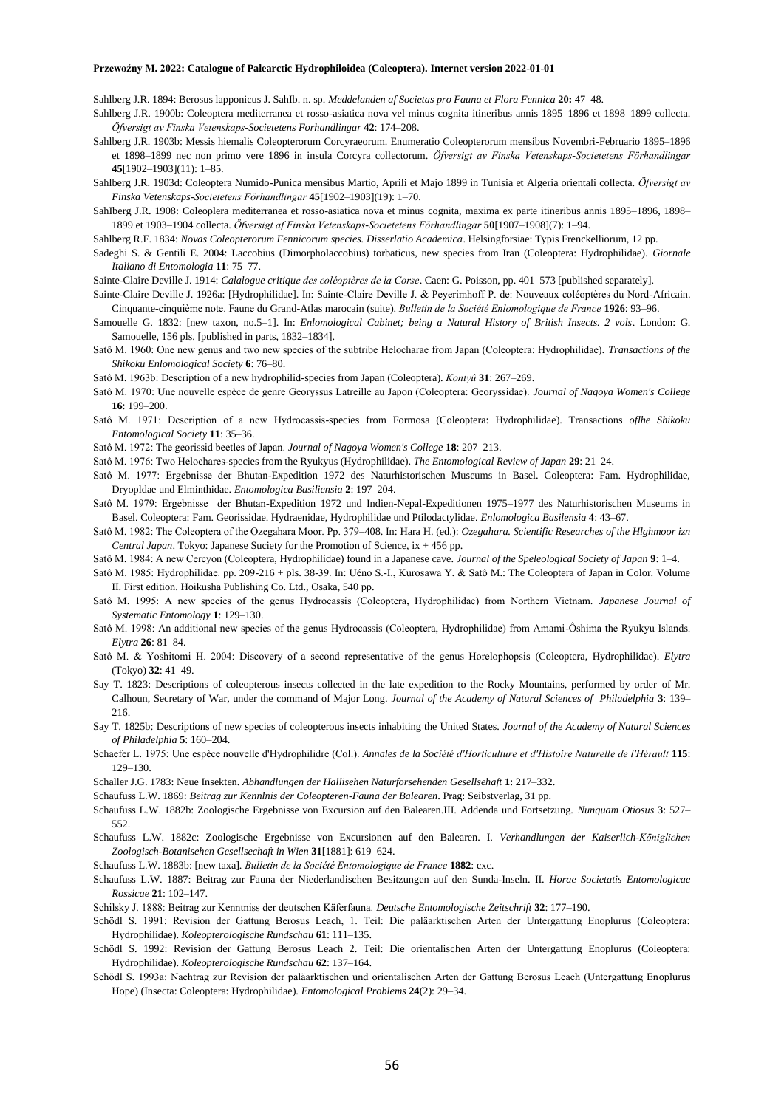Sahlberg J.R. 1894: Berosus lapponicus J. SahIb. n. sp. *Meddelanden af Societas pro Fauna et Flora Fennica* **20:** 47–48.

- Sahlberg J.R. 1900b: Coleoptera mediterranea et rosso-asiatica nova vel minus cognita itineribus annis 1895–1896 et 1898–1899 collecta. *Öfversigt av Finska Vetenskaps-Societetens Forhandlingar* **42**: 174–208.
- Sahlberg J.R. 1903b: Messis hiemalis Coleopterorum Corcyraeorum. Enumeratio Coleopterorum mensibus Novembri-Februario 1895–1896 et 1898–1899 nec non primo vere 1896 in insula Corcyra collectorum. *Öfversigt av Finska Vetenskaps-Societetens Förhandlingar* **45**[1902–1903](11): 1–85.
- Sahlberg J.R. 1903d: Coleoptera Numido-Punica mensibus Martio, Aprili et Majo 1899 in Tunisia et Algeria orientali collecta. *Öfversigt av Finska Vetenskaps-Societetens Förhandlingar* **45**[1902–1903](19): 1–70.
- SahIberg J.R. 1908: Coleoplera mediterranea et rosso-asiatica nova et minus cognita, maxima ex parte itineribus annis 1895–1896, 1898– 1899 et 1903–1904 collecta. *Öfversigt af Finska Vetenskaps-Societetens Förhandlingar* **50**[1907–1908](7): 1–94.
- Sahlberg R.F. 1834: *Novas Coleopterorum Fennicorum species. Disserlatio Academica*. Helsingforsiae: Typis Frenckelliorum, 12 pp.
- Sadeghi S. & Gentili E. 2004: Laccobius (Dimorpholaccobius) torbaticus, new species from Iran (Coleoptera: Hydrophilidae). *Giornale Italiano di Entomologia* **11**: 75–77.
- Sainte-Claire Deville J. 1914: *Calalogue critique des coléoptères de la Corse*. Caen: G. Poisson, pp. 401–573 [published separately].
- Sainte-Claire Deville J. 1926a: [Hydrophilidae]. In: Sainte-Claire Deville J. & Peyerimhoff P. de: Nouveaux coléoptères du Nord-Africain. Cinquante-cinquième note. Faune du Grand-Atlas marocain (suite). *Bulletin de la Société Enlomologique de France* **1926**: 93–96.
- Samouelle G. 1832: [new taxon, no.5–1]. In: *Enlomological Cabinet; being a Natural History of British Insects. 2 vols*. London: G. Samouelle, 156 pls. [published in parts, 1832–1834].
- Satô M. 1960: One new genus and two new species of the subtribe Helocharae from Japan (Coleoptera: Hydrophilidae). *Transactions of the Shikoku Enlomological Society* **6**: 76–80.

Satô M. 1963b: Description of a new hydrophilid-species from Japan (Coleoptera). *Kontyû* **31**: 267–269.

- Satô M. 1970: Une nouvelle espèce de genre Georyssus Latreille au Japon (Coleoptera: Georyssidae). *Journal of Nagoya Women's College*  **16**: 199–200.
- Satô M. 1971: Description of a new Hydrocassis-species from Formosa (Coleoptera: Hydrophilidae). Transactions *oflhe Shikoku Entomological Society* **11**: 35–36.
- Satô M. 1972: The georissid beetles of Japan. *Journal of Nagoya Women's College* **18**: 207–213.
- Satô M. 1976: Two Helochares-species from the Ryukyus (Hydrophilidae). *The Entomological Review of Japan* **29**: 21–24.
- Satô M. 1977: Ergebnisse der Bhutan-Expedition 1972 des Naturhistorischen Museums in Basel. Coleoptera: Fam. Hydrophilidae, Dryopldae und Elminthidae. *Entomologica Basiliensia* **2**: 197–204.
- Satô M. 1979: Ergebnisse der Bhutan-Expedition 1972 und Indien-Nepal-Expeditionen 1975–1977 des Naturhistorischen Museums in Basel. Coleoptera: Fam. Georissidae. Hydraenidae, Hydrophilidae und Ptilodactylidae. *Enlomologica Basilensia* **4**: 43–67.
- Satô M. 1982: The Coleoptera of the Ozegahara Moor. Pp. 379–408. In: Hara H. (ed.): *Ozegahara. Scientific Researches of the Hlghmoor izn Central Japan*. Tokyo: Japanese Suciety for the Promotion of Science, ix + 456 pp.
- Satô M. 1984: A new Cercyon (Coleoptera, Hydrophilidae) found in a Japanese cave. *Journal of the Speleological Society of Japan* **9**: 1–4.
- Satô M. 1985: Hydrophilidae. pp. 209-216 + pls. 38-39. In: Uéno S.-I., Kurosawa Y. & Satô M.: The Coleoptera of Japan in Color. Volume II. First edition. Hoikusha Publishing Co. Ltd., Osaka, 540 pp.
- Satô M. 1995: A new species of the genus Hydrocassis (Coleoptera, Hydrophilidae) from Northern Vietnam. *Japanese Journal of Systematic Entomology* **1**: 129–130.
- Satô M. 1998: An additional new species of the genus Hydrocassis (Coleoptera, Hydrophilidae) from Amami-Ôshima the Ryukyu Islands. *Elytra* **26**: 81–84.
- Satô M. & Yoshitomi H. 2004: Discovery of a second representative of the genus Horelophopsis (Coleoptera, Hydrophilidae). *Elytra* (Tokyo) **32**: 41–49.
- Say T. 1823: Descriptions of coleopterous insects collected in the late expedition to the Rocky Mountains, performed by order of Mr. Calhoun, Secretary of War, under the command of Major Long. *Journal of the Academy of Natural Sciences of Philadelphia* **3**: 139– 216.
- Say T. 1825b: Descriptions of new species of coleopterous insects inhabiting the United States. *Journal of the Academy of Natural Sciences of Philadelphia* **5**: 160–204.
- Schaefer L. 1975: Une espèce nouvelle d'Hydrophilidre (Col.). *Annales de la Société d'Horticulture et d'Histoire Naturelle de l'Hérault* **115**: 129–130.
- Schaller J.G. 1783: Neue Insekten. *Abhandlungen der Hallisehen Naturforsehenden Gesellsehaft* **1**: 217–332.
- Schaufuss L.W. 1869: *Beitrag zur Kennlnis der Coleopteren-Fauna der Balearen*. Prag: Seibstverlag, 31 pp.
- Schaufuss L.W. 1882b: Zoologische Ergebnisse von Excursion auf den Balearen.III. Addenda und Fortsetzung. *Nunquam Otiosus* **3**: 527– 552.
- Schaufuss L.W. 1882c: Zoologische Ergebnisse von Excursionen auf den Balearen. I. *Verhandlungen der Kaiserlich-Königlichen Zoologisch-Botanisehen Gesellsechaft in Wien* **31**[1881]: 619–624.
- Schaufuss L.W. 1883b: [new taxa]. *Bulletin de la Société Entomologique de France* **1882**: cxc.
- Schaufuss L.W. 1887: Beitrag zur Fauna der Niederlandischen Besitzungen auf den Sunda-Inseln. II. *Horae Societatis Entomologicae Rossicae* **21**: 102–147.
- Schilsky J. 1888: Beitrag zur Kenntniss der deutschen Käferfauna. *Deutsche Entomologische Zeitschrift* **32**: 177–190.
- Schödl S. 1991: Revision der Gattung Berosus Leach, 1. Teil: Die paläarktischen Arten der Untergattung Enoplurus (Coleoptera: Hydrophilidae). *Koleopterologische Rundschau* **61**: 111–135.
- Schödl S. 1992: Revision der Gattung Berosus Leach 2. Teil: Die orientalischen Arten der Untergattung Enoplurus (Coleoptera: Hydrophilidae). *Koleopterologische Rundschau* **62**: 137–164.
- Schödl S. 1993a: Nachtrag zur Revision der paläarktischen und orientalischen Arten der Gattung Berosus Leach (Untergattung Enoplurus Hope) (Insecta: Coleoptera: Hydrophilidae). *Entomological Problems* **24**(2): 29–34.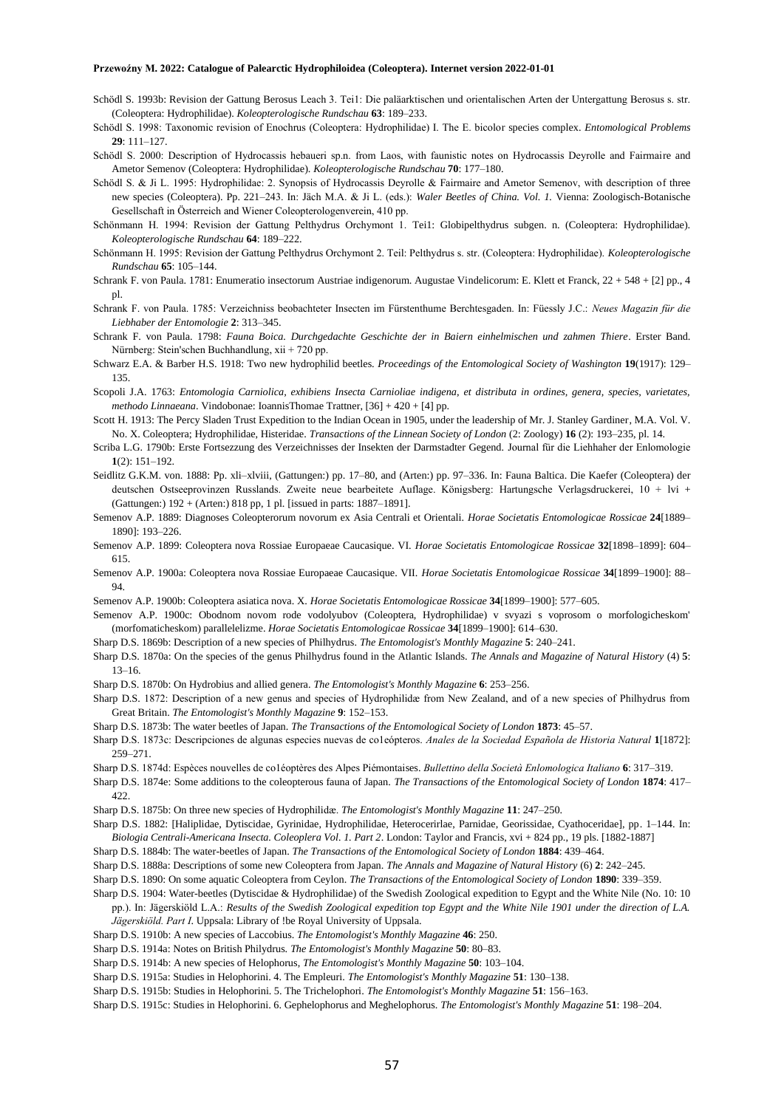- Schödl S. 1993b: Revision der Gattung Berosus Leach 3. Tei1: Die paläarktischen und orientalischen Arten der Untergattung Berosus s. str. (Coleoptera: Hydrophilidae). *Koleopterologische Rundschau* **63**: 189–233.
- Schödl S. 1998: Taxonomic revision of Enochrus (Coleoptera: Hydrophilidae) I. The E. bicolor species complex. *Entomological Problems* **29**: 111–127.
- Schödl S. 2000: Description of Hydrocassis hebaueri sp.n. from Laos, with faunistic notes on Hydrocassis Deyrolle and Fairmaire and Ametor Semenov (Coleoptera: Hydrophilidae). *Koleopterologische Rundschau* **70**: 177–180.
- Schödl S. & Ji L. 1995: Hydrophilidae: 2. Synopsis of Hydrocassis Deyrolle & Fairmaire and Ametor Semenov, with description of three new species (Coleoptera). Pp. 221–243. In: Jäch M.A. & Ji L. (eds.): *Waler Beetles of China. Vol. 1.* Vienna: Zoologisch-Botanische Gesellschaft in Österreich and Wiener Coleopterologenverein, 410 pp.
- Schönmann H. 1994: Revision der Gattung Pelthydrus Orchymont 1. Tei1: Globipelthydrus subgen. n. (Coleoptera: Hydrophilidae). *Koleopterologische Rundschau* **64**: 189–222.
- Schönmann H. 1995: Revision der Gattung Pelthydrus Orchymont 2. Teil: Pelthydrus s. str. (Coleoptera: Hydrophilidae). *Koleopterologische Rundschau* **65**: 105–144.
- Schrank F. von Paula. 1781: Enumeratio insectorum Austriae indigenorum. Augustae Vindelicorum: E. Klett et Franck, 22 + 548 + [2] pp., 4 pl.
- Schrank F. von Paula. 1785: Verzeichniss beobachteter Insecten im Fürstenthume Berchtesgaden. In: Füessly J.C.: *Neues Magazin für die Liebhaber der Entomologie* **2**: 313–345.
- Schrank F. von Paula. 1798: *Fauna Boica. Durchgedachte Geschichte der in Baiern einhelmischen und zahmen Thiere*. Erster Band. Nürnberg: Stein'schen Buchhandlung, xii + 720 pp.
- Schwarz E.A. & Barber H.S. 1918: Two new hydrophilid beetles. *Proceedings of the Entomological Society of Washington* **19**(1917): 129– 135.
- Scopoli J.A. 1763: *Entomologia Carniolica, exhibiens Insecta Carnioliae indigena, et distributa in ordines, genera, species, varietates, methodo Linnaeana*. Vindobonae: IoannisThomae Trattner, [36] + 420 + [4] pp.
- Scott H. 1913: The Percy Sladen Trust Expedition to the Indian Ocean in 1905, under the leadership of Mr. J. Stanley Gardiner, M.A. Vol. V. No. X. Coleoptera; Hydrophilidae, Histeridae. *Transactions of the Linnean Society of London* (2: Zoology) **16** (2): 193–235, pl. 14.
- Scriba L.G. 1790b: Erste Fortsezzung des Verzeichnisses der Insekten der Darmstadter Gegend. Journal für die Liehhaher der Enlomologie **1**(2): 151–192.
- Seidlitz G.K.M. von. 1888: Pp. xli–xlviii, (Gattungen:) pp. 17–80, and (Arten:) pp. 97–336. In: Fauna Baltica. Die Kaefer (Coleoptera) der deutschen Ostseeprovinzen Russlands. Zweite neue bearbeitete Auflage. Königsberg: Hartungsche Verlagsdruckerei, 10 + lvi + (Gattungen:) 192 + (Arten:) 818 pp, 1 pl. [issued in parts: 1887–1891].
- Semenov A.P. 1889: Diagnoses Coleopterorum novorum ex Asia Centrali et Orientali. *Horae Societatis Entomologicae Rossicae* **24**[1889– 1890]: 193–226.
- Semenov A.P. 1899: Coleoptera nova Rossiae Europaeae Caucasique. VI. *Horae Societatis Entomologicae Rossicae* **32**[1898–1899]: 604– 615.
- Semenov A.P. 1900a: Coleoptera nova Rossiae Europaeae Caucasique. VII. *Horae Societatis Entomologicae Rossicae* **34**[1899–1900]: 88– 94.
- Semenov A.P. 1900b: Coleoptera asiatica nova. X. *Horae Societatis Entomologicae Rossicae* **34**[1899–1900]: 577–605.
- Semenov A.P. 1900c: Obodnom novom rode vodolyubov (Coleoptera, Hydrophilidae) v svyazi s voprosom o morfologicheskom' (morfomaticheskom) parallelelizme. *Horae Societatis Entomologicae Rossicae* **34**[1899–1900]: 614–630.
- Sharp D.S. 1870a: On the species of the genus Philhydrus found in the Atlantic Islands. *The Annals and Magazine of Natural History* (4) **5**:

Sharp D.S. 1869b: Description of a new species of Philhydrus. *The Entomologist's Monthly Magazine* **5**: 240–241.

- 13–16.
- Sharp D.S. 1870b: On Hydrobius and allied genera. *The Entomologist's Monthly Magazine* **6**: 253–256.
- Sharp D.S. 1872: Description of a new genus and species of Hydrophilidæ from New Zealand, and of a new species of Philhydrus from Great Britain. *The Entomologist's Monthly Magazine* **9**: 152–153.
- Sharp D.S. 1873b: The water beetles of Japan. *The Transactions of the Entomological Society of London* **1873**: 45–57.
- Sharp D.S. 1873c: Descripciones de algunas especies nuevas de co1eópteros. *Anales de la Sociedad Española de Historia Natural* **1**[1872]: 259–271.
- Sharp D.S. 1874d: Espèces nouvelles de co1éoptères des Alpes Piémontaises. *Bullettino della Società Enlomologica Italiano* **6**: 317–319.
- Sharp D.S. 1874e: Some additions to the coleopterous fauna of Japan. *The Transactions of the Entomological Society of London* **1874**: 417– 422.
- Sharp D.S. 1875b: On three new species of Hydrophilidæ. *The Entomologist's Monthly Magazine* **11**: 247–250.
- Sharp D.S. 1882: [Haliplidae, Dytiscidae, Gyrinidae, Hydrophilidae, Heterocerirlae, Parnidae, Georissidae, Cyathoceridae], pp. 1–144. In: *Biologia Centrali-Americana Insecta. Coleoplera Vol. 1. Part 2*. London: Taylor and Francis, xvi + 824 pp., 19 pls. [1882-1887]
- Sharp D.S. 1884b: The water-beetles of Japan. *The Transactions of the Entomological Society of London* **1884**: 439–464.
- Sharp D.S. 1888a: Descriptions of some new Coleoptera from Japan. *The Annals and Magazine of Natural History* (6) **2**: 242–245.
- Sharp D.S. 1890: On some aquatic Coleoptera from Ceylon. *The Transactions of the Entomological Society of London* **1890**: 339–359.
- Sharp D.S. 1904: Water-beetles (Dytiscidae & Hydrophilidae) of the Swedish Zoological expedition to Egypt and the White Nile (No. 10: 10 pp.). In: Jägerskiöld L.A.: *Results of the Swedish Zoological expedition top Egypt and the White Nile 1901 under the direction of L.A. Jägerskiöld. Part I*. Uppsala: Library of !be Royal University of Uppsala.
- Sharp D.S. 1910b: A new species of Laccobius. *The Entomologist's Monthly Magazine* **46**: 250.
- Sharp D.S. 1914a: Notes on British Philydrus. *The Entomologist's Monthly Magazine* **50**: 80–83.
- Sharp D.S. 1914b: A new species of Helophorus, *The Entomologist's Monthly Magazine* **50**: 103–104.
- Sharp D.S. 1915a: Studies in Helophorini. 4. The Empleuri. *The Entomologist's Monthly Magazine* **51**: 130–138.
- Sharp D.S. 1915b: Studies in Helophorini. 5. The Trichelophori. *The Entomologist's Monthly Magazine* **51**: 156–163.
- Sharp D.S. 1915c: Studies in Helophorini. 6. Gephelophorus and Meghelophorus. *The Entomologist's Monthly Magazine* **51**: 198–204.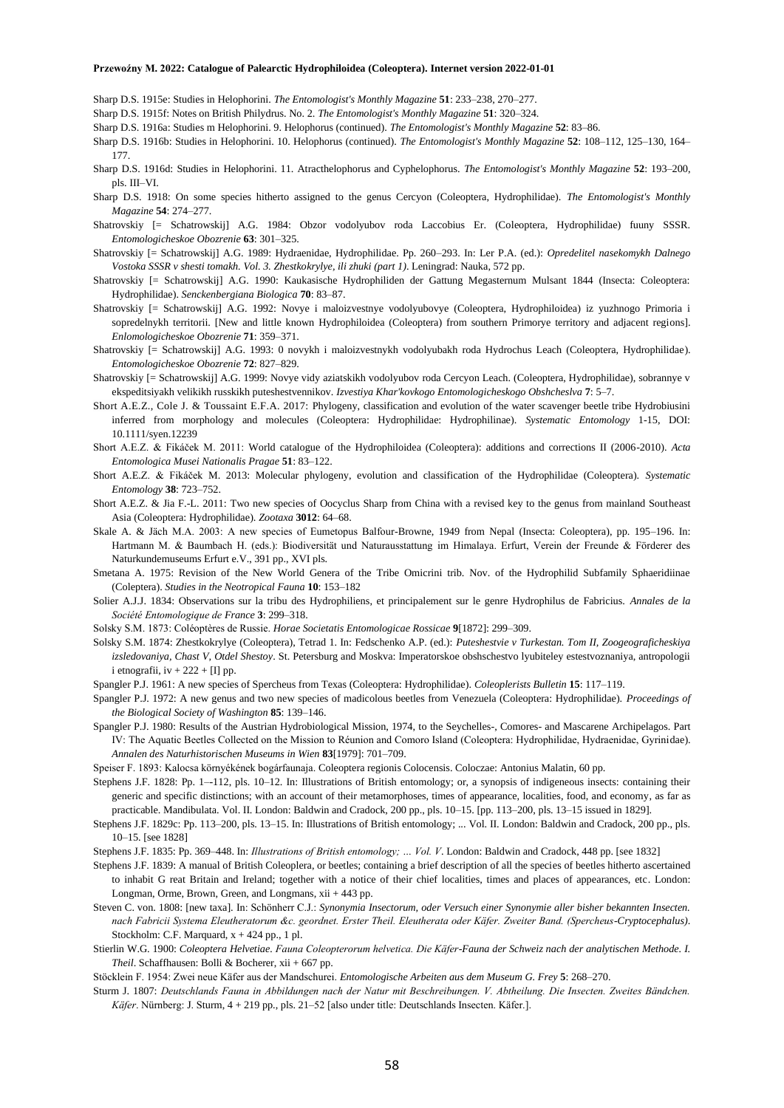Sharp D.S. 1915e: Studies in Helophorini. *The Entomologist's Monthly Magazine* **51**: 233–238, 270–277.

Sharp D.S. 1915f: Notes on British Philydrus. No. 2. *The Entomologist's Monthly Magazine* **51**: 320–324.

- Sharp D.S. 1916a: Studies m Helophorini. 9. Helophorus (continued). *The Entomologist's Monthly Magazine* **52**: 83–86.
- Sharp D.S. 1916b: Studies in Helophorini. 10. Helophorus (continued). *The Entomologist's Monthly Magazine* **52**: 108–112, 125–130, 164– 177.
- Sharp D.S. 1916d: Studies in Helophorini. 11. Atracthelophorus and Cyphelophorus. *The Entomologist's Monthly Magazine* **52**: 193–200, pls. III–VI.
- Sharp D.S. 1918: On some species hitherto assigned to the genus Cercyon (Coleoptera, Hydrophilidae). *The Entomologist's Monthly Magazine* **54**: 274–277.
- Shatrovskiy [= Schatrowskij] A.G. 1984: Obzor vodolyubov roda Laccobius Er. (Coleoptera, Hydrophilidae) fuuny SSSR. *Entomologicheskoe Obozrenie* **63**: 301–325.
- Shatrovskiy [= Schatrowskij] A.G. 1989: Hydraenidae, Hydrophilidae. Pp. 260–293. In: Ler P.A. (ed.): *Opredelitel nasekomykh Dalnego Vostoka SSSR v shesti tomakh. Vol. 3. Zhestkokrylye, ili zhuki (part 1)*. Leningrad: Nauka, 572 pp.
- Shatrovskiy [= Schatrowskij] A.G. 1990: Kaukasische Hydrophiliden der Gattung Megasternum Mulsant 1844 (Insecta: Coleoptera: Hydrophilidae). *Senckenbergiana Biologica* **70**: 83–87.
- Shatrovskiy [= Schatrowskij] A.G. 1992: Novye i maloizvestnye vodolyubovye (Coleoptera, Hydrophiloidea) iz yuzhnogo Primoria i sopredelnykh territorii. [New and little known Hydrophiloidea (Coleoptera) from southern Primorye territory and adjacent regions]. *Enlomologicheskoe Obozrenie* **71**: 359–371.
- Shatrovskiy [= Schatrowskij] A.G. 1993: 0 novykh i maloizvestnykh vodolyubakh roda Hydrochus Leach (Coleoptera, Hydrophilidae). *Entomologicheskoe Obozrenie* **72**: 827–829.
- Shatrovskiy [= Schatrowskij] A.G. 1999: Novye vidy aziatskikh vodolyubov roda Cercyon Leach. (Coleoptera, Hydrophilidae), sobrannye v ekspeditsiyakh velikikh russkikh puteshestvennikov. *Izvestiya Khar'kovkogo Entomologicheskogo Obshcheslva* **7**: 5–7.
- Short A.E.Z., Cole J. & Toussaint E.F.A. 2017: Phylogeny, classification and evolution of the water scavenger beetle tribe Hydrobiusini inferred from morphology and molecules (Coleoptera: Hydrophilidae: Hydrophilinae). *Systematic Entomology* 1-15, DOI: 10.1111/syen.12239
- Short A.E.Z. & Fikáček M. 2011: World catalogue of the Hydrophiloidea (Coleoptera): additions and corrections II (2006-2010). *Acta Entomologica Musei Nationalis Pragae* **51**: 83–122.
- Short A.E.Z. & Fikáček M. 2013: Molecular phylogeny, evolution and classification of the Hydrophilidae (Coleoptera). *Systematic Entomology* **38**: 723–752.
- Short A.E.Z. & Jia F.-L. 2011: Two new species of Oocyclus Sharp from China with a revised key to the genus from mainland Southeast Asia (Coleoptera: Hydrophilidae). *Zootaxa* **3012**: 64–68.
- Skale A. & Jäch M.A. 2003: A new species of Eumetopus Balfour-Browne, 1949 from Nepal (Insecta: Coleoptera), pp. 195–196. In: Hartmann M. & Baumbach H. (eds.): Biodiversität und Naturausstattung im Himalaya. Erfurt, Verein der Freunde & Förderer des Naturkundemuseums Erfurt e.V., 391 pp., XVI pls.
- Smetana A. 1975: Revision of the New World Genera of the Tribe Omicrini trib. Nov. of the Hydrophilid Subfamily Sphaeridiinae (Coleptera). *Studies in the Neotropical Fauna* **10**: 153–182
- Solier A.J.J. 1834: Observations sur la tribu des Hydrophiliens, et principalement sur le genre Hydrophilus de Fabricius. *Annales de la Société Entomologique de France* **3**: 299–318.
- Solsky S.M. 1873: Coléoptères de Russie. *Horae Societatis Entomologicae Rossicae* **9**[1872]: 299–309.
- Solsky S.M. 1874: Zhestkokrylye (Coleoptera), Tetrad 1. In: Fedschenko A.P. (ed.): *Puteshestvie v Turkestan. Tom II, Zoogeograficheskiya izsledovaniya, Chast V, Otdel Shestoy*. St. Petersburg and Moskva: Imperatorskoe obshschestvo lyubiteley estestvoznaniya, antropologii i etnografii,  $iv + 222 + [I]$  pp.
- Spangler P.J. 1961: A new species of Spercheus from Texas (Coleoptera: Hydrophilidae). *Coleoplerists Bulletin* **15**: 117–119.
- Spangler P.J. 1972: A new genus and two new species of madicolous beetles from Venezuela (Coleoptera: Hydrophilidae). *Proceedings of the Biological Society of Washington* **85**: 139–146.
- Spangler P.J. 1980: Results of the Austrian Hydrobiological Mission, 1974, to the Seychelles-, Comores- and Mascarene Archipelagos. Part IV: The Aquatic Beetles Collected on the Mission to Réunion and Comoro Island (Coleoptera: Hydrophilidae, Hydraenidae, Gyrinidae). *Annalen des Naturhistorischen Museums in Wien* **83**[1979]: 701–709.
- Speiser F. 1893: Kalocsa környékének bogárfaunaja. Coleoptera regionis Colocensis. Coloczae: Antonius Malatin, 60 pp.
- Stephens J.F. 1828: Pp. 1–-112, pls. 10–12. In: Illustrations of British entomology; or, a synopsis of indigeneous insects: containing their generic and specific distinctions; with an account of their metamorphoses, times of appearance, localities, food, and economy, as far as practicable. Mandibulata. Vol. II. London: Baldwin and Cradock, 200 pp., pls. 10–15. [pp. 113–200, pls. 13–15 issued in 1829].

Stephens J.F. 1829c: Pp. 113–200, pls. 13–15. In: Illustrations of British entomology; ... Vol. II. London: Baldwin and Cradock, 200 pp., pls. 10–15. [see 1828]

- Stephens J.F. 1835: Pp. 369–448. In: *Illustrations of British entomology; … Vol. V*. London: Baldwin and Cradock, 448 pp. [see 1832]
- Stephens J.F. 1839: A manual of British Coleoplera, or beetles; containing a brief description of all the species of beetles hitherto ascertained to inhabit G reat Britain and Ireland; together with a notice of their chief localities, times and places of appearances, etc. London: Longman, Orme, Brown, Green, and Longmans, xii + 443 pp.
- Steven C. von. 1808: [new taxa]. In: Schönherr C.J.: *Synonymia Insectorum, oder Versuch einer Synonymie aller bisher bekannten Insecten. nach Fabricii Systema Eleutheratorum &c. geordnet. Erster Theil. Eleutherata oder Käfer. Zweiter Band. (Spercheus-Cryptocephalus)*. Stockholm: C.F. Marquard,  $x + 424$  pp., 1 pl.
- Stierlin W.G. 1900: *Coleoptera Helvetiae. Fauna Coleopterorum helvetica. Die Käfer-Fauna der Schweiz nach der analytischen Methode. I. Theil*. Schaffhausen: Bolli & Bocherer, xii + 667 pp.
- Stöcklein F. 1954: Zwei neue Käfer aus der Mandschurei. *Entomologische Arbeiten aus dem Museum G. Frey* **5**: 268–270.
- Sturm J. 1807: *Deutschlands Fauna in Abbildungen nach der Natur mit Beschreibungen. V. Abtheilung. Die Insecten. Zweites Bändchen. Käfer*. Nürnberg: J. Sturm, 4 + 219 pp., pls. 21–52 [also under title: Deutschlands Insecten. Käfer.].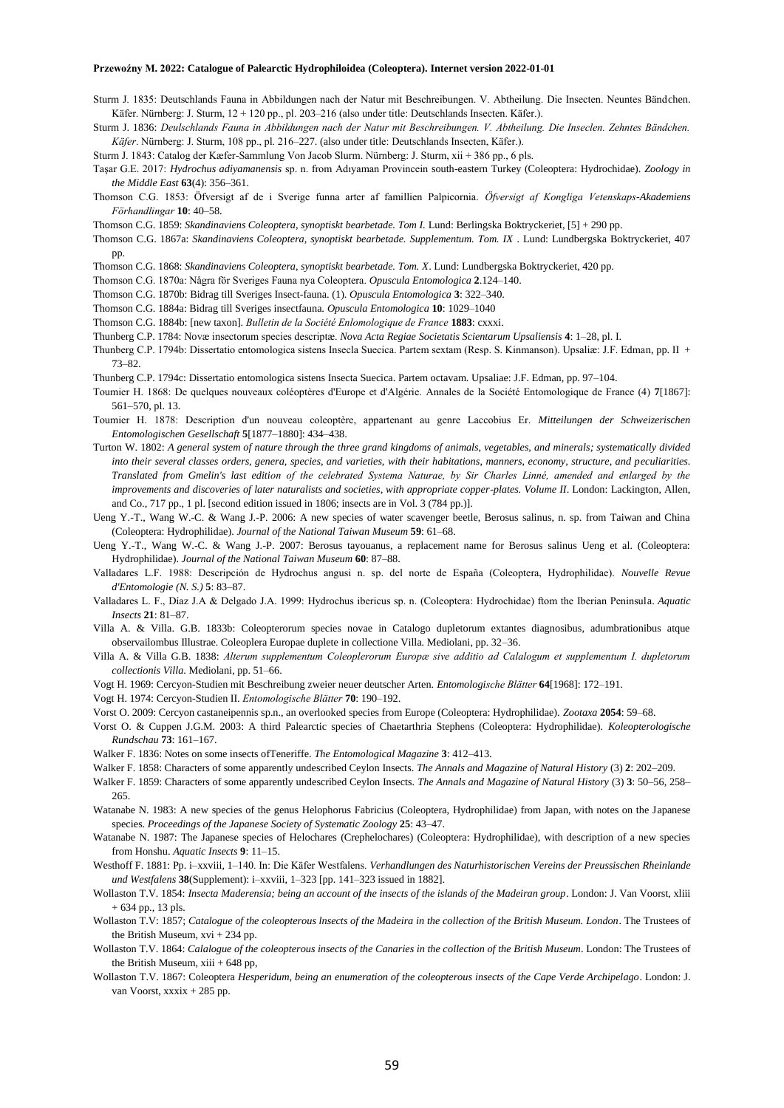- Sturm J. 1835: Deutschlands Fauna in Abbildungen nach der Natur mit Beschreibungen. V. Abtheilung. Die Insecten. Neuntes Bändchen. Käfer. Nürnberg: J. Sturm, 12 + 120 pp., pl. 203–216 (also under title: Deutschlands Insecten. Käfer.).
- Sturm J. 1836: *Deulschlands Fauna in Abbildungen nach der Natur mit Beschreibungen. V. Abtheilung. Die Inseclen. Zehntes Bändchen. Käfer*. Nürnberg: J. Sturm, 108 pp., pl. 216–227. (also under title: Deutschlands Insecten, Käfer.).
- Sturm J. 1843: Catalog der Kæfer-Sammlung Von Jacob Slurm. Nürnberg: J. Sturm, xii + 386 pp., 6 pls.
- Taşar G.E. 2017: *Hydrochus adiyamanensis* sp. n. from Adıyaman Provincein south-eastern Turkey (Coleoptera: Hydrochidae). *Zoology in the Middle East* **63**(4): 356–361.
- Thomson C.G. 1853: Öfversigt af de i Sverige funna arter af famillien Palpicornia. *Öfversigt af Kongliga Vetenskaps-Akademiens Förhandlingar* **10**: 40–58.
- Thomson C.G. 1859: *Skandinaviens Coleoptera, synoptiskt bearbetade. Tom I.* Lund: Berlingska Boktryckeriet, [5] + 290 pp.
- Thomson C.G. 1867a: *Skandinaviens Coleoptera, synoptiskt bearbetade. Supplementum. Tom. IX* . Lund: Lundbergska Boktryckeriet, 407 pp.

Thomson C.G. 1868: *Skandinaviens Coleoptera, synoptiskt bearbetade. Tom. X*. Lund: Lundbergska Boktryckeriet, 420 pp.

- Thomson C.G. 1870a: Några för Sveriges Fauna nya Coleoptera. *Opuscula Entomologica* **2**.124–140.
- Thomson C.G. 1870b: Bidrag till Sveriges Insect-fauna. (1). *Opuscula Entomologica* **3**: 322–340.
- Thomson C.G. 1884a: Bidrag till Sveriges insectfauna. *Opuscula Entomologica* **10**: 1029–1040
- Thomson C.G. 1884b: [new taxon]. *Bulletin de la Société Enlomologique de France* **1883**: cxxxi.
- Thunberg C.P. 1784: Novæ insectorum species descriptæ. *Nova Acta Regiae Societatis Scientarum Upsaliensis* **4**: 1–28, pl. I.
- Thunberg C.P. 1794b: Dissertatio entomologica sistens Insecla Suecica. Partem sextam (Resp. S. Kinmanson). Upsaliæ: J.F. Edman, pp. II + 73–82.
- Thunberg C.P. 1794c: Dissertatio entomologica sistens Insecta Suecica. Partem octavam. Upsaliae: J.F. Edman, pp. 97–104.
- Toumier H. 1868: De quelques nouveaux coléoptères d'Europe et d'Algérie. Annales de la Société Entomologique de France (4) **7**[1867]: 561–570, pl. 13.
- Toumier H. 1878: Description d'un nouveau coleoptère, appartenant au genre Laccobius Er. *Mitteilungen der Schweizerischen Entomologischen Gesellschaft* **5**[1877–1880]: 434–438.
- Turton W. 1802: *A general system of nature through the three grand kingdoms of animals, vegetables, and minerals; systematically divided into their several classes orders, genera, species, and varieties, with their habitations, manners, economy, structure, and peculiarities. Translated from Gmelin's last edition of the celebrated Systema Naturae, by Sir Charles Linné, amended and enlarged by the improvements and discoveries of later naturalists and societies, with appropriate copper-plates. Volume II*. London: Lackington, Allen, and Co., 717 pp., 1 pl. [second edition issued in 1806; insects are in Vol. 3 (784 pp.)].
- Ueng Y.-T., Wang W.-C. & Wang J.-P. 2006: A new species of water scavenger beetle, Berosus salinus, n. sp. from Taiwan and China (Coleoptera: Hydrophilidae). *Journal of the National Taiwan Museum* **59**: 61–68.
- Ueng Y.-T., Wang W.-C. & Wang J.-P. 2007: Berosus tayouanus, a replacement name for Berosus salinus Ueng et al. (Coleoptera: Hydrophilidae). *Journal of the National Taiwan Museum* **60**: 87–88.
- Valladares L.F. 1988: Descripción de Hydrochus angusi n. sp. del norte de España (Coleoptera, Hydrophilidae). *Nouvelle Revue d'Entomologie (N. S.)* **5**: 83–87.
- Valladares L. F., Díaz J.A & Delgado J.A. 1999: Hydrochus ibericus sp. n. (Coleoptera: Hydrochidae) ftom the Iberian Peninsula. *Aquatic Insects* **21**: 81–87.
- Villa A. & Villa. G.B. 1833b: Coleopterorum species novae in Catalogo dupletorum extantes diagnosibus, adumbrationibus atque observailombus Illustrae. Coleoplera Europae duplete in collectione Villa. Mediolani, pp. 32–36.
- Villa A. & Villa G.B. 1838: *Alterum supplementum Coleoplerorum Europæ sive additio ad Calalogum et supplementum I. dupletorum collectionis Villa*. Mediolani, pp. 51–66.
- Vogt H. 1969: Cercyon-Studien mit Beschreibung zweier neuer deutscher Arten. *Entomologische Blätter* **64**[1968]: 172–191.
- Vogt H. 1974: Cercyon-Studien II. *Entomologische Blätter* **70**: 190–192.
- Vorst O. 2009: Cercyon castaneipennis sp.n., an overlooked species from Europe (Coleoptera: Hydrophilidae). *Zootaxa* **2054**: 59–68.
- Vorst O. & Cuppen J.G.M. 2003: A third Palearctic species of Chaetarthria Stephens (Coleoptera: Hydrophilidae). *Koleopterologische Rundschau* **73**: 161–167.
- Walker F. 1836: Notes on some insects ofTeneriffe. *The Entomological Magazine* **3**: 412–413.
- Walker F. 1858: Characters of some apparently undescribed Ceylon Insects. *The Annals and Magazine of Natural History* (3) **2**: 202–209.
- Walker F. 1859: Characters of some apparently undescribed Ceylon Insects. *The Annals and Magazine of Natural History* (3) **3**: 50–56, 258– 265.
- Watanabe N. 1983: A new species of the genus Helophorus Fabricius (Coleoptera, Hydrophilidae) from Japan, with notes on the Japanese species. *Proceedings of the Japanese Society of Systematic Zoology* **25**: 43–47.
- Watanabe N. 1987: The Japanese species of Helochares (Crephelochares) (Coleoptera: Hydrophilidae), with description of a new species from Honshu. *Aquatic Insects* **9**: 11–15.
- Westhoff F. 1881: Pp. i–xxviii, 1–140. In: Die Käfer Westfalens. *Verhandlungen des Naturhistorischen Vereins der Preussischen Rheinlande und Westfalens* **38**(Supplement): i–xxviii, 1–323 [pp. 141–323 issued in 1882].
- Wollaston T.V. 1854: *Insecta Maderensia; being an account of the insects of the islands of the Madeiran group*. London: J. Van Voorst, xliii + 634 pp., 13 pls.
- Wollaston T.V: 1857; *Catalogue of the coleopterous lnsects of the Madeira in the collection of the British Museum. London*. The Trustees of the British Museum, xvi + 234 pp.
- Wollaston T.V. 1864: *Calalogue of the coleopterous insects of the Canaries in the collection of the British Museum*. London: The Trustees of the British Museum,  $xiii + 648$  pp.
- Wollaston T.V. 1867: Coleoptera *Hesperidum, being an enumeration of the coleopterous insects of the Cape Verde Archipelago*. London: J. van Voorst, xxxix + 285 pp.